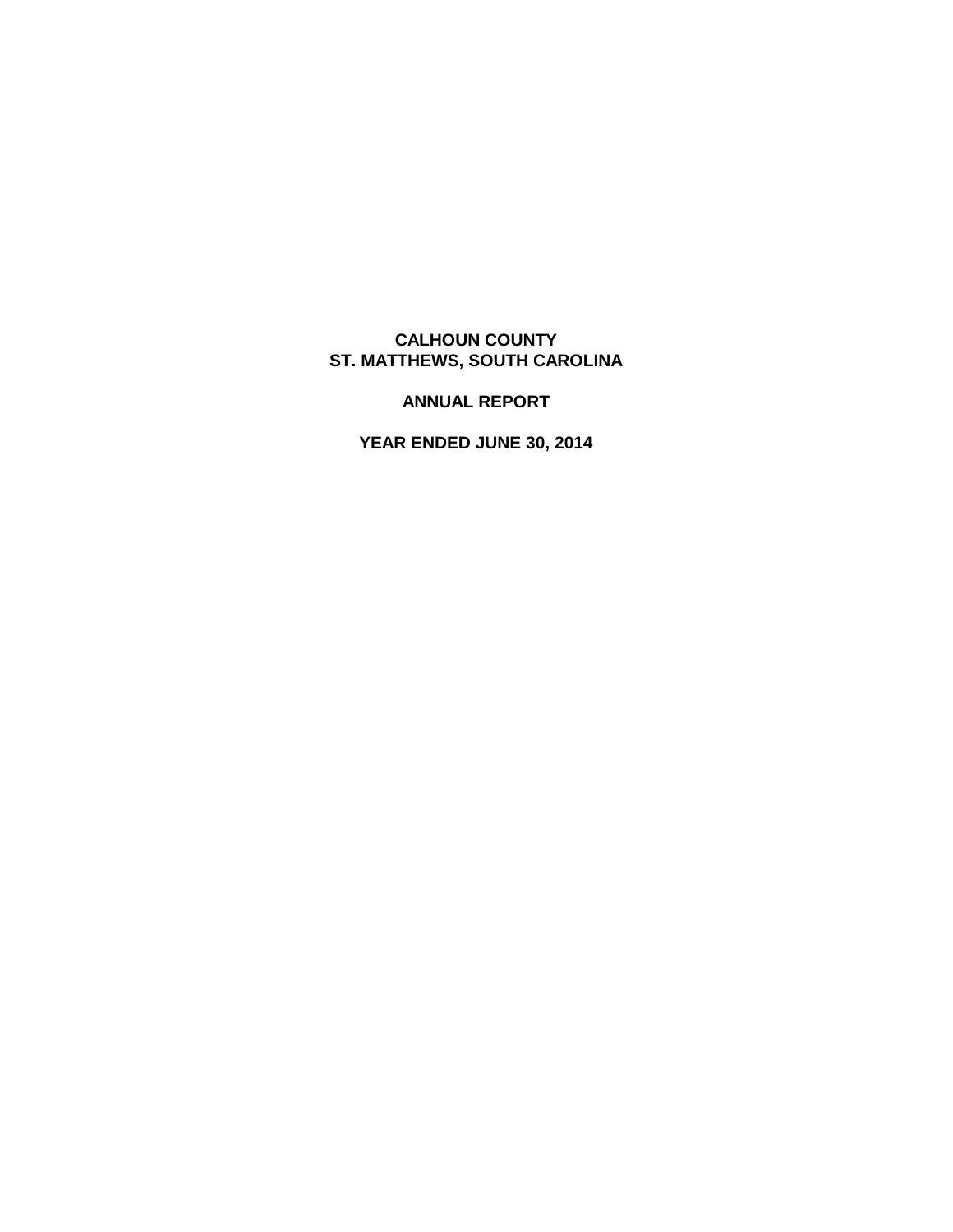# **ANNUAL REPORT**

**YEAR ENDED JUNE 30, 2014**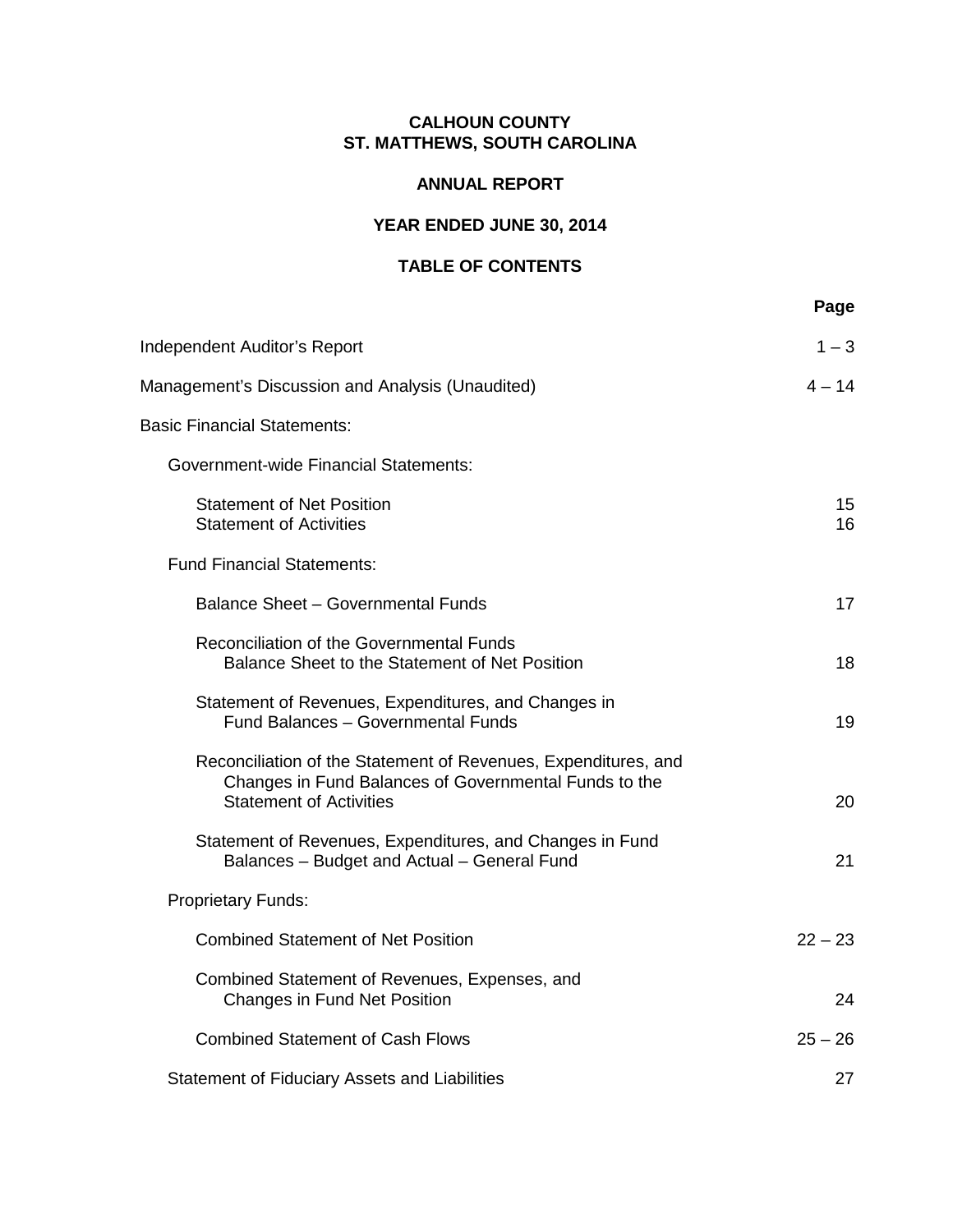# **ANNUAL REPORT**

# **YEAR ENDED JUNE 30, 2014**

# **TABLE OF CONTENTS**

|                                                                                                                                                           | Page      |
|-----------------------------------------------------------------------------------------------------------------------------------------------------------|-----------|
| <b>Independent Auditor's Report</b>                                                                                                                       | $1 - 3$   |
| Management's Discussion and Analysis (Unaudited)                                                                                                          | $4 - 14$  |
| <b>Basic Financial Statements:</b>                                                                                                                        |           |
| Government-wide Financial Statements:                                                                                                                     |           |
| <b>Statement of Net Position</b><br><b>Statement of Activities</b>                                                                                        | 15<br>16  |
| <b>Fund Financial Statements:</b>                                                                                                                         |           |
| <b>Balance Sheet - Governmental Funds</b>                                                                                                                 | 17        |
| Reconciliation of the Governmental Funds<br>Balance Sheet to the Statement of Net Position                                                                | 18        |
| Statement of Revenues, Expenditures, and Changes in<br><b>Fund Balances - Governmental Funds</b>                                                          | 19        |
| Reconciliation of the Statement of Revenues, Expenditures, and<br>Changes in Fund Balances of Governmental Funds to the<br><b>Statement of Activities</b> | 20        |
| Statement of Revenues, Expenditures, and Changes in Fund<br>Balances - Budget and Actual - General Fund                                                   | 21        |
| <b>Proprietary Funds:</b>                                                                                                                                 |           |
| <b>Combined Statement of Net Position</b>                                                                                                                 | $22 - 23$ |
| Combined Statement of Revenues, Expenses, and<br>Changes in Fund Net Position                                                                             | 24        |
| <b>Combined Statement of Cash Flows</b>                                                                                                                   | $25 - 26$ |
| Statement of Fiduciary Assets and Liabilities                                                                                                             | 27        |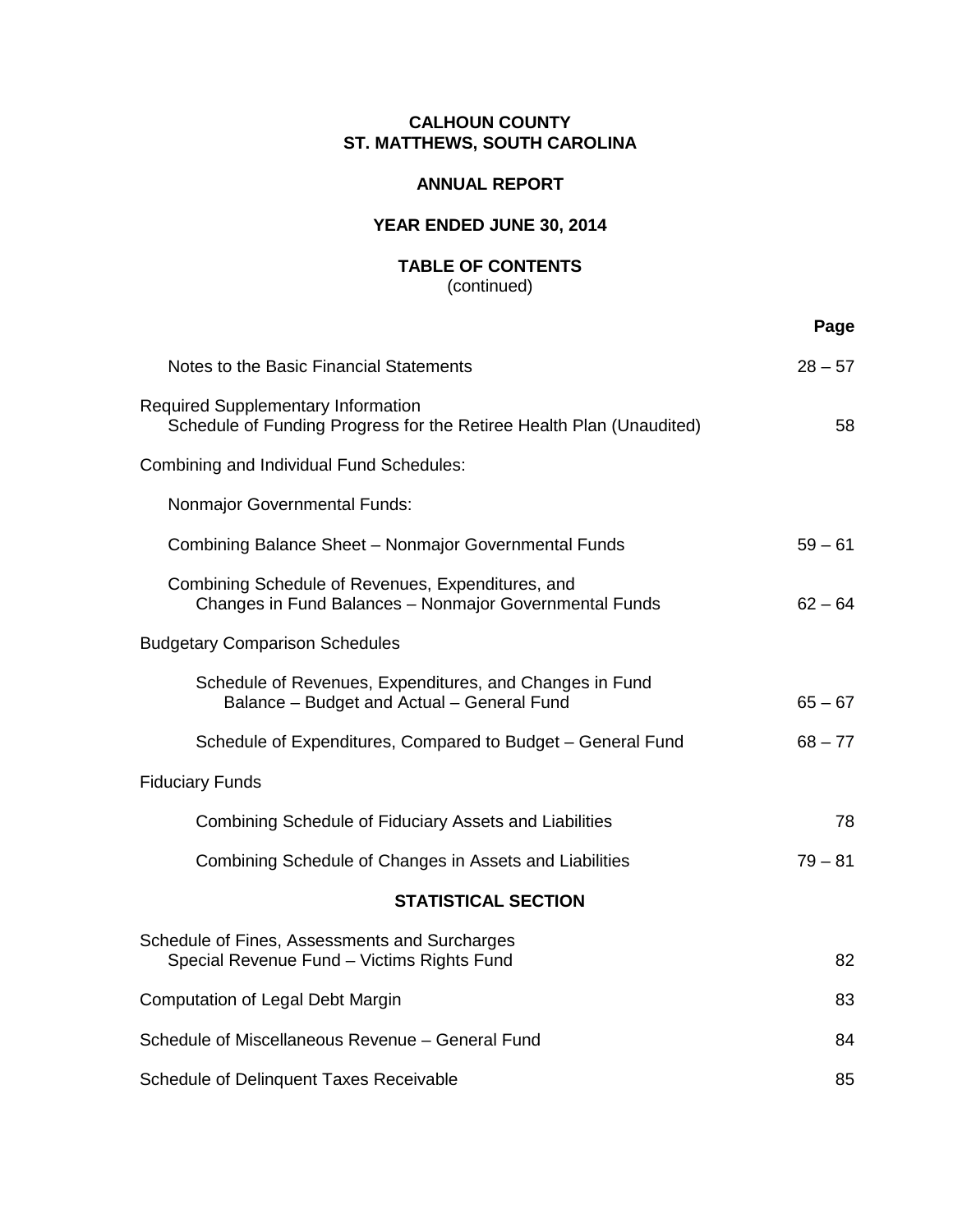# **ANNUAL REPORT**

# **YEAR ENDED JUNE 30, 2014**

# **TABLE OF CONTENTS**

(continued)

|                                                                                                                   | Page      |
|-------------------------------------------------------------------------------------------------------------------|-----------|
| Notes to the Basic Financial Statements                                                                           | $28 - 57$ |
| <b>Required Supplementary Information</b><br>Schedule of Funding Progress for the Retiree Health Plan (Unaudited) | 58        |
| Combining and Individual Fund Schedules:                                                                          |           |
| Nonmajor Governmental Funds:                                                                                      |           |
| Combining Balance Sheet - Nonmajor Governmental Funds                                                             | $59 - 61$ |
| Combining Schedule of Revenues, Expenditures, and<br>Changes in Fund Balances - Nonmajor Governmental Funds       | $62 - 64$ |
| <b>Budgetary Comparison Schedules</b>                                                                             |           |
| Schedule of Revenues, Expenditures, and Changes in Fund<br>Balance - Budget and Actual - General Fund             | $65 - 67$ |
| Schedule of Expenditures, Compared to Budget – General Fund                                                       | $68 - 77$ |
| <b>Fiduciary Funds</b>                                                                                            |           |
| Combining Schedule of Fiduciary Assets and Liabilities                                                            | 78        |
| Combining Schedule of Changes in Assets and Liabilities                                                           | $79 - 81$ |
| <b>STATISTICAL SECTION</b>                                                                                        |           |
| Schedule of Fines, Assessments and Surcharges<br>Special Revenue Fund - Victims Rights Fund                       | 82        |
| <b>Computation of Legal Debt Margin</b>                                                                           | 83        |
| Schedule of Miscellaneous Revenue - General Fund                                                                  | 84        |
| Schedule of Delinquent Taxes Receivable                                                                           | 85        |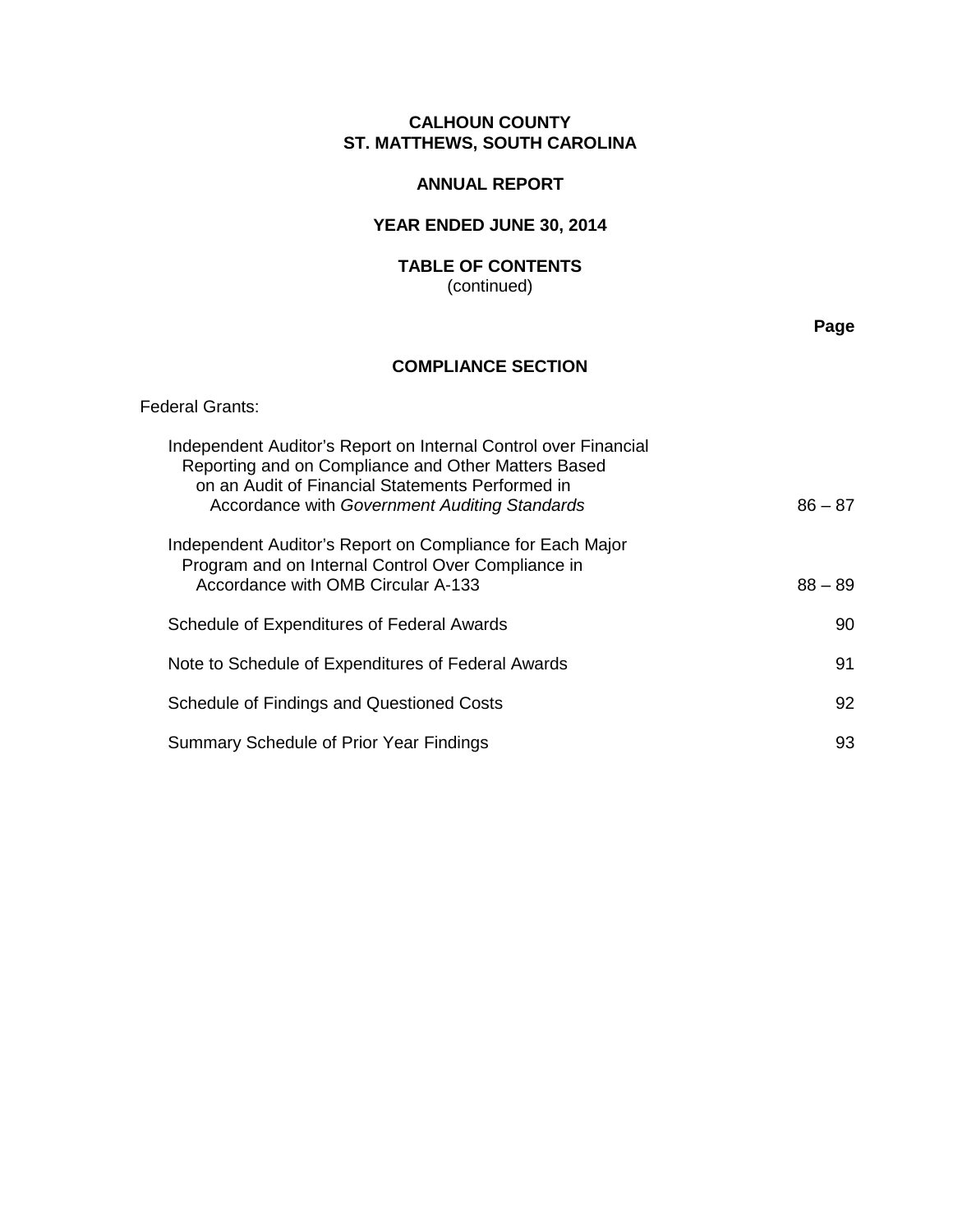# **ANNUAL REPORT**

# **YEAR ENDED JUNE 30, 2014**

# **TABLE OF CONTENTS** (continued)

**Page**

#### **COMPLIANCE SECTION**

| Independent Auditor's Report on Internal Control over Financial<br>Reporting and on Compliance and Other Matters Based<br>on an Audit of Financial Statements Performed in |           |
|----------------------------------------------------------------------------------------------------------------------------------------------------------------------------|-----------|
| Accordance with Government Auditing Standards                                                                                                                              | $86 - 87$ |
| Independent Auditor's Report on Compliance for Each Major<br>Program and on Internal Control Over Compliance in                                                            |           |
| Accordance with OMB Circular A-133                                                                                                                                         | $88 - 89$ |
| Schedule of Expenditures of Federal Awards                                                                                                                                 | 90        |
| Note to Schedule of Expenditures of Federal Awards                                                                                                                         | 91        |
| Schedule of Findings and Questioned Costs                                                                                                                                  | 92        |
| Summary Schedule of Prior Year Findings                                                                                                                                    | 93        |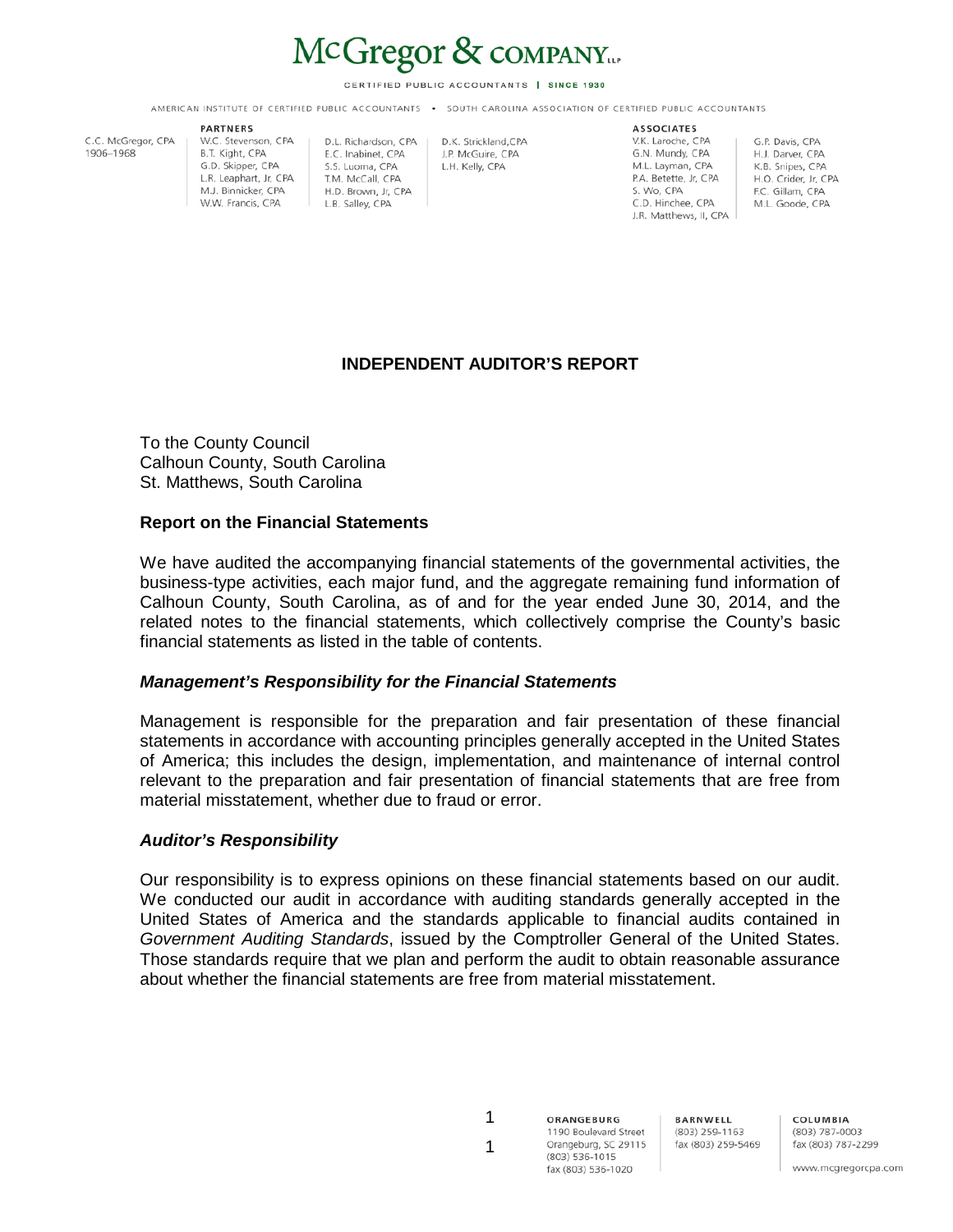# McGregor & COMPANY...

CERTIFIED PUBLIC ACCOUNTANTS | SINCE 1930

AMERICAN INSTITUTE OF CERTIFIED PUBLIC ACCOUNTANTS . SOUTH CAROLINA ASSOCIATION OF CERTIFIED PUBLIC ACCOUNTANTS

#### **PARTNERS**

C.C. McGregor, CPA 1906-1968

W.C. Stevenson, CPA B.T. Kight, CPA G.D. Skipper, CPA L.R. Leaphart, Jr. CPA M.J. Binnicker, CPA W.W. Francis, CPA

D.L. Richardson, CPA | E.C. Inabinet. CPA S.S. Luoma, CPA T.M. McCall, CPA H.D. Brown, Jr, CPA L.B. Salley, CPA

D.K. Strickland,CPA J.P. McGuire, CPA L.H. Kelly, CPA

**ASSOCIATES** V.K. Laroche, CPA G.N. Mundy, CPA M.L. Layman, CPA P.A. Betette, Jr. CPA S. Wo. CPA

C.D. Hinchee, CPA

J.R. Matthews, II, CPA

G.P. Davis, CPA H.J. Darver, CPA K.B. Snipes, CPA H.O. Crider, Jr. CPA F.C. Gillam, CPA M.L. Goode, CPA

#### **INDEPENDENT AUDITOR'S REPORT**

To the County Council Calhoun County, South Carolina St. Matthews, South Carolina

#### **Report on the Financial Statements**

We have audited the accompanying financial statements of the governmental activities, the business-type activities, each major fund, and the aggregate remaining fund information of Calhoun County, South Carolina, as of and for the year ended June 30, 2014, and the related notes to the financial statements, which collectively comprise the County's basic financial statements as listed in the table of contents.

#### *Management's Responsibility for the Financial Statements*

Management is responsible for the preparation and fair presentation of these financial statements in accordance with accounting principles generally accepted in the United States of America; this includes the design, implementation, and maintenance of internal control relevant to the preparation and fair presentation of financial statements that are free from material misstatement, whether due to fraud or error.

#### *Auditor's Responsibility*

Our responsibility is to express opinions on these financial statements based on our audit. We conducted our audit in accordance with auditing standards generally accepted in the United States of America and the standards applicable to financial audits contained in *Government Auditing Standards*, issued by the Comptroller General of the United States. Those standards require that we plan and perform the audit to obtain reasonable assurance about whether the financial statements are free from material misstatement.

> 1 1

ORANGEBURG 1190 Boulevard Street Orangeburg, SC 29115 (803) 536-1015 fax (803) 536-1020

**BARNWELL** (803) 259-1163 fax (803) 259-5469 COLUMBIA (803) 787-0003 fax (803) 787-2299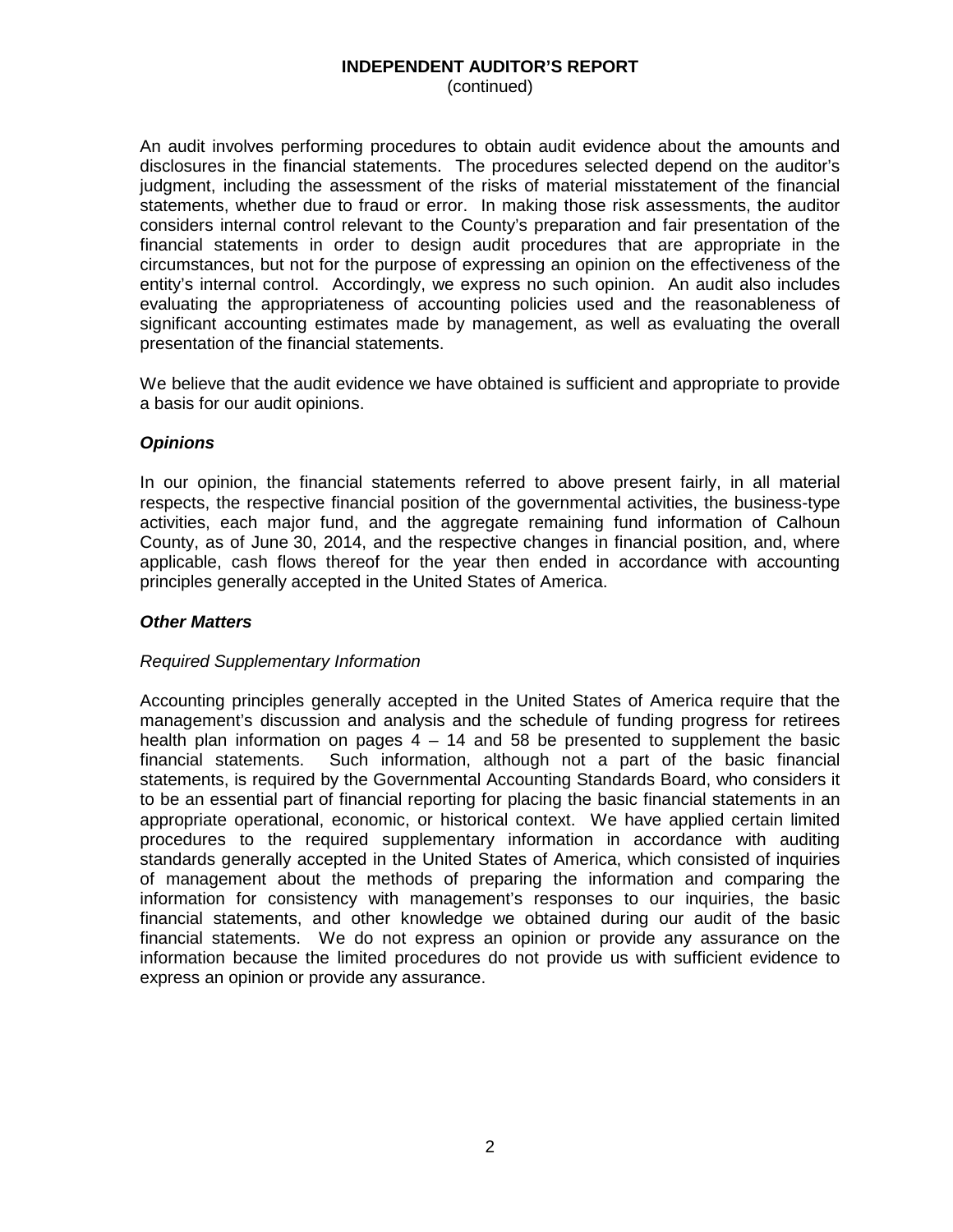# **INDEPENDENT AUDITOR'S REPORT**

(continued)

An audit involves performing procedures to obtain audit evidence about the amounts and disclosures in the financial statements. The procedures selected depend on the auditor's judgment, including the assessment of the risks of material misstatement of the financial statements, whether due to fraud or error. In making those risk assessments, the auditor considers internal control relevant to the County's preparation and fair presentation of the financial statements in order to design audit procedures that are appropriate in the circumstances, but not for the purpose of expressing an opinion on the effectiveness of the entity's internal control. Accordingly, we express no such opinion. An audit also includes evaluating the appropriateness of accounting policies used and the reasonableness of significant accounting estimates made by management, as well as evaluating the overall presentation of the financial statements.

We believe that the audit evidence we have obtained is sufficient and appropriate to provide a basis for our audit opinions.

## *Opinions*

In our opinion, the financial statements referred to above present fairly, in all material respects, the respective financial position of the governmental activities, the business-type activities, each major fund, and the aggregate remaining fund information of Calhoun County, as of June 30, 2014, and the respective changes in financial position, and, where applicable, cash flows thereof for the year then ended in accordance with accounting principles generally accepted in the United States of America.

#### *Other Matters*

#### *Required Supplementary Information*

Accounting principles generally accepted in the United States of America require that the management's discussion and analysis and the schedule of funding progress for retirees health plan information on pages  $4 - 14$  and 58 be presented to supplement the basic financial statements. Such information, although not a part of the basic financial statements, is required by the Governmental Accounting Standards Board, who considers it to be an essential part of financial reporting for placing the basic financial statements in an appropriate operational, economic, or historical context. We have applied certain limited procedures to the required supplementary information in accordance with auditing standards generally accepted in the United States of America, which consisted of inquiries of management about the methods of preparing the information and comparing the information for consistency with management's responses to our inquiries, the basic financial statements, and other knowledge we obtained during our audit of the basic financial statements. We do not express an opinion or provide any assurance on the information because the limited procedures do not provide us with sufficient evidence to express an opinion or provide any assurance.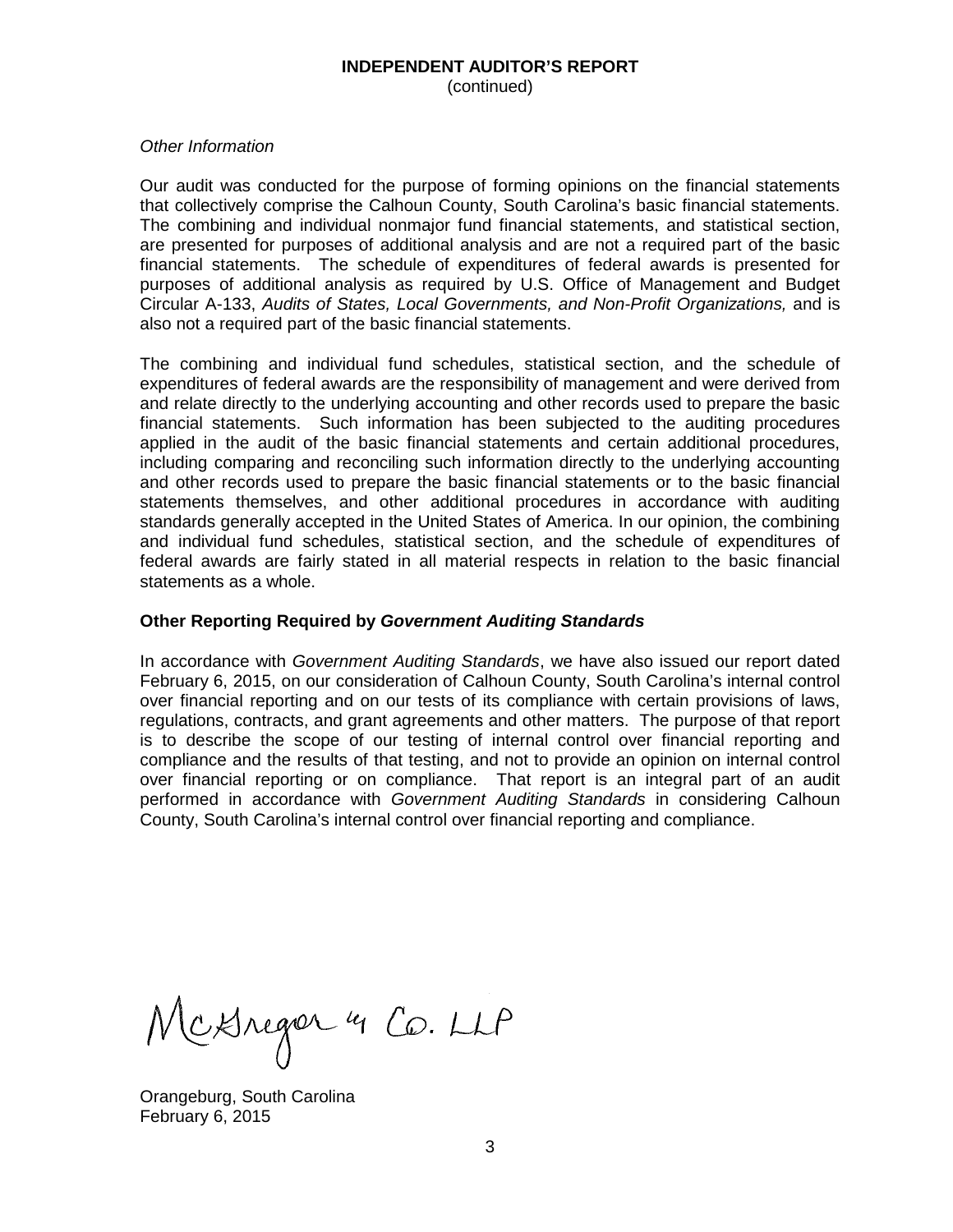#### **INDEPENDENT AUDITOR'S REPORT** (continued)

#### *Other Information*

Our audit was conducted for the purpose of forming opinions on the financial statements that collectively comprise the Calhoun County, South Carolina's basic financial statements. The combining and individual nonmajor fund financial statements, and statistical section, are presented for purposes of additional analysis and are not a required part of the basic financial statements. The schedule of expenditures of federal awards is presented for purposes of additional analysis as required by U.S. Office of Management and Budget Circular A-133, *Audits of States, Local Governments, and Non-Profit Organizations,* and is also not a required part of the basic financial statements.

The combining and individual fund schedules, statistical section, and the schedule of expenditures of federal awards are the responsibility of management and were derived from and relate directly to the underlying accounting and other records used to prepare the basic financial statements. Such information has been subjected to the auditing procedures applied in the audit of the basic financial statements and certain additional procedures, including comparing and reconciling such information directly to the underlying accounting and other records used to prepare the basic financial statements or to the basic financial statements themselves, and other additional procedures in accordance with auditing standards generally accepted in the United States of America. In our opinion, the combining and individual fund schedules, statistical section, and the schedule of expenditures of federal awards are fairly stated in all material respects in relation to the basic financial statements as a whole.

#### **Other Reporting Required by** *Government Auditing Standards*

In accordance with *Government Auditing Standards*, we have also issued our report dated February 6, 2015, on our consideration of Calhoun County, South Carolina's internal control over financial reporting and on our tests of its compliance with certain provisions of laws, regulations, contracts, and grant agreements and other matters. The purpose of that report is to describe the scope of our testing of internal control over financial reporting and compliance and the results of that testing, and not to provide an opinion on internal control over financial reporting or on compliance. That report is an integral part of an audit performed in accordance with *Government Auditing Standards* in considering Calhoun County, South Carolina's internal control over financial reporting and compliance.

MCHregor 4 Co. LLP

Orangeburg, South Carolina February 6, 2015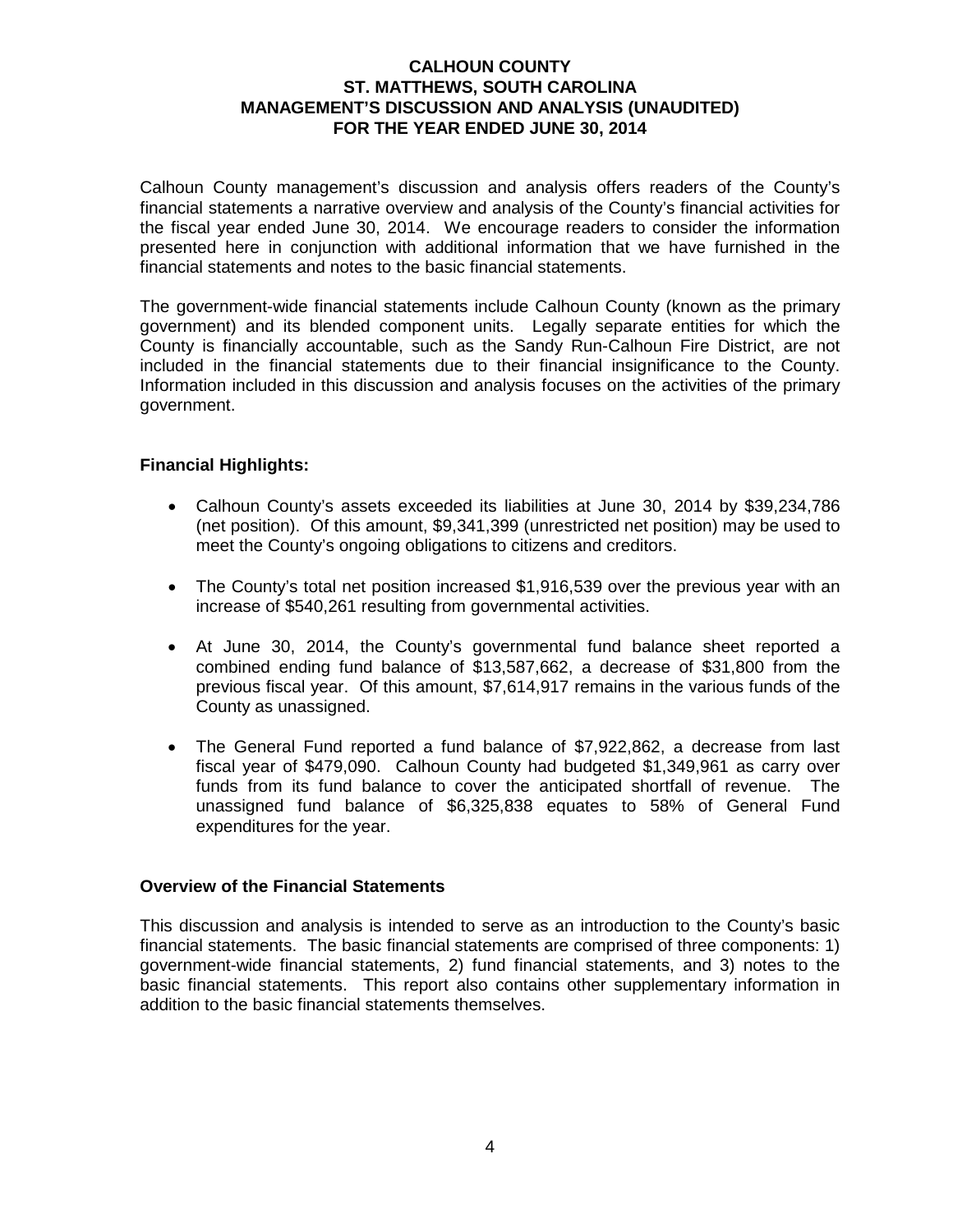Calhoun County management's discussion and analysis offers readers of the County's financial statements a narrative overview and analysis of the County's financial activities for the fiscal year ended June 30, 2014. We encourage readers to consider the information presented here in conjunction with additional information that we have furnished in the financial statements and notes to the basic financial statements.

The government-wide financial statements include Calhoun County (known as the primary government) and its blended component units. Legally separate entities for which the County is financially accountable, such as the Sandy Run-Calhoun Fire District, are not included in the financial statements due to their financial insignificance to the County. Information included in this discussion and analysis focuses on the activities of the primary government.

## **Financial Highlights:**

- Calhoun County's assets exceeded its liabilities at June 30, 2014 by \$39,234,786 (net position). Of this amount, \$9,341,399 (unrestricted net position) may be used to meet the County's ongoing obligations to citizens and creditors.
- The County's total net position increased \$1,916,539 over the previous year with an increase of \$540,261 resulting from governmental activities.
- At June 30, 2014, the County's governmental fund balance sheet reported a combined ending fund balance of \$13,587,662, a decrease of \$31,800 from the previous fiscal year. Of this amount, \$7,614,917 remains in the various funds of the County as unassigned.
- The General Fund reported a fund balance of \$7,922,862, a decrease from last fiscal year of \$479,090. Calhoun County had budgeted \$1,349,961 as carry over funds from its fund balance to cover the anticipated shortfall of revenue. The unassigned fund balance of \$6,325,838 equates to 58% of General Fund expenditures for the year.

#### **Overview of the Financial Statements**

This discussion and analysis is intended to serve as an introduction to the County's basic financial statements. The basic financial statements are comprised of three components: 1) government-wide financial statements, 2) fund financial statements, and 3) notes to the basic financial statements. This report also contains other supplementary information in addition to the basic financial statements themselves.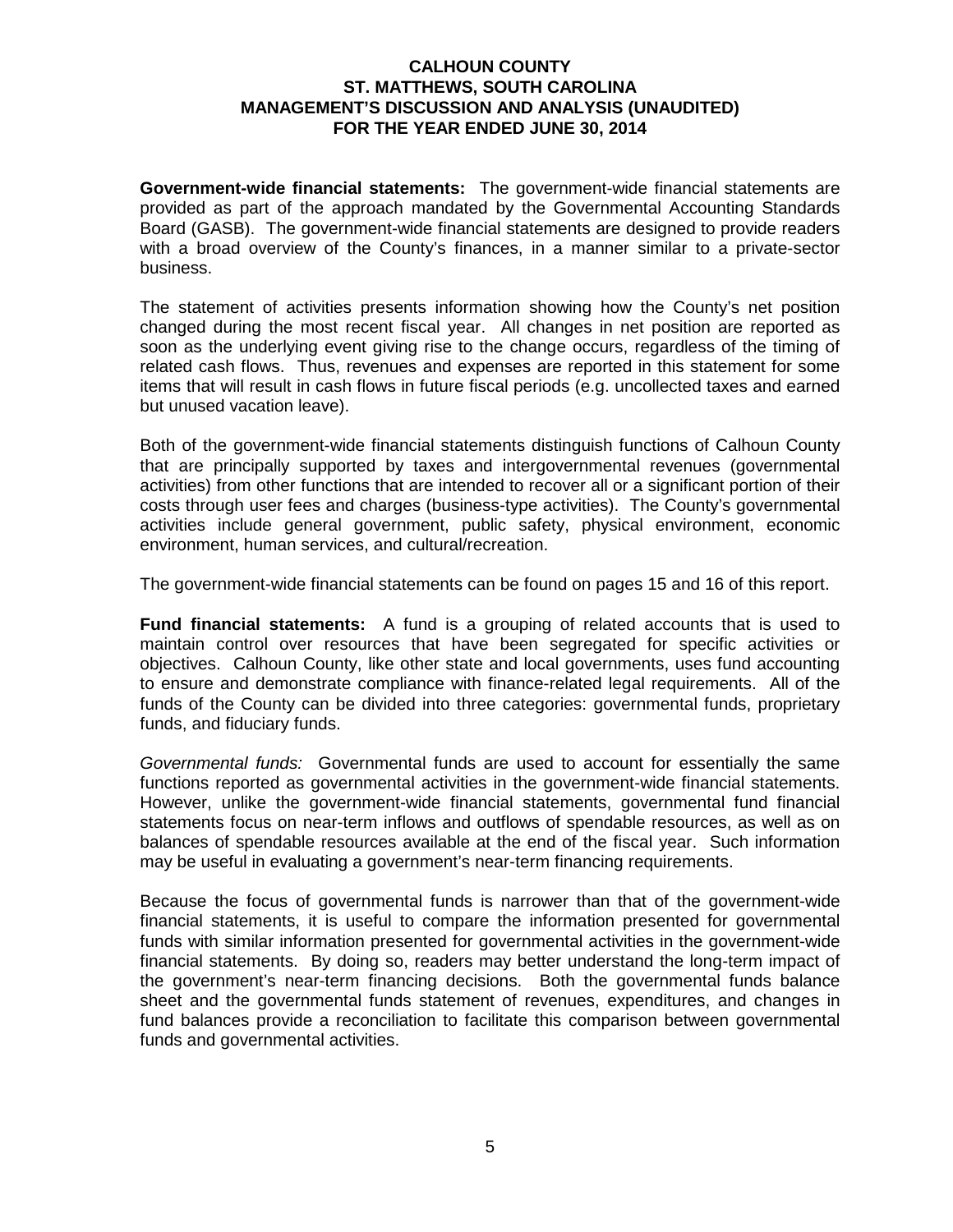**Government-wide financial statements:** The government-wide financial statements are provided as part of the approach mandated by the Governmental Accounting Standards Board (GASB). The government-wide financial statements are designed to provide readers with a broad overview of the County's finances, in a manner similar to a private-sector business.

The statement of activities presents information showing how the County's net position changed during the most recent fiscal year. All changes in net position are reported as soon as the underlying event giving rise to the change occurs, regardless of the timing of related cash flows. Thus, revenues and expenses are reported in this statement for some items that will result in cash flows in future fiscal periods (e.g. uncollected taxes and earned but unused vacation leave).

Both of the government-wide financial statements distinguish functions of Calhoun County that are principally supported by taxes and intergovernmental revenues (governmental activities) from other functions that are intended to recover all or a significant portion of their costs through user fees and charges (business-type activities). The County's governmental activities include general government, public safety, physical environment, economic environment, human services, and cultural/recreation.

The government-wide financial statements can be found on pages 15 and 16 of this report.

**Fund financial statements:** A fund is a grouping of related accounts that is used to maintain control over resources that have been segregated for specific activities or objectives. Calhoun County, like other state and local governments, uses fund accounting to ensure and demonstrate compliance with finance-related legal requirements. All of the funds of the County can be divided into three categories: governmental funds, proprietary funds, and fiduciary funds.

*Governmental funds:* Governmental funds are used to account for essentially the same functions reported as governmental activities in the government-wide financial statements. However, unlike the government-wide financial statements, governmental fund financial statements focus on near-term inflows and outflows of spendable resources, as well as on balances of spendable resources available at the end of the fiscal year. Such information may be useful in evaluating a government's near-term financing requirements.

Because the focus of governmental funds is narrower than that of the government-wide financial statements, it is useful to compare the information presented for governmental funds with similar information presented for governmental activities in the government-wide financial statements. By doing so, readers may better understand the long-term impact of the government's near-term financing decisions. Both the governmental funds balance sheet and the governmental funds statement of revenues, expenditures, and changes in fund balances provide a reconciliation to facilitate this comparison between governmental funds and governmental activities.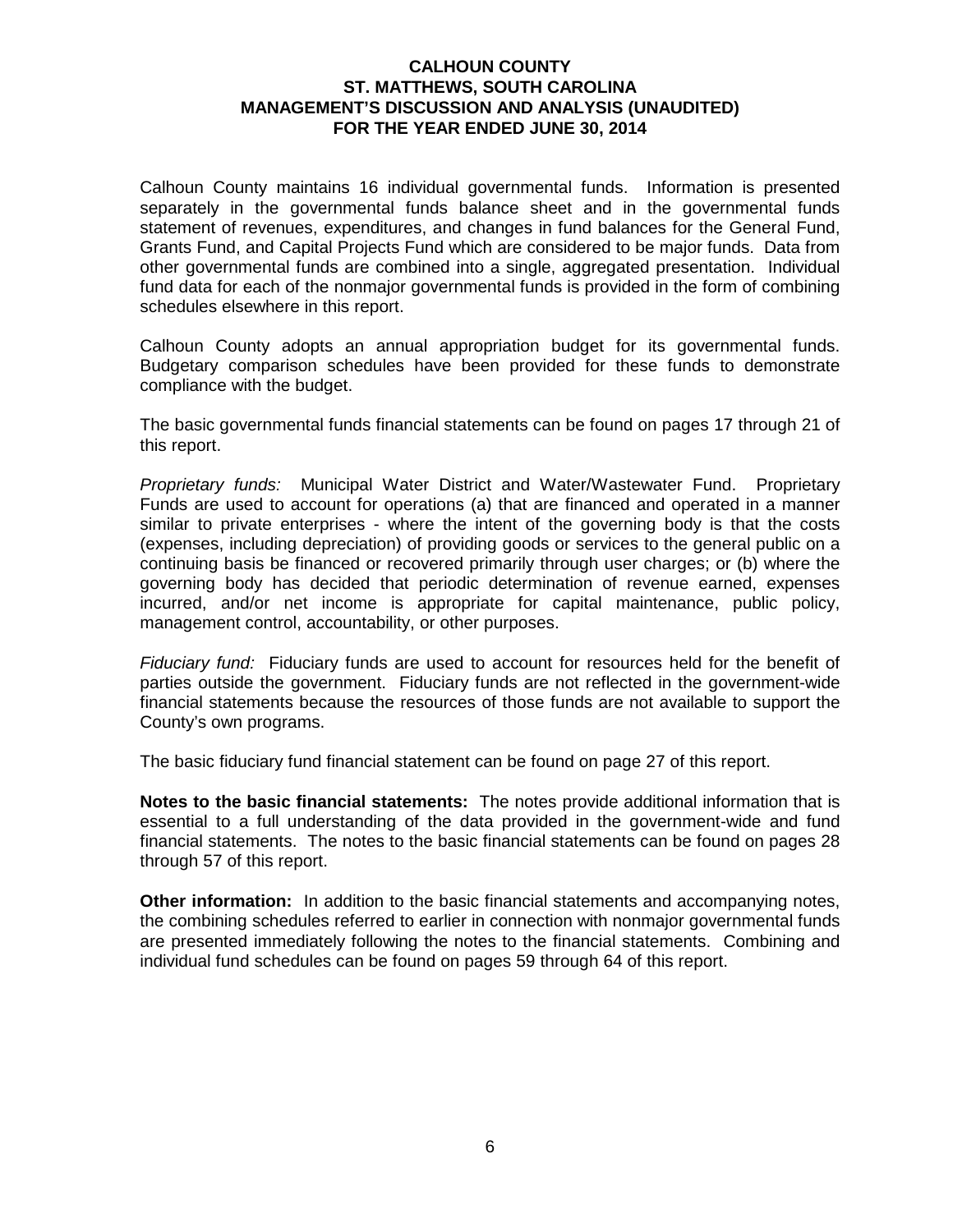Calhoun County maintains 16 individual governmental funds. Information is presented separately in the governmental funds balance sheet and in the governmental funds statement of revenues, expenditures, and changes in fund balances for the General Fund, Grants Fund, and Capital Projects Fund which are considered to be major funds. Data from other governmental funds are combined into a single, aggregated presentation. Individual fund data for each of the nonmajor governmental funds is provided in the form of combining schedules elsewhere in this report.

Calhoun County adopts an annual appropriation budget for its governmental funds. Budgetary comparison schedules have been provided for these funds to demonstrate compliance with the budget.

The basic governmental funds financial statements can be found on pages 17 through 21 of this report.

*Proprietary funds:* Municipal Water District and Water/Wastewater Fund. Proprietary Funds are used to account for operations (a) that are financed and operated in a manner similar to private enterprises - where the intent of the governing body is that the costs (expenses, including depreciation) of providing goods or services to the general public on a continuing basis be financed or recovered primarily through user charges; or (b) where the governing body has decided that periodic determination of revenue earned, expenses incurred, and/or net income is appropriate for capital maintenance, public policy, management control, accountability, or other purposes.

*Fiduciary fund:* Fiduciary funds are used to account for resources held for the benefit of parties outside the government. Fiduciary funds are not reflected in the government-wide financial statements because the resources of those funds are not available to support the County's own programs.

The basic fiduciary fund financial statement can be found on page 27 of this report.

**Notes to the basic financial statements:** The notes provide additional information that is essential to a full understanding of the data provided in the government-wide and fund financial statements. The notes to the basic financial statements can be found on pages 28 through 57 of this report.

**Other information:** In addition to the basic financial statements and accompanying notes, the combining schedules referred to earlier in connection with nonmajor governmental funds are presented immediately following the notes to the financial statements. Combining and individual fund schedules can be found on pages 59 through 64 of this report.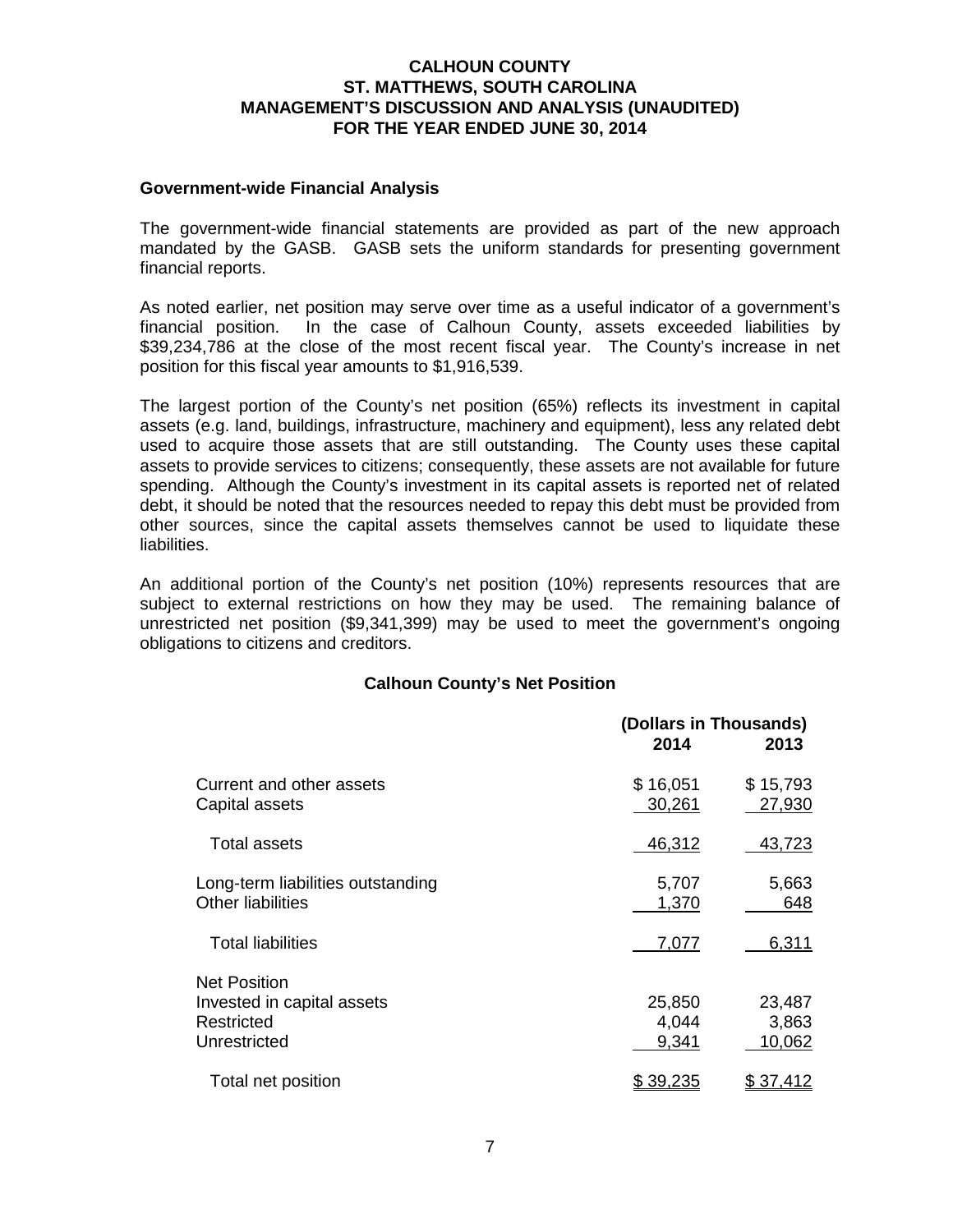#### **Government-wide Financial Analysis**

The government-wide financial statements are provided as part of the new approach mandated by the GASB. GASB sets the uniform standards for presenting government financial reports.

As noted earlier, net position may serve over time as a useful indicator of a government's financial position. In the case of Calhoun County, assets exceeded liabilities by \$39,234,786 at the close of the most recent fiscal year. The County's increase in net position for this fiscal year amounts to \$1,916,539.

The largest portion of the County's net position (65%) reflects its investment in capital assets (e.g. land, buildings, infrastructure, machinery and equipment), less any related debt used to acquire those assets that are still outstanding. The County uses these capital assets to provide services to citizens; consequently, these assets are not available for future spending. Although the County's investment in its capital assets is reported net of related debt, it should be noted that the resources needed to repay this debt must be provided from other sources, since the capital assets themselves cannot be used to liquidate these liabilities.

An additional portion of the County's net position (10%) represents resources that are subject to external restrictions on how they may be used. The remaining balance of unrestricted net position (\$9,341,399) may be used to meet the government's ongoing obligations to citizens and creditors.

#### **Calhoun County's Net Position**

|                                                                                 | (Dollars in Thousands)   |                           |
|---------------------------------------------------------------------------------|--------------------------|---------------------------|
|                                                                                 | 2014                     | 2013                      |
| Current and other assets<br>Capital assets                                      | \$16,051<br>30,261       | \$15,793<br>27,930        |
| Total assets                                                                    | 46,312                   | 43,723                    |
| Long-term liabilities outstanding<br><b>Other liabilities</b>                   | 5,707<br>1,370           | 5,663<br>648              |
| <b>Total liabilities</b>                                                        | 7,077                    | 6,311                     |
| <b>Net Position</b><br>Invested in capital assets<br>Restricted<br>Unrestricted | 25,850<br>4,044<br>9,341 | 23,487<br>3,863<br>10,062 |
| Total net position                                                              | \$ 39.235                | <u>\$37,412</u>           |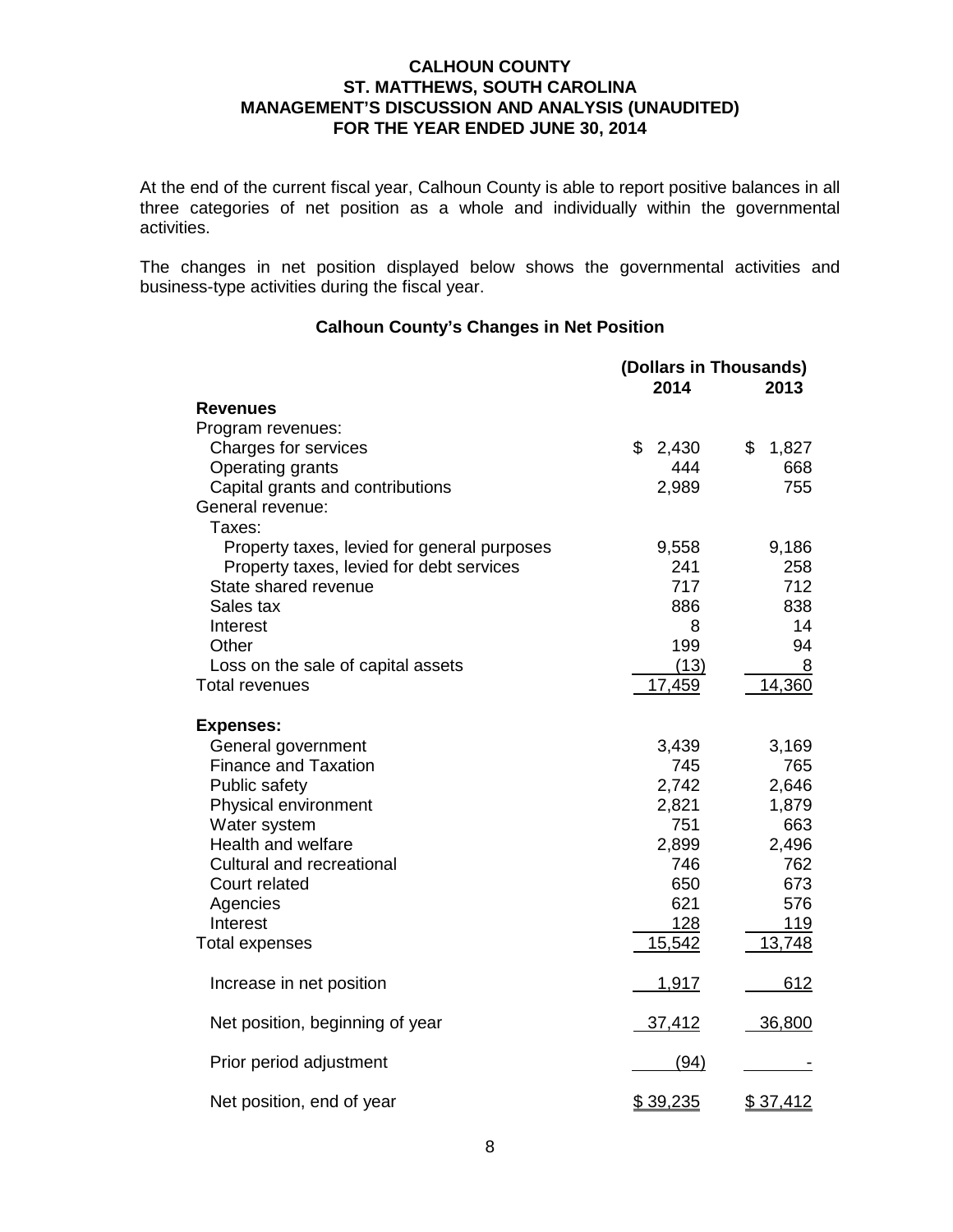At the end of the current fiscal year, Calhoun County is able to report positive balances in all three categories of net position as a whole and individually within the governmental activities.

The changes in net position displayed below shows the governmental activities and business-type activities during the fiscal year.

# **Calhoun County's Changes in Net Position**

|                                             | (Dollars in Thousands)<br>2014 | 2013        |
|---------------------------------------------|--------------------------------|-------------|
| <b>Revenues</b>                             |                                |             |
| Program revenues:                           |                                |             |
| Charges for services                        | \$<br>2,430                    | \$<br>1,827 |
| Operating grants                            | 444                            | 668         |
| Capital grants and contributions            | 2,989                          | 755         |
| General revenue:                            |                                |             |
| Taxes:                                      |                                |             |
| Property taxes, levied for general purposes | 9,558                          | 9,186       |
| Property taxes, levied for debt services    | 241                            | 258         |
| State shared revenue                        | 717                            | 712         |
| Sales tax                                   | 886                            | 838         |
| Interest                                    | 8                              | 14          |
| Other                                       | 199                            | 94          |
| Loss on the sale of capital assets          | (13)                           | 8           |
| <b>Total revenues</b>                       | 17,459                         | 14,360      |
| <b>Expenses:</b>                            |                                |             |
| General government                          | 3,439                          | 3,169       |
| <b>Finance and Taxation</b>                 | 745                            | 765         |
| Public safety                               | 2,742                          | 2,646       |
| Physical environment                        | 2,821                          | 1,879       |
| Water system                                | 751                            | 663         |
| Health and welfare                          | 2,899                          | 2,496       |
| Cultural and recreational                   | 746                            | 762         |
| Court related                               | 650                            | 673         |
| Agencies                                    | 621                            | 576         |
| Interest                                    | 128                            | 119         |
| <b>Total expenses</b>                       | 15,542                         | 13,748      |
| Increase in net position                    | 1,917                          | 612         |
| Net position, beginning of year             | 37,412                         | 36,800      |
| Prior period adjustment                     | (94)                           |             |
| Net position, end of year                   | \$39,235                       | \$37,412    |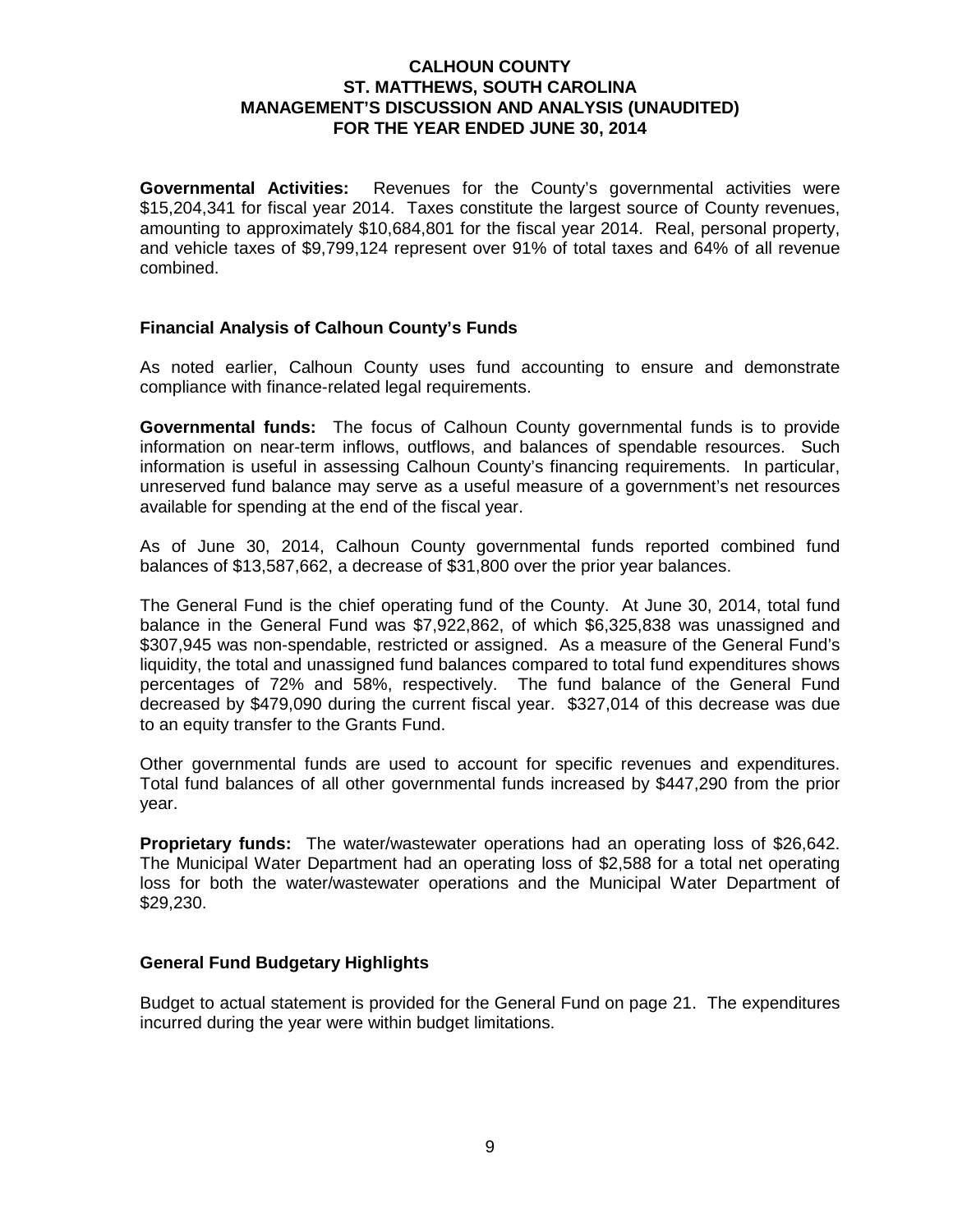**Governmental Activities:** Revenues for the County's governmental activities were \$15,204,341 for fiscal year 2014. Taxes constitute the largest source of County revenues, amounting to approximately \$10,684,801 for the fiscal year 2014. Real, personal property, and vehicle taxes of \$9,799,124 represent over 91% of total taxes and 64% of all revenue combined.

## **Financial Analysis of Calhoun County's Funds**

As noted earlier, Calhoun County uses fund accounting to ensure and demonstrate compliance with finance-related legal requirements.

**Governmental funds:** The focus of Calhoun County governmental funds is to provide information on near-term inflows, outflows, and balances of spendable resources. Such information is useful in assessing Calhoun County's financing requirements. In particular, unreserved fund balance may serve as a useful measure of a government's net resources available for spending at the end of the fiscal year.

As of June 30, 2014, Calhoun County governmental funds reported combined fund balances of \$13,587,662, a decrease of \$31,800 over the prior year balances.

The General Fund is the chief operating fund of the County. At June 30, 2014, total fund balance in the General Fund was \$7,922,862, of which \$6,325,838 was unassigned and \$307,945 was non-spendable, restricted or assigned. As a measure of the General Fund's liquidity, the total and unassigned fund balances compared to total fund expenditures shows percentages of 72% and 58%, respectively. The fund balance of the General Fund decreased by \$479,090 during the current fiscal year. \$327,014 of this decrease was due to an equity transfer to the Grants Fund.

Other governmental funds are used to account for specific revenues and expenditures. Total fund balances of all other governmental funds increased by \$447,290 from the prior year.

**Proprietary funds:** The water/wastewater operations had an operating loss of \$26,642. The Municipal Water Department had an operating loss of \$2,588 for a total net operating loss for both the water/wastewater operations and the Municipal Water Department of \$29,230.

#### **General Fund Budgetary Highlights**

Budget to actual statement is provided for the General Fund on page 21. The expenditures incurred during the year were within budget limitations.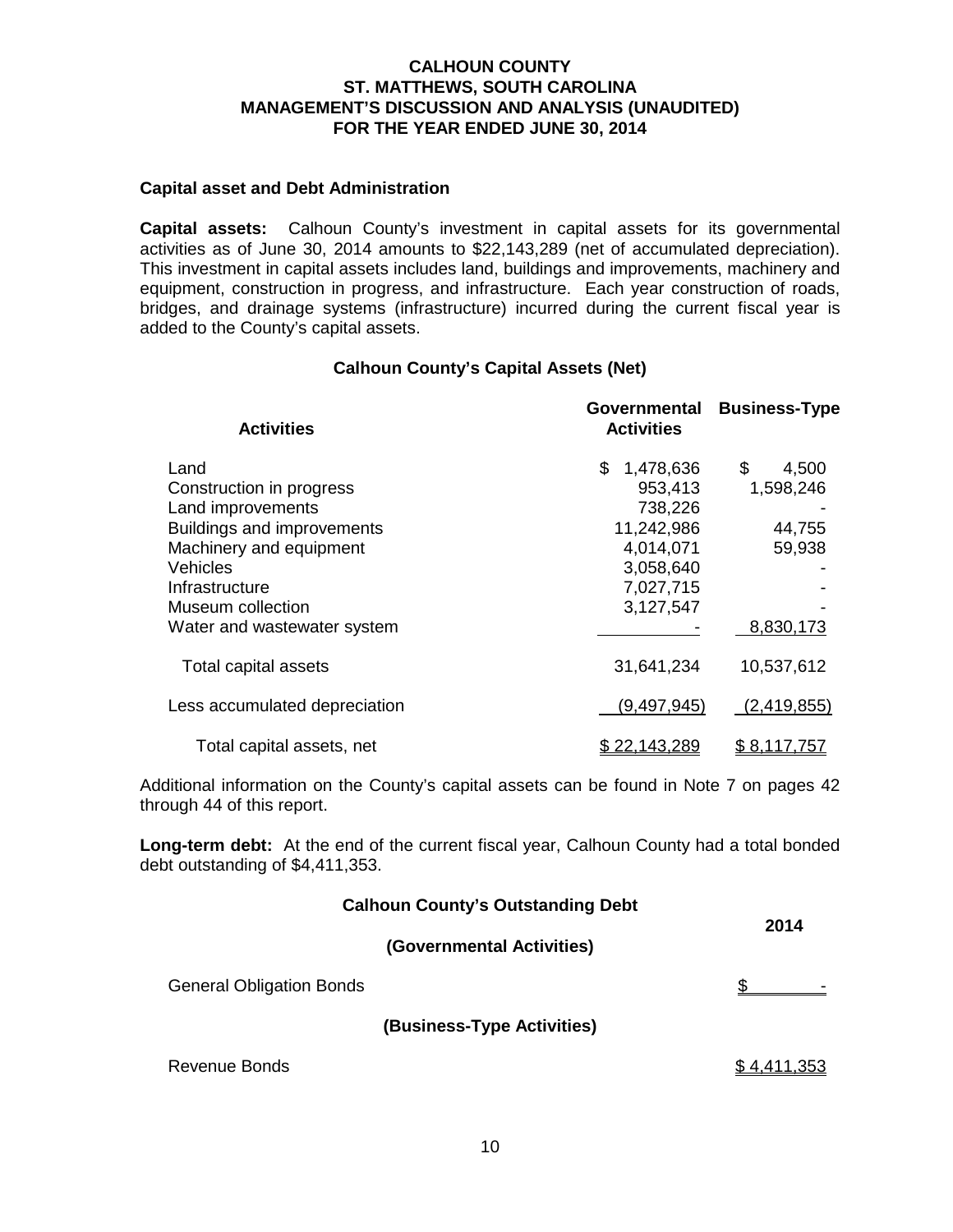#### **Capital asset and Debt Administration**

**Capital assets:** Calhoun County's investment in capital assets for its governmental activities as of June 30, 2014 amounts to \$22,143,289 (net of accumulated depreciation). This investment in capital assets includes land, buildings and improvements, machinery and equipment, construction in progress, and infrastructure. Each year construction of roads, bridges, and drainage systems (infrastructure) incurred during the current fiscal year is added to the County's capital assets.

## **Calhoun County's Capital Assets (Net)**

| <b>Activities</b>                 | Governmental<br><b>Activities</b> | <b>Business-Type</b> |
|-----------------------------------|-----------------------------------|----------------------|
| Land                              | \$<br>1,478,636                   | \$<br>4,500          |
| Construction in progress          | 953,413                           | 1,598,246            |
| Land improvements                 | 738,226                           |                      |
| <b>Buildings and improvements</b> | 11,242,986                        | 44,755               |
| Machinery and equipment           | 4,014,071                         | 59,938               |
| <b>Vehicles</b>                   | 3,058,640                         |                      |
| Infrastructure                    | 7,027,715                         |                      |
| Museum collection                 | 3,127,547                         |                      |
| Water and wastewater system       |                                   | 8,830,173            |
| Total capital assets              | 31,641,234                        | 10,537,612           |
| Less accumulated depreciation     | (9, 497, 945)                     | (2, 419, 855)        |
| Total capital assets, net         | \$22,143,289                      | \$8,117,757          |

Additional information on the County's capital assets can be found in Note 7 on pages 42 through 44 of this report.

**Long-term debt:** At the end of the current fiscal year, Calhoun County had a total bonded debt outstanding of \$4,411,353.

| <b>Calhoun County's Outstanding Debt</b> |                            |                   |
|------------------------------------------|----------------------------|-------------------|
|                                          | (Governmental Activities)  | 2014              |
| <b>General Obligation Bonds</b>          |                            |                   |
|                                          | (Business-Type Activities) |                   |
| <b>Revenue Bonds</b>                     |                            | <u>4,411,353.</u> |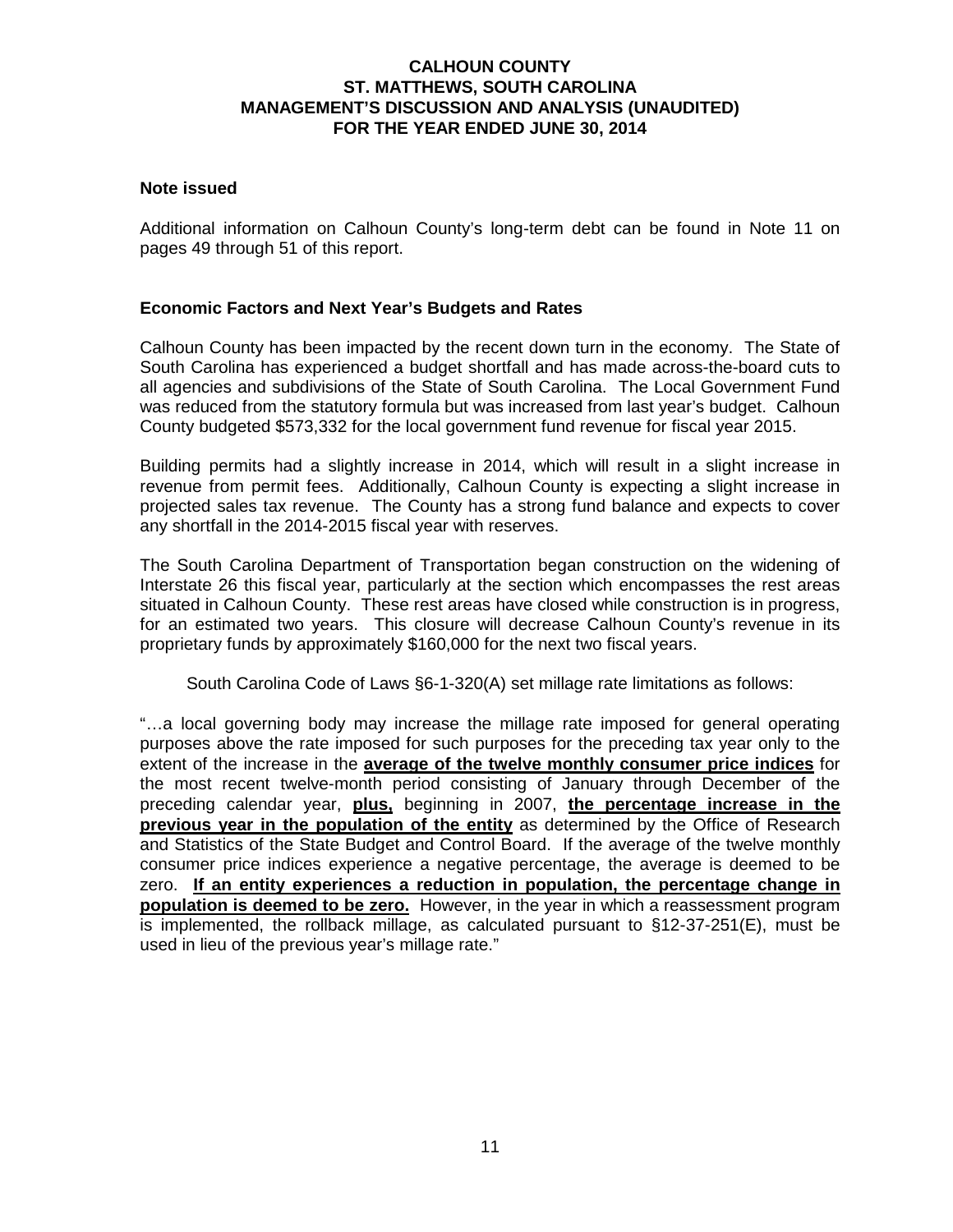#### **Note issued**

Additional information on Calhoun County's long-term debt can be found in Note 11 on pages 49 through 51 of this report.

#### **Economic Factors and Next Year's Budgets and Rates**

Calhoun County has been impacted by the recent down turn in the economy. The State of South Carolina has experienced a budget shortfall and has made across-the-board cuts to all agencies and subdivisions of the State of South Carolina. The Local Government Fund was reduced from the statutory formula but was increased from last year's budget. Calhoun County budgeted \$573,332 for the local government fund revenue for fiscal year 2015.

Building permits had a slightly increase in 2014, which will result in a slight increase in revenue from permit fees. Additionally, Calhoun County is expecting a slight increase in projected sales tax revenue. The County has a strong fund balance and expects to cover any shortfall in the 2014-2015 fiscal year with reserves.

The South Carolina Department of Transportation began construction on the widening of Interstate 26 this fiscal year, particularly at the section which encompasses the rest areas situated in Calhoun County. These rest areas have closed while construction is in progress, for an estimated two years. This closure will decrease Calhoun County's revenue in its proprietary funds by approximately \$160,000 for the next two fiscal years.

South Carolina Code of Laws §6-1-320(A) set millage rate limitations as follows:

"…a local governing body may increase the millage rate imposed for general operating purposes above the rate imposed for such purposes for the preceding tax year only to the extent of the increase in the **average of the twelve monthly consumer price indices** for the most recent twelve-month period consisting of January through December of the preceding calendar year, **plus,** beginning in 2007, **the percentage increase in the previous year in the population of the entity** as determined by the Office of Research and Statistics of the State Budget and Control Board. If the average of the twelve monthly consumer price indices experience a negative percentage, the average is deemed to be zero. **If an entity experiences a reduction in population, the percentage change in population is deemed to be zero.** However, in the year in which a reassessment program is implemented, the rollback millage, as calculated pursuant to §12-37-251(E), must be used in lieu of the previous year's millage rate."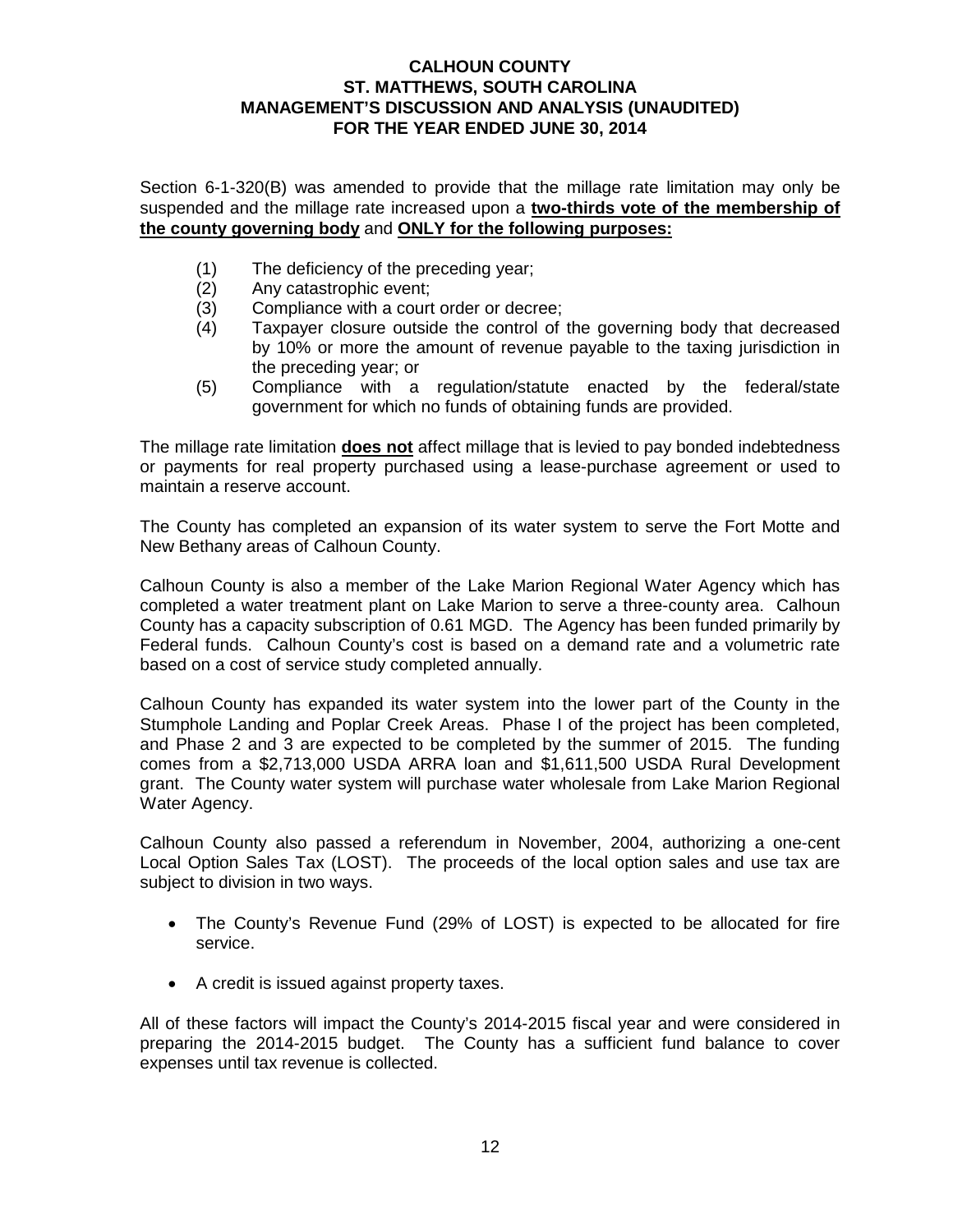Section 6-1-320(B) was amended to provide that the millage rate limitation may only be suspended and the millage rate increased upon a **two-thirds vote of the membership of the county governing body** and **ONLY for the following purposes:**

- (1) The deficiency of the preceding year;
- (2) Any catastrophic event;
- (3) Compliance with a court order or decree;
- (4) Taxpayer closure outside the control of the governing body that decreased by 10% or more the amount of revenue payable to the taxing jurisdiction in the preceding year; or
- (5) Compliance with a regulation/statute enacted by the federal/state government for which no funds of obtaining funds are provided.

The millage rate limitation **does not** affect millage that is levied to pay bonded indebtedness or payments for real property purchased using a lease-purchase agreement or used to maintain a reserve account.

The County has completed an expansion of its water system to serve the Fort Motte and New Bethany areas of Calhoun County.

Calhoun County is also a member of the Lake Marion Regional Water Agency which has completed a water treatment plant on Lake Marion to serve a three-county area. Calhoun County has a capacity subscription of 0.61 MGD. The Agency has been funded primarily by Federal funds. Calhoun County's cost is based on a demand rate and a volumetric rate based on a cost of service study completed annually.

Calhoun County has expanded its water system into the lower part of the County in the Stumphole Landing and Poplar Creek Areas. Phase I of the project has been completed, and Phase 2 and 3 are expected to be completed by the summer of 2015. The funding comes from a \$2,713,000 USDA ARRA loan and \$1,611,500 USDA Rural Development grant. The County water system will purchase water wholesale from Lake Marion Regional Water Agency.

Calhoun County also passed a referendum in November, 2004, authorizing a one-cent Local Option Sales Tax (LOST). The proceeds of the local option sales and use tax are subject to division in two ways.

- The County's Revenue Fund (29% of LOST) is expected to be allocated for fire service.
- A credit is issued against property taxes.

All of these factors will impact the County's 2014-2015 fiscal year and were considered in preparing the 2014-2015 budget. The County has a sufficient fund balance to cover expenses until tax revenue is collected.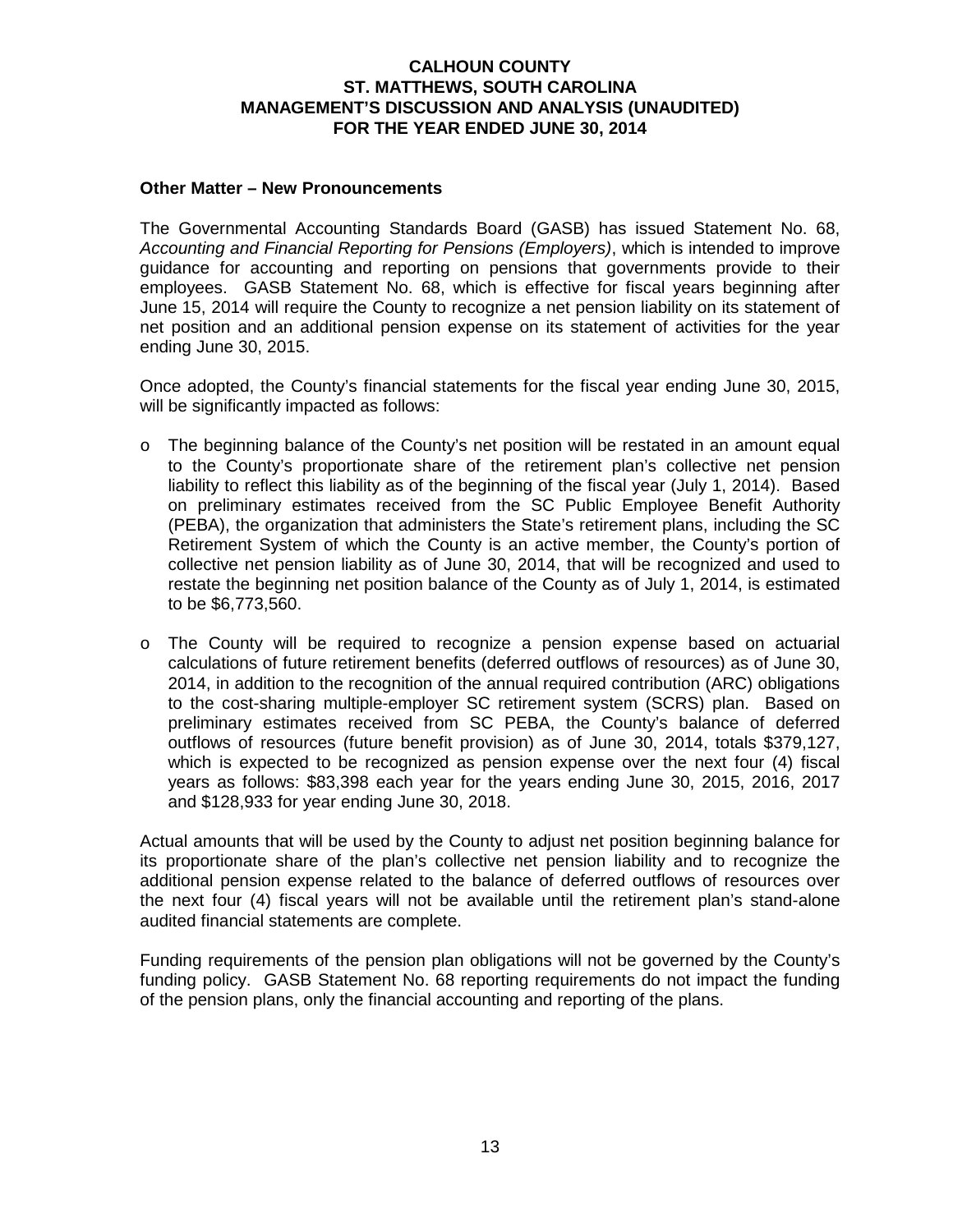#### **Other Matter – New Pronouncements**

The Governmental Accounting Standards Board (GASB) has issued Statement No. 68, *Accounting and Financial Reporting for Pensions (Employers)*, which is intended to improve guidance for accounting and reporting on pensions that governments provide to their employees. GASB Statement No. 68, which is effective for fiscal years beginning after June 15, 2014 will require the County to recognize a net pension liability on its statement of net position and an additional pension expense on its statement of activities for the year ending June 30, 2015.

Once adopted, the County's financial statements for the fiscal year ending June 30, 2015, will be significantly impacted as follows:

- o The beginning balance of the County's net position will be restated in an amount equal to the County's proportionate share of the retirement plan's collective net pension liability to reflect this liability as of the beginning of the fiscal year (July 1, 2014). Based on preliminary estimates received from the SC Public Employee Benefit Authority (PEBA), the organization that administers the State's retirement plans, including the SC Retirement System of which the County is an active member, the County's portion of collective net pension liability as of June 30, 2014, that will be recognized and used to restate the beginning net position balance of the County as of July 1, 2014, is estimated to be \$6,773,560.
- o The County will be required to recognize a pension expense based on actuarial calculations of future retirement benefits (deferred outflows of resources) as of June 30, 2014, in addition to the recognition of the annual required contribution (ARC) obligations to the cost-sharing multiple-employer SC retirement system (SCRS) plan. Based on preliminary estimates received from SC PEBA, the County's balance of deferred outflows of resources (future benefit provision) as of June 30, 2014, totals \$379,127, which is expected to be recognized as pension expense over the next four (4) fiscal years as follows: \$83,398 each year for the years ending June 30, 2015, 2016, 2017 and \$128,933 for year ending June 30, 2018.

Actual amounts that will be used by the County to adjust net position beginning balance for its proportionate share of the plan's collective net pension liability and to recognize the additional pension expense related to the balance of deferred outflows of resources over the next four (4) fiscal years will not be available until the retirement plan's stand-alone audited financial statements are complete.

Funding requirements of the pension plan obligations will not be governed by the County's funding policy. GASB Statement No. 68 reporting requirements do not impact the funding of the pension plans, only the financial accounting and reporting of the plans.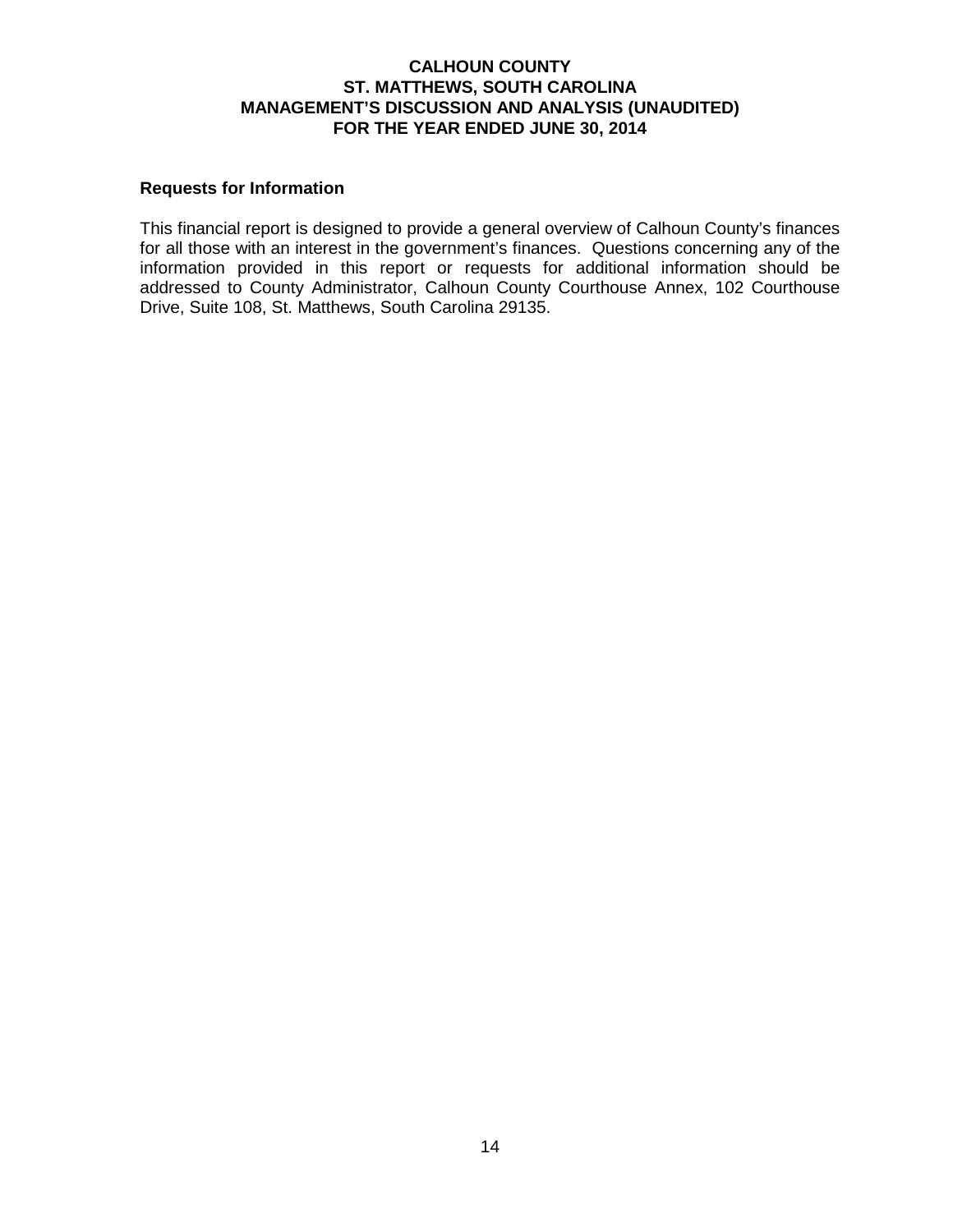## **Requests for Information**

This financial report is designed to provide a general overview of Calhoun County's finances for all those with an interest in the government's finances. Questions concerning any of the information provided in this report or requests for additional information should be addressed to County Administrator, Calhoun County Courthouse Annex, 102 Courthouse Drive, Suite 108, St. Matthews, South Carolina 29135.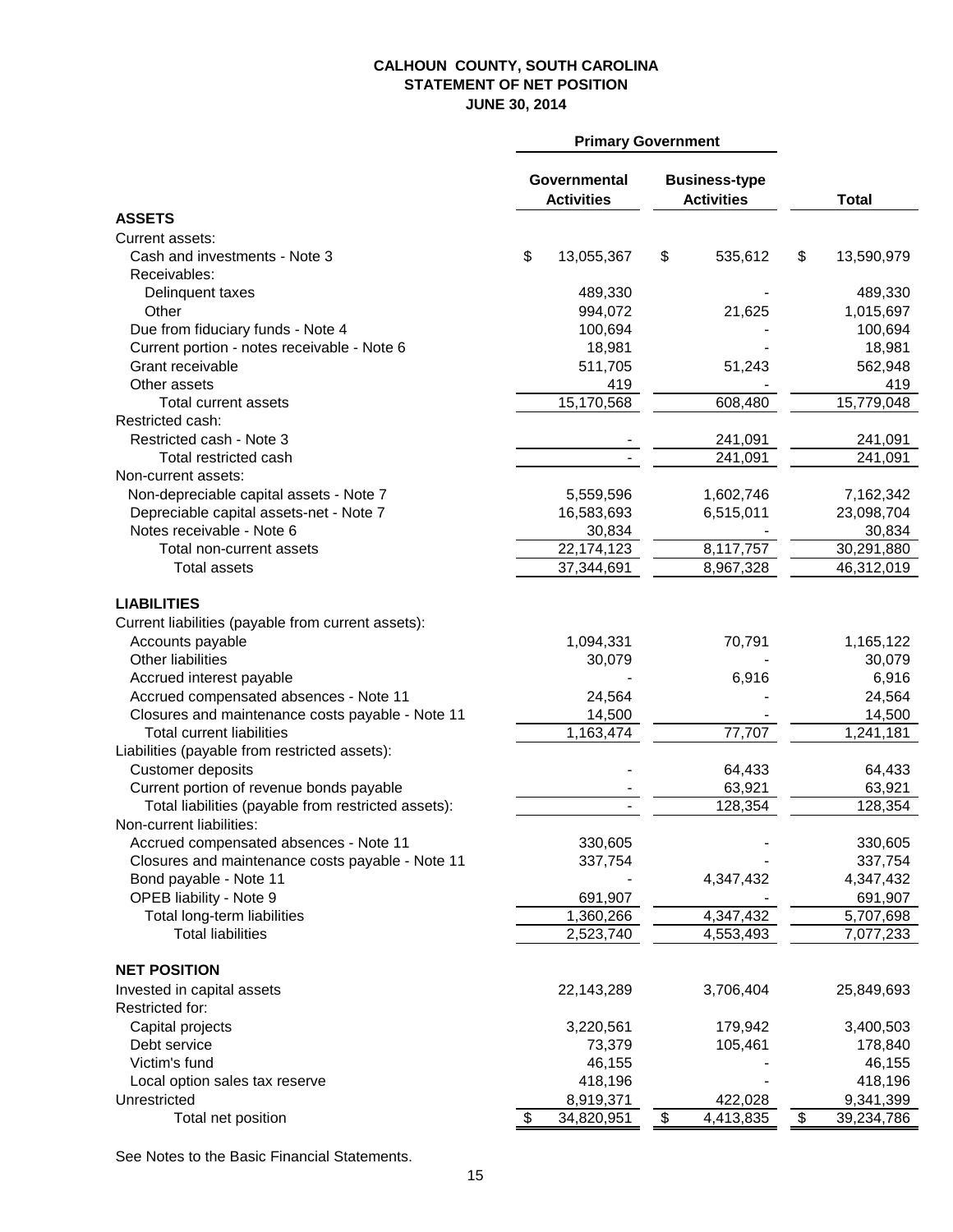#### **CALHOUN COUNTY, SOUTH CAROLINA STATEMENT OF NET POSITION JUNE 30, 2014**

|                                                     |                                   | <b>Primary Government</b>                 |                  |
|-----------------------------------------------------|-----------------------------------|-------------------------------------------|------------------|
|                                                     | Governmental<br><b>Activities</b> | <b>Business-type</b><br><b>Activities</b> | <b>Total</b>     |
| <b>ASSETS</b>                                       |                                   |                                           |                  |
| Current assets:                                     |                                   |                                           |                  |
| Cash and investments - Note 3                       | \$<br>13,055,367                  | \$<br>535,612                             | \$<br>13,590,979 |
| Receivables:                                        |                                   |                                           |                  |
| Delinquent taxes                                    | 489,330                           |                                           | 489,330          |
| Other                                               | 994,072                           | 21,625                                    | 1,015,697        |
| Due from fiduciary funds - Note 4                   | 100,694                           |                                           | 100,694          |
| Current portion - notes receivable - Note 6         | 18,981                            |                                           | 18,981           |
| Grant receivable                                    | 511,705                           | 51,243                                    | 562,948          |
| Other assets                                        |                                   | 419                                       | 419              |
| Total current assets                                | 15,170,568                        | 608,480                                   | 15,779,048       |
| Restricted cash:                                    |                                   |                                           |                  |
| Restricted cash - Note 3                            |                                   | 241,091                                   | 241,091          |
| Total restricted cash                               |                                   | 241,091                                   | 241,091          |
| Non-current assets:                                 |                                   |                                           |                  |
| Non-depreciable capital assets - Note 7             | 5,559,596                         | 1,602,746                                 | 7,162,342        |
| Depreciable capital assets-net - Note 7             | 16,583,693                        | 6,515,011                                 | 23,098,704       |
| Notes receivable - Note 6                           | 30,834                            |                                           | 30,834           |
| Total non-current assets                            | 22, 174, 123                      | 8,117,757                                 | 30,291,880       |
| <b>Total assets</b>                                 | 37,344,691                        | 8,967,328                                 | 46,312,019       |
| <b>LIABILITIES</b>                                  |                                   |                                           |                  |
| Current liabilities (payable from current assets):  |                                   |                                           |                  |
| Accounts payable                                    | 1,094,331                         | 70,791                                    | 1,165,122        |
| Other liabilities                                   | 30,079                            |                                           | 30,079           |
| Accrued interest payable                            |                                   | 6,916                                     | 6,916            |
| Accrued compensated absences - Note 11              | 24,564                            |                                           | 24,564           |
| Closures and maintenance costs payable - Note 11    | 14,500                            |                                           | 14,500           |
| <b>Total current liabilities</b>                    | 1,163,474                         | 77,707                                    | 1,241,181        |
| Liabilities (payable from restricted assets):       |                                   |                                           |                  |
| Customer deposits                                   |                                   | 64,433                                    | 64,433           |
| Current portion of revenue bonds payable            |                                   | 63,921                                    | 63,921           |
| Total liabilities (payable from restricted assets): |                                   | 128,354                                   | 128,354          |
| Non-current liabilities:                            |                                   |                                           |                  |
| Accrued compensated absences - Note 11              | 330,605                           |                                           | 330,605          |
| Closures and maintenance costs payable - Note 11    | 337,754                           |                                           | 337,754          |
| Bond payable - Note 11                              |                                   | 4,347,432                                 | 4,347,432        |
| OPEB liability - Note 9                             | 691,907                           |                                           | 691,907          |
| Total long-term liabilities                         | 1,360,266                         | 4,347,432                                 | 5,707,698        |
| <b>Total liabilities</b>                            | 2,523,740                         | 4,553,493                                 | 7,077,233        |
|                                                     |                                   |                                           |                  |
| <b>NET POSITION</b>                                 |                                   |                                           |                  |
| Invested in capital assets                          | 22,143,289                        | 3,706,404                                 | 25,849,693       |
| Restricted for:                                     |                                   |                                           |                  |
| Capital projects                                    | 3,220,561                         | 179,942                                   | 3,400,503        |
| Debt service                                        | 73,379                            | 105,461                                   | 178,840          |
| Victim's fund                                       | 46,155                            |                                           | 46,155           |
| Local option sales tax reserve                      | 418,196                           |                                           | 418,196          |
| Unrestricted                                        | 8,919,371                         | 422,028                                   | 9,341,399        |
| Total net position                                  | 34,820,951<br>\$                  | \$<br>4,413,835                           | \$<br>39,234,786 |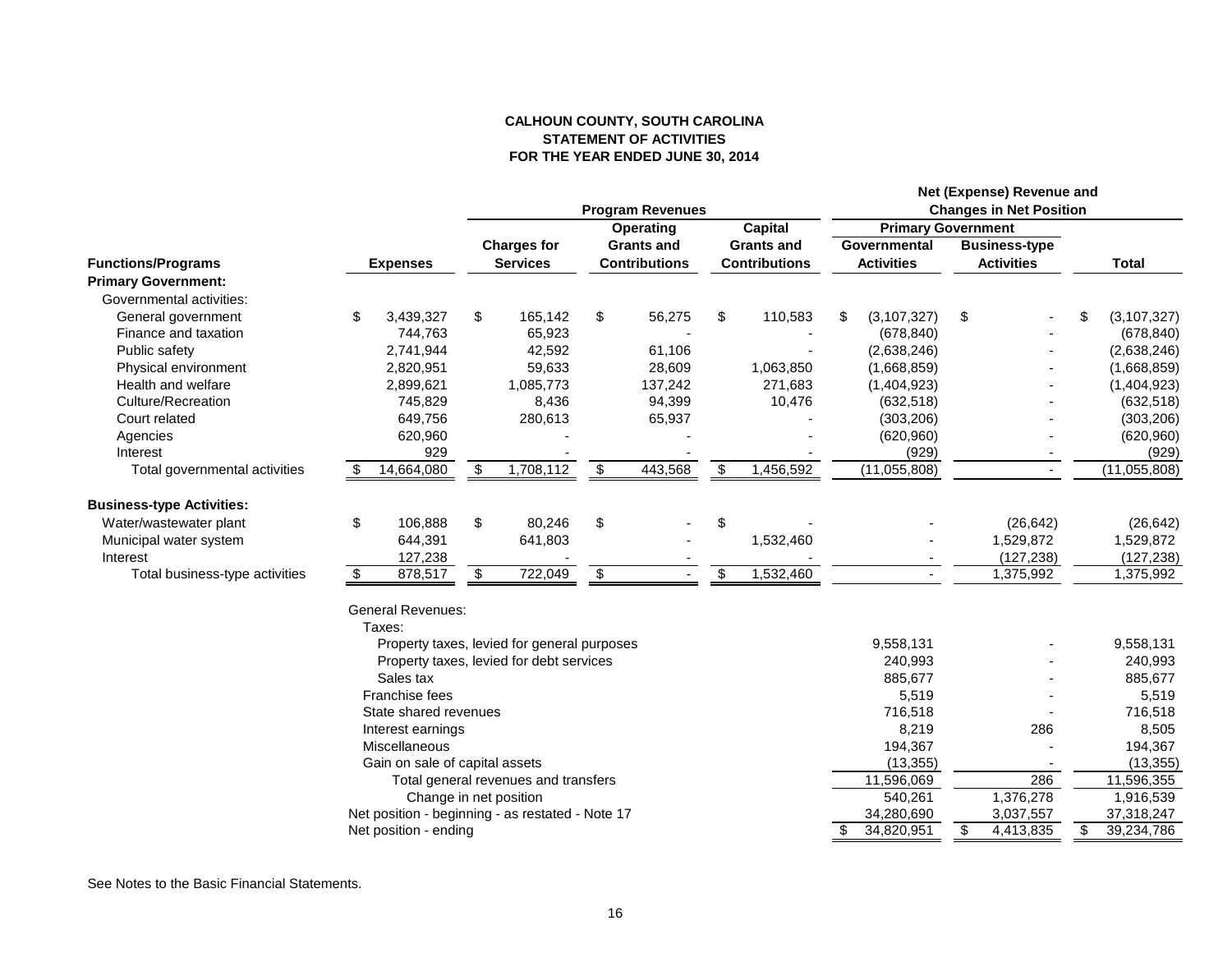#### **CALHOUN COUNTY, SOUTH CAROLINA STATEMENT OF ACTIVITIES FOR THE YEAR ENDED JUNE 30, 2014**

|                                  |     |                                                  |     |                                             | <b>Program Revenues</b> |         |                      |                           |                   |    | Net (Expense) Revenue and<br><b>Changes in Net Position</b> |                     |
|----------------------------------|-----|--------------------------------------------------|-----|---------------------------------------------|-------------------------|---------|----------------------|---------------------------|-------------------|----|-------------------------------------------------------------|---------------------|
|                                  |     |                                                  |     |                                             | <b>Operating</b>        | Capital |                      | <b>Primary Government</b> |                   |    |                                                             |                     |
|                                  |     |                                                  |     | <b>Charges for</b>                          | <b>Grants and</b>       |         | <b>Grants and</b>    |                           | Governmental      |    | <b>Business-type</b>                                        |                     |
| <b>Functions/Programs</b>        |     | <b>Expenses</b>                                  |     | <b>Services</b>                             | <b>Contributions</b>    |         | <b>Contributions</b> |                           | <b>Activities</b> |    | <b>Activities</b>                                           | <b>Total</b>        |
| <b>Primary Government:</b>       |     |                                                  |     |                                             |                         |         |                      |                           |                   |    |                                                             |                     |
| Governmental activities:         |     |                                                  |     |                                             |                         |         |                      |                           |                   |    |                                                             |                     |
| General government               | \$  | 3,439,327                                        | \$  | 165,142                                     | \$<br>56,275            | \$      | 110,583              | \$                        | (3, 107, 327)     | \$ |                                                             | \$<br>(3, 107, 327) |
| Finance and taxation             |     | 744,763                                          |     | 65,923                                      |                         |         |                      |                           | (678, 840)        |    |                                                             | (678, 840)          |
| Public safety                    |     | 2,741,944                                        |     | 42,592                                      | 61,106                  |         |                      |                           | (2,638,246)       |    |                                                             | (2,638,246)         |
| Physical environment             |     | 2,820,951                                        |     | 59,633                                      | 28,609                  |         | 1,063,850            |                           | (1,668,859)       |    |                                                             | (1,668,859)         |
| Health and welfare               |     | 2,899,621                                        |     | 1,085,773                                   | 137,242                 |         | 271,683              |                           | (1,404,923)       |    |                                                             | (1,404,923)         |
| Culture/Recreation               |     | 745,829                                          |     | 8,436                                       | 94,399                  |         | 10,476               |                           | (632, 518)        |    |                                                             | (632, 518)          |
| Court related                    |     | 649,756                                          |     | 280,613                                     | 65,937                  |         |                      |                           | (303, 206)        |    |                                                             | (303, 206)          |
| Agencies                         |     | 620,960                                          |     |                                             |                         |         |                      |                           | (620, 960)        |    |                                                             | (620, 960)          |
| Interest                         |     | 929                                              |     |                                             |                         |         |                      |                           | (929)             |    |                                                             | (929)               |
| Total governmental activities    | S   | 14,664,080                                       | \$. | 1,708,112                                   | \$<br>443,568           | \$      | 1,456,592            |                           | (11,055,808)      |    | $\blacksquare$                                              | (11, 055, 808)      |
| <b>Business-type Activities:</b> |     |                                                  |     |                                             |                         |         |                      |                           |                   |    |                                                             |                     |
| Water/wastewater plant           | \$  | 106,888                                          | \$  | 80,246                                      | \$                      | \$      |                      |                           |                   |    | (26, 642)                                                   | (26, 642)           |
| Municipal water system           |     | 644,391                                          |     | 641,803                                     |                         |         | 1,532,460            |                           |                   |    | 1,529,872                                                   | 1,529,872           |
| Interest                         |     | 127,238                                          |     |                                             |                         |         |                      |                           |                   |    | (127, 238)                                                  | (127, 238)          |
| Total business-type activities   | -\$ | 878,517                                          | \$  | 722,049                                     | \$<br>$\sim$            | \$      | 1,532,460            |                           | $\sim$            |    | 1,375,992                                                   | 1,375,992           |
|                                  |     | <b>General Revenues:</b><br>Taxes:               |     |                                             |                         |         |                      |                           |                   |    |                                                             |                     |
|                                  |     |                                                  |     | Property taxes, levied for general purposes |                         |         |                      |                           | 9,558,131         |    |                                                             | 9,558,131           |
|                                  |     |                                                  |     | Property taxes, levied for debt services    |                         |         |                      |                           | 240,993           |    |                                                             | 240,993             |
|                                  |     | Sales tax                                        |     |                                             |                         |         |                      |                           | 885,677           |    |                                                             | 885,677             |
|                                  |     | Franchise fees                                   |     |                                             |                         |         |                      |                           | 5,519             |    |                                                             | 5,519               |
|                                  |     | State shared revenues                            |     |                                             |                         |         |                      |                           | 716,518           |    |                                                             | 716,518             |
|                                  |     | Interest earnings                                |     |                                             |                         |         |                      |                           | 8,219             |    | 286                                                         | 8,505               |
|                                  |     | <b>Miscellaneous</b>                             |     |                                             |                         |         |                      |                           | 194,367           |    |                                                             | 194,367             |
|                                  |     | Gain on sale of capital assets                   |     |                                             |                         |         |                      |                           | (13, 355)         |    |                                                             | (13, 355)           |
|                                  |     |                                                  |     | Total general revenues and transfers        |                         |         |                      |                           | 11,596,069        |    | 286                                                         | 11,596,355          |
|                                  |     | Change in net position                           |     |                                             |                         |         |                      |                           | 540,261           |    | 1,376,278                                                   | 1,916,539           |
|                                  |     | Net position - beginning - as restated - Note 17 |     |                                             |                         |         |                      |                           | 34,280,690        |    | 3,037,557                                                   | 37,318,247          |
|                                  |     | Net position - ending                            |     |                                             |                         |         |                      | \$                        | 34,820,951        | \$ | 4,413,835                                                   | \$<br>39,234,786    |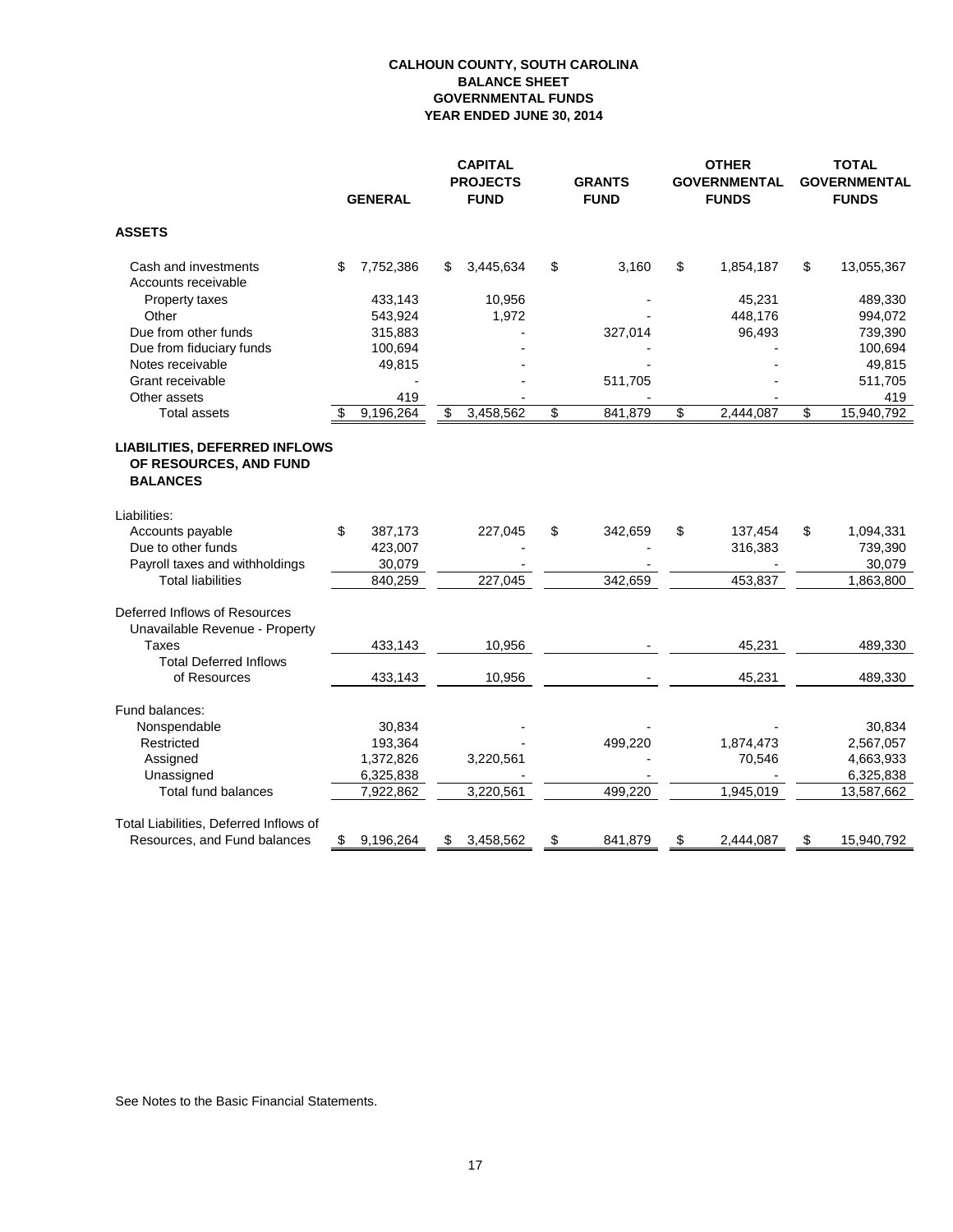#### **CALHOUN COUNTY, SOUTH CAROLINA BALANCE SHEET GOVERNMENTAL FUNDS YEAR ENDED JUNE 30, 2014**

|                                            |                                                                                                                                                                 | <b>CAPITAL</b><br><b>FUND</b> |                                                                                                | <b>GRANTS</b><br><b>FUND</b> |                                                                | <b>OTHER</b><br><b>FUNDS</b> | <b>TOTAL</b><br><b>GOVERNMENTAL</b><br><b>FUNDS</b>                                                           |                   |
|--------------------------------------------|-----------------------------------------------------------------------------------------------------------------------------------------------------------------|-------------------------------|------------------------------------------------------------------------------------------------|------------------------------|----------------------------------------------------------------|------------------------------|---------------------------------------------------------------------------------------------------------------|-------------------|
|                                            |                                                                                                                                                                 |                               |                                                                                                |                              |                                                                |                              |                                                                                                               |                   |
| \$<br>7,752,386                            | S                                                                                                                                                               | 3,445,634                     | \$                                                                                             | 3,160                        | \$                                                             | 1,854,187                    | \$                                                                                                            | 13,055,367        |
|                                            |                                                                                                                                                                 |                               |                                                                                                |                              |                                                                |                              |                                                                                                               |                   |
|                                            |                                                                                                                                                                 |                               |                                                                                                |                              |                                                                |                              |                                                                                                               | 489,330           |
|                                            |                                                                                                                                                                 |                               |                                                                                                |                              |                                                                |                              |                                                                                                               | 994,072           |
|                                            |                                                                                                                                                                 |                               |                                                                                                |                              |                                                                |                              |                                                                                                               | 739,390           |
|                                            |                                                                                                                                                                 |                               |                                                                                                |                              |                                                                |                              |                                                                                                               | 100,694           |
|                                            |                                                                                                                                                                 |                               |                                                                                                |                              |                                                                |                              |                                                                                                               | 49,815            |
|                                            |                                                                                                                                                                 |                               |                                                                                                |                              |                                                                |                              |                                                                                                               | 511,705           |
|                                            |                                                                                                                                                                 |                               |                                                                                                |                              |                                                                |                              |                                                                                                               | 419<br>15,940,792 |
|                                            |                                                                                                                                                                 |                               |                                                                                                |                              |                                                                |                              |                                                                                                               |                   |
|                                            |                                                                                                                                                                 |                               |                                                                                                |                              |                                                                |                              |                                                                                                               |                   |
|                                            |                                                                                                                                                                 |                               |                                                                                                |                              |                                                                |                              |                                                                                                               |                   |
| \$<br>387,173                              |                                                                                                                                                                 | 227,045                       | \$                                                                                             | 342,659                      | \$                                                             | 137,454                      | \$                                                                                                            | 1,094,331         |
| 423,007                                    |                                                                                                                                                                 |                               |                                                                                                |                              |                                                                | 316,383                      |                                                                                                               | 739,390           |
| 30,079                                     |                                                                                                                                                                 |                               |                                                                                                |                              |                                                                |                              |                                                                                                               | 30,079            |
| 840,259                                    |                                                                                                                                                                 |                               |                                                                                                |                              |                                                                | 453,837                      |                                                                                                               | 1,863,800         |
|                                            |                                                                                                                                                                 |                               |                                                                                                |                              |                                                                |                              |                                                                                                               |                   |
| 433,143                                    |                                                                                                                                                                 | 10,956                        |                                                                                                |                              |                                                                | 45,231                       |                                                                                                               | 489,330           |
|                                            |                                                                                                                                                                 |                               |                                                                                                |                              |                                                                |                              |                                                                                                               |                   |
|                                            |                                                                                                                                                                 |                               |                                                                                                |                              |                                                                |                              |                                                                                                               | 489,330           |
|                                            |                                                                                                                                                                 |                               |                                                                                                |                              |                                                                |                              |                                                                                                               |                   |
|                                            |                                                                                                                                                                 |                               |                                                                                                |                              |                                                                |                              |                                                                                                               | 30,834            |
|                                            |                                                                                                                                                                 |                               |                                                                                                |                              |                                                                |                              |                                                                                                               | 2,567,057         |
|                                            |                                                                                                                                                                 |                               |                                                                                                |                              |                                                                |                              |                                                                                                               | 4,663,933         |
|                                            |                                                                                                                                                                 |                               |                                                                                                |                              |                                                                |                              |                                                                                                               | 6,325,838         |
|                                            |                                                                                                                                                                 |                               |                                                                                                |                              |                                                                |                              |                                                                                                               | 13,587,662        |
|                                            |                                                                                                                                                                 |                               |                                                                                                |                              |                                                                |                              |                                                                                                               |                   |
| \$<br>9,196,264                            | \$                                                                                                                                                              | 3,458,562                     | \$                                                                                             | 841,879                      | \$                                                             | 2,444,087                    | \$                                                                                                            | 15,940,792        |
| \$<br><b>LIABILITIES, DEFERRED INFLOWS</b> | <b>GENERAL</b><br>433,143<br>543,924<br>315,883<br>100,694<br>49,815<br>419<br>9,196,264<br>433,143<br>30,834<br>193,364<br>1,372,826<br>6,325,838<br>7,922,862 | \$                            | <b>PROJECTS</b><br>10,956<br>1,972<br>3,458,562<br>227,045<br>10,956<br>3,220,561<br>3,220,561 | \$                           | 327,014<br>511,705<br>841,879<br>342,659<br>499,220<br>499,220 | \$                           | <b>GOVERNMENTAL</b><br>45,231<br>448,176<br>96,493<br>2,444,087<br>45,231<br>1,874,473<br>70,546<br>1,945,019 | \$                |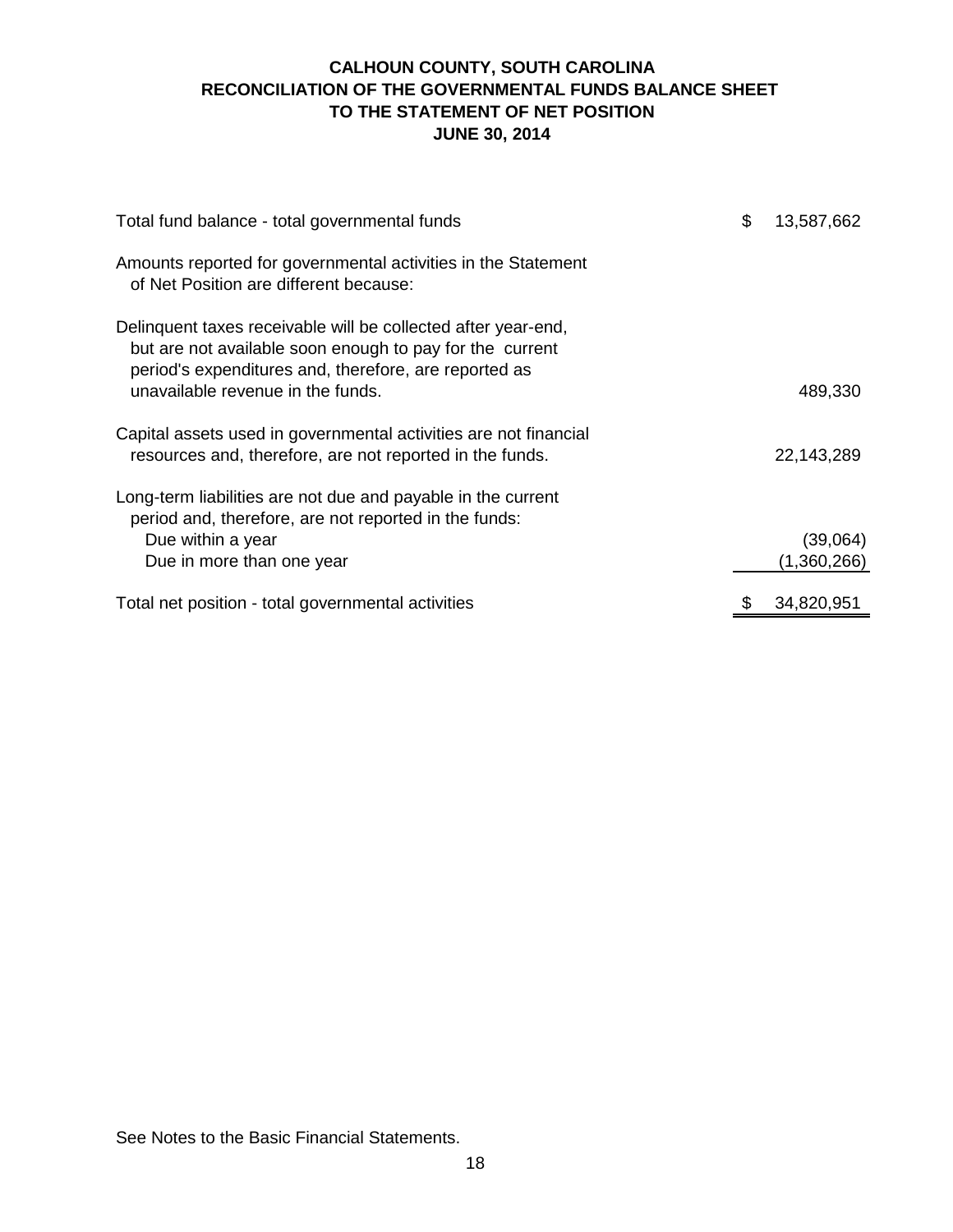# **CALHOUN COUNTY, SOUTH CAROLINA RECONCILIATION OF THE GOVERNMENTAL FUNDS BALANCE SHEET TO THE STATEMENT OF NET POSITION JUNE 30, 2014**

| Total fund balance - total governmental funds                                                                                                                                      | \$<br>13,587,662 |
|------------------------------------------------------------------------------------------------------------------------------------------------------------------------------------|------------------|
| Amounts reported for governmental activities in the Statement<br>of Net Position are different because:                                                                            |                  |
| Delinguent taxes receivable will be collected after year-end,<br>but are not available soon enough to pay for the current<br>period's expenditures and, therefore, are reported as |                  |
| unavailable revenue in the funds.                                                                                                                                                  | 489,330          |
| Capital assets used in governmental activities are not financial<br>resources and, therefore, are not reported in the funds.                                                       | 22,143,289       |
| Long-term liabilities are not due and payable in the current<br>period and, therefore, are not reported in the funds:                                                              |                  |
| Due within a year                                                                                                                                                                  | (39,064)         |
| Due in more than one year                                                                                                                                                          | (1,360,266)      |
| Total net position - total governmental activities                                                                                                                                 | 34,820,951       |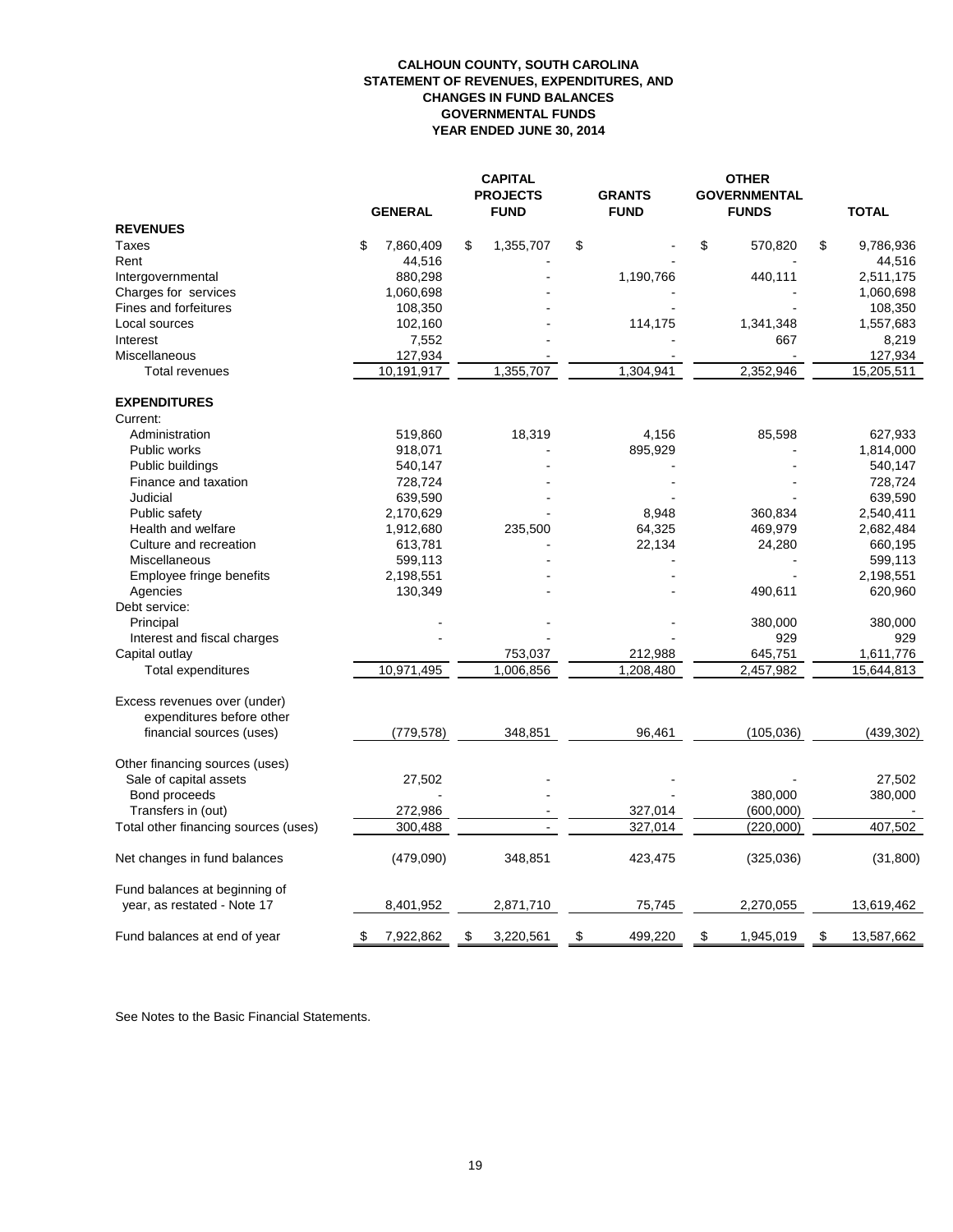#### **CALHOUN COUNTY, SOUTH CAROLINA STATEMENT OF REVENUES, EXPENDITURES, AND CHANGES IN FUND BALANCES GOVERNMENTAL FUNDS YEAR ENDED JUNE 30, 2014**

|                                      |                      | <b>CAPITAL</b> |                 |    |               |                     | <b>OTHER</b> |    |                      |  |  |
|--------------------------------------|----------------------|----------------|-----------------|----|---------------|---------------------|--------------|----|----------------------|--|--|
|                                      |                      |                | <b>PROJECTS</b> |    | <b>GRANTS</b> | <b>GOVERNMENTAL</b> |              |    |                      |  |  |
|                                      | <b>GENERAL</b>       |                | <b>FUND</b>     |    | <b>FUND</b>   | <b>FUNDS</b>        |              |    | <b>TOTAL</b>         |  |  |
| <b>REVENUES</b>                      |                      |                |                 |    |               |                     |              |    |                      |  |  |
| Taxes                                | \$<br>7,860,409      | \$             | 1,355,707       | \$ |               | \$                  | 570,820      | \$ | 9,786,936            |  |  |
| Rent                                 | 44,516               |                |                 |    |               |                     |              |    | 44,516               |  |  |
| Intergovernmental                    | 880,298              |                |                 |    | 1,190,766     |                     | 440,111      |    | 2,511,175            |  |  |
| Charges for services                 | 1,060,698            |                |                 |    |               |                     |              |    | 1,060,698            |  |  |
| Fines and forfeitures                | 108,350              |                |                 |    |               |                     |              |    | 108,350              |  |  |
| Local sources                        | 102,160              |                |                 |    | 114,175       |                     | 1,341,348    |    | 1,557,683            |  |  |
| Interest                             | 7,552                |                |                 |    |               |                     | 667          |    | 8,219                |  |  |
| Miscellaneous                        | 127,934              |                |                 |    |               |                     |              |    | 127,934              |  |  |
| <b>Total revenues</b>                | 10,191,917           |                | 1,355,707       |    | 1,304,941     |                     | 2,352,946    |    | 15,205,511           |  |  |
| <b>EXPENDITURES</b>                  |                      |                |                 |    |               |                     |              |    |                      |  |  |
| Current:                             |                      |                |                 |    |               |                     |              |    |                      |  |  |
| Administration                       | 519,860              |                | 18,319          |    | 4,156         |                     | 85,598       |    | 627,933              |  |  |
| Public works                         | 918,071              |                |                 |    | 895,929       |                     |              |    | 1,814,000            |  |  |
| Public buildings                     | 540,147              |                |                 |    |               |                     |              |    | 540,147              |  |  |
| Finance and taxation                 | 728,724              |                |                 |    |               |                     |              |    | 728,724              |  |  |
| Judicial                             | 639,590              |                |                 |    |               |                     |              |    | 639,590              |  |  |
| Public safety                        | 2,170,629            |                |                 |    | 8,948         |                     | 360,834      |    | 2,540,411            |  |  |
| Health and welfare                   |                      |                |                 |    | 64,325        |                     | 469,979      |    | 2,682,484            |  |  |
| Culture and recreation               | 1,912,680<br>613,781 |                | 235,500         |    | 22,134        |                     | 24,280       |    | 660,195              |  |  |
| Miscellaneous                        |                      |                |                 |    |               |                     |              |    |                      |  |  |
| Employee fringe benefits             | 599,113<br>2,198,551 |                |                 |    |               |                     |              |    | 599,113<br>2,198,551 |  |  |
| Agencies                             |                      |                |                 |    |               |                     |              |    |                      |  |  |
|                                      | 130,349              |                |                 |    |               |                     | 490,611      |    | 620,960              |  |  |
| Debt service:                        |                      |                |                 |    |               |                     |              |    |                      |  |  |
| Principal                            |                      |                |                 |    |               |                     | 380,000      |    | 380,000              |  |  |
| Interest and fiscal charges          |                      |                |                 |    |               |                     | 929          |    | 929                  |  |  |
| Capital outlay                       |                      |                | 753,037         |    | 212,988       |                     | 645,751      |    | 1,611,776            |  |  |
| <b>Total expenditures</b>            | 10,971,495           |                | 1,006,856       |    | 1,208,480     |                     | 2,457,982    |    | 15,644,813           |  |  |
| Excess revenues over (under)         |                      |                |                 |    |               |                     |              |    |                      |  |  |
| expenditures before other            |                      |                |                 |    |               |                     |              |    |                      |  |  |
| financial sources (uses)             | (779,578)            |                | 348,851         |    | 96,461        |                     | (105, 036)   |    | (439,302)            |  |  |
| Other financing sources (uses)       |                      |                |                 |    |               |                     |              |    |                      |  |  |
| Sale of capital assets               | 27,502               |                |                 |    |               |                     |              |    | 27,502               |  |  |
| Bond proceeds                        |                      |                |                 |    |               |                     | 380,000      |    | 380,000              |  |  |
| Transfers in (out)                   | 272,986              |                |                 |    | 327,014       |                     | (600,000)    |    |                      |  |  |
| Total other financing sources (uses) | 300,488              |                |                 |    | 327,014       |                     | (220,000)    |    | 407,502              |  |  |
| Net changes in fund balances         | (479,090)            |                | 348,851         |    | 423,475       |                     | (325,036)    |    | (31,800)             |  |  |
| Fund balances at beginning of        |                      |                |                 |    |               |                     |              |    |                      |  |  |
| year, as restated - Note 17          | 8,401,952            |                | 2,871,710       |    | 75,745        |                     | 2,270,055    |    | 13,619,462           |  |  |
| Fund balances at end of year         | \$<br>7,922,862      | S              | 3,220,561       | \$ | 499,220       | \$                  | 1,945,019    | \$ | 13,587,662           |  |  |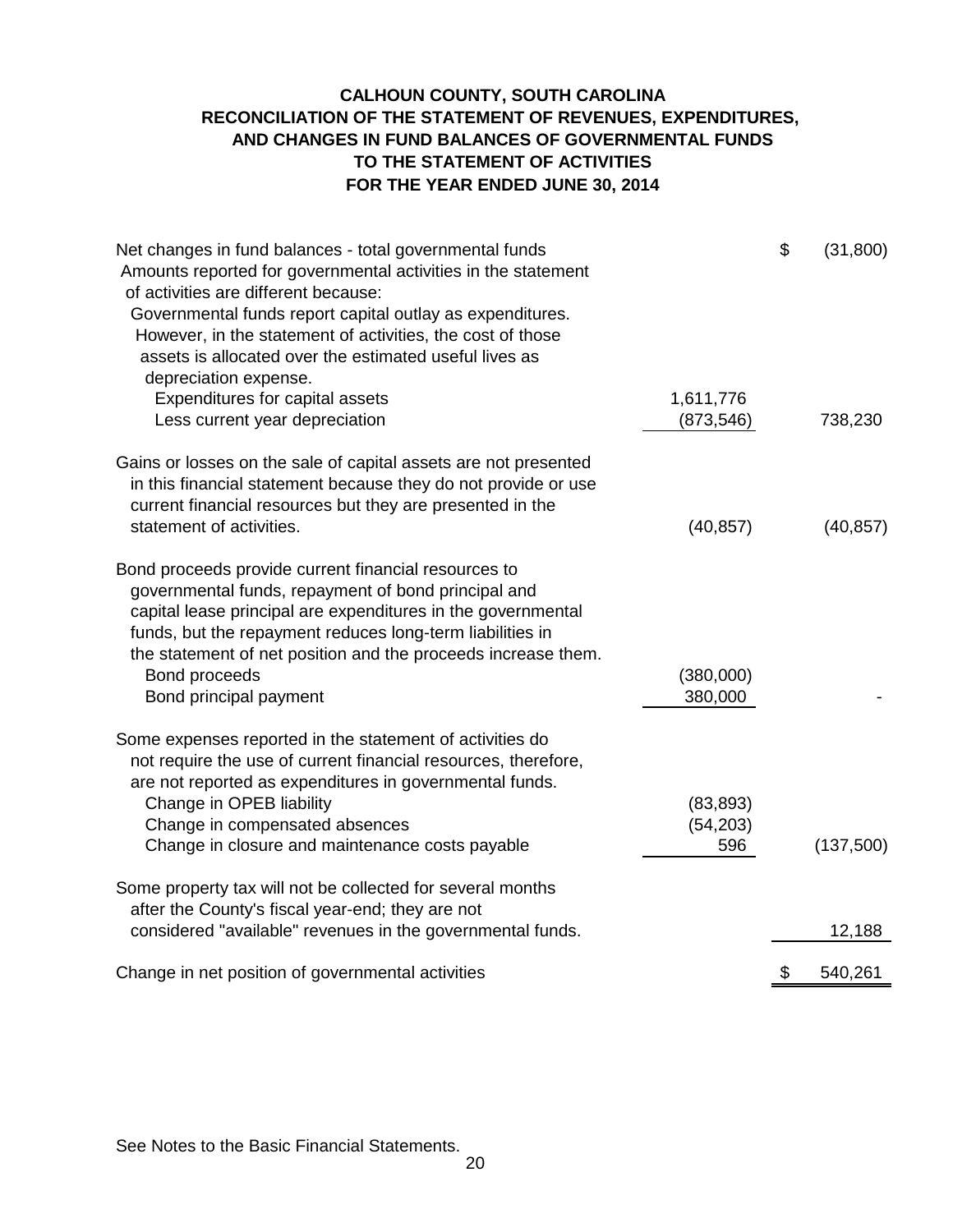# **FOR THE YEAR ENDED JUNE 30, 2014 CALHOUN COUNTY, SOUTH CAROLINA RECONCILIATION OF THE STATEMENT OF REVENUES, EXPENDITURES, AND CHANGES IN FUND BALANCES OF GOVERNMENTAL FUNDS TO THE STATEMENT OF ACTIVITIES**

| Net changes in fund balances - total governmental funds<br>Amounts reported for governmental activities in the statement<br>of activities are different because:<br>Governmental funds report capital outlay as expenditures.<br>However, in the statement of activities, the cost of those<br>assets is allocated over the estimated useful lives as |                               | \$<br>(31, 800) |
|-------------------------------------------------------------------------------------------------------------------------------------------------------------------------------------------------------------------------------------------------------------------------------------------------------------------------------------------------------|-------------------------------|-----------------|
| depreciation expense.<br>Expenditures for capital assets                                                                                                                                                                                                                                                                                              | 1,611,776                     |                 |
|                                                                                                                                                                                                                                                                                                                                                       |                               |                 |
| Less current year depreciation                                                                                                                                                                                                                                                                                                                        | (873, 546)                    | 738,230         |
| Gains or losses on the sale of capital assets are not presented<br>in this financial statement because they do not provide or use<br>current financial resources but they are presented in the<br>statement of activities.                                                                                                                            | (40, 857)                     | (40, 857)       |
| Bond proceeds provide current financial resources to<br>governmental funds, repayment of bond principal and<br>capital lease principal are expenditures in the governmental<br>funds, but the repayment reduces long-term liabilities in<br>the statement of net position and the proceeds increase them.<br>Bond proceeds                            | (380,000)                     |                 |
| Bond principal payment                                                                                                                                                                                                                                                                                                                                | 380,000                       |                 |
| Some expenses reported in the statement of activities do<br>not require the use of current financial resources, therefore,<br>are not reported as expenditures in governmental funds.<br>Change in OPEB liability<br>Change in compensated absences<br>Change in closure and maintenance costs payable                                                | (83, 893)<br>(54, 203)<br>596 | (137,500)       |
| Some property tax will not be collected for several months                                                                                                                                                                                                                                                                                            |                               |                 |
| after the County's fiscal year-end; they are not                                                                                                                                                                                                                                                                                                      |                               |                 |
| considered "available" revenues in the governmental funds.                                                                                                                                                                                                                                                                                            |                               | 12,188          |
| Change in net position of governmental activities                                                                                                                                                                                                                                                                                                     |                               | \$<br>540,261   |
|                                                                                                                                                                                                                                                                                                                                                       |                               |                 |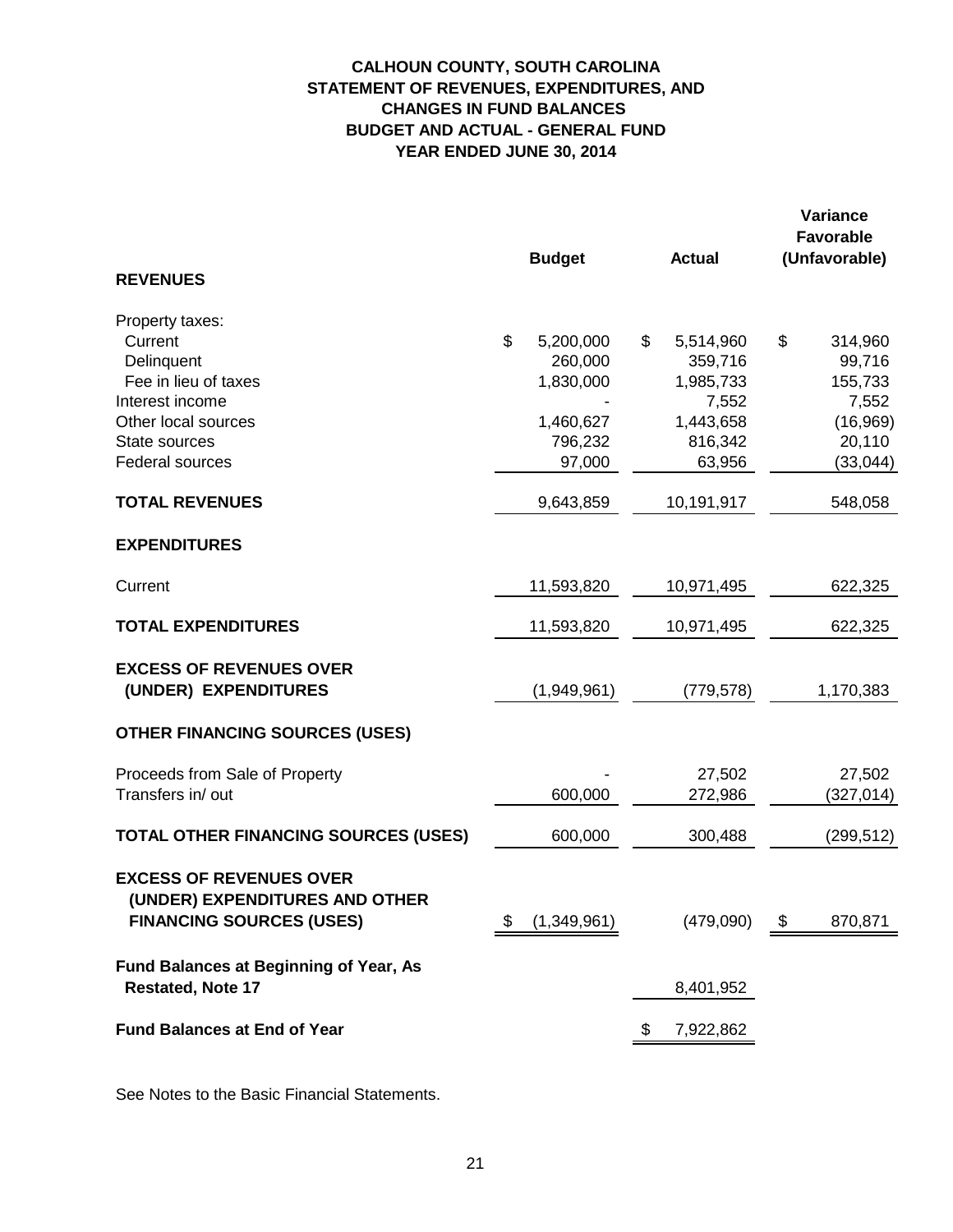# **YEAR ENDED JUNE 30, 2014 CALHOUN COUNTY, SOUTH CAROLINA STATEMENT OF REVENUES, EXPENDITURES, AND CHANGES IN FUND BALANCES BUDGET AND ACTUAL - GENERAL FUND**

|                                                                                                     | <b>Budget</b>                  | <b>Actual</b>                  | <b>Variance</b><br><b>Favorable</b><br>(Unfavorable) |
|-----------------------------------------------------------------------------------------------------|--------------------------------|--------------------------------|------------------------------------------------------|
| <b>REVENUES</b>                                                                                     |                                |                                |                                                      |
| Property taxes:<br>Current                                                                          | \$<br>5,200,000                | \$<br>5,514,960                | \$<br>314,960                                        |
| Delinquent<br>Fee in lieu of taxes<br>Interest income                                               | 260,000<br>1,830,000           | 359,716<br>1,985,733<br>7,552  | 99,716<br>155,733<br>7,552                           |
| Other local sources<br>State sources<br><b>Federal sources</b>                                      | 1,460,627<br>796,232<br>97,000 | 1,443,658<br>816,342<br>63,956 | (16,969)<br>20,110<br>(33, 044)                      |
| <b>TOTAL REVENUES</b>                                                                               | 9,643,859                      | 10,191,917                     | 548,058                                              |
| <b>EXPENDITURES</b>                                                                                 |                                |                                |                                                      |
| Current                                                                                             | 11,593,820                     | 10,971,495                     | 622,325                                              |
| <b>TOTAL EXPENDITURES</b>                                                                           | 11,593,820                     | 10,971,495                     | 622,325                                              |
| <b>EXCESS OF REVENUES OVER</b><br>(UNDER) EXPENDITURES                                              | (1,949,961)                    | (779, 578)                     | 1,170,383                                            |
| <b>OTHER FINANCING SOURCES (USES)</b>                                                               |                                |                                |                                                      |
| Proceeds from Sale of Property<br>Transfers in/out                                                  | 600,000                        | 27,502<br>272,986              | 27,502<br>(327, 014)                                 |
| <b>TOTAL OTHER FINANCING SOURCES (USES)</b>                                                         | 600,000                        | 300,488                        | (299, 512)                                           |
| <b>EXCESS OF REVENUES OVER</b><br>(UNDER) EXPENDITURES AND OTHER<br><b>FINANCING SOURCES (USES)</b> | (1,349,961)<br>\$              | (479,090)                      | 870,871<br>\$                                        |
| <b>Fund Balances at Beginning of Year, As</b><br><b>Restated, Note 17</b>                           |                                | 8,401,952                      |                                                      |
| <b>Fund Balances at End of Year</b>                                                                 |                                | 7,922,862<br>\$                |                                                      |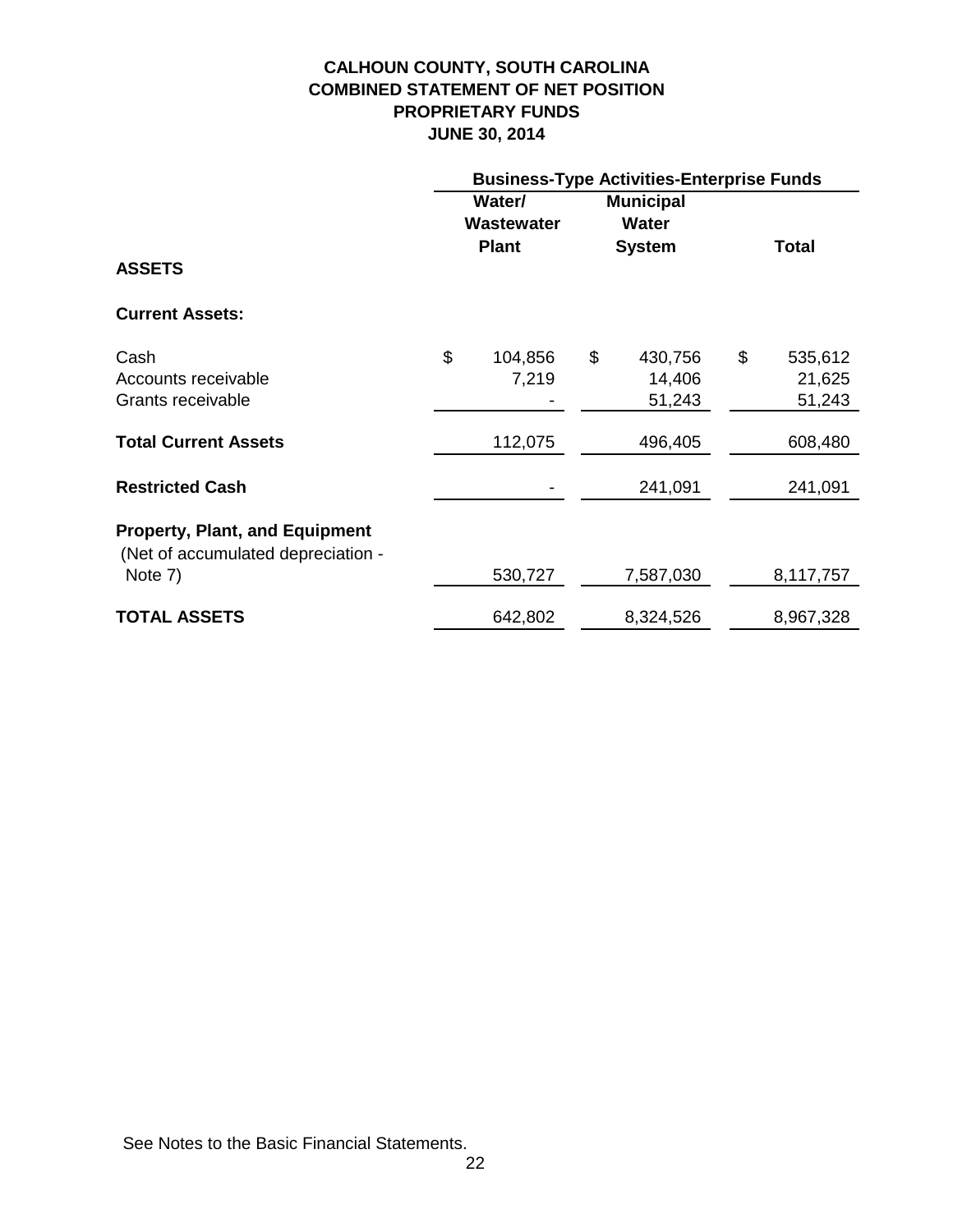# **CALHOUN COUNTY, SOUTH CAROLINA COMBINED STATEMENT OF NET POSITION PROPRIETARY FUNDS JUNE 30, 2014**

|                                                                             | <b>Business-Type Activities-Enterprise Funds</b> |              |    |                  |    |              |  |
|-----------------------------------------------------------------------------|--------------------------------------------------|--------------|----|------------------|----|--------------|--|
|                                                                             | Water/                                           |              |    | <b>Municipal</b> |    |              |  |
|                                                                             |                                                  | Wastewater   |    | <b>Water</b>     |    |              |  |
|                                                                             |                                                  | <b>Plant</b> |    | <b>System</b>    |    | <b>Total</b> |  |
| <b>ASSETS</b>                                                               |                                                  |              |    |                  |    |              |  |
| <b>Current Assets:</b>                                                      |                                                  |              |    |                  |    |              |  |
| Cash                                                                        | \$                                               | 104,856      | \$ | 430,756          | \$ | 535,612      |  |
| Accounts receivable                                                         |                                                  | 7,219        |    | 14,406           |    | 21,625       |  |
| Grants receivable                                                           |                                                  |              |    | 51,243           |    | 51,243       |  |
| <b>Total Current Assets</b>                                                 |                                                  | 112,075      |    | 496,405          |    | 608,480      |  |
| <b>Restricted Cash</b>                                                      |                                                  |              |    | 241,091          |    | 241,091      |  |
|                                                                             |                                                  |              |    |                  |    |              |  |
| <b>Property, Plant, and Equipment</b><br>(Net of accumulated depreciation - |                                                  |              |    |                  |    |              |  |
| Note 7)                                                                     |                                                  | 530,727      |    | 7,587,030        |    | 8,117,757    |  |
|                                                                             |                                                  |              |    |                  |    |              |  |
| <b>TOTAL ASSETS</b>                                                         |                                                  | 642,802      |    | 8,324,526        |    | 8,967,328    |  |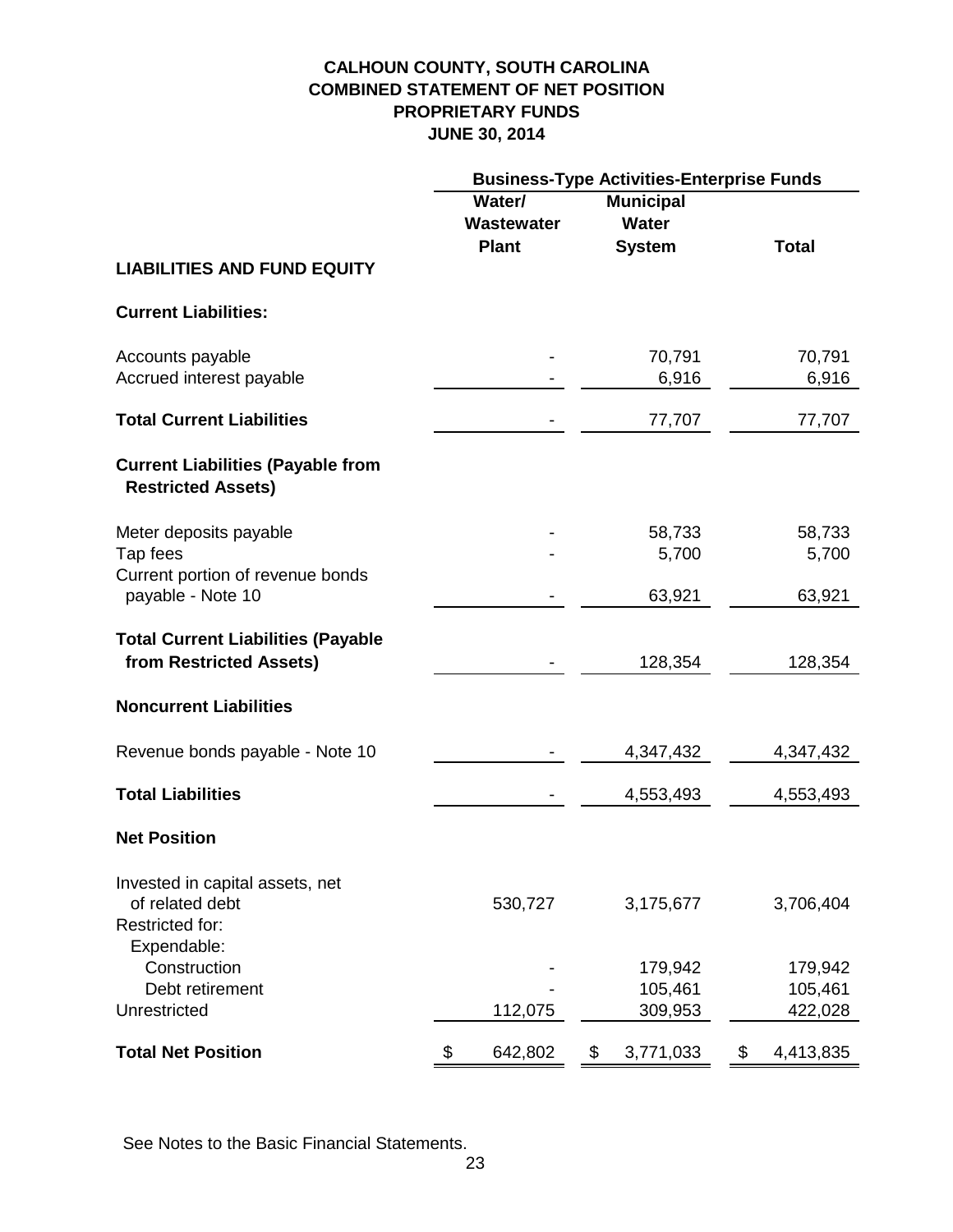# **CALHOUN COUNTY, SOUTH CAROLINA COMBINED STATEMENT OF NET POSITION PROPRIETARY FUNDS JUNE 30, 2014**

|                                                                       | <b>Business-Type Activities-Enterprise Funds</b> |              |    |                    |    |                    |  |
|-----------------------------------------------------------------------|--------------------------------------------------|--------------|----|--------------------|----|--------------------|--|
|                                                                       |                                                  | Water/       |    | <b>Municipal</b>   |    |                    |  |
|                                                                       |                                                  | Wastewater   |    | <b>Water</b>       |    |                    |  |
|                                                                       |                                                  | <b>Plant</b> |    | <b>System</b>      |    | <b>Total</b>       |  |
| <b>LIABILITIES AND FUND EQUITY</b>                                    |                                                  |              |    |                    |    |                    |  |
| <b>Current Liabilities:</b>                                           |                                                  |              |    |                    |    |                    |  |
| Accounts payable                                                      |                                                  |              |    | 70,791             |    | 70,791             |  |
| Accrued interest payable                                              |                                                  |              |    | 6,916              |    | 6,916              |  |
| <b>Total Current Liabilities</b>                                      |                                                  |              |    | 77,707             |    | 77,707             |  |
| <b>Current Liabilities (Payable from</b><br><b>Restricted Assets)</b> |                                                  |              |    |                    |    |                    |  |
| Meter deposits payable                                                |                                                  |              |    | 58,733             |    | 58,733             |  |
| Tap fees<br>Current portion of revenue bonds                          |                                                  |              |    | 5,700              |    | 5,700              |  |
| payable - Note 10                                                     |                                                  |              |    | 63,921             |    | 63,921             |  |
| <b>Total Current Liabilities (Payable</b><br>from Restricted Assets)  |                                                  |              |    | 128,354            |    | 128,354            |  |
| <b>Noncurrent Liabilities</b>                                         |                                                  |              |    |                    |    |                    |  |
| Revenue bonds payable - Note 10                                       |                                                  |              |    | 4,347,432          |    | 4,347,432          |  |
| <b>Total Liabilities</b>                                              |                                                  |              |    | 4,553,493          |    | 4,553,493          |  |
| <b>Net Position</b>                                                   |                                                  |              |    |                    |    |                    |  |
| Invested in capital assets, net<br>of related debt<br>Restricted for: |                                                  | 530,727      |    | 3,175,677          |    | 3,706,404          |  |
| Expendable:                                                           |                                                  |              |    |                    |    |                    |  |
| Construction                                                          |                                                  |              |    | 179,942            |    | 179,942            |  |
| Debt retirement<br>Unrestricted                                       |                                                  |              |    | 105,461<br>309,953 |    | 105,461<br>422,028 |  |
|                                                                       |                                                  | 112,075      |    |                    |    |                    |  |
| <b>Total Net Position</b>                                             | \$                                               | 642,802      | \$ | 3,771,033          | \$ | 4,413,835          |  |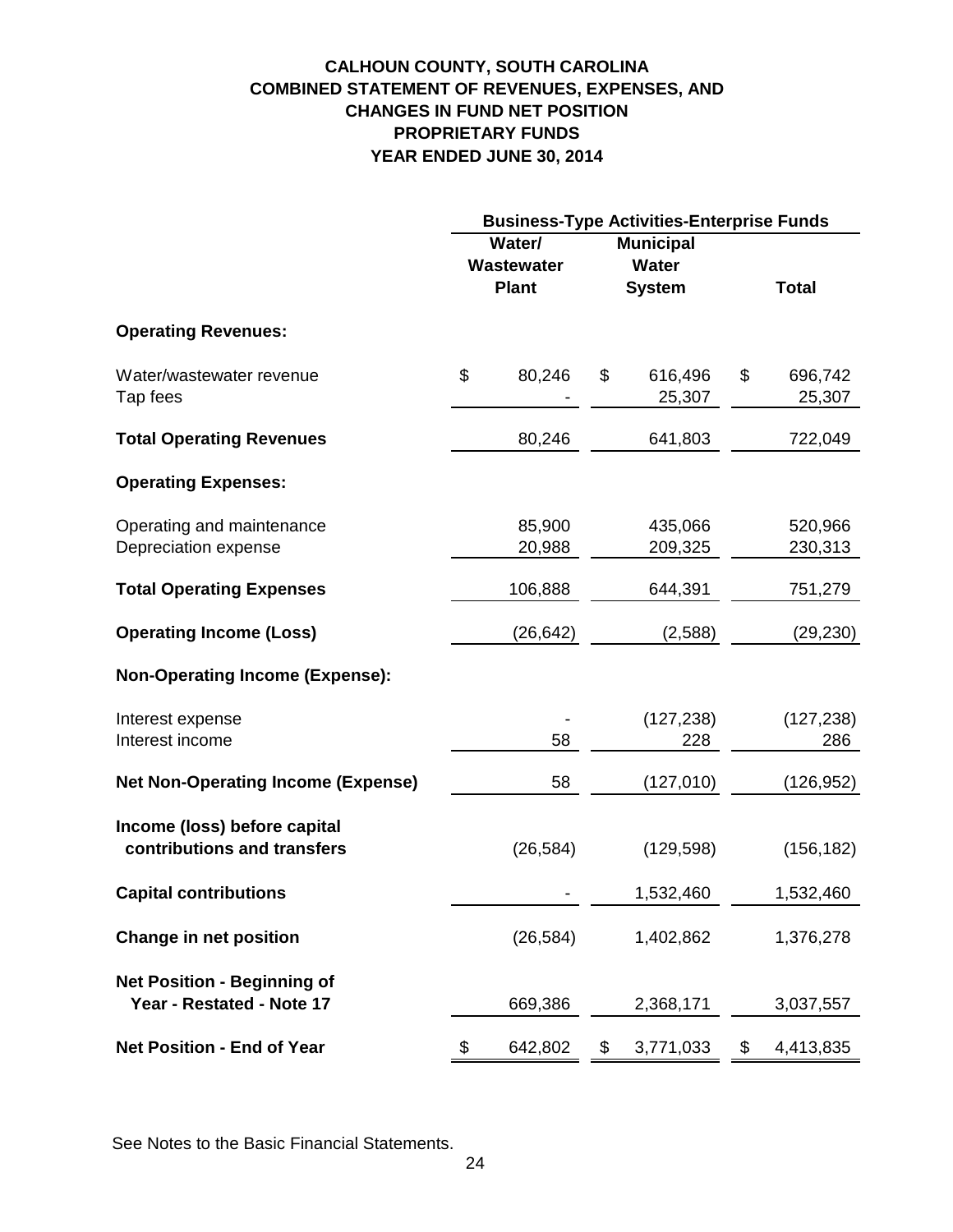# **CALHOUN COUNTY, SOUTH CAROLINA COMBINED STATEMENT OF REVENUES, EXPENSES, AND CHANGES IN FUND NET POSITION PROPRIETARY FUNDS YEAR ENDED JUNE 30, 2014**

|                                                                 | <b>Business-Type Activities-Enterprise Funds</b> |                                      |    |                                                   |    |                    |  |  |
|-----------------------------------------------------------------|--------------------------------------------------|--------------------------------------|----|---------------------------------------------------|----|--------------------|--|--|
|                                                                 |                                                  | Water/<br>Wastewater<br><b>Plant</b> |    | <b>Municipal</b><br><b>Water</b><br><b>System</b> |    | <b>Total</b>       |  |  |
| <b>Operating Revenues:</b>                                      |                                                  |                                      |    |                                                   |    |                    |  |  |
| Water/wastewater revenue<br>Tap fees                            | \$                                               | 80,246                               | \$ | 616,496<br>25,307                                 | \$ | 696,742<br>25,307  |  |  |
| <b>Total Operating Revenues</b>                                 |                                                  | 80,246                               |    | 641,803                                           |    | 722,049            |  |  |
| <b>Operating Expenses:</b>                                      |                                                  |                                      |    |                                                   |    |                    |  |  |
| Operating and maintenance<br>Depreciation expense               |                                                  | 85,900<br>20,988                     |    | 435,066<br>209,325                                |    | 520,966<br>230,313 |  |  |
| <b>Total Operating Expenses</b>                                 |                                                  | 106,888                              |    | 644,391                                           |    | 751,279            |  |  |
| <b>Operating Income (Loss)</b>                                  |                                                  | (26, 642)                            |    | (2,588)                                           |    | (29, 230)          |  |  |
| <b>Non-Operating Income (Expense):</b>                          |                                                  |                                      |    |                                                   |    |                    |  |  |
| Interest expense<br>Interest income                             |                                                  | 58                                   |    | (127, 238)<br>228                                 |    | (127, 238)<br>286  |  |  |
| <b>Net Non-Operating Income (Expense)</b>                       |                                                  | 58                                   |    | (127, 010)                                        |    | (126, 952)         |  |  |
| Income (loss) before capital<br>contributions and transfers     |                                                  | (26, 584)                            |    | (129, 598)                                        |    | (156, 182)         |  |  |
| <b>Capital contributions</b>                                    |                                                  |                                      |    | 1,532,460                                         |    | 1,532,460          |  |  |
| <b>Change in net position</b>                                   |                                                  | (26, 584)                            |    | 1,402,862                                         |    | 1,376,278          |  |  |
| <b>Net Position - Beginning of</b><br>Year - Restated - Note 17 |                                                  | 669,386                              |    | 2,368,171                                         |    | 3,037,557          |  |  |
| <b>Net Position - End of Year</b>                               | \$                                               | 642,802                              | \$ | 3,771,033                                         | \$ | 4,413,835          |  |  |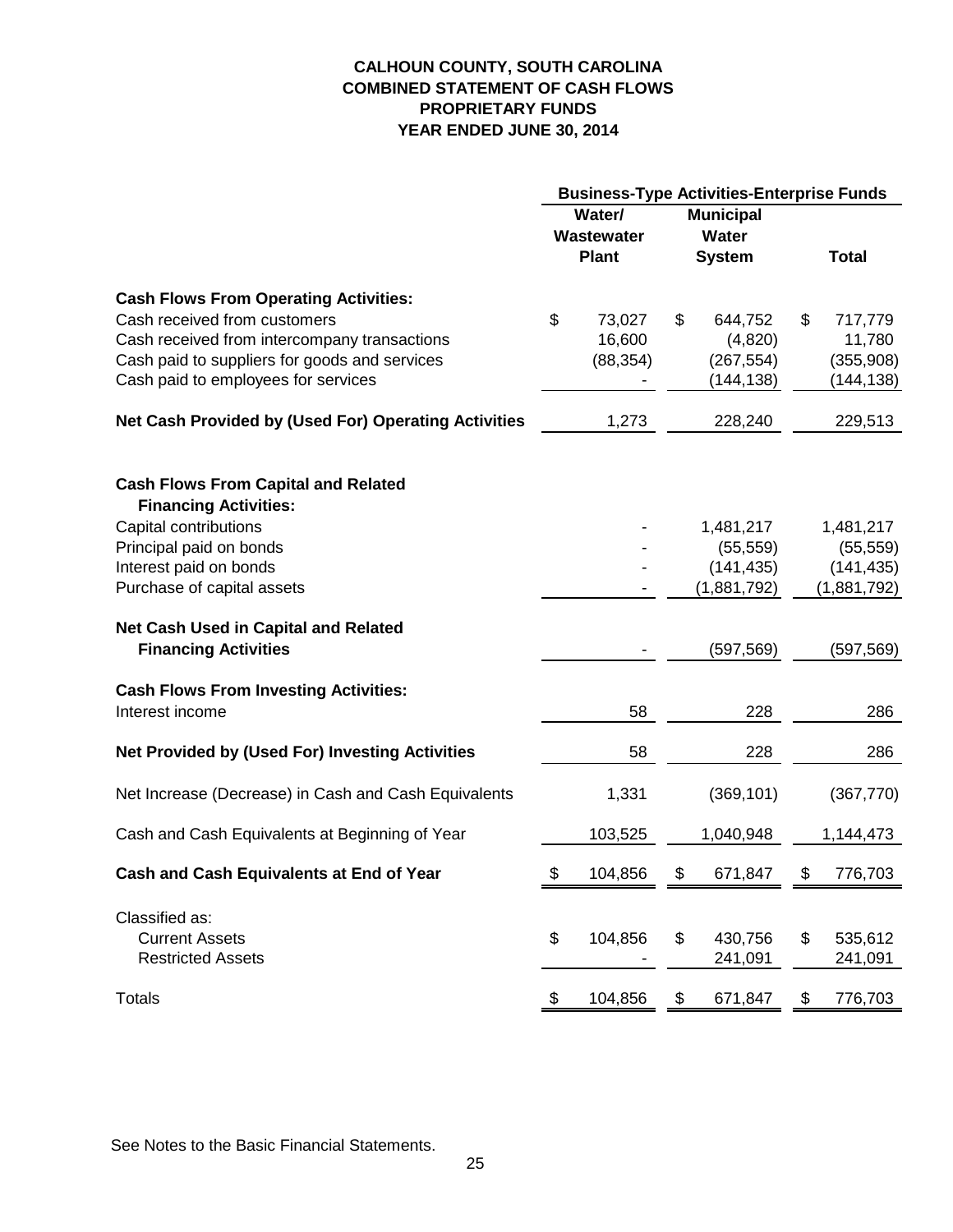# **CALHOUN COUNTY, SOUTH CAROLINA COMBINED STATEMENT OF CASH FLOWS PROPRIETARY FUNDS YEAR ENDED JUNE 30, 2014**

|                                                                            | <b>Business-Type Activities-Enterprise Funds</b> |              |              |                  |    |              |
|----------------------------------------------------------------------------|--------------------------------------------------|--------------|--------------|------------------|----|--------------|
|                                                                            | Water/                                           |              |              | <b>Municipal</b> |    |              |
|                                                                            |                                                  | Wastewater   | <b>Water</b> |                  |    |              |
|                                                                            |                                                  | <b>Plant</b> |              | <b>System</b>    |    | <b>Total</b> |
| <b>Cash Flows From Operating Activities:</b>                               |                                                  |              |              |                  |    |              |
| Cash received from customers                                               | \$                                               | 73,027       | \$           | 644,752          | \$ | 717,779      |
| Cash received from intercompany transactions                               |                                                  | 16,600       |              | (4,820)          |    | 11,780       |
| Cash paid to suppliers for goods and services                              |                                                  | (88, 354)    |              | (267, 554)       |    | (355, 908)   |
| Cash paid to employees for services                                        |                                                  |              |              | (144, 138)       |    | (144, 138)   |
| Net Cash Provided by (Used For) Operating Activities                       |                                                  | 1,273        |              | 228,240          |    | 229,513      |
|                                                                            |                                                  |              |              |                  |    |              |
| <b>Cash Flows From Capital and Related</b><br><b>Financing Activities:</b> |                                                  |              |              |                  |    |              |
| Capital contributions                                                      |                                                  |              |              | 1,481,217        |    | 1,481,217    |
| Principal paid on bonds                                                    |                                                  |              |              | (55, 559)        |    | (55, 559)    |
| Interest paid on bonds                                                     |                                                  |              |              | (141, 435)       |    | (141, 435)   |
| Purchase of capital assets                                                 |                                                  |              |              | (1,881,792)      |    | (1,881,792)  |
| <b>Net Cash Used in Capital and Related</b>                                |                                                  |              |              |                  |    |              |
| <b>Financing Activities</b>                                                |                                                  |              |              | (597, 569)       |    | (597, 569)   |
| <b>Cash Flows From Investing Activities:</b>                               |                                                  |              |              |                  |    |              |
| Interest income                                                            |                                                  | 58           |              | 228              |    | 286          |
| <b>Net Provided by (Used For) Investing Activities</b>                     |                                                  | 58           |              | 228              |    | 286          |
| Net Increase (Decrease) in Cash and Cash Equivalents                       |                                                  | 1,331        |              | (369, 101)       |    | (367, 770)   |
| Cash and Cash Equivalents at Beginning of Year                             |                                                  | 103,525      |              | 1,040,948        |    | 1,144,473    |
| Cash and Cash Equivalents at End of Year                                   | ፍ                                                | 104,856      | \$           | 671,847          |    | 776,703      |
| Classified as:                                                             |                                                  |              |              |                  |    |              |
| <b>Current Assets</b>                                                      | \$                                               | 104,856      | \$           | 430,756          | \$ | 535,612      |
| <b>Restricted Assets</b>                                                   |                                                  |              |              | 241,091          |    | 241,091      |
| <b>Totals</b>                                                              | \$                                               | 104,856      | \$           | 671,847          | \$ | 776,703      |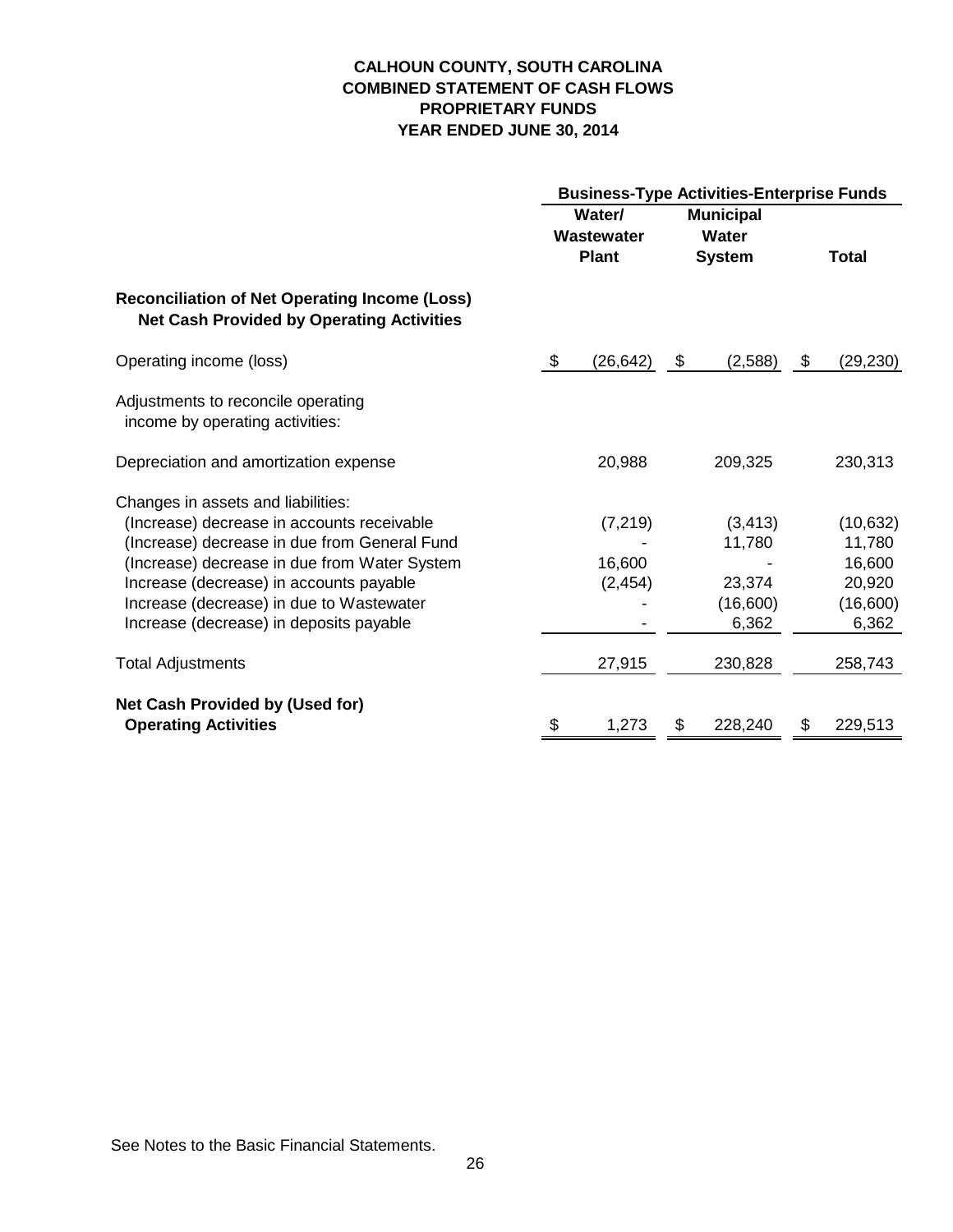# **CALHOUN COUNTY, SOUTH CAROLINA COMBINED STATEMENT OF CASH FLOWS PROPRIETARY FUNDS YEAR ENDED JUNE 30, 2014**

|                                                                                                                                                                                                                                                                                                                    | <b>Business-Type Activities-Enterprise Funds</b> |                                |                                                   |                                                   |    |                                                              |  |
|--------------------------------------------------------------------------------------------------------------------------------------------------------------------------------------------------------------------------------------------------------------------------------------------------------------------|--------------------------------------------------|--------------------------------|---------------------------------------------------|---------------------------------------------------|----|--------------------------------------------------------------|--|
|                                                                                                                                                                                                                                                                                                                    | Water/<br>Wastewater<br><b>Plant</b>             |                                | <b>Municipal</b><br><b>Water</b><br><b>System</b> |                                                   |    | Total                                                        |  |
| <b>Reconciliation of Net Operating Income (Loss)</b><br><b>Net Cash Provided by Operating Activities</b>                                                                                                                                                                                                           |                                                  |                                |                                                   |                                                   |    |                                                              |  |
| Operating income (loss)                                                                                                                                                                                                                                                                                            | \$                                               | (26, 642)                      | \$                                                | (2,588)                                           | \$ | (29, 230)                                                    |  |
| Adjustments to reconcile operating<br>income by operating activities:                                                                                                                                                                                                                                              |                                                  |                                |                                                   |                                                   |    |                                                              |  |
| Depreciation and amortization expense                                                                                                                                                                                                                                                                              |                                                  | 20,988                         |                                                   | 209,325                                           |    | 230,313                                                      |  |
| Changes in assets and liabilities:<br>(Increase) decrease in accounts receivable<br>(Increase) decrease in due from General Fund<br>(Increase) decrease in due from Water System<br>Increase (decrease) in accounts payable<br>Increase (decrease) in due to Wastewater<br>Increase (decrease) in deposits payable |                                                  | (7, 219)<br>16,600<br>(2, 454) |                                                   | (3, 413)<br>11,780<br>23,374<br>(16,600)<br>6,362 |    | (10, 632)<br>11,780<br>16,600<br>20,920<br>(16,600)<br>6,362 |  |
| <b>Total Adjustments</b>                                                                                                                                                                                                                                                                                           |                                                  | 27,915                         |                                                   | 230,828                                           |    | 258,743                                                      |  |
| Net Cash Provided by (Used for)<br><b>Operating Activities</b>                                                                                                                                                                                                                                                     | \$                                               | 1,273                          | \$                                                | 228,240                                           |    | 229,513                                                      |  |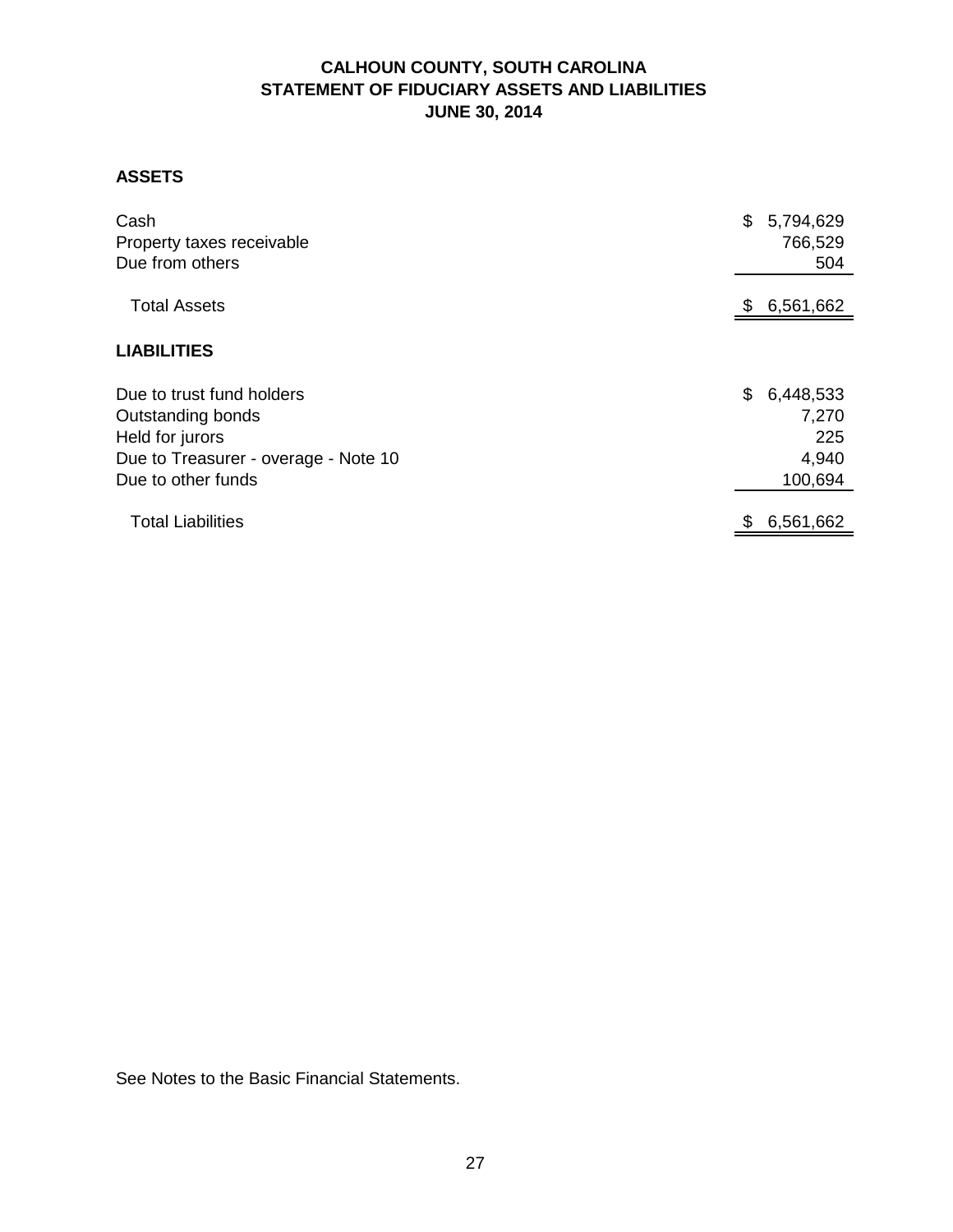# **CALHOUN COUNTY, SOUTH CAROLINA STATEMENT OF FIDUCIARY ASSETS AND LIABILITIES JUNE 30, 2014**

# **ASSETS**

| Cash<br>Property taxes receivable<br>Due from others                                                                            | \$<br>5,794,629<br>766,529<br>504                   |
|---------------------------------------------------------------------------------------------------------------------------------|-----------------------------------------------------|
| <b>Total Assets</b>                                                                                                             | 6,561,662<br>S.                                     |
| <b>LIABILITIES</b>                                                                                                              |                                                     |
| Due to trust fund holders<br>Outstanding bonds<br>Held for jurors<br>Due to Treasurer - overage - Note 10<br>Due to other funds | 6,448,533<br>\$<br>7,270<br>225<br>4,940<br>100,694 |
| <b>Total Liabilities</b>                                                                                                        | 6,561,662                                           |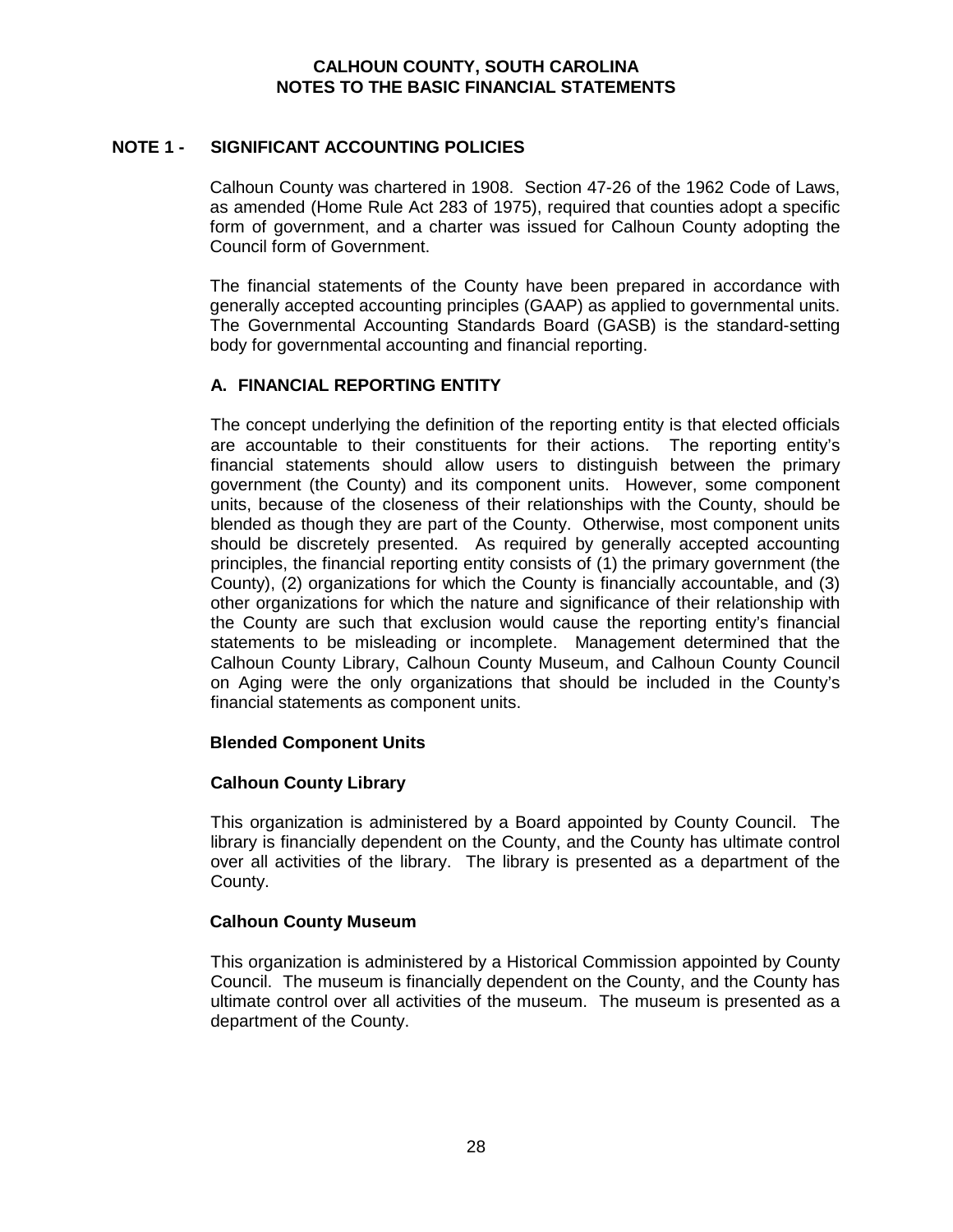# **NOTE 1 - SIGNIFICANT ACCOUNTING POLICIES**

Calhoun County was chartered in 1908. Section 47-26 of the 1962 Code of Laws, as amended (Home Rule Act 283 of 1975), required that counties adopt a specific form of government, and a charter was issued for Calhoun County adopting the Council form of Government.

The financial statements of the County have been prepared in accordance with generally accepted accounting principles (GAAP) as applied to governmental units. The Governmental Accounting Standards Board (GASB) is the standard-setting body for governmental accounting and financial reporting.

# **A. FINANCIAL REPORTING ENTITY**

The concept underlying the definition of the reporting entity is that elected officials are accountable to their constituents for their actions. The reporting entity's financial statements should allow users to distinguish between the primary government (the County) and its component units. However, some component units, because of the closeness of their relationships with the County, should be blended as though they are part of the County. Otherwise, most component units should be discretely presented. As required by generally accepted accounting principles, the financial reporting entity consists of (1) the primary government (the County), (2) organizations for which the County is financially accountable, and (3) other organizations for which the nature and significance of their relationship with the County are such that exclusion would cause the reporting entity's financial statements to be misleading or incomplete. Management determined that the Calhoun County Library, Calhoun County Museum, and Calhoun County Council on Aging were the only organizations that should be included in the County's financial statements as component units.

# **Blended Component Units**

# **Calhoun County Library**

This organization is administered by a Board appointed by County Council. The library is financially dependent on the County, and the County has ultimate control over all activities of the library. The library is presented as a department of the County.

# **Calhoun County Museum**

This organization is administered by a Historical Commission appointed by County Council. The museum is financially dependent on the County, and the County has ultimate control over all activities of the museum. The museum is presented as a department of the County.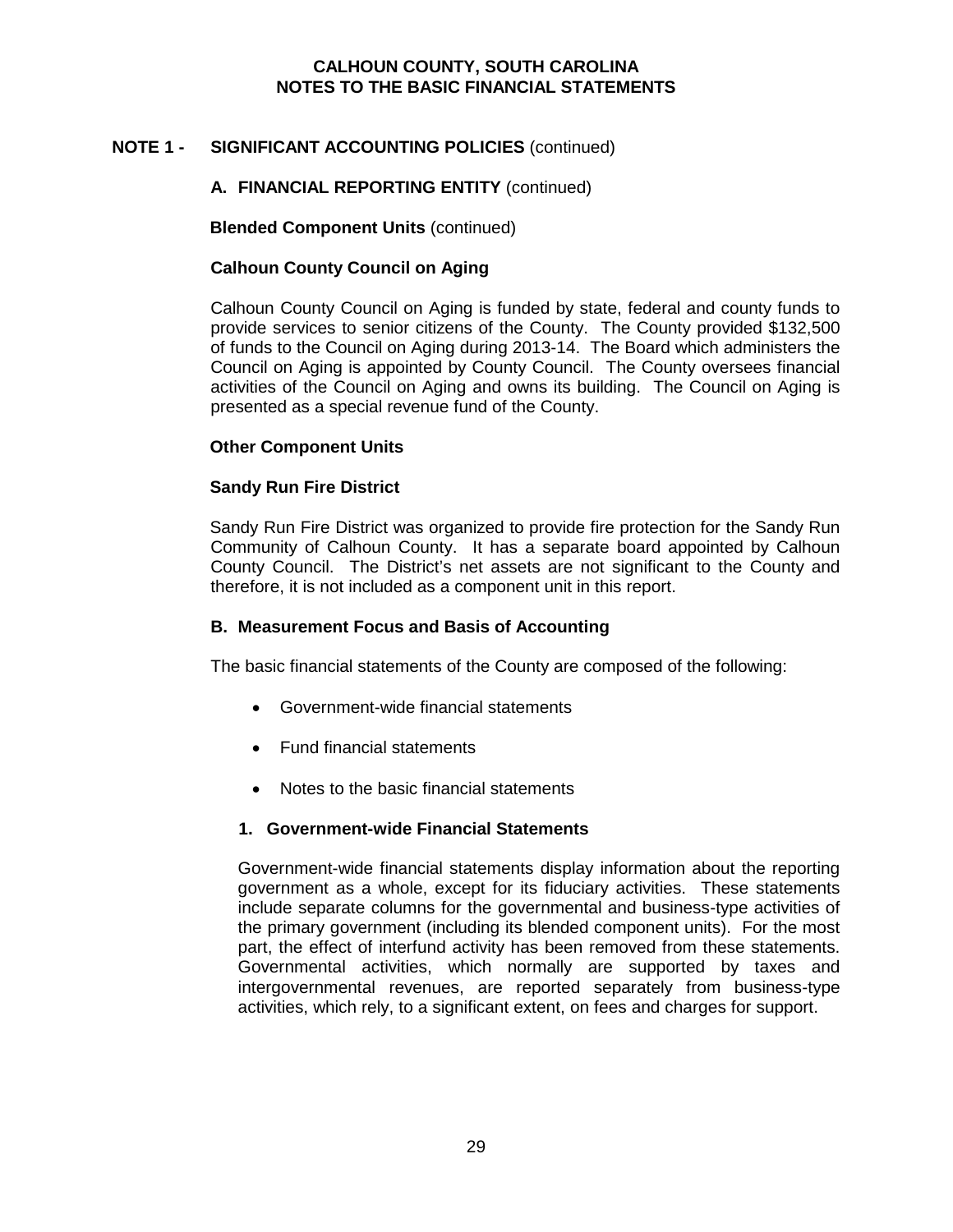# **NOTE 1 - SIGNIFICANT ACCOUNTING POLICIES** (continued)

## **A. FINANCIAL REPORTING ENTITY** (continued)

**Blended Component Units (continued)** 

## **Calhoun County Council on Aging**

Calhoun County Council on Aging is funded by state, federal and county funds to provide services to senior citizens of the County. The County provided \$132,500 of funds to the Council on Aging during 2013-14. The Board which administers the Council on Aging is appointed by County Council. The County oversees financial activities of the Council on Aging and owns its building. The Council on Aging is presented as a special revenue fund of the County.

## **Other Component Units**

#### **Sandy Run Fire District**

Sandy Run Fire District was organized to provide fire protection for the Sandy Run Community of Calhoun County. It has a separate board appointed by Calhoun County Council. The District's net assets are not significant to the County and therefore, it is not included as a component unit in this report.

#### **B. Measurement Focus and Basis of Accounting**

The basic financial statements of the County are composed of the following:

- Government-wide financial statements
- Fund financial statements
- Notes to the basic financial statements

#### **1. Government-wide Financial Statements**

Government-wide financial statements display information about the reporting government as a whole, except for its fiduciary activities. These statements include separate columns for the governmental and business-type activities of the primary government (including its blended component units). For the most part, the effect of interfund activity has been removed from these statements. Governmental activities, which normally are supported by taxes and intergovernmental revenues, are reported separately from business-type activities, which rely, to a significant extent, on fees and charges for support.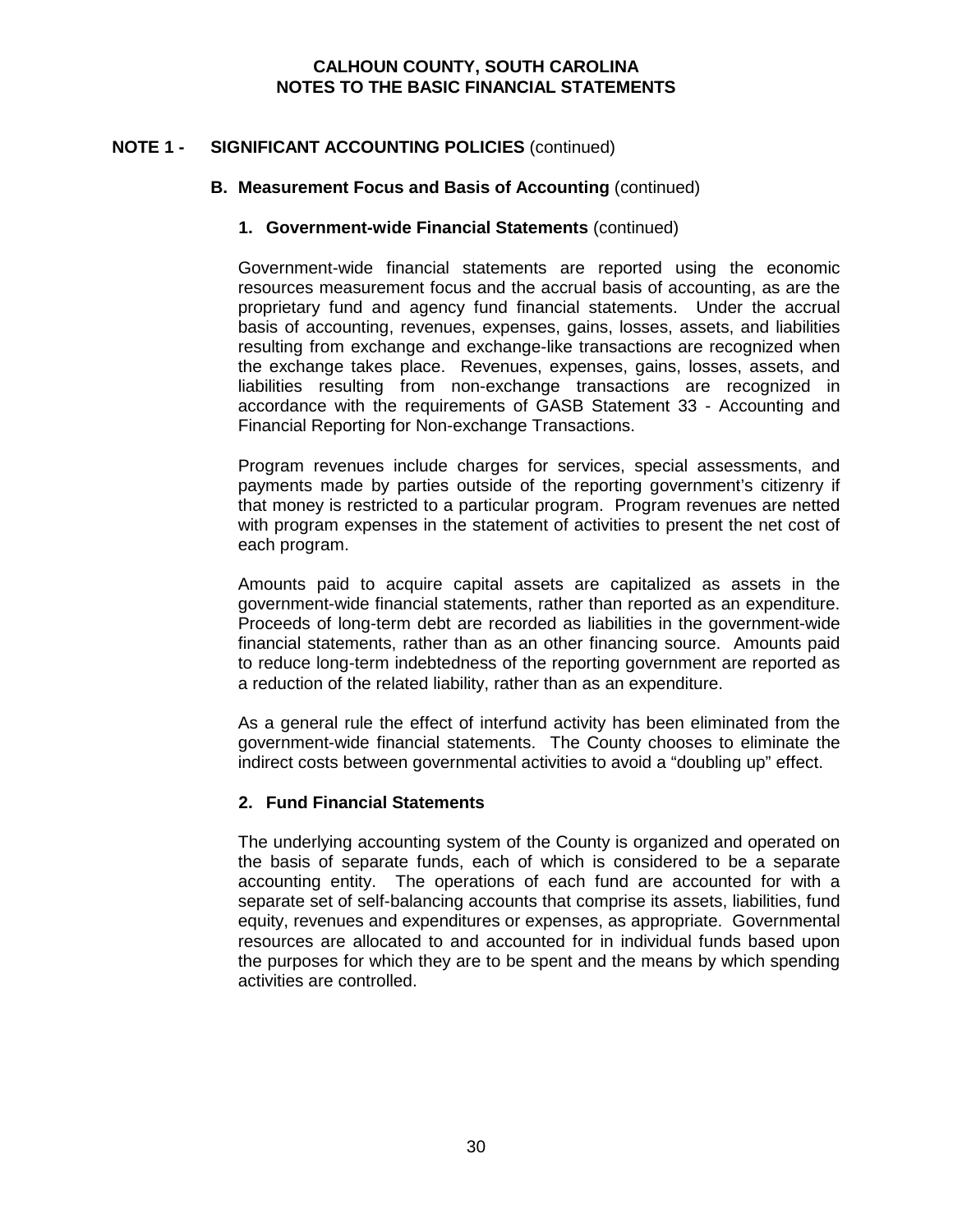# **NOTE 1 - SIGNIFICANT ACCOUNTING POLICIES** (continued)

# **B. Measurement Focus and Basis of Accounting** (continued)

## **1. Government-wide Financial Statements** (continued)

Government-wide financial statements are reported using the economic resources measurement focus and the accrual basis of accounting, as are the proprietary fund and agency fund financial statements. Under the accrual basis of accounting, revenues, expenses, gains, losses, assets, and liabilities resulting from exchange and exchange-like transactions are recognized when the exchange takes place. Revenues, expenses, gains, losses, assets, and liabilities resulting from non-exchange transactions are recognized in accordance with the requirements of GASB Statement 33 - Accounting and Financial Reporting for Non-exchange Transactions.

Program revenues include charges for services, special assessments, and payments made by parties outside of the reporting government's citizenry if that money is restricted to a particular program. Program revenues are netted with program expenses in the statement of activities to present the net cost of each program.

Amounts paid to acquire capital assets are capitalized as assets in the government-wide financial statements, rather than reported as an expenditure. Proceeds of long-term debt are recorded as liabilities in the government-wide financial statements, rather than as an other financing source. Amounts paid to reduce long-term indebtedness of the reporting government are reported as a reduction of the related liability, rather than as an expenditure.

 As a general rule the effect of interfund activity has been eliminated from the government-wide financial statements. The County chooses to eliminate the indirect costs between governmental activities to avoid a "doubling up" effect.

# **2. Fund Financial Statements**

 The underlying accounting system of the County is organized and operated on the basis of separate funds, each of which is considered to be a separate accounting entity. The operations of each fund are accounted for with a separate set of self-balancing accounts that comprise its assets, liabilities, fund equity, revenues and expenditures or expenses, as appropriate. Governmental resources are allocated to and accounted for in individual funds based upon the purposes for which they are to be spent and the means by which spending activities are controlled.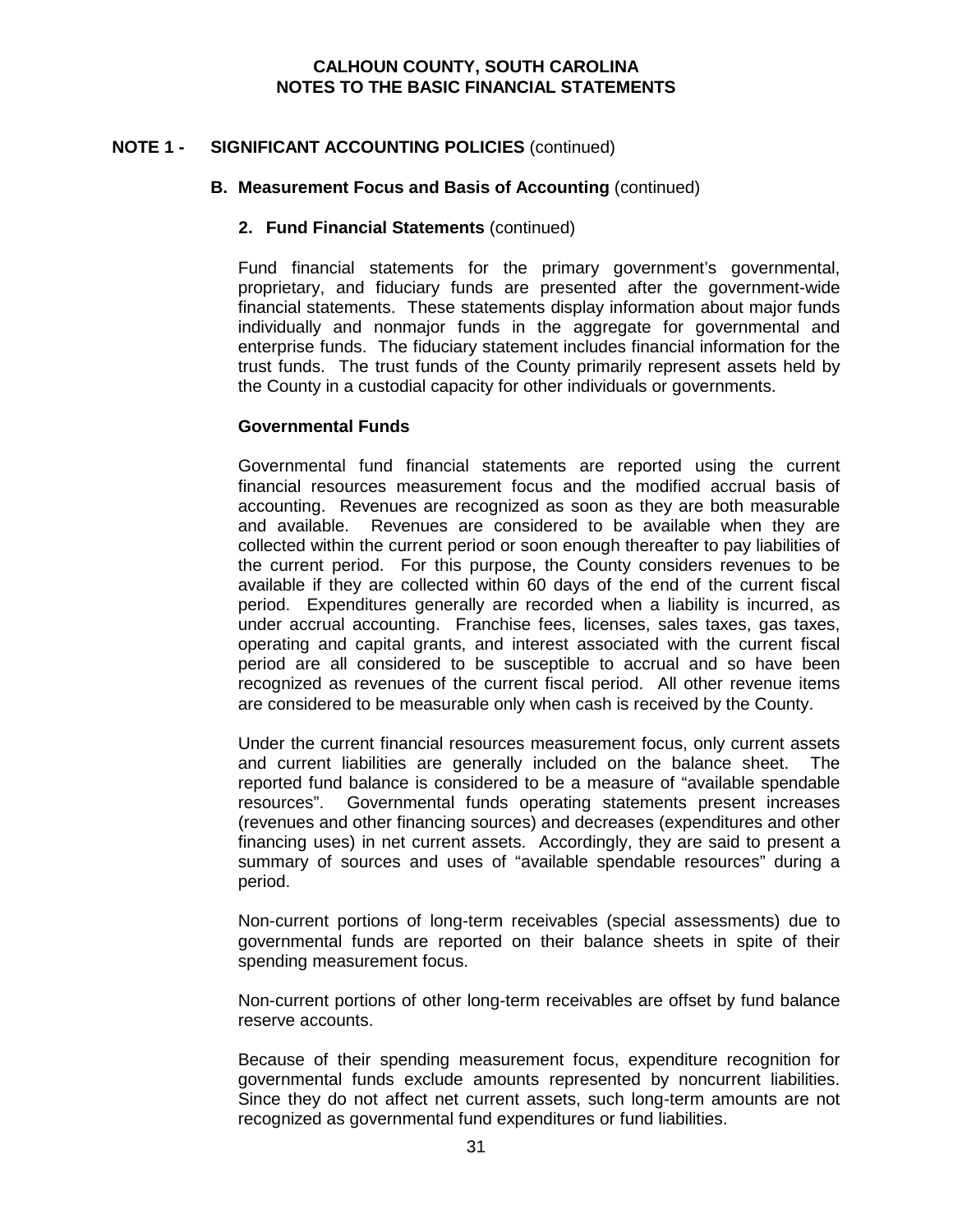# **NOTE 1 - SIGNIFICANT ACCOUNTING POLICIES** (continued)

## **B. Measurement Focus and Basis of Accounting** (continued)

## **2. Fund Financial Statements** (continued)

 Fund financial statements for the primary government's governmental, proprietary, and fiduciary funds are presented after the government-wide financial statements. These statements display information about major funds individually and nonmajor funds in the aggregate for governmental and enterprise funds. The fiduciary statement includes financial information for the trust funds. The trust funds of the County primarily represent assets held by the County in a custodial capacity for other individuals or governments.

# **Governmental Funds**

Governmental fund financial statements are reported using the current financial resources measurement focus and the modified accrual basis of accounting. Revenues are recognized as soon as they are both measurable and available. Revenues are considered to be available when they are collected within the current period or soon enough thereafter to pay liabilities of the current period. For this purpose, the County considers revenues to be available if they are collected within 60 days of the end of the current fiscal period. Expenditures generally are recorded when a liability is incurred, as under accrual accounting. Franchise fees, licenses, sales taxes, gas taxes, operating and capital grants, and interest associated with the current fiscal period are all considered to be susceptible to accrual and so have been recognized as revenues of the current fiscal period. All other revenue items are considered to be measurable only when cash is received by the County.

 Under the current financial resources measurement focus, only current assets and current liabilities are generally included on the balance sheet. The reported fund balance is considered to be a measure of "available spendable resources". Governmental funds operating statements present increases (revenues and other financing sources) and decreases (expenditures and other financing uses) in net current assets. Accordingly, they are said to present a summary of sources and uses of "available spendable resources" during a period.

Non-current portions of long-term receivables (special assessments) due to governmental funds are reported on their balance sheets in spite of their spending measurement focus.

Non-current portions of other long-term receivables are offset by fund balance reserve accounts.

Because of their spending measurement focus, expenditure recognition for governmental funds exclude amounts represented by noncurrent liabilities. Since they do not affect net current assets, such long-term amounts are not recognized as governmental fund expenditures or fund liabilities.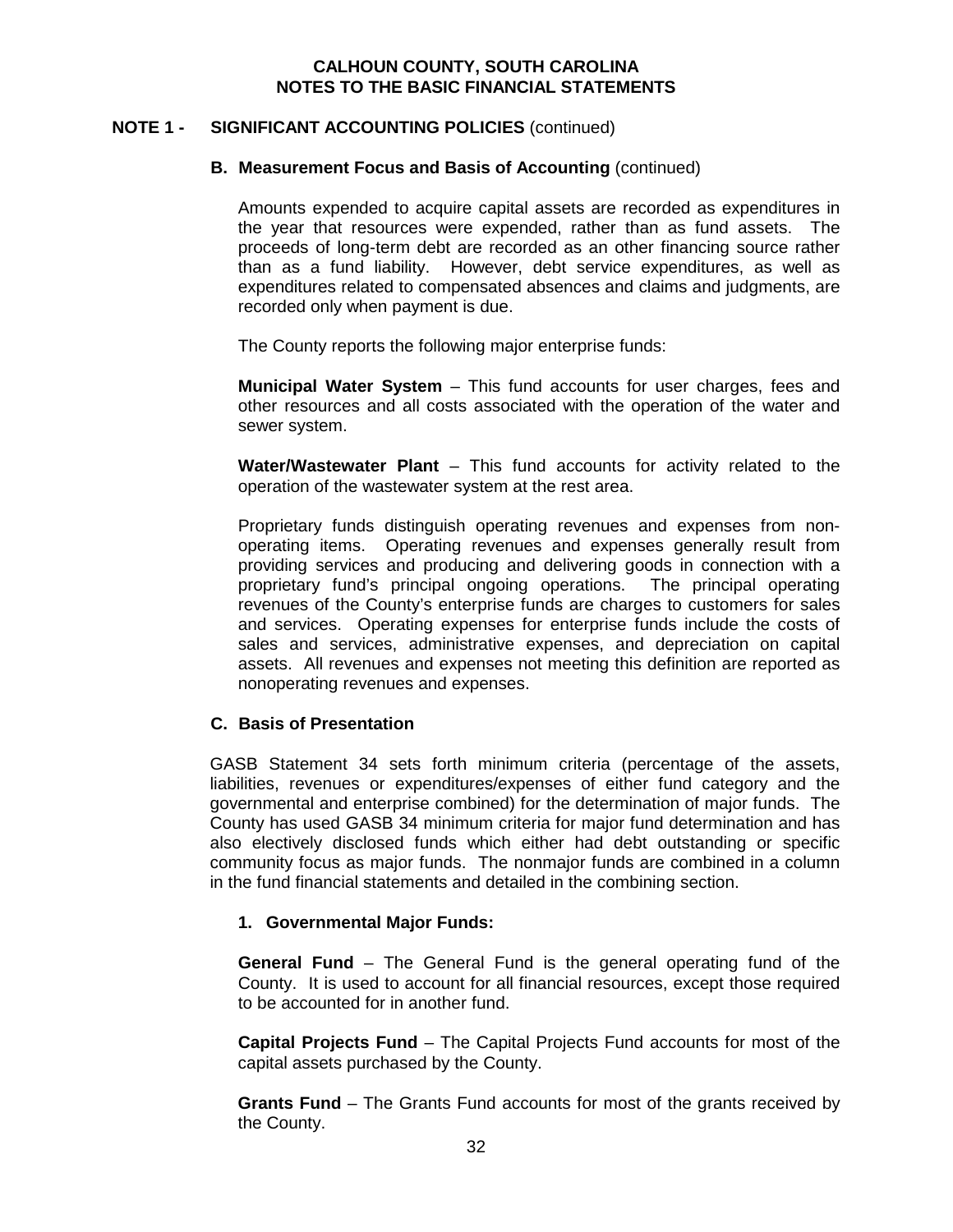## **NOTE 1 - SIGNIFICANT ACCOUNTING POLICIES** (continued)

#### **B. Measurement Focus and Basis of Accounting** (continued)

Amounts expended to acquire capital assets are recorded as expenditures in the year that resources were expended, rather than as fund assets. The proceeds of long-term debt are recorded as an other financing source rather than as a fund liability. However, debt service expenditures, as well as expenditures related to compensated absences and claims and judgments, are recorded only when payment is due.

The County reports the following major enterprise funds:

**Municipal Water System** – This fund accounts for user charges, fees and other resources and all costs associated with the operation of the water and sewer system.

**Water/Wastewater Plant** – This fund accounts for activity related to the operation of the wastewater system at the rest area.

Proprietary funds distinguish operating revenues and expenses from nonoperating items. Operating revenues and expenses generally result from providing services and producing and delivering goods in connection with a proprietary fund's principal ongoing operations. The principal operating revenues of the County's enterprise funds are charges to customers for sales and services. Operating expenses for enterprise funds include the costs of sales and services, administrative expenses, and depreciation on capital assets. All revenues and expenses not meeting this definition are reported as nonoperating revenues and expenses.

# **C. Basis of Presentation**

GASB Statement 34 sets forth minimum criteria (percentage of the assets, liabilities, revenues or expenditures/expenses of either fund category and the governmental and enterprise combined) for the determination of major funds. The County has used GASB 34 minimum criteria for major fund determination and has also electively disclosed funds which either had debt outstanding or specific community focus as major funds. The nonmajor funds are combined in a column in the fund financial statements and detailed in the combining section.

#### **1. Governmental Major Funds:**

 **General Fund** – The General Fund is the general operating fund of the County. It is used to account for all financial resources, except those required to be accounted for in another fund.

**Capital Projects Fund** – The Capital Projects Fund accounts for most of the capital assets purchased by the County.

**Grants Fund** – The Grants Fund accounts for most of the grants received by the County.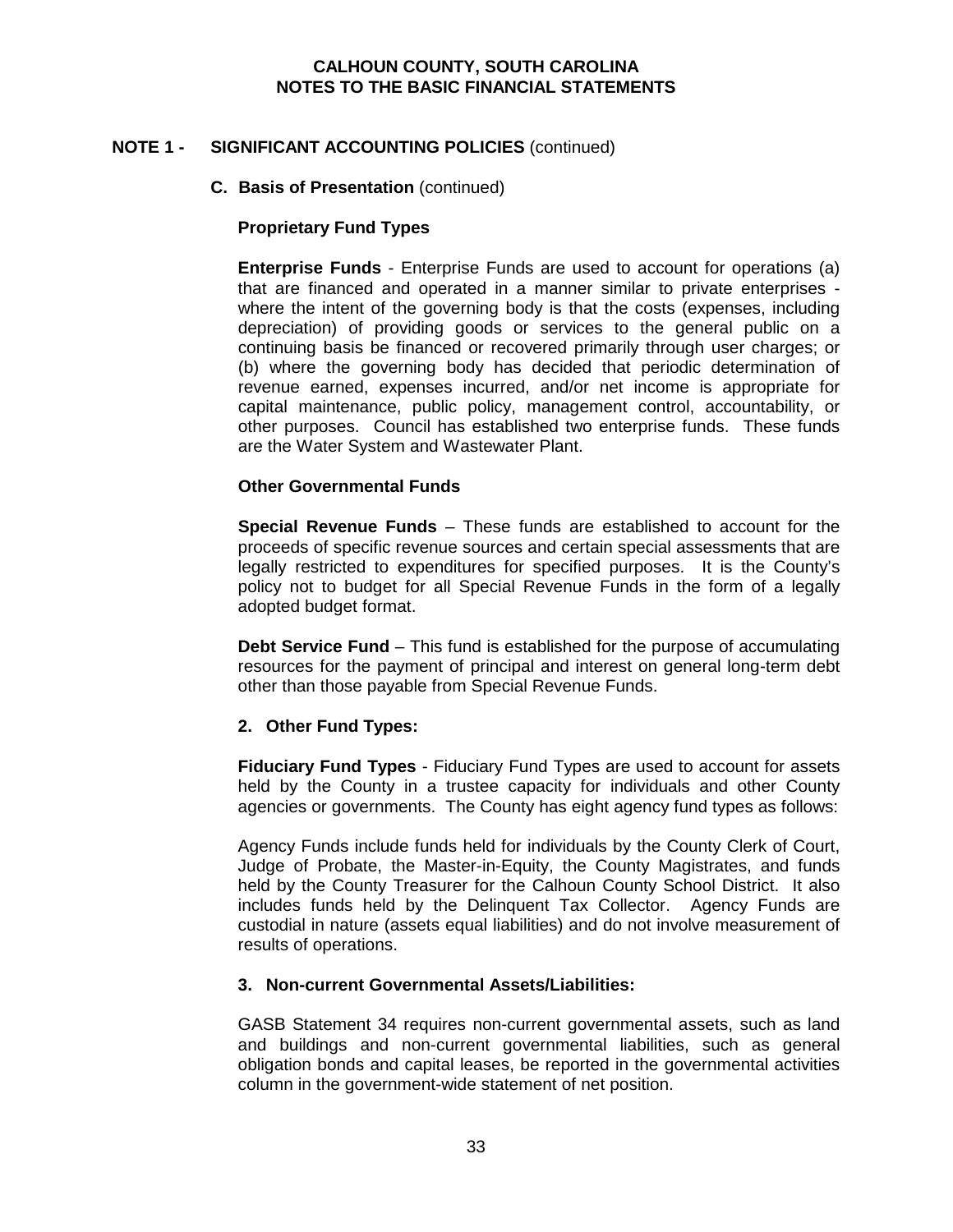## **NOTE 1 - SIGNIFICANT ACCOUNTING POLICIES** (continued)

#### **C. Basis of Presentation** (continued)

#### **Proprietary Fund Types**

**Enterprise Funds** - Enterprise Funds are used to account for operations (a) that are financed and operated in a manner similar to private enterprises where the intent of the governing body is that the costs (expenses, including depreciation) of providing goods or services to the general public on a continuing basis be financed or recovered primarily through user charges; or (b) where the governing body has decided that periodic determination of revenue earned, expenses incurred, and/or net income is appropriate for capital maintenance, public policy, management control, accountability, or other purposes. Council has established two enterprise funds. These funds are the Water System and Wastewater Plant.

#### **Other Governmental Funds**

 **Special Revenue Funds** – These funds are established to account for the proceeds of specific revenue sources and certain special assessments that are legally restricted to expenditures for specified purposes. It is the County's policy not to budget for all Special Revenue Funds in the form of a legally adopted budget format.

**Debt Service Fund** – This fund is established for the purpose of accumulating resources for the payment of principal and interest on general long-term debt other than those payable from Special Revenue Funds.

## **2. Other Fund Types:**

**Fiduciary Fund Types** - Fiduciary Fund Types are used to account for assets held by the County in a trustee capacity for individuals and other County agencies or governments. The County has eight agency fund types as follows:

Agency Funds include funds held for individuals by the County Clerk of Court, Judge of Probate, the Master-in-Equity, the County Magistrates, and funds held by the County Treasurer for the Calhoun County School District. It also includes funds held by the Delinquent Tax Collector. Agency Funds are custodial in nature (assets equal liabilities) and do not involve measurement of results of operations.

## **3. Non-current Governmental Assets/Liabilities:**

 GASB Statement 34 requires non-current governmental assets, such as land and buildings and non-current governmental liabilities, such as general obligation bonds and capital leases, be reported in the governmental activities column in the government-wide statement of net position.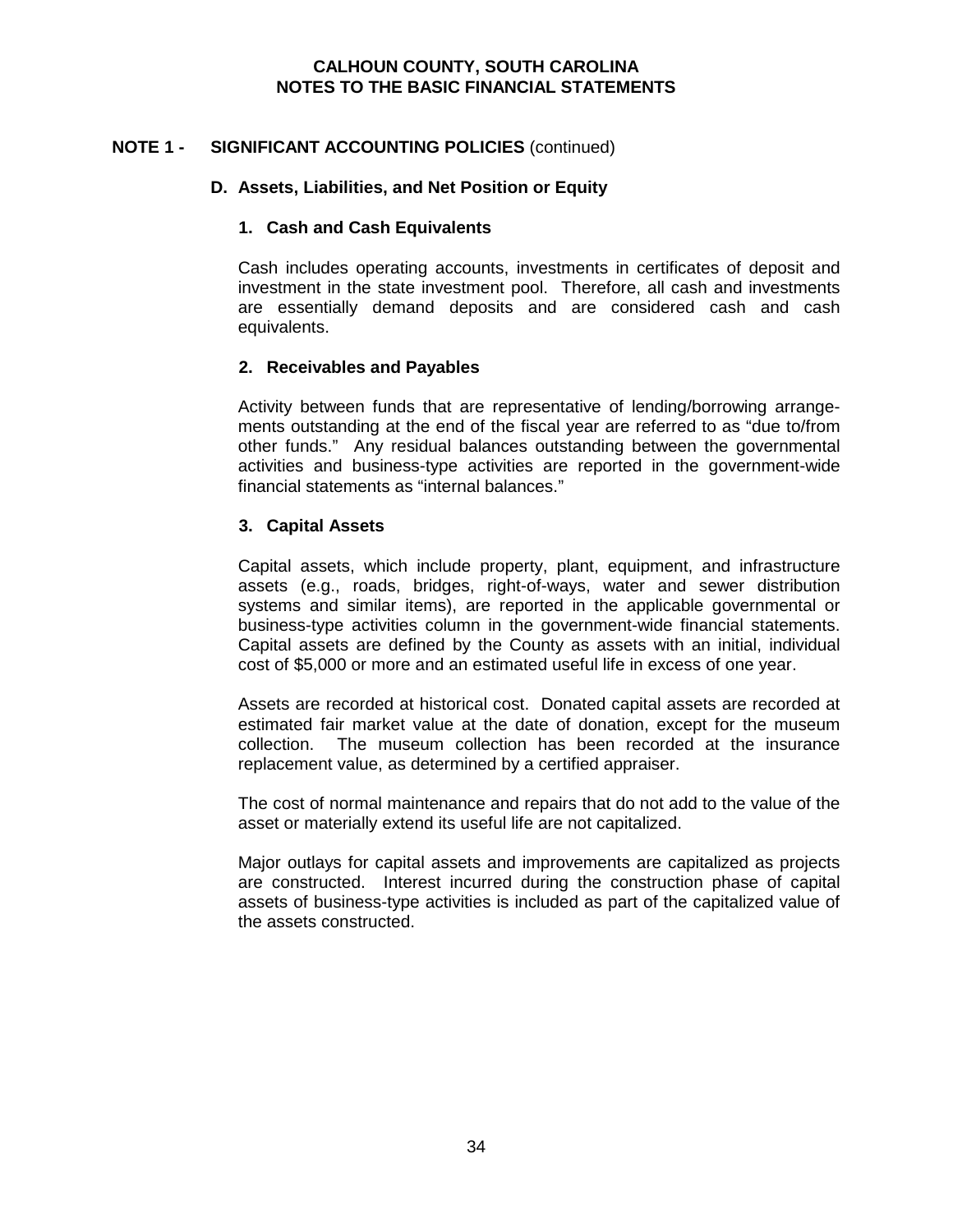## **NOTE 1 - SIGNIFICANT ACCOUNTING POLICIES** (continued)

#### **D. Assets, Liabilities, and Net Position or Equity**

#### **1. Cash and Cash Equivalents**

 Cash includes operating accounts, investments in certificates of deposit and investment in the state investment pool. Therefore, all cash and investments are essentially demand deposits and are considered cash and cash equivalents.

#### **2. Receivables and Payables**

 Activity between funds that are representative of lending/borrowing arrangements outstanding at the end of the fiscal year are referred to as "due to/from other funds." Any residual balances outstanding between the governmental activities and business-type activities are reported in the government-wide financial statements as "internal balances."

## **3. Capital Assets**

 Capital assets, which include property, plant, equipment, and infrastructure assets (e.g., roads, bridges, right-of-ways, water and sewer distribution systems and similar items), are reported in the applicable governmental or business-type activities column in the government-wide financial statements. Capital assets are defined by the County as assets with an initial, individual cost of \$5,000 or more and an estimated useful life in excess of one year.

 Assets are recorded at historical cost. Donated capital assets are recorded at estimated fair market value at the date of donation, except for the museum collection. The museum collection has been recorded at the insurance replacement value, as determined by a certified appraiser.

 The cost of normal maintenance and repairs that do not add to the value of the asset or materially extend its useful life are not capitalized.

 Major outlays for capital assets and improvements are capitalized as projects are constructed. Interest incurred during the construction phase of capital assets of business-type activities is included as part of the capitalized value of the assets constructed.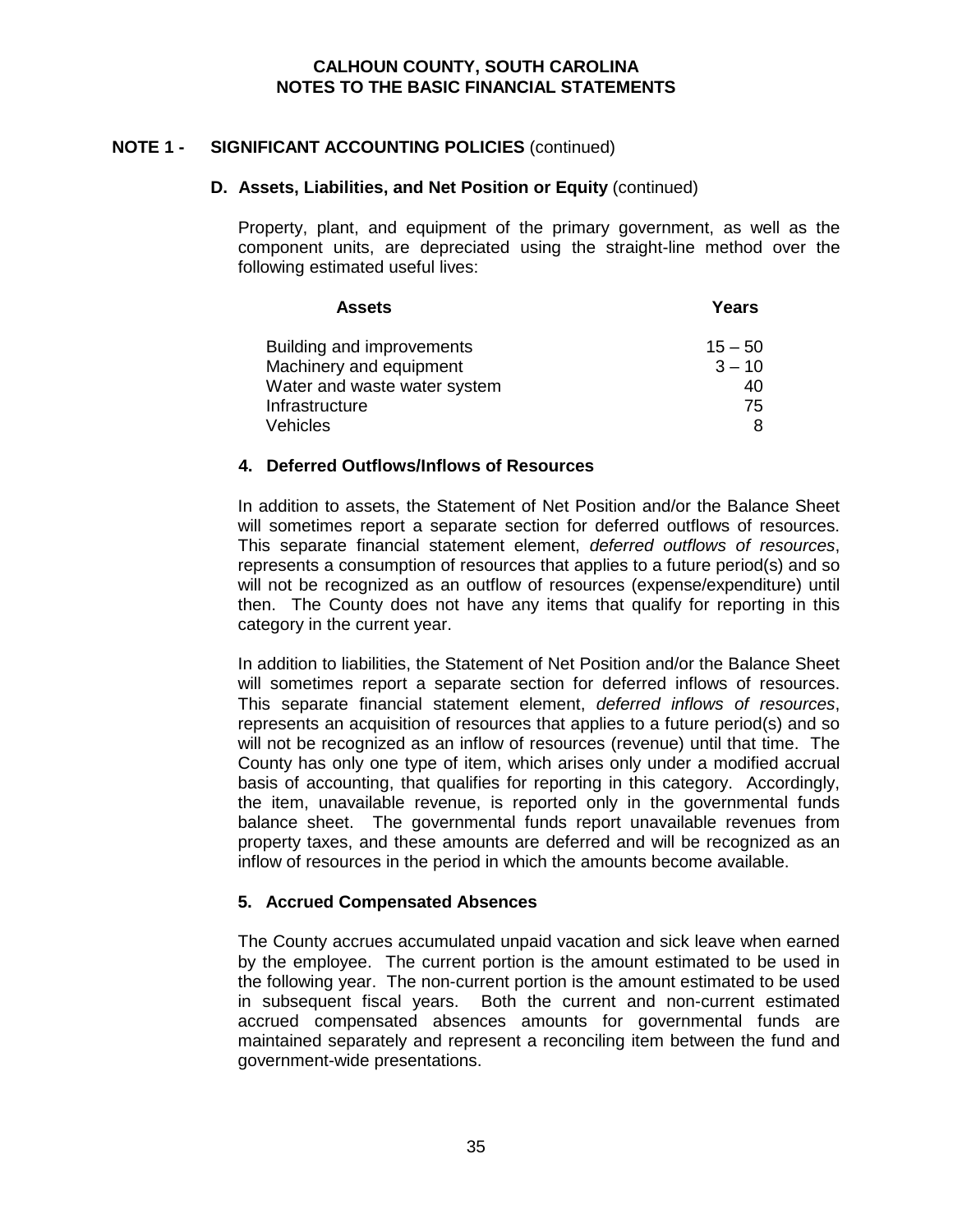## **NOTE 1 - SIGNIFICANT ACCOUNTING POLICIES** (continued)

## **D. Assets, Liabilities, and Net Position or Equity** (continued)

 Property, plant, and equipment of the primary government, as well as the component units, are depreciated using the straight-line method over the following estimated useful lives:

| <b>Assets</b>                | Years     |  |
|------------------------------|-----------|--|
| Building and improvements    | $15 - 50$ |  |
| Machinery and equipment      | $3 - 10$  |  |
| Water and waste water system | 40        |  |
| Infrastructure               | 75.       |  |
| Vehicles                     | 8         |  |

#### **4. Deferred Outflows/Inflows of Resources**

 In addition to assets, the Statement of Net Position and/or the Balance Sheet will sometimes report a separate section for deferred outflows of resources. This separate financial statement element, *deferred outflows of resources*, represents a consumption of resources that applies to a future period(s) and so will not be recognized as an outflow of resources (expense/expenditure) until then. The County does not have any items that qualify for reporting in this category in the current year.

 In addition to liabilities, the Statement of Net Position and/or the Balance Sheet will sometimes report a separate section for deferred inflows of resources. This separate financial statement element, *deferred inflows of resources*, represents an acquisition of resources that applies to a future period(s) and so will not be recognized as an inflow of resources (revenue) until that time. The County has only one type of item, which arises only under a modified accrual basis of accounting, that qualifies for reporting in this category. Accordingly, the item, unavailable revenue, is reported only in the governmental funds balance sheet. The governmental funds report unavailable revenues from property taxes, and these amounts are deferred and will be recognized as an inflow of resources in the period in which the amounts become available.

## **5. Accrued Compensated Absences**

 The County accrues accumulated unpaid vacation and sick leave when earned by the employee. The current portion is the amount estimated to be used in the following year. The non-current portion is the amount estimated to be used in subsequent fiscal years. Both the current and non-current estimated accrued compensated absences amounts for governmental funds are maintained separately and represent a reconciling item between the fund and government-wide presentations.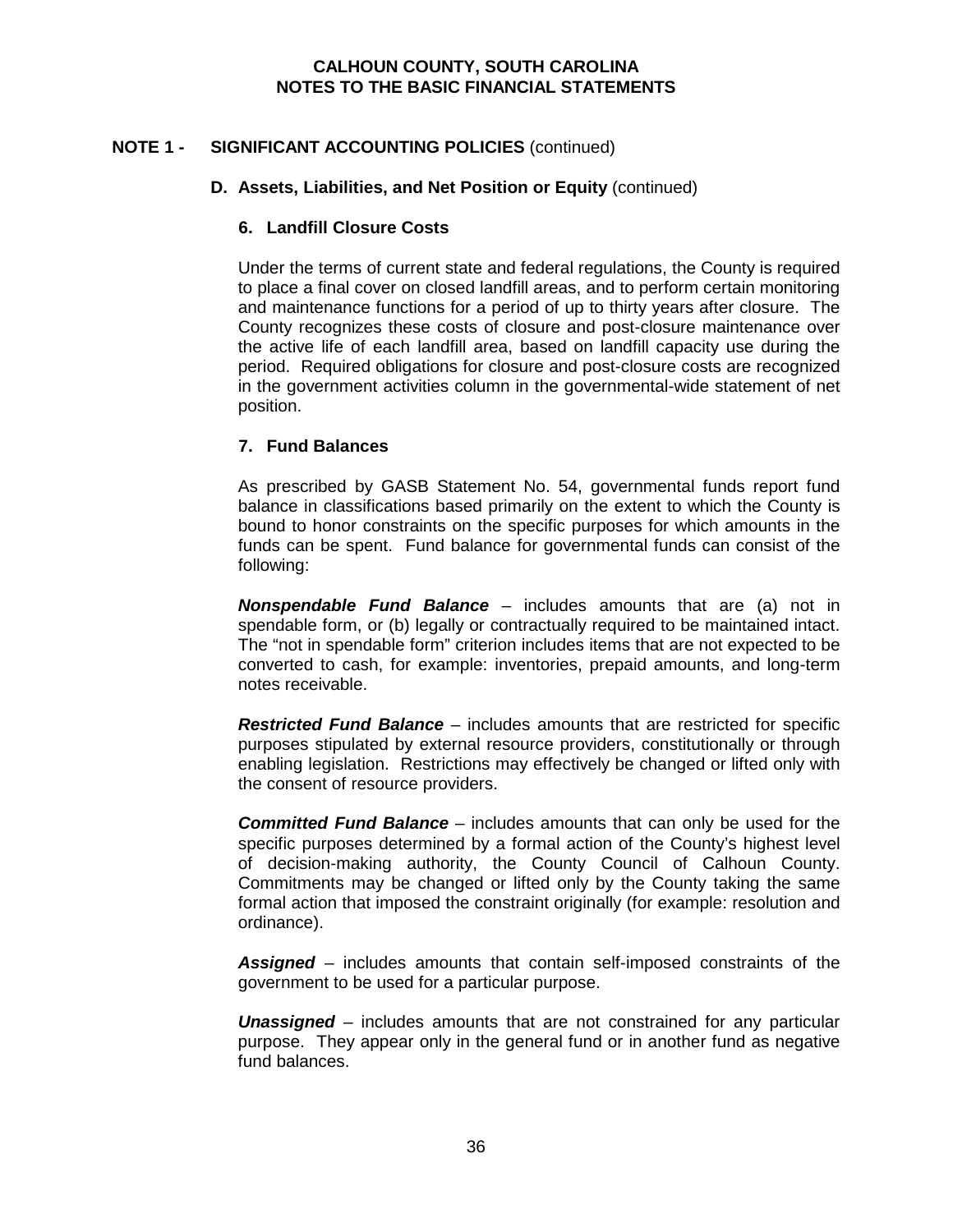# **NOTE 1 - SIGNIFICANT ACCOUNTING POLICIES** (continued)

#### **D. Assets, Liabilities, and Net Position or Equity** (continued)

#### **6. Landfill Closure Costs**

 Under the terms of current state and federal regulations, the County is required to place a final cover on closed landfill areas, and to perform certain monitoring and maintenance functions for a period of up to thirty years after closure. The County recognizes these costs of closure and post-closure maintenance over the active life of each landfill area, based on landfill capacity use during the period. Required obligations for closure and post-closure costs are recognized in the government activities column in the governmental-wide statement of net position.

#### **7. Fund Balances**

As prescribed by GASB Statement No. 54, governmental funds report fund balance in classifications based primarily on the extent to which the County is bound to honor constraints on the specific purposes for which amounts in the funds can be spent. Fund balance for governmental funds can consist of the following:

*Nonspendable Fund Balance* – includes amounts that are (a) not in spendable form, or (b) legally or contractually required to be maintained intact. The "not in spendable form" criterion includes items that are not expected to be converted to cash, for example: inventories, prepaid amounts, and long-term notes receivable.

*Restricted Fund Balance* – includes amounts that are restricted for specific purposes stipulated by external resource providers, constitutionally or through enabling legislation. Restrictions may effectively be changed or lifted only with the consent of resource providers.

*Committed Fund Balance* – includes amounts that can only be used for the specific purposes determined by a formal action of the County's highest level of decision-making authority, the County Council of Calhoun County. Commitments may be changed or lifted only by the County taking the same formal action that imposed the constraint originally (for example: resolution and ordinance).

*Assigned* – includes amounts that contain self-imposed constraints of the government to be used for a particular purpose.

*Unassigned* – includes amounts that are not constrained for any particular purpose. They appear only in the general fund or in another fund as negative fund balances.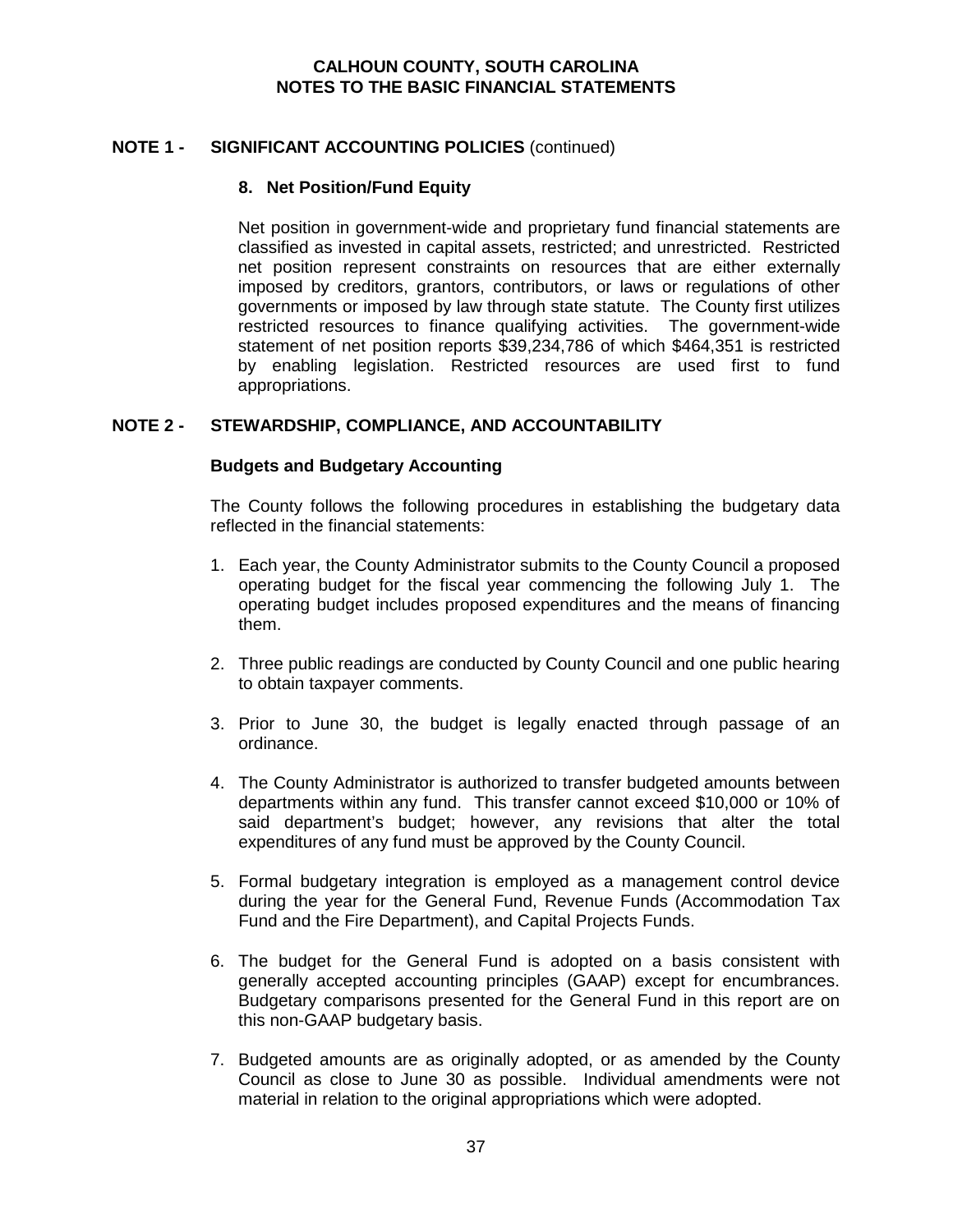# **NOTE 1 - SIGNIFICANT ACCOUNTING POLICIES** (continued)

#### **8. Net Position/Fund Equity**

 Net position in government-wide and proprietary fund financial statements are classified as invested in capital assets, restricted; and unrestricted. Restricted net position represent constraints on resources that are either externally imposed by creditors, grantors, contributors, or laws or regulations of other governments or imposed by law through state statute. The County first utilizes restricted resources to finance qualifying activities. The government-wide statement of net position reports \$39,234,786 of which \$464,351 is restricted by enabling legislation. Restricted resources are used first to fund appropriations.

## **NOTE 2 - STEWARDSHIP, COMPLIANCE, AND ACCOUNTABILITY**

#### **Budgets and Budgetary Accounting**

The County follows the following procedures in establishing the budgetary data reflected in the financial statements:

- 1. Each year, the County Administrator submits to the County Council a proposed operating budget for the fiscal year commencing the following July 1. The operating budget includes proposed expenditures and the means of financing them.
- 2. Three public readings are conducted by County Council and one public hearing to obtain taxpayer comments.
- 3. Prior to June 30, the budget is legally enacted through passage of an ordinance.
- 4. The County Administrator is authorized to transfer budgeted amounts between departments within any fund. This transfer cannot exceed \$10,000 or 10% of said department's budget; however, any revisions that alter the total expenditures of any fund must be approved by the County Council.
- 5. Formal budgetary integration is employed as a management control device during the year for the General Fund, Revenue Funds (Accommodation Tax Fund and the Fire Department), and Capital Projects Funds.
- 6. The budget for the General Fund is adopted on a basis consistent with generally accepted accounting principles (GAAP) except for encumbrances. Budgetary comparisons presented for the General Fund in this report are on this non-GAAP budgetary basis.
- 7. Budgeted amounts are as originally adopted, or as amended by the County Council as close to June 30 as possible. Individual amendments were not material in relation to the original appropriations which were adopted.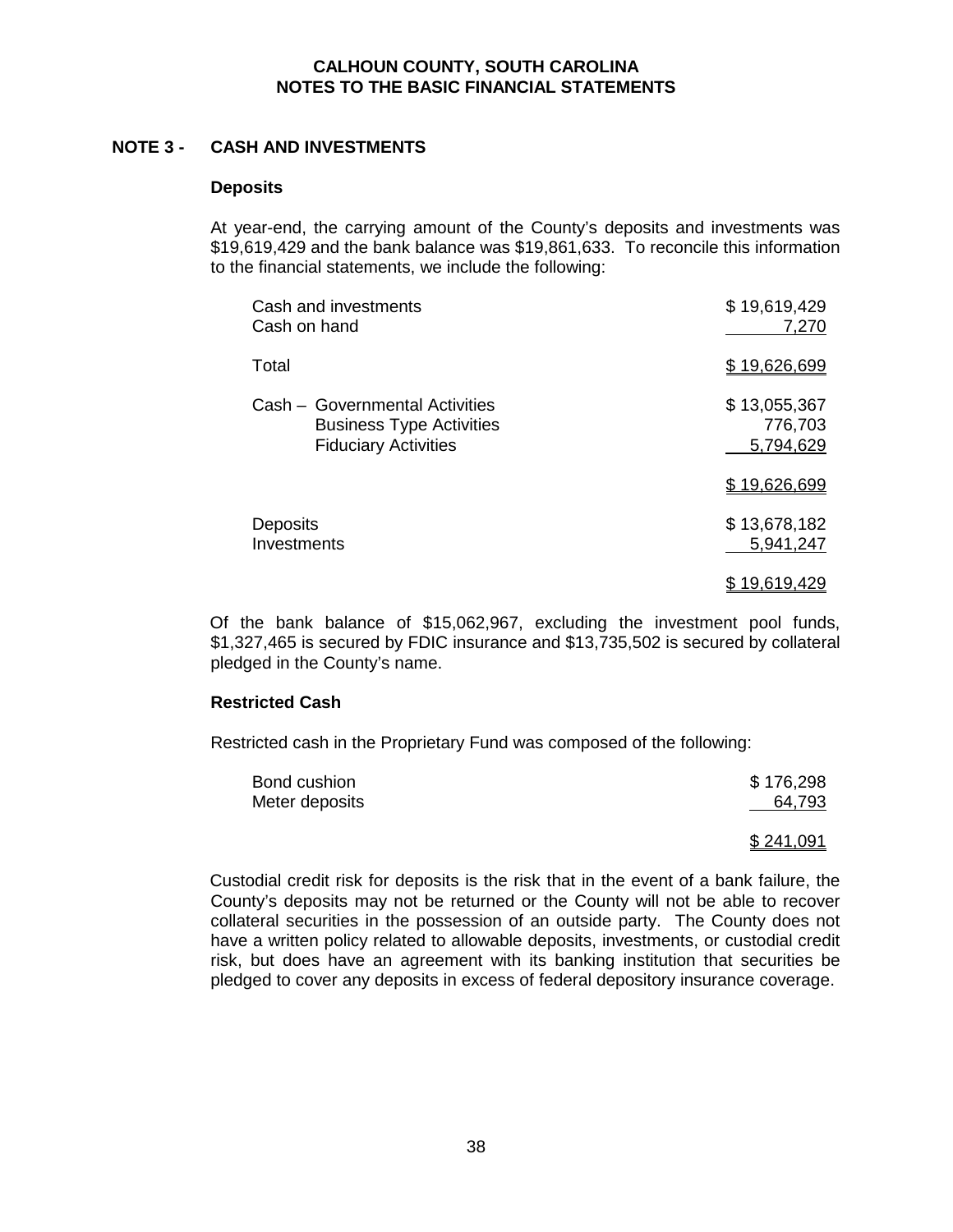## **NOTE 3 - CASH AND INVESTMENTS**

#### **Deposits**

At year-end, the carrying amount of the County's deposits and investments was \$19,619,429 and the bank balance was \$19,861,633. To reconcile this information to the financial statements, we include the following:

| Cash and investments<br>Cash on hand                                                             | \$19,619,429<br>7,270                |
|--------------------------------------------------------------------------------------------------|--------------------------------------|
| Total                                                                                            | \$19,626,699                         |
| Cash - Governmental Activities<br><b>Business Type Activities</b><br><b>Fiduciary Activities</b> | \$13,055,367<br>776,703<br>5,794,629 |
|                                                                                                  | \$19,626,699                         |
| <b>Deposits</b><br>Investments                                                                   | \$13,678,182<br>5,941,247            |
|                                                                                                  |                                      |

Of the bank balance of \$15,062,967, excluding the investment pool funds, \$1,327,465 is secured by FDIC insurance and \$13,735,502 is secured by collateral pledged in the County's name.

## **Restricted Cash**

Restricted cash in the Proprietary Fund was composed of the following:

| Bond cushion   | \$176,298 |
|----------------|-----------|
| Meter deposits | 64,793    |
|                |           |
|                | \$241,091 |

Custodial credit risk for deposits is the risk that in the event of a bank failure, the County's deposits may not be returned or the County will not be able to recover collateral securities in the possession of an outside party. The County does not have a written policy related to allowable deposits, investments, or custodial credit risk, but does have an agreement with its banking institution that securities be pledged to cover any deposits in excess of federal depository insurance coverage.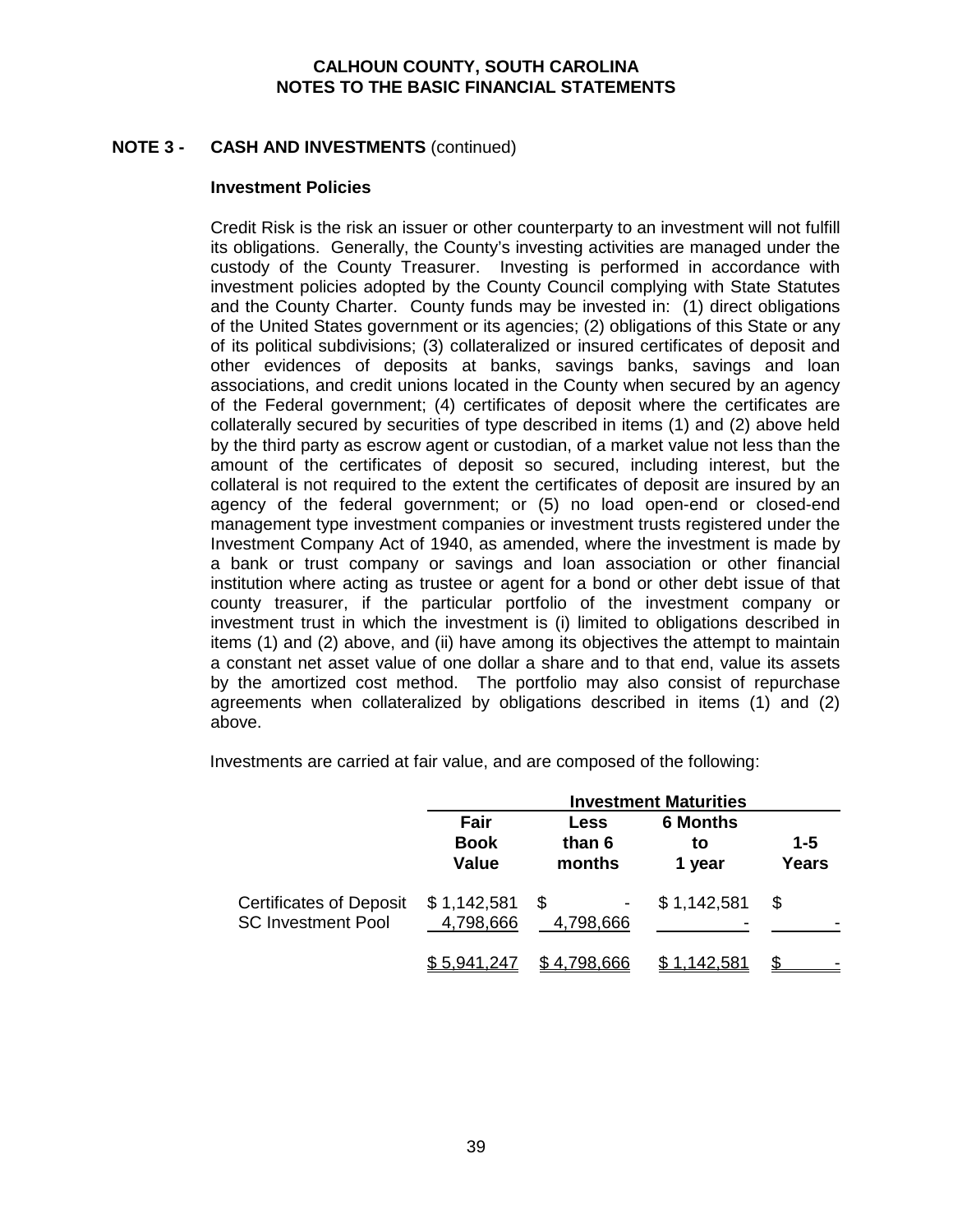## **NOTE 3 - CASH AND INVESTMENTS** (continued)

#### **Investment Policies**

Credit Risk is the risk an issuer or other counterparty to an investment will not fulfill its obligations. Generally, the County's investing activities are managed under the custody of the County Treasurer. Investing is performed in accordance with investment policies adopted by the County Council complying with State Statutes and the County Charter. County funds may be invested in: (1) direct obligations of the United States government or its agencies; (2) obligations of this State or any of its political subdivisions; (3) collateralized or insured certificates of deposit and other evidences of deposits at banks, savings banks, savings and loan associations, and credit unions located in the County when secured by an agency of the Federal government; (4) certificates of deposit where the certificates are collaterally secured by securities of type described in items (1) and (2) above held by the third party as escrow agent or custodian, of a market value not less than the amount of the certificates of deposit so secured, including interest, but the collateral is not required to the extent the certificates of deposit are insured by an agency of the federal government; or (5) no load open-end or closed-end management type investment companies or investment trusts registered under the Investment Company Act of 1940, as amended, where the investment is made by a bank or trust company or savings and loan association or other financial institution where acting as trustee or agent for a bond or other debt issue of that county treasurer, if the particular portfolio of the investment company or investment trust in which the investment is (i) limited to obligations described in items (1) and (2) above, and (ii) have among its objectives the attempt to maintain a constant net asset value of one dollar a share and to that end, value its assets by the amortized cost method. The portfolio may also consist of repurchase agreements when collateralized by obligations described in items (1) and (2) above.

Investments are carried at fair value, and are composed of the following:

|                                                             | <b>Investment Maturities</b>        |                          |                                 |                         |
|-------------------------------------------------------------|-------------------------------------|--------------------------|---------------------------------|-------------------------|
|                                                             | Fair<br><b>Book</b><br><b>Value</b> | Less<br>than 6<br>months | <b>6 Months</b><br>to<br>1 year | $1 - 5$<br><b>Years</b> |
| <b>Certificates of Deposit</b><br><b>SC Investment Pool</b> | \$1,142,581<br>4,798,666            | \$<br>4,798,666          | \$1,142,581                     | S                       |
|                                                             | \$5,941,247                         | <u>\$4,798,666</u>       | 1.142.581                       |                         |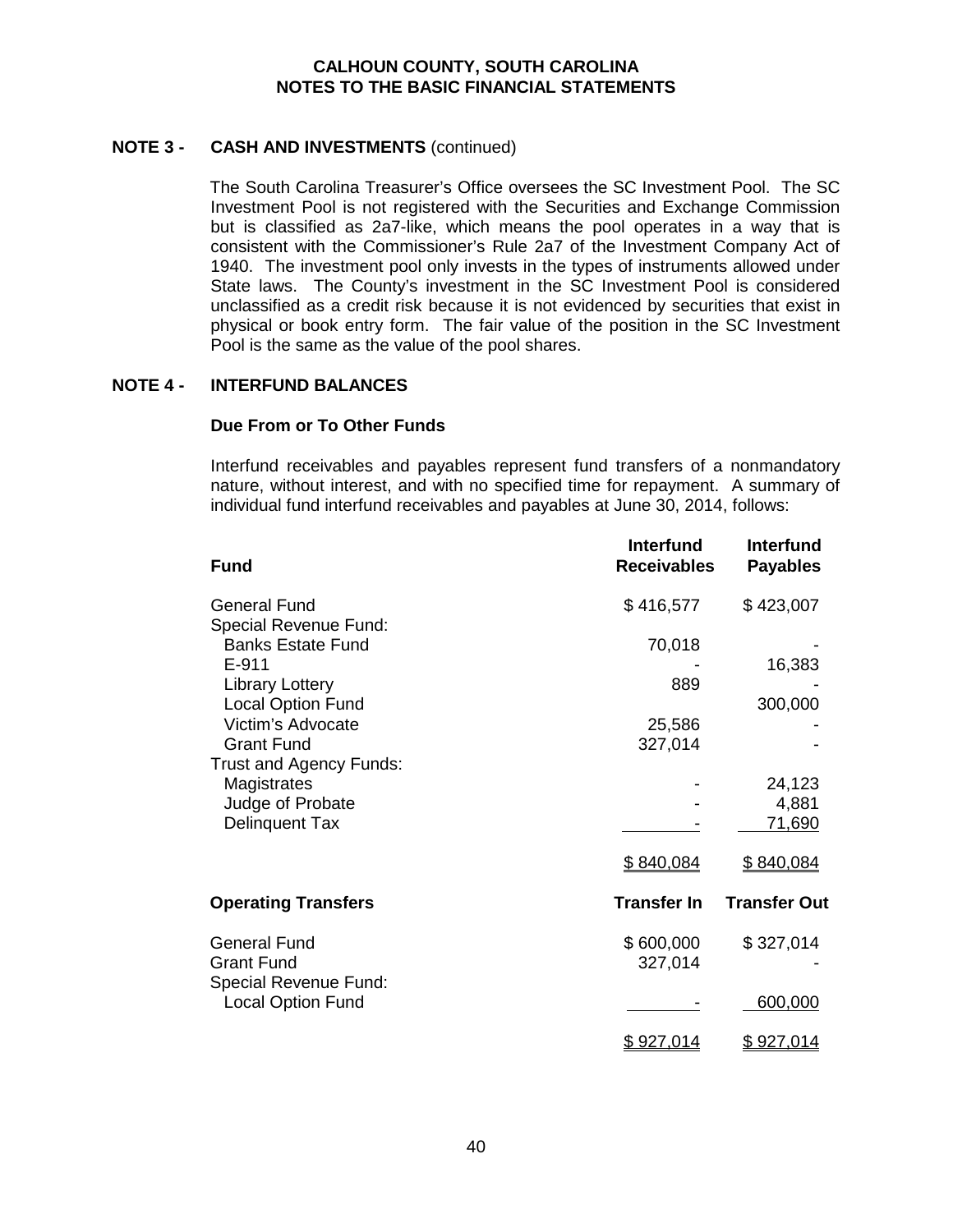#### **NOTE 3 - CASH AND INVESTMENTS** (continued)

The South Carolina Treasurer's Office oversees the SC Investment Pool. The SC Investment Pool is not registered with the Securities and Exchange Commission but is classified as 2a7-like, which means the pool operates in a way that is consistent with the Commissioner's Rule 2a7 of the Investment Company Act of 1940. The investment pool only invests in the types of instruments allowed under State laws. The County's investment in the SC Investment Pool is considered unclassified as a credit risk because it is not evidenced by securities that exist in physical or book entry form. The fair value of the position in the SC Investment Pool is the same as the value of the pool shares.

#### **NOTE 4 - INTERFUND BALANCES**

#### **Due From or To Other Funds**

Interfund receivables and payables represent fund transfers of a nonmandatory nature, without interest, and with no specified time for repayment. A summary of individual fund interfund receivables and payables at June 30, 2014, follows:

| <b>Fund</b>                                       | <b>Interfund</b><br><b>Receivables</b> | <b>Interfund</b><br><b>Payables</b> |
|---------------------------------------------------|----------------------------------------|-------------------------------------|
| <b>General Fund</b><br>Special Revenue Fund:      | \$416,577                              | \$423,007                           |
| <b>Banks Estate Fund</b><br>$E-911$               | 70,018                                 | 16,383                              |
| Library Lottery                                   | 889                                    |                                     |
| <b>Local Option Fund</b><br>Victim's Advocate     | 25,586                                 | 300,000                             |
| <b>Grant Fund</b><br>Trust and Agency Funds:      | 327,014                                |                                     |
| Magistrates<br>Judge of Probate<br>Delinquent Tax |                                        | 24,123<br>4,881<br>71,690           |
|                                                   | \$840,084                              | \$840,084                           |
| <b>Operating Transfers</b>                        | <b>Transfer In</b>                     | <b>Transfer Out</b>                 |
| <b>General Fund</b><br><b>Grant Fund</b>          | \$600,000<br>327,014                   | \$327,014                           |
| Special Revenue Fund:<br><b>Local Option Fund</b> |                                        | 600,000                             |
|                                                   | <u>\$927,014</u>                       | \$927,014                           |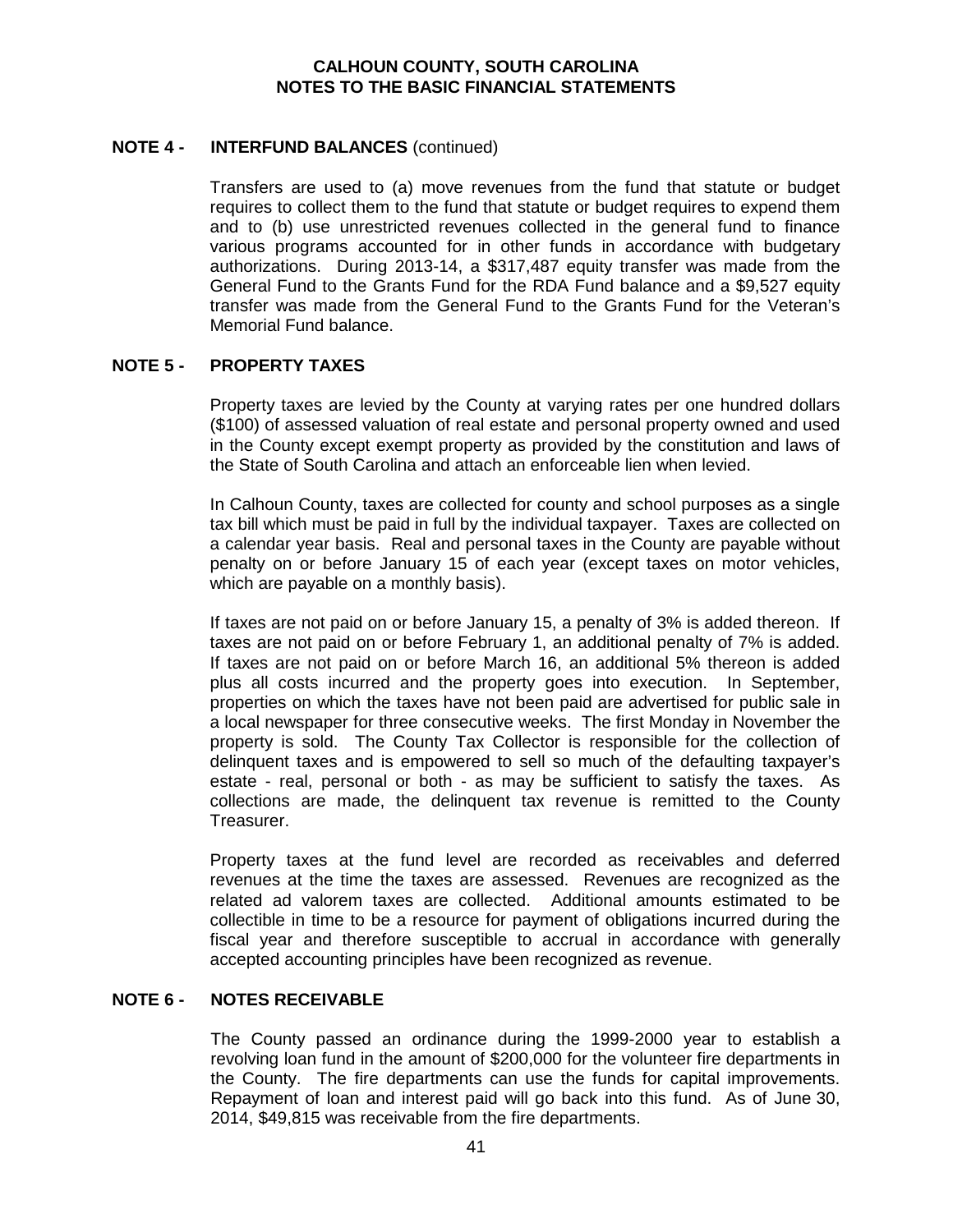#### **NOTE 4 - INTERFUND BALANCES** (continued)

Transfers are used to (a) move revenues from the fund that statute or budget requires to collect them to the fund that statute or budget requires to expend them and to (b) use unrestricted revenues collected in the general fund to finance various programs accounted for in other funds in accordance with budgetary authorizations. During 2013-14, a \$317,487 equity transfer was made from the General Fund to the Grants Fund for the RDA Fund balance and a \$9,527 equity transfer was made from the General Fund to the Grants Fund for the Veteran's Memorial Fund balance.

## **NOTE 5 - PROPERTY TAXES**

 Property taxes are levied by the County at varying rates per one hundred dollars (\$100) of assessed valuation of real estate and personal property owned and used in the County except exempt property as provided by the constitution and laws of the State of South Carolina and attach an enforceable lien when levied.

In Calhoun County, taxes are collected for county and school purposes as a single tax bill which must be paid in full by the individual taxpayer. Taxes are collected on a calendar year basis. Real and personal taxes in the County are payable without penalty on or before January 15 of each year (except taxes on motor vehicles, which are payable on a monthly basis).

If taxes are not paid on or before January 15, a penalty of 3% is added thereon. If taxes are not paid on or before February 1, an additional penalty of 7% is added. If taxes are not paid on or before March 16, an additional 5% thereon is added plus all costs incurred and the property goes into execution. In September, properties on which the taxes have not been paid are advertised for public sale in a local newspaper for three consecutive weeks. The first Monday in November the property is sold. The County Tax Collector is responsible for the collection of delinquent taxes and is empowered to sell so much of the defaulting taxpayer's estate - real, personal or both - as may be sufficient to satisfy the taxes. As collections are made, the delinquent tax revenue is remitted to the County Treasurer.

Property taxes at the fund level are recorded as receivables and deferred revenues at the time the taxes are assessed. Revenues are recognized as the related ad valorem taxes are collected. Additional amounts estimated to be collectible in time to be a resource for payment of obligations incurred during the fiscal year and therefore susceptible to accrual in accordance with generally accepted accounting principles have been recognized as revenue.

#### **NOTE 6 - NOTES RECEIVABLE**

The County passed an ordinance during the 1999-2000 year to establish a revolving loan fund in the amount of \$200,000 for the volunteer fire departments in the County. The fire departments can use the funds for capital improvements. Repayment of loan and interest paid will go back into this fund. As of June 30, 2014, \$49,815 was receivable from the fire departments.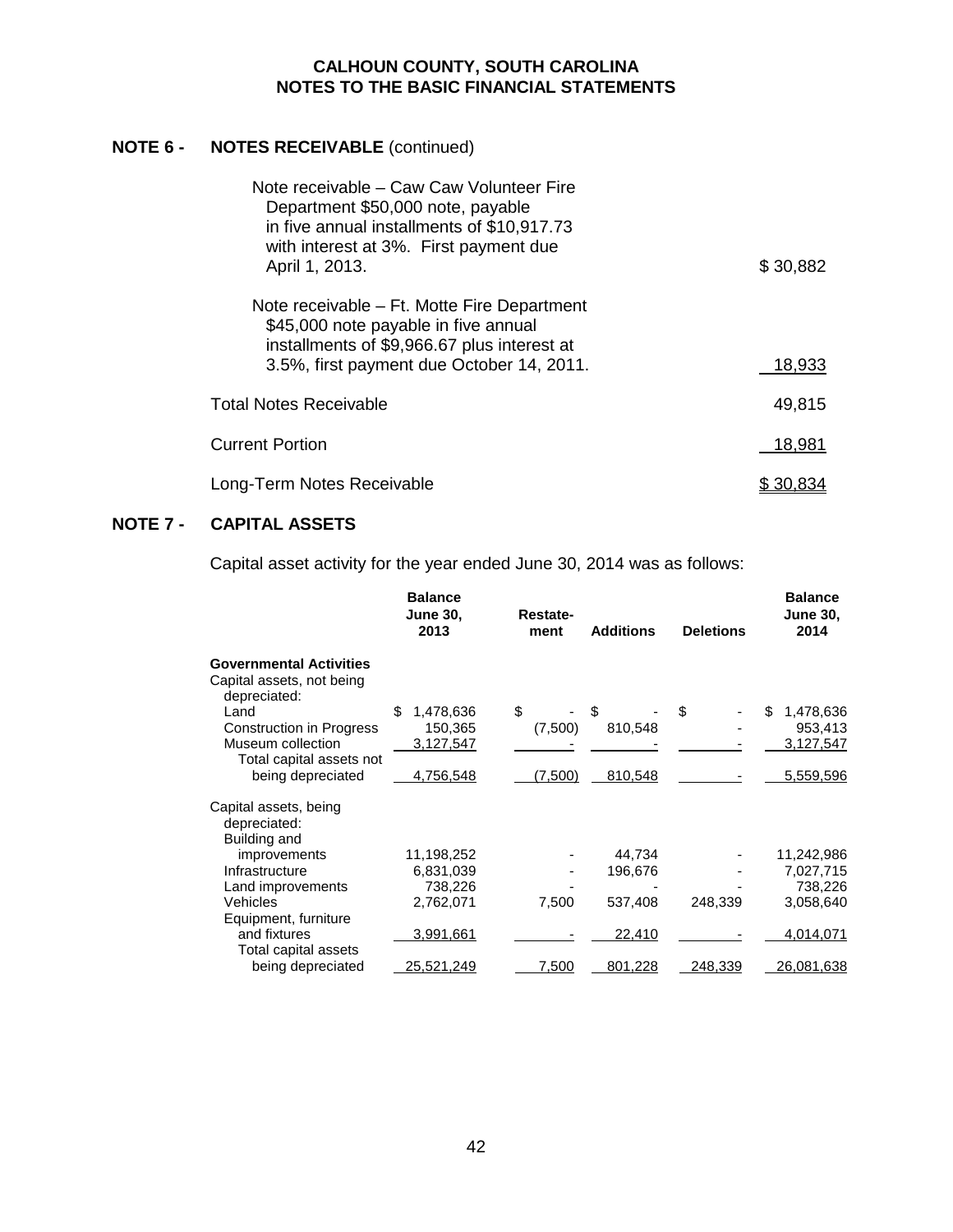# **NOTE 6 - NOTES RECEIVABLE** (continued)

| Note receivable – Caw Caw Volunteer Fire<br>Department \$50,000 note, payable<br>in five annual installments of \$10,917.73<br>with interest at 3%. First payment due<br>April 1, 2013. | \$30,882 |
|-----------------------------------------------------------------------------------------------------------------------------------------------------------------------------------------|----------|
| Note receivable – Ft. Motte Fire Department<br>\$45,000 note payable in five annual<br>installments of \$9,966.67 plus interest at<br>3.5%, first payment due October 14, 2011.         | 18,933   |
| <b>Total Notes Receivable</b>                                                                                                                                                           | 49,815   |
| <b>Current Portion</b>                                                                                                                                                                  | 18,981   |
| Long-Term Notes Receivable                                                                                                                                                              |          |

# **NOTE 7 - CAPITAL ASSETS**

Capital asset activity for the year ended June 30, 2014 was as follows:

|                                                                             | <b>Balance</b><br><b>June 30,</b><br>2013 | Restate-<br>ment | <b>Additions</b> | <b>Deletions</b> | <b>Balance</b><br><b>June 30,</b><br>2014 |
|-----------------------------------------------------------------------------|-------------------------------------------|------------------|------------------|------------------|-------------------------------------------|
| <b>Governmental Activities</b><br>Capital assets, not being<br>depreciated: |                                           |                  |                  |                  |                                           |
| Land                                                                        | \$.<br>1,478,636                          | \$               | \$               | \$               | 1,478,636<br>\$.                          |
| Construction in Progress                                                    | 150,365                                   | (7,500)          | 810,548          |                  | 953,413                                   |
| Museum collection                                                           | 3,127,547                                 |                  |                  |                  | 3,127,547                                 |
| Total capital assets not<br>being depreciated                               | 4,756,548                                 | (7,500)          | 810,548          |                  | 5,559,596                                 |
| Capital assets, being<br>depreciated:<br>Building and                       |                                           |                  |                  |                  |                                           |
| improvements                                                                | 11,198,252                                |                  | 44,734           |                  | 11,242,986                                |
| Infrastructure                                                              | 6,831,039                                 |                  | 196,676          |                  | 7,027,715                                 |
| Land improvements                                                           | 738,226                                   |                  |                  |                  | 738,226                                   |
| <b>Vehicles</b>                                                             | 2,762,071                                 | 7,500            | 537,408          | 248,339          | 3,058,640                                 |
| Equipment, furniture<br>and fixtures                                        | 3,991,661                                 |                  | 22,410           |                  | 4,014,071                                 |
| Total capital assets<br>being depreciated                                   | 25,521,249                                | 7,500            | 801,228          | 248,339          | 26,081,638                                |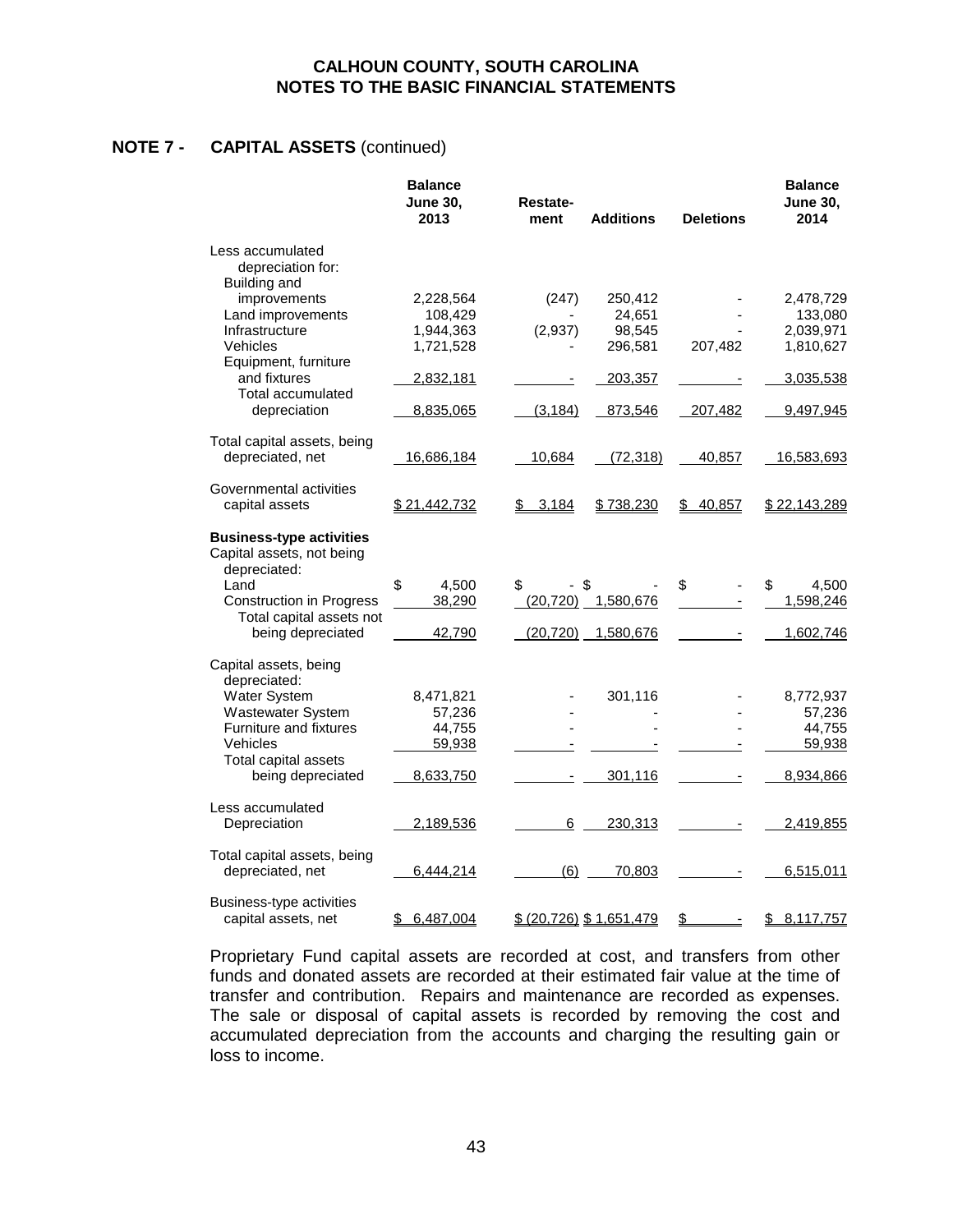# **NOTE 7 - CAPITAL ASSETS** (continued)

|                                                                              | <b>Balance</b><br><b>June 30,</b><br>2013 | Restate-<br>ment | <b>Additions</b>          | <b>Deletions</b> | <b>Balance</b><br><b>June 30,</b><br>2014 |
|------------------------------------------------------------------------------|-------------------------------------------|------------------|---------------------------|------------------|-------------------------------------------|
| Less accumulated<br>depreciation for:                                        |                                           |                  |                           |                  |                                           |
| Building and<br>improvements                                                 | 2,228,564                                 | (247)            | 250,412                   |                  | 2,478,729                                 |
| Land improvements                                                            | 108,429                                   |                  | 24,651                    |                  | 133,080                                   |
| Infrastructure                                                               | 1,944,363                                 | (2,937)          | 98,545                    |                  | 2,039,971                                 |
| Vehicles                                                                     | 1,721,528                                 |                  | 296,581                   | 207,482          | 1,810,627                                 |
| Equipment, furniture<br>and fixtures                                         | 2,832,181                                 |                  | 203,357                   |                  | 3,035,538                                 |
| Total accumulated<br>depreciation                                            | 8,835,065                                 | (3, 184)         | 873,546                   | 207,482          | 9,497,945                                 |
| Total capital assets, being<br>depreciated, net                              | 16,686,184                                | 10,684           | (72, 318)                 | 40,857           | 16,583,693                                |
|                                                                              |                                           |                  |                           |                  |                                           |
| Governmental activities<br>capital assets                                    | \$21,442,732                              | 3,184<br>\$      | \$738,230                 | 40,857<br>\$     | \$22,143,289                              |
| <b>Business-type activities</b><br>Capital assets, not being<br>depreciated: |                                           |                  |                           |                  |                                           |
| Land                                                                         | \$<br>4,500                               | $-$ \$<br>\$     |                           | \$               | \$<br>4,500                               |
| <b>Construction in Progress</b>                                              | 38,290                                    | (20, 720)        | 1,580,676                 |                  | 1,598,246                                 |
| Total capital assets not<br>being depreciated                                | 42,790                                    | (20, 720)        | 1,580,676                 |                  | 1,602,746                                 |
| Capital assets, being<br>depreciated:                                        |                                           |                  |                           |                  |                                           |
| Water System                                                                 | 8,471,821                                 |                  | 301,116                   |                  | 8,772,937                                 |
| Wastewater System                                                            | 57,236                                    |                  |                           |                  | 57,236                                    |
| Furniture and fixtures                                                       | 44,755                                    |                  |                           |                  | 44,755                                    |
| Vehicles                                                                     | 59,938                                    |                  |                           |                  | 59,938                                    |
| Total capital assets<br>being depreciated                                    | 8,633,750                                 |                  | 301,116                   |                  | 8,934,866                                 |
| Less accumulated                                                             |                                           |                  |                           |                  |                                           |
| Depreciation                                                                 | 2,189,536                                 | $6 \overline{}$  | 230,313                   |                  | 2,419,855                                 |
| Total capital assets, being<br>depreciated, net                              | 6,444,214                                 | (6)              | 70,803                    |                  | 6,515,011                                 |
| Business-type activities<br>capital assets, net                              | 6,487,004<br>\$                           |                  | \$ (20, 726) \$ 1,651,479 | \$               | \$8,117,757                               |

Proprietary Fund capital assets are recorded at cost, and transfers from other funds and donated assets are recorded at their estimated fair value at the time of transfer and contribution. Repairs and maintenance are recorded as expenses. The sale or disposal of capital assets is recorded by removing the cost and accumulated depreciation from the accounts and charging the resulting gain or loss to income.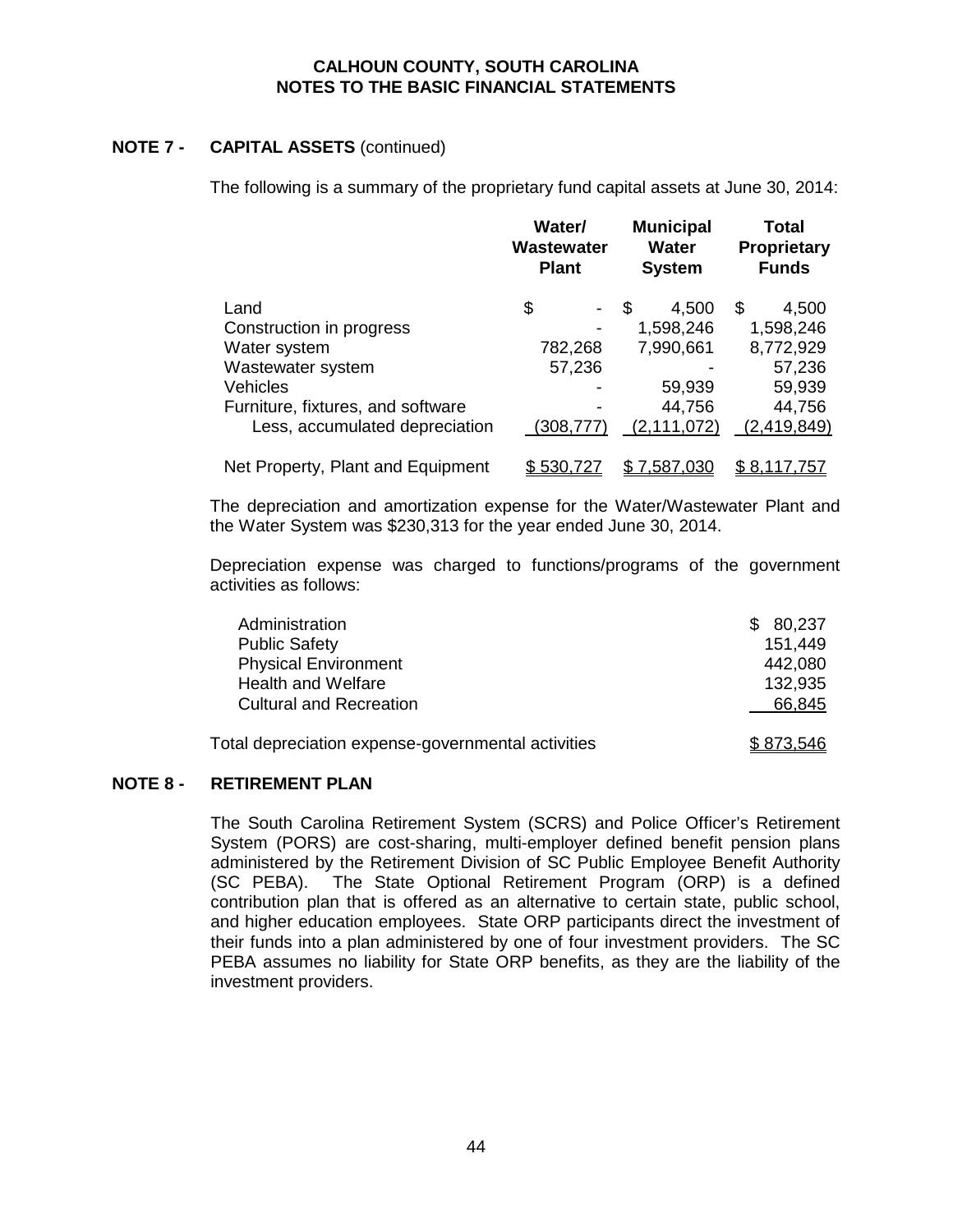## **NOTE 7 - CAPITAL ASSETS** (continued)

The following is a summary of the proprietary fund capital assets at June 30, 2014:

|                                   | Water/<br>Wastewater<br><b>Plant</b> | <b>Municipal</b><br>Water<br><b>System</b> | Total<br><b>Proprietary</b><br><b>Funds</b> |
|-----------------------------------|--------------------------------------|--------------------------------------------|---------------------------------------------|
| Land                              | \$<br>-                              | \$<br>4,500                                | 4,500<br>S                                  |
| Construction in progress          | -                                    | 1,598,246                                  | 1,598,246                                   |
| Water system                      | 782,268                              | 7,990,661                                  | 8,772,929                                   |
| Wastewater system                 | 57,236                               |                                            | 57,236                                      |
| <b>Vehicles</b>                   |                                      | 59,939                                     | 59,939                                      |
| Furniture, fixtures, and software |                                      | 44,756                                     | 44,756                                      |
| Less, accumulated depreciation    | (308, 777)                           | (2,111,072)                                | (2,419,849)                                 |
| Net Property, Plant and Equipment | \$530,727                            | \$7,587,030                                | \$ 8.117.757                                |

The depreciation and amortization expense for the Water/Wastewater Plant and the Water System was \$230,313 for the year ended June 30, 2014.

Depreciation expense was charged to functions/programs of the government activities as follows:

| Administration                                     | \$80,237  |
|----------------------------------------------------|-----------|
| <b>Public Safety</b>                               | 151,449   |
| <b>Physical Environment</b>                        | 442,080   |
| <b>Health and Welfare</b>                          | 132,935   |
| <b>Cultural and Recreation</b>                     | 66,845    |
| Total depreciation expense-governmental activities | \$873,546 |

## **NOTE 8 - RETIREMENT PLAN**

The South Carolina Retirement System (SCRS) and Police Officer's Retirement System (PORS) are cost-sharing, multi-employer defined benefit pension plans administered by the Retirement Division of SC Public Employee Benefit Authority (SC PEBA). The State Optional Retirement Program (ORP) is a defined contribution plan that is offered as an alternative to certain state, public school, and higher education employees. State ORP participants direct the investment of their funds into a plan administered by one of four investment providers. The SC PEBA assumes no liability for State ORP benefits, as they are the liability of the investment providers.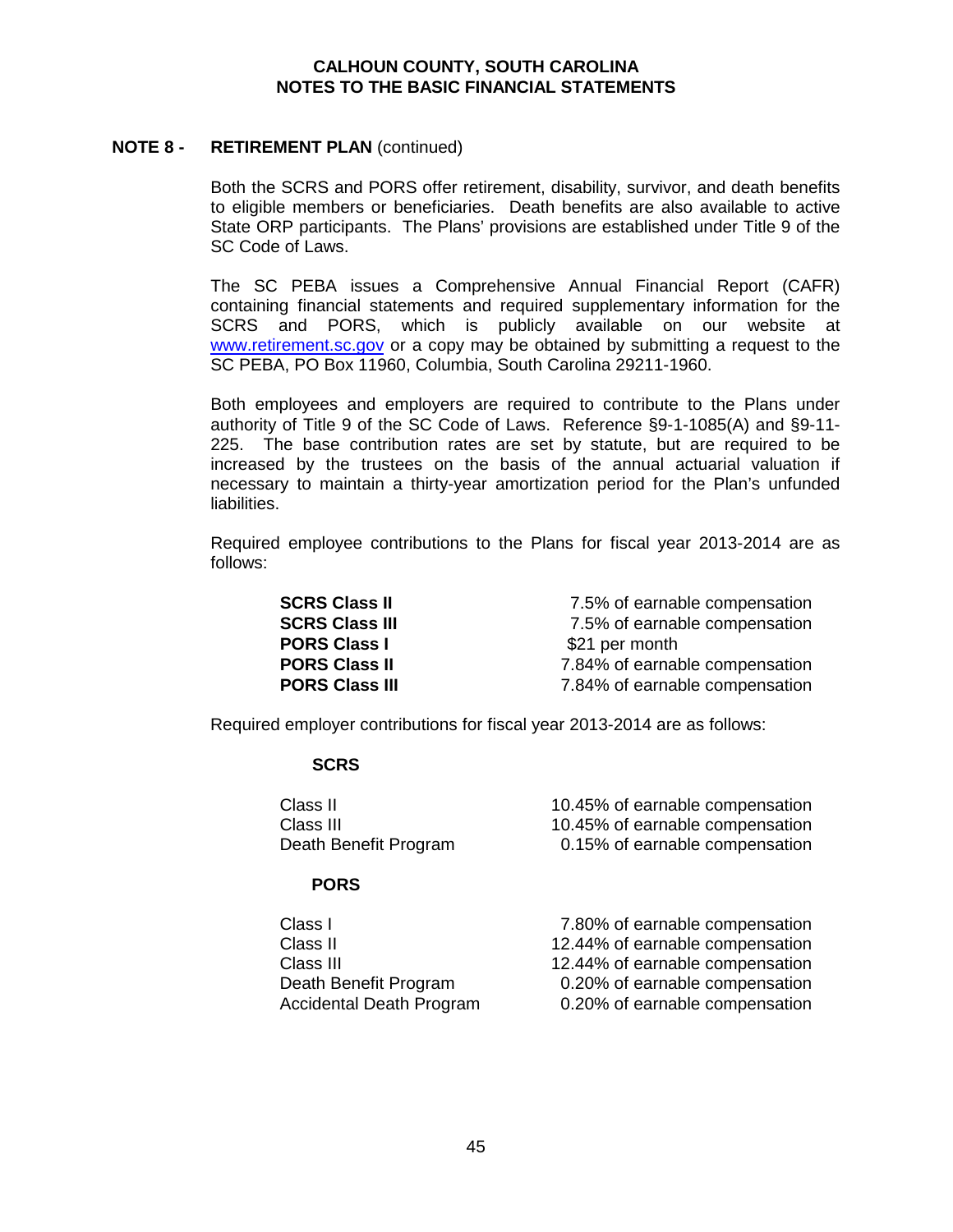#### **NOTE 8 - RETIREMENT PLAN** (continued)

Both the SCRS and PORS offer retirement, disability, survivor, and death benefits to eligible members or beneficiaries. Death benefits are also available to active State ORP participants. The Plans' provisions are established under Title 9 of the SC Code of Laws.

The SC PEBA issues a Comprehensive Annual Financial Report (CAFR) containing financial statements and required supplementary information for the SCRS and PORS, which is publicly available on our website at [www.retirement.sc.gov](http://www.retirement.sc.gov/) or a copy may be obtained by submitting a request to the SC PEBA, PO Box 11960, Columbia, South Carolina 29211-1960.

Both employees and employers are required to contribute to the Plans under authority of Title 9 of the SC Code of Laws. Reference §9-1-1085(A) and §9-11- 225. The base contribution rates are set by statute, but are required to be increased by the trustees on the basis of the annual actuarial valuation if necessary to maintain a thirty-year amortization period for the Plan's unfunded liabilities.

Required employee contributions to the Plans for fiscal year 2013-2014 are as follows:

> **SCRS Class II** 7.5% of earnable compensation<br> **SCRS Class III** 7.5% of earnable compensation **SCRS Class III** 7.5% of earnable compensation<br> **PORS Class I** \$21 per month **PORS Class I** \$21 per month<br> **PORS Class II** 7.84% of earnal **PORS Class II** 7.84% of earnable compensation<br> **PORS Class III** 7.84% of earnable compensation **7.84% of earnable compensation**

Required employer contributions for fiscal year 2013-2014 are as follows:

#### **SCRS**

Class II 10.45% of earnable compensation Class III 10.45% of earnable compensation<br>Death Benefit Program 10.15% of earnable compensation 0.15% of earnable compensation

#### **PORS**

Class I Class I 7.80% of earnable compensation<br>Class II 7.2.44% of earnable compensation 12.44% of earnable compensation Class III 12.44% of earnable compensation<br>Death Benefit Program 0.20% of earnable compensation 0.20% of earnable compensation Accidental Death Program 0.20% of earnable compensation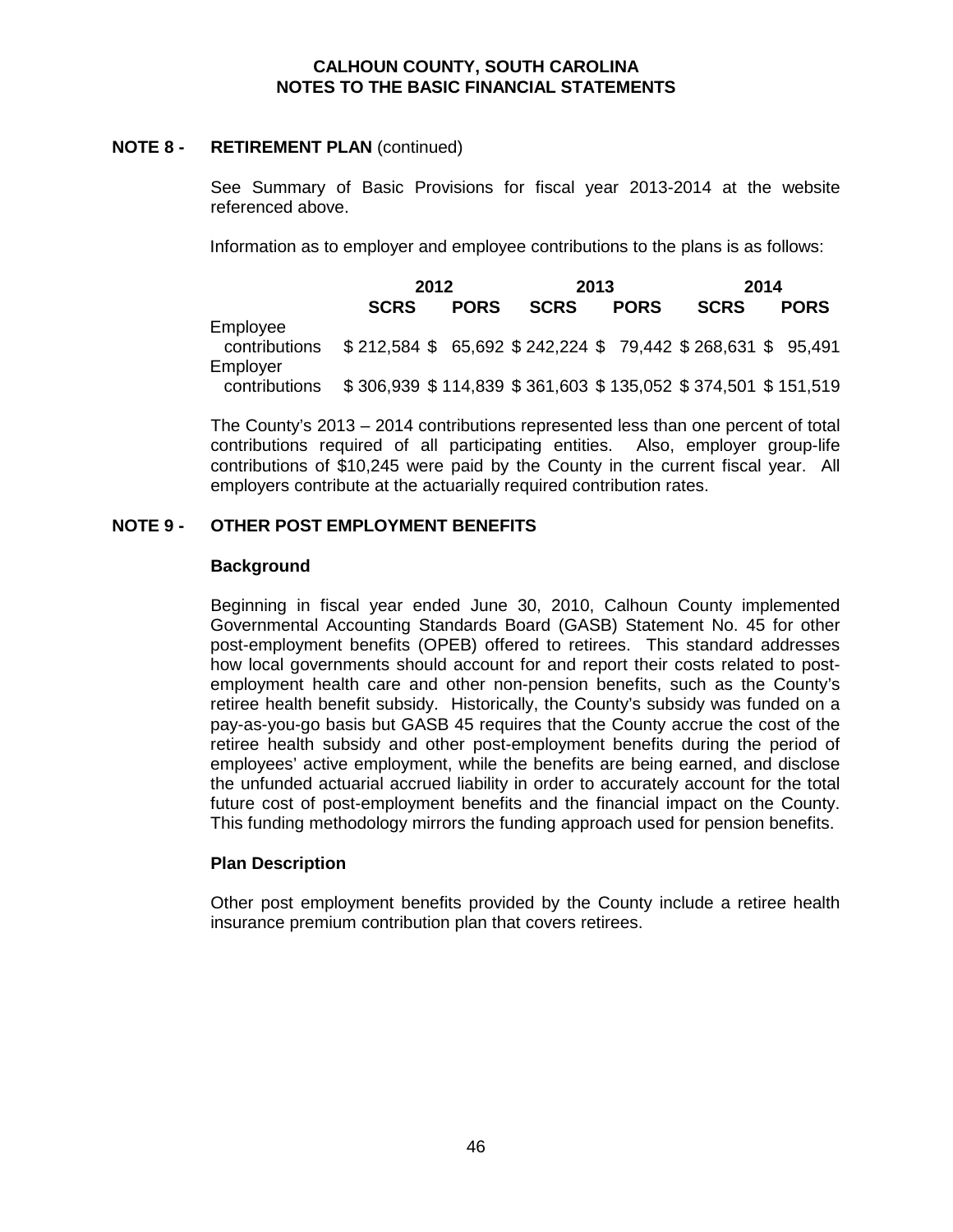#### **NOTE 8 - RETIREMENT PLAN** (continued)

 See Summary of Basic Provisions for fiscal year 2013-2014 at the website referenced above.

Information as to employer and employee contributions to the plans is as follows:

|                                                                                                | 2012                                                        |             | 2013        |             | 2014        |             |
|------------------------------------------------------------------------------------------------|-------------------------------------------------------------|-------------|-------------|-------------|-------------|-------------|
|                                                                                                | <b>SCRS</b>                                                 | <b>PORS</b> | <b>SCRS</b> | <b>PORS</b> | <b>SCRS</b> | <b>PORS</b> |
| Employee<br>contributions \$212,584 \$65,692 \$242,224 \$79,442 \$268,631 \$95,491<br>Employer |                                                             |             |             |             |             |             |
| contributions                                                                                  | \$306,939 \$114,839 \$361,603 \$135,052 \$374,501 \$151,519 |             |             |             |             |             |

The County's 2013 – 2014 contributions represented less than one percent of total contributions required of all participating entities. Also, employer group-life contributions of \$10,245 were paid by the County in the current fiscal year. All employers contribute at the actuarially required contribution rates.

## **NOTE 9 - OTHER POST EMPLOYMENT BENEFITS**

#### **Background**

Beginning in fiscal year ended June 30, 2010, Calhoun County implemented Governmental Accounting Standards Board (GASB) Statement No. 45 for other post-employment benefits (OPEB) offered to retirees. This standard addresses how local governments should account for and report their costs related to postemployment health care and other non-pension benefits, such as the County's retiree health benefit subsidy. Historically, the County's subsidy was funded on a pay-as-you-go basis but GASB 45 requires that the County accrue the cost of the retiree health subsidy and other post-employment benefits during the period of employees' active employment, while the benefits are being earned, and disclose the unfunded actuarial accrued liability in order to accurately account for the total future cost of post-employment benefits and the financial impact on the County. This funding methodology mirrors the funding approach used for pension benefits.

## **Plan Description**

Other post employment benefits provided by the County include a retiree health insurance premium contribution plan that covers retirees.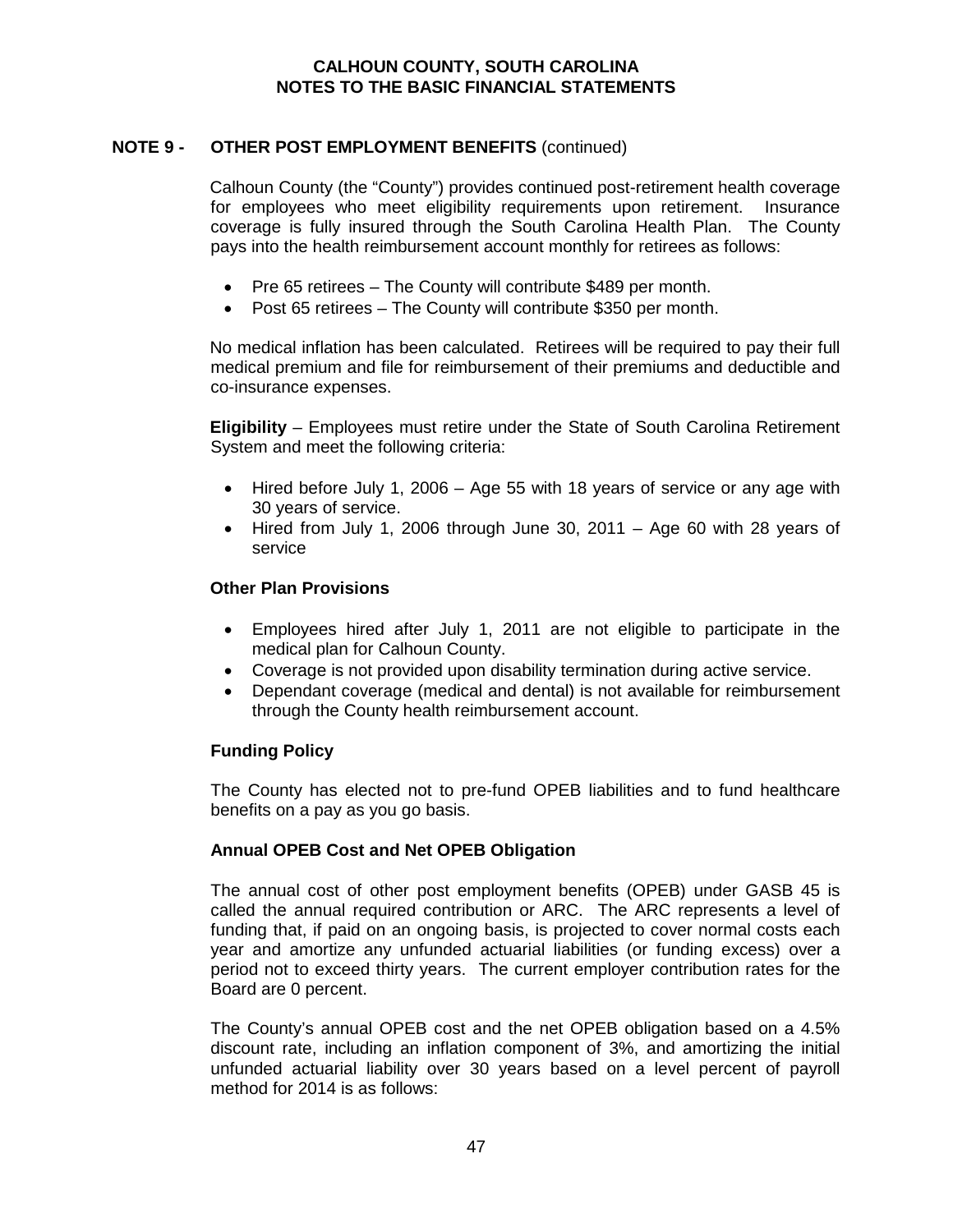## **NOTE 9 - OTHER POST EMPLOYMENT BENEFITS** (continued)

Calhoun County (the "County") provides continued post-retirement health coverage for employees who meet eligibility requirements upon retirement. Insurance coverage is fully insured through the South Carolina Health Plan. The County pays into the health reimbursement account monthly for retirees as follows:

- Pre 65 retirees The County will contribute \$489 per month.
- Post 65 retirees The County will contribute \$350 per month.

No medical inflation has been calculated. Retirees will be required to pay their full medical premium and file for reimbursement of their premiums and deductible and co-insurance expenses.

**Eligibility** – Employees must retire under the State of South Carolina Retirement System and meet the following criteria:

- Hired before July 1, 2006 Age 55 with 18 years of service or any age with 30 years of service.
- Hired from July 1, 2006 through June 30, 2011 Age 60 with 28 years of service

# **Other Plan Provisions**

- Employees hired after July 1, 2011 are not eligible to participate in the medical plan for Calhoun County.
- Coverage is not provided upon disability termination during active service.
- Dependant coverage (medical and dental) is not available for reimbursement through the County health reimbursement account.

## **Funding Policy**

The County has elected not to pre-fund OPEB liabilities and to fund healthcare benefits on a pay as you go basis.

## **Annual OPEB Cost and Net OPEB Obligation**

The annual cost of other post employment benefits (OPEB) under GASB 45 is called the annual required contribution or ARC. The ARC represents a level of funding that, if paid on an ongoing basis, is projected to cover normal costs each year and amortize any unfunded actuarial liabilities (or funding excess) over a period not to exceed thirty years. The current employer contribution rates for the Board are 0 percent.

The County's annual OPEB cost and the net OPEB obligation based on a 4.5% discount rate, including an inflation component of 3%, and amortizing the initial unfunded actuarial liability over 30 years based on a level percent of payroll method for 2014 is as follows: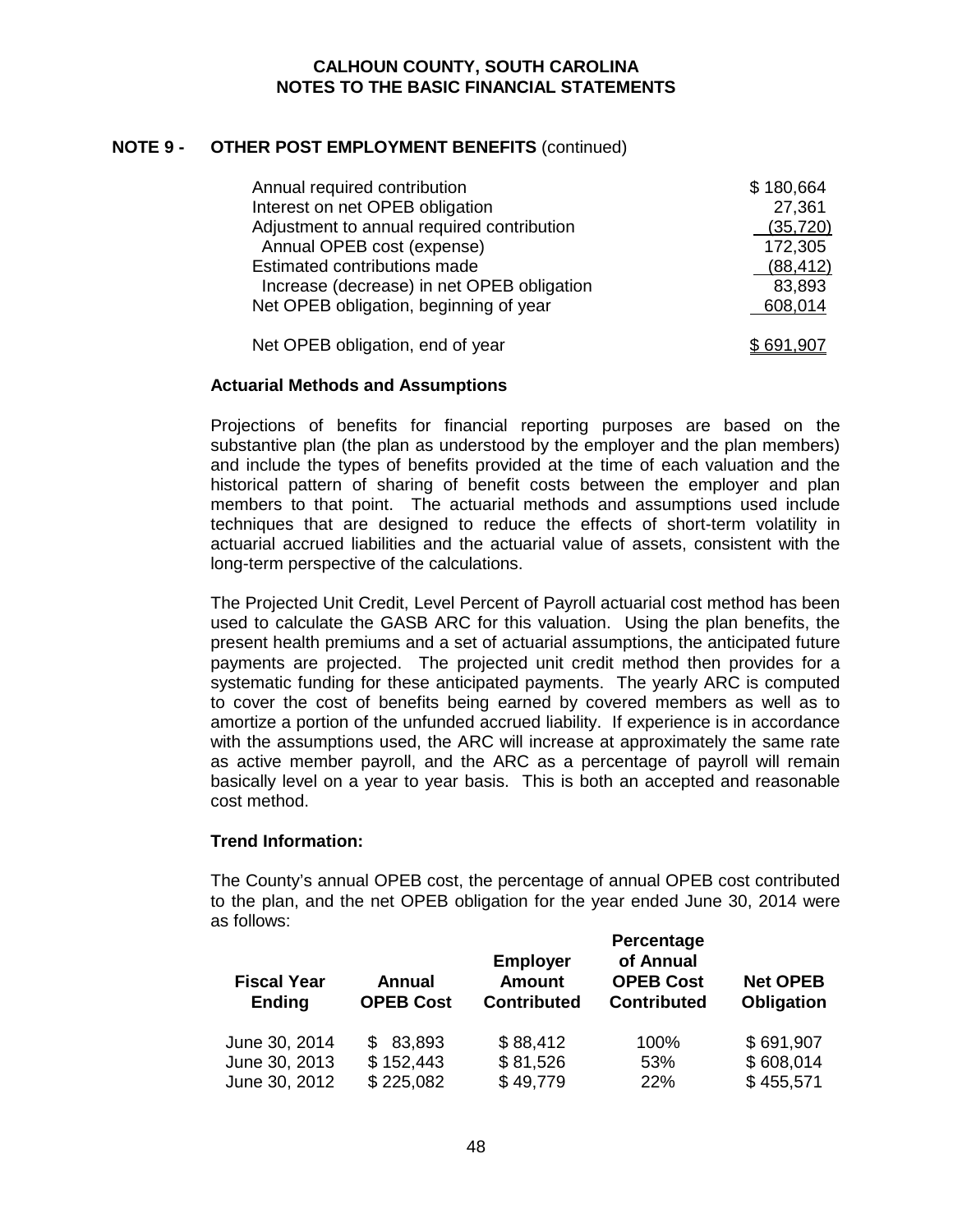#### **NOTE 9 - OTHER POST EMPLOYMENT BENEFITS** (continued)

| Annual required contribution               | \$180,664 |
|--------------------------------------------|-----------|
| Interest on net OPEB obligation            | 27,361    |
| Adjustment to annual required contribution | (35, 720) |
| Annual OPEB cost (expense)                 | 172,305   |
| Estimated contributions made               | (88, 412) |
| Increase (decrease) in net OPEB obligation | 83,893    |
| Net OPEB obligation, beginning of year     | 608,014   |
|                                            | .         |

# Net OPEB obligation, end of year **\$ 691,907**

#### **Actuarial Methods and Assumptions**

Projections of benefits for financial reporting purposes are based on the substantive plan (the plan as understood by the employer and the plan members) and include the types of benefits provided at the time of each valuation and the historical pattern of sharing of benefit costs between the employer and plan members to that point. The actuarial methods and assumptions used include techniques that are designed to reduce the effects of short-term volatility in actuarial accrued liabilities and the actuarial value of assets, consistent with the long-term perspective of the calculations.

The Projected Unit Credit, Level Percent of Payroll actuarial cost method has been used to calculate the GASB ARC for this valuation. Using the plan benefits, the present health premiums and a set of actuarial assumptions, the anticipated future payments are projected. The projected unit credit method then provides for a systematic funding for these anticipated payments. The yearly ARC is computed to cover the cost of benefits being earned by covered members as well as to amortize a portion of the unfunded accrued liability. If experience is in accordance with the assumptions used, the ARC will increase at approximately the same rate as active member payroll, and the ARC as a percentage of payroll will remain basically level on a year to year basis. This is both an accepted and reasonable cost method.

## **Trend Information:**

The County's annual OPEB cost, the percentage of annual OPEB cost contributed to the plan, and the net OPEB obligation for the year ended June 30, 2014 were as follows:

| Annual<br><b>OPEB Cost</b> | <b>Employer</b><br><b>Amount</b><br><b>Contributed</b> | Percentage<br>of Annual<br><b>OPEB Cost</b><br><b>Contributed</b> | <b>Net OPEB</b><br>Obligation |
|----------------------------|--------------------------------------------------------|-------------------------------------------------------------------|-------------------------------|
| 83,893<br>\$.              | \$88,412                                               | 100%                                                              | \$691,907                     |
| \$152,443                  | \$81,526                                               | 53%                                                               | \$608,014                     |
| \$225,082                  | \$49,779                                               | 22%                                                               | \$455,571                     |
|                            |                                                        |                                                                   |                               |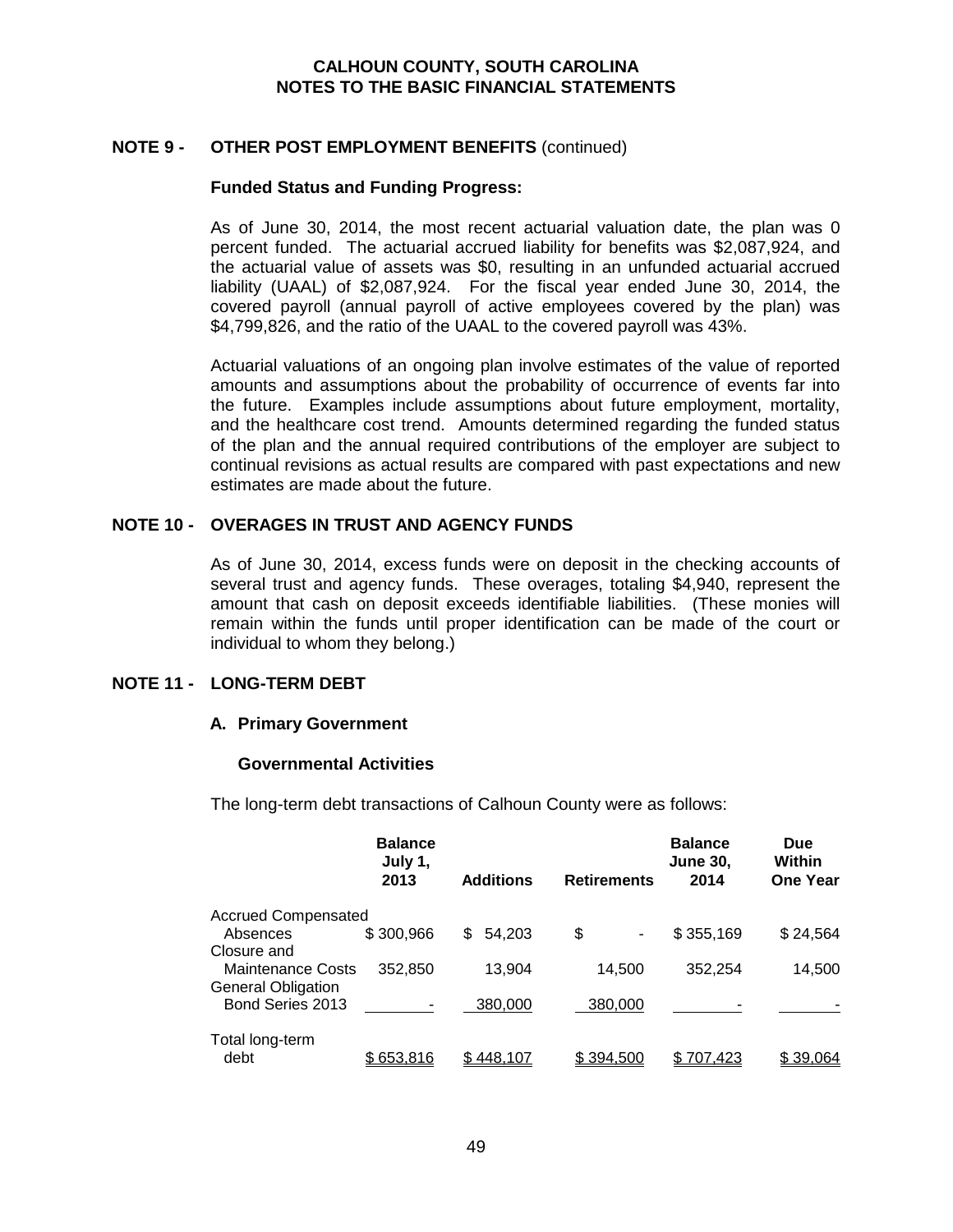#### **NOTE 9 - OTHER POST EMPLOYMENT BENEFITS** (continued)

#### **Funded Status and Funding Progress:**

As of June 30, 2014, the most recent actuarial valuation date, the plan was 0 percent funded. The actuarial accrued liability for benefits was \$2,087,924, and the actuarial value of assets was \$0, resulting in an unfunded actuarial accrued liability (UAAL) of \$2,087,924. For the fiscal year ended June 30, 2014, the covered payroll (annual payroll of active employees covered by the plan) was \$4,799,826, and the ratio of the UAAL to the covered payroll was 43%.

Actuarial valuations of an ongoing plan involve estimates of the value of reported amounts and assumptions about the probability of occurrence of events far into the future. Examples include assumptions about future employment, mortality, and the healthcare cost trend. Amounts determined regarding the funded status of the plan and the annual required contributions of the employer are subject to continual revisions as actual results are compared with past expectations and new estimates are made about the future.

#### **NOTE 10 - OVERAGES IN TRUST AND AGENCY FUNDS**

As of June 30, 2014, excess funds were on deposit in the checking accounts of several trust and agency funds. These overages, totaling \$4,940, represent the amount that cash on deposit exceeds identifiable liabilities. (These monies will remain within the funds until proper identification can be made of the court or individual to whom they belong.)

## **NOTE 11 - LONG-TERM DEBT**

#### **A. Primary Government**

#### **Governmental Activities**

The long-term debt transactions of Calhoun County were as follows:

|                            | <b>Balance</b><br>July 1,<br>2013 | <b>Additions</b> | <b>Retirements</b> | <b>Balance</b><br><b>June 30.</b><br>2014 | Due<br>Within<br><b>One Year</b> |
|----------------------------|-----------------------------------|------------------|--------------------|-------------------------------------------|----------------------------------|
| <b>Accrued Compensated</b> |                                   |                  |                    |                                           |                                  |
| Absences                   | \$300,966                         | 54,203<br>S      | \$                 | \$355,169                                 | \$24,564                         |
| Closure and                |                                   |                  |                    |                                           |                                  |
| <b>Maintenance Costs</b>   | 352,850                           | 13,904           | 14,500             | 352,254                                   | 14,500                           |
| <b>General Obligation</b>  |                                   |                  |                    |                                           |                                  |
| Bond Series 2013           |                                   | 380,000          | 380,000            |                                           |                                  |
| Total long-term            |                                   |                  |                    |                                           |                                  |
| debt                       | \$653,816                         | \$448,107        | \$394,500          | \$707,423                                 | \$39,064                         |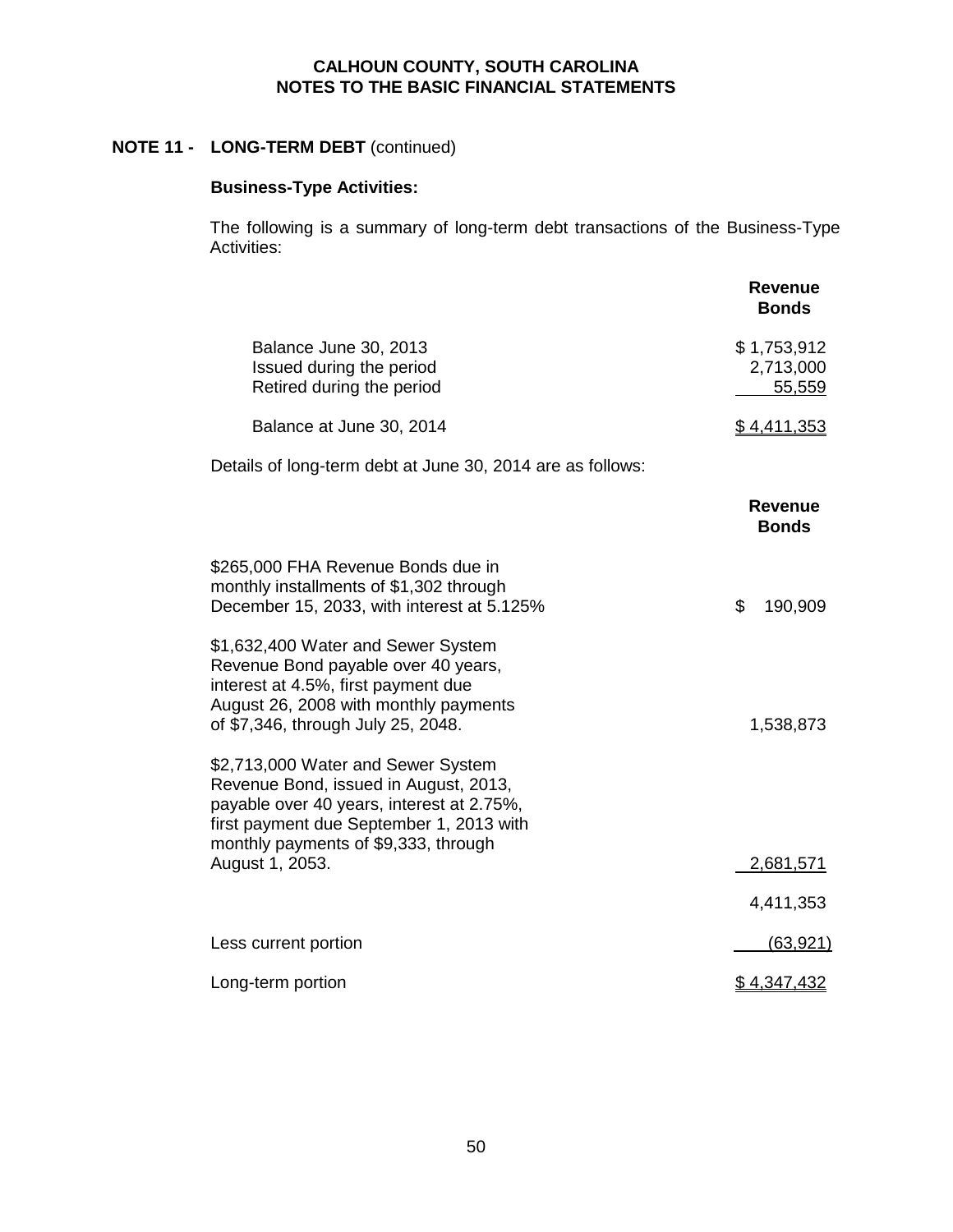# **NOTE 11 - LONG-TERM DEBT** (continued)

# **Business-Type Activities:**

The following is a summary of long-term debt transactions of the Business-Type Activities:

|                                                                                                                                                                                                              | Revenue<br><b>Bonds</b>            |
|--------------------------------------------------------------------------------------------------------------------------------------------------------------------------------------------------------------|------------------------------------|
| Balance June 30, 2013<br>Issued during the period<br>Retired during the period                                                                                                                               | \$1,753,912<br>2,713,000<br>55,559 |
| Balance at June 30, 2014                                                                                                                                                                                     | <u>\$4,411,353</u>                 |
| Details of long-term debt at June 30, 2014 are as follows:                                                                                                                                                   |                                    |
|                                                                                                                                                                                                              | <b>Revenue</b><br><b>Bonds</b>     |
| \$265,000 FHA Revenue Bonds due in<br>monthly installments of \$1,302 through<br>December 15, 2033, with interest at 5.125%                                                                                  | \$<br>190,909                      |
| \$1,632,400 Water and Sewer System<br>Revenue Bond payable over 40 years,<br>interest at 4.5%, first payment due<br>August 26, 2008 with monthly payments<br>of \$7,346, through July 25, 2048.              | 1,538,873                          |
| \$2,713,000 Water and Sewer System<br>Revenue Bond, issued in August, 2013,<br>payable over 40 years, interest at 2.75%,<br>first payment due September 1, 2013 with<br>monthly payments of \$9,333, through |                                    |
| August 1, 2053.                                                                                                                                                                                              | 2,681,571                          |
|                                                                                                                                                                                                              | 4,411,353                          |
| Less current portion                                                                                                                                                                                         | (63, 921)                          |
| Long-term portion                                                                                                                                                                                            | <u>\$4,347,432</u>                 |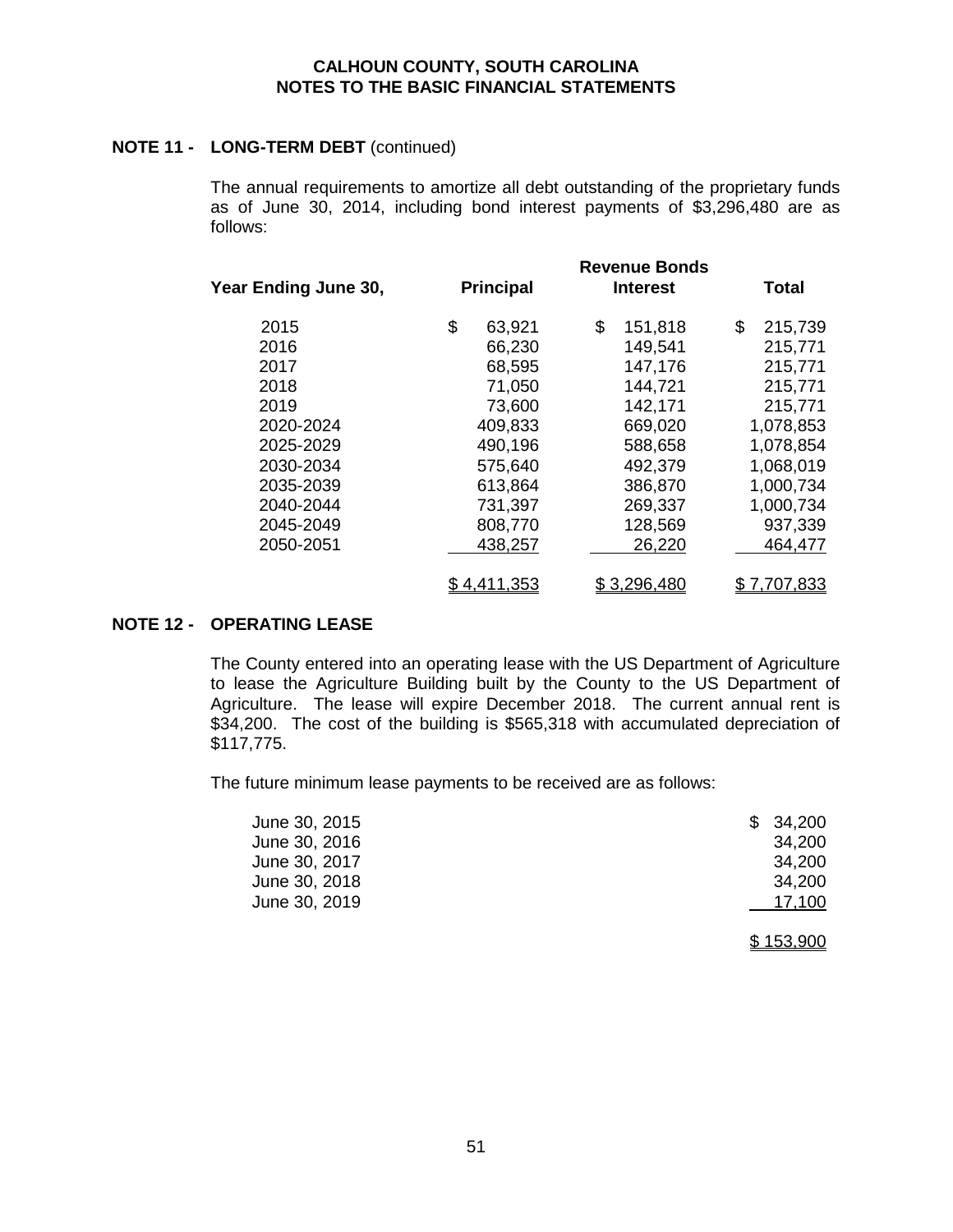#### **NOTE 11 - LONG-TERM DEBT** (continued)

The annual requirements to amortize all debt outstanding of the proprietary funds as of June 30, 2014, including bond interest payments of \$3,296,480 are as follows:

|                      |                     | <b>Revenue Bonds</b> |               |  |  |  |
|----------------------|---------------------|----------------------|---------------|--|--|--|
| Year Ending June 30, | <b>Principal</b>    | <b>Interest</b>      | Total         |  |  |  |
| 2015                 | \$<br>63,921        | \$<br>151,818        | \$<br>215,739 |  |  |  |
| 2016                 | 66,230              | 149,541              | 215,771       |  |  |  |
| 2017                 | 68,595              | 147,176              | 215,771       |  |  |  |
| 2018                 | 71,050              | 144,721              | 215,771       |  |  |  |
| 2019                 | 73,600              | 142,171              | 215,771       |  |  |  |
| 2020-2024            | 409,833             | 669,020              | 1,078,853     |  |  |  |
| 2025-2029            | 490,196             | 588,658              | 1,078,854     |  |  |  |
| 2030-2034            | 575,640             | 492,379              | 1,068,019     |  |  |  |
| 2035-2039            | 613,864             | 386,870              | 1,000,734     |  |  |  |
| 2040-2044            | 731,397             | 269,337              | 1,000,734     |  |  |  |
| 2045-2049            | 808,770             | 128,569              | 937,339       |  |  |  |
| 2050-2051            | 438,257             | 26,220               | 464,477       |  |  |  |
|                      |                     |                      |               |  |  |  |
|                      | <u>\$ 4,411,353</u> | 3,296,480            | 7.707.833     |  |  |  |

# **NOTE 12 - OPERATING LEASE**

The County entered into an operating lease with the US Department of Agriculture to lease the Agriculture Building built by the County to the US Department of Agriculture. The lease will expire December 2018. The current annual rent is \$34,200. The cost of the building is \$565,318 with accumulated depreciation of \$117,775.

The future minimum lease payments to be received are as follows:

| June 30, 2015 | \$34,200 |
|---------------|----------|
| June 30, 2016 | 34,200   |
| June 30, 2017 | 34,200   |
| June 30, 2018 | 34.200   |
| June 30, 2019 | 17,100   |
|               |          |

\$ 153,900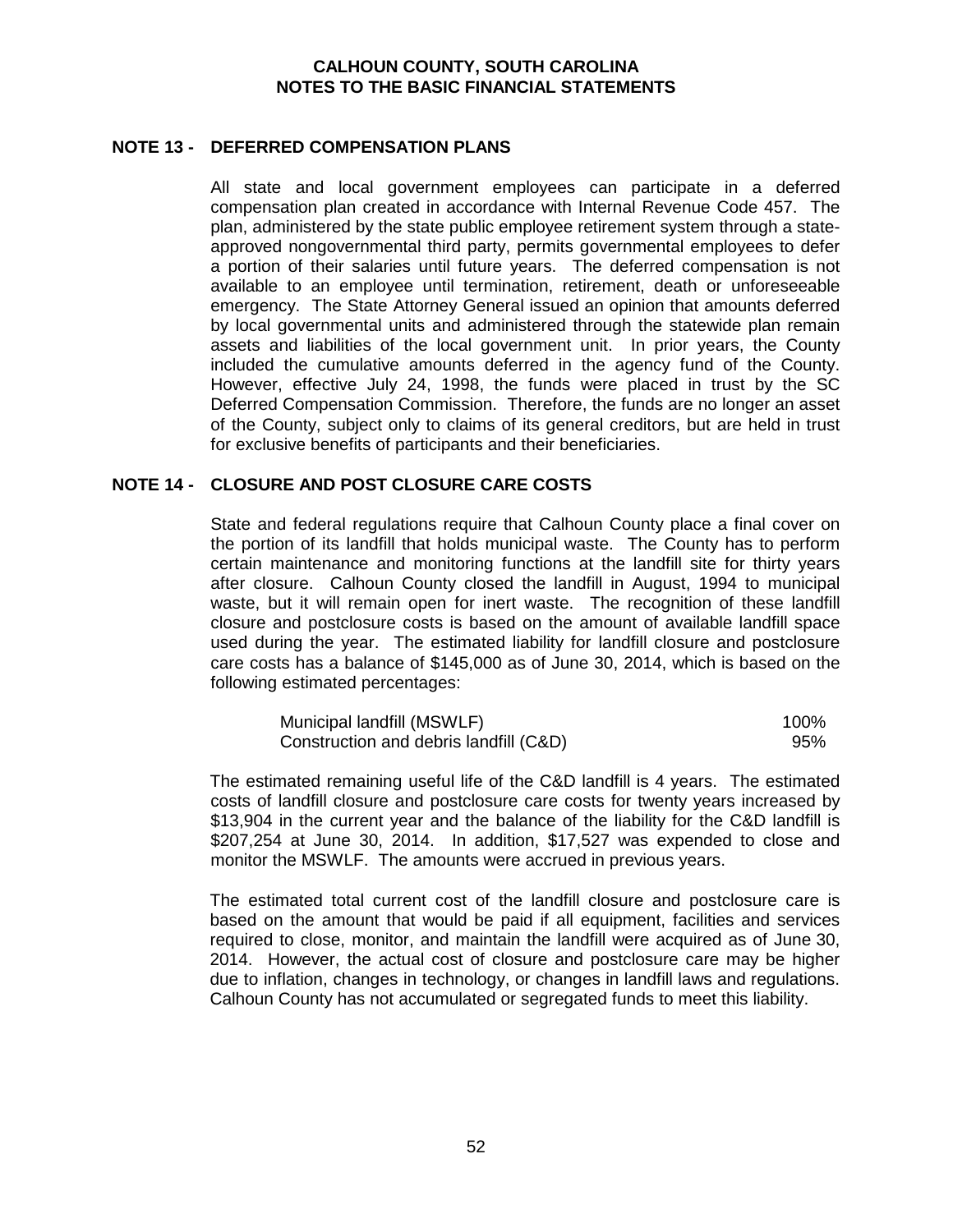#### **NOTE 13 - DEFERRED COMPENSATION PLANS**

All state and local government employees can participate in a deferred compensation plan created in accordance with Internal Revenue Code 457. The plan, administered by the state public employee retirement system through a stateapproved nongovernmental third party, permits governmental employees to defer a portion of their salaries until future years. The deferred compensation is not available to an employee until termination, retirement, death or unforeseeable emergency. The State Attorney General issued an opinion that amounts deferred by local governmental units and administered through the statewide plan remain assets and liabilities of the local government unit. In prior years, the County included the cumulative amounts deferred in the agency fund of the County. However, effective July 24, 1998, the funds were placed in trust by the SC Deferred Compensation Commission. Therefore, the funds are no longer an asset of the County, subject only to claims of its general creditors, but are held in trust for exclusive benefits of participants and their beneficiaries.

#### **NOTE 14 - CLOSURE AND POST CLOSURE CARE COSTS**

State and federal regulations require that Calhoun County place a final cover on the portion of its landfill that holds municipal waste. The County has to perform certain maintenance and monitoring functions at the landfill site for thirty years after closure. Calhoun County closed the landfill in August, 1994 to municipal waste, but it will remain open for inert waste. The recognition of these landfill closure and postclosure costs is based on the amount of available landfill space used during the year. The estimated liability for landfill closure and postclosure care costs has a balance of \$145,000 as of June 30, 2014, which is based on the following estimated percentages:

| Municipal landfill (MSWLF)             | 100% |
|----------------------------------------|------|
| Construction and debris landfill (C&D) | 95%  |

The estimated remaining useful life of the C&D landfill is 4 years. The estimated costs of landfill closure and postclosure care costs for twenty years increased by \$13,904 in the current year and the balance of the liability for the C&D landfill is \$207,254 at June 30, 2014. In addition, \$17,527 was expended to close and monitor the MSWLF. The amounts were accrued in previous years.

The estimated total current cost of the landfill closure and postclosure care is based on the amount that would be paid if all equipment, facilities and services required to close, monitor, and maintain the landfill were acquired as of June 30, 2014. However, the actual cost of closure and postclosure care may be higher due to inflation, changes in technology, or changes in landfill laws and regulations. Calhoun County has not accumulated or segregated funds to meet this liability.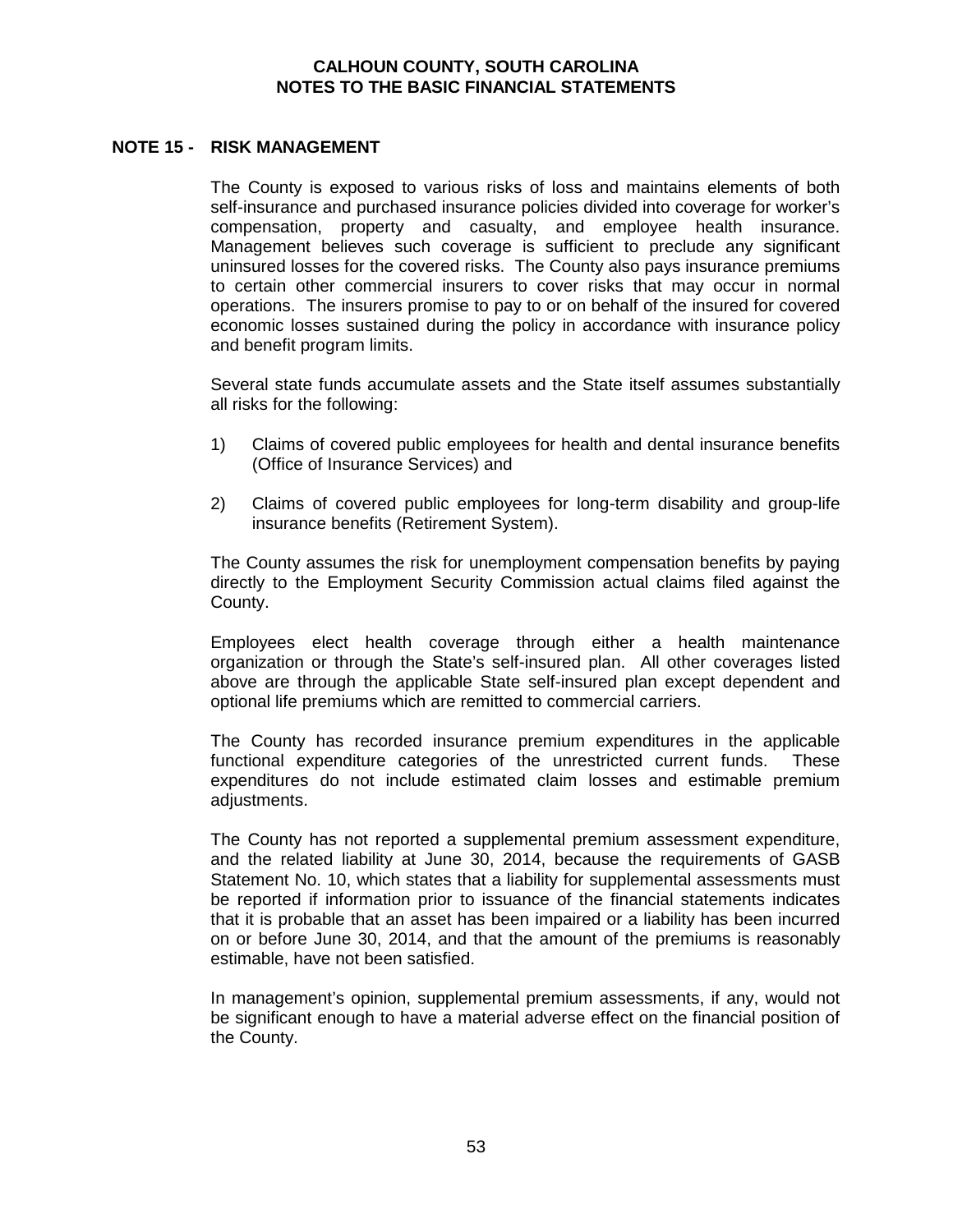#### **NOTE 15 - RISK MANAGEMENT**

The County is exposed to various risks of loss and maintains elements of both self-insurance and purchased insurance policies divided into coverage for worker's compensation, property and casualty, and employee health insurance. Management believes such coverage is sufficient to preclude any significant uninsured losses for the covered risks. The County also pays insurance premiums to certain other commercial insurers to cover risks that may occur in normal operations. The insurers promise to pay to or on behalf of the insured for covered economic losses sustained during the policy in accordance with insurance policy and benefit program limits.

Several state funds accumulate assets and the State itself assumes substantially all risks for the following:

- 1) Claims of covered public employees for health and dental insurance benefits (Office of Insurance Services) and
- 2) Claims of covered public employees for long-term disability and group-life insurance benefits (Retirement System).

The County assumes the risk for unemployment compensation benefits by paying directly to the Employment Security Commission actual claims filed against the County.

Employees elect health coverage through either a health maintenance organization or through the State's self-insured plan. All other coverages listed above are through the applicable State self-insured plan except dependent and optional life premiums which are remitted to commercial carriers.

The County has recorded insurance premium expenditures in the applicable functional expenditure categories of the unrestricted current funds. These expenditures do not include estimated claim losses and estimable premium adjustments.

The County has not reported a supplemental premium assessment expenditure, and the related liability at June 30, 2014, because the requirements of GASB Statement No. 10, which states that a liability for supplemental assessments must be reported if information prior to issuance of the financial statements indicates that it is probable that an asset has been impaired or a liability has been incurred on or before June 30, 2014, and that the amount of the premiums is reasonably estimable, have not been satisfied.

In management's opinion, supplemental premium assessments, if any, would not be significant enough to have a material adverse effect on the financial position of the County.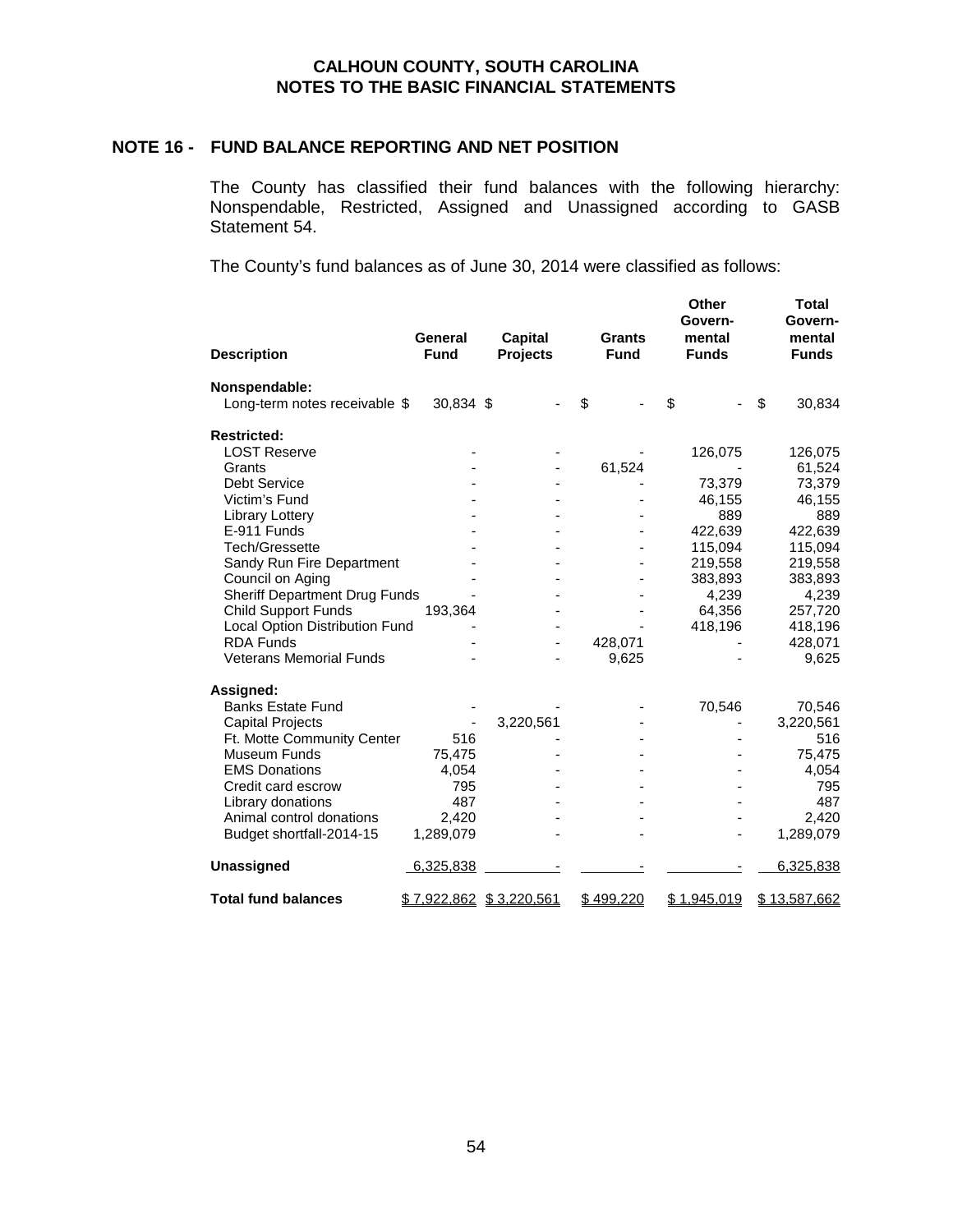#### **NOTE 16 - FUND BALANCE REPORTING AND NET POSITION**

The County has classified their fund balances with the following hierarchy: Nonspendable, Restricted, Assigned and Unassigned according to GASB Statement 54.

The County's fund balances as of June 30, 2014 were classified as follows:

| <b>Description</b>                             | General<br><b>Fund</b> | Capital<br><b>Projects</b>     | <b>Grants</b><br><b>Fund</b> | Other<br>Govern-<br>mental<br><b>Funds</b> | <b>Total</b><br>Govern-<br>mental<br><b>Funds</b> |
|------------------------------------------------|------------------------|--------------------------------|------------------------------|--------------------------------------------|---------------------------------------------------|
| Nonspendable:<br>Long-term notes receivable \$ | 30,834 \$              |                                | \$                           | \$                                         | \$<br>30,834                                      |
| <b>Restricted:</b>                             |                        |                                |                              |                                            |                                                   |
| <b>LOST Reserve</b>                            |                        |                                |                              | 126,075                                    | 126,075                                           |
| Grants                                         |                        |                                | 61,524                       |                                            | 61,524                                            |
| <b>Debt Service</b>                            |                        |                                |                              | 73,379                                     | 73,379                                            |
| Victim's Fund                                  |                        |                                |                              | 46,155                                     | 46,155                                            |
| Library Lottery                                |                        |                                |                              | 889                                        | 889                                               |
| E-911 Funds                                    |                        |                                |                              | 422,639                                    | 422,639                                           |
| Tech/Gressette                                 |                        |                                |                              | 115,094                                    | 115,094                                           |
| Sandy Run Fire Department                      |                        |                                |                              | 219,558                                    | 219,558                                           |
| Council on Aging                               |                        |                                |                              | 383,893                                    | 383,893                                           |
| <b>Sheriff Department Drug Funds</b>           |                        |                                |                              | 4,239                                      | 4,239                                             |
| <b>Child Support Funds</b>                     | 193,364                |                                |                              | 64,356                                     | 257,720                                           |
| Local Option Distribution Fund                 |                        |                                |                              | 418,196                                    | 418,196                                           |
| <b>RDA Funds</b>                               |                        |                                | 428,071                      |                                            | 428,071                                           |
| <b>Veterans Memorial Funds</b>                 |                        |                                | 9,625                        |                                            | 9,625                                             |
| Assigned:                                      |                        |                                |                              |                                            |                                                   |
| <b>Banks Estate Fund</b>                       |                        |                                |                              | 70,546                                     | 70,546                                            |
| <b>Capital Projects</b>                        |                        | 3,220,561                      |                              |                                            | 3,220,561                                         |
| Ft. Motte Community Center                     | 516                    |                                |                              |                                            | 516                                               |
| Museum Funds                                   | 75,475                 |                                |                              |                                            | 75,475                                            |
| <b>EMS Donations</b>                           | 4,054                  |                                |                              |                                            | 4,054                                             |
| Credit card escrow                             | 795                    |                                |                              |                                            | 795                                               |
| Library donations                              | 487                    |                                |                              |                                            | 487                                               |
| Animal control donations                       | 2,420                  |                                |                              |                                            | 2,420                                             |
| Budget shortfall-2014-15                       | 1,289,079              |                                |                              |                                            | 1,289,079                                         |
| <b>Unassigned</b>                              | 6,325,838              |                                |                              |                                            | 6,325,838                                         |
| <b>Total fund balances</b>                     |                        | <u>\$7,922,862 \$3,220,561</u> | \$499,220                    | \$1,945,019                                | \$13,587,662                                      |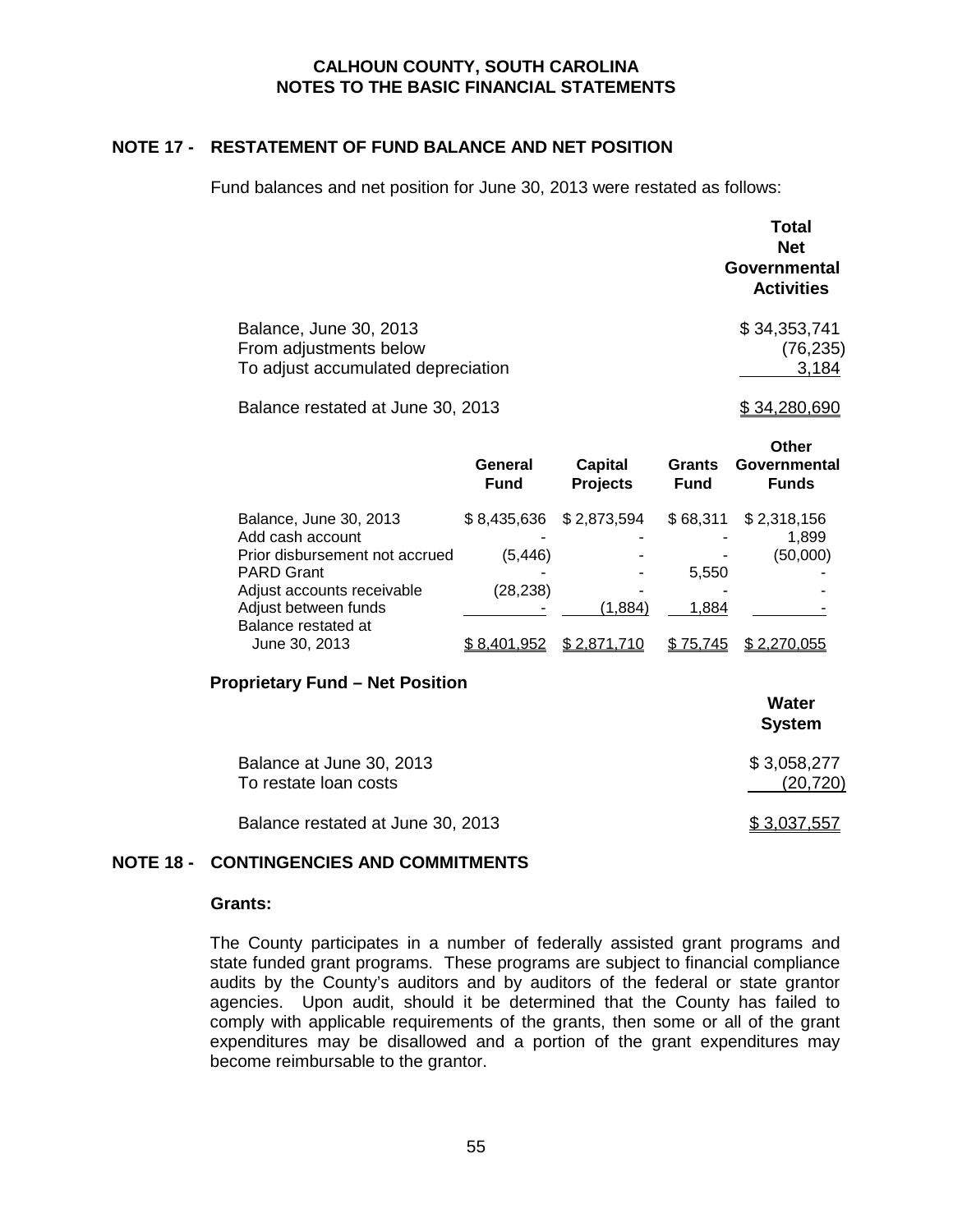#### **NOTE 17 - RESTATEMENT OF FUND BALANCE AND NET POSITION**

Fund balances and net position for June 30, 2013 were restated as follows:

|                                                                                                                                                                                                 |                                                     |                                       |                                        | Total<br><b>Net</b><br>Governmental<br><b>Activities</b> |
|-------------------------------------------------------------------------------------------------------------------------------------------------------------------------------------------------|-----------------------------------------------------|---------------------------------------|----------------------------------------|----------------------------------------------------------|
| Balance, June 30, 2013<br>From adjustments below<br>To adjust accumulated depreciation                                                                                                          |                                                     |                                       |                                        | \$34,353,741<br>(76, 235)<br>3,184                       |
| Balance restated at June 30, 2013                                                                                                                                                               |                                                     |                                       |                                        | \$34,280,690                                             |
|                                                                                                                                                                                                 | General<br><b>Fund</b>                              | <b>Capital</b><br><b>Projects</b>     | Grants<br><b>Fund</b>                  | Other<br>Governmental<br><b>Funds</b>                    |
| Balance, June 30, 2013<br>Add cash account<br>Prior disbursement not accrued<br><b>PARD Grant</b><br>Adjust accounts receivable<br>Adjust between funds<br>Balance restated at<br>June 30, 2013 | \$8,435,636<br>(5, 446)<br>(28, 238)<br>\$8,401,952 | \$2,873,594<br>(1,884)<br>\$2,871,710 | \$68,311<br>5,550<br>1,884<br>\$75,745 | \$2,318,156<br>1,899<br>(50,000)<br>\$2,270,055          |
| <b>Proprietary Fund - Net Position</b>                                                                                                                                                          |                                                     |                                       |                                        | <b>Water</b><br><b>System</b>                            |

Balance at June 30, 2013 \$ 3,058,277<br>To restate loan costs (20,720) To restate loan costs Balance restated at June 30, 2013 **\$ 3,037,557** 

#### **NOTE 18 - CONTINGENCIES AND COMMITMENTS**

#### **Grants:**

The County participates in a number of federally assisted grant programs and state funded grant programs. These programs are subject to financial compliance audits by the County's auditors and by auditors of the federal or state grantor agencies. Upon audit, should it be determined that the County has failed to comply with applicable requirements of the grants, then some or all of the grant expenditures may be disallowed and a portion of the grant expenditures may become reimbursable to the grantor.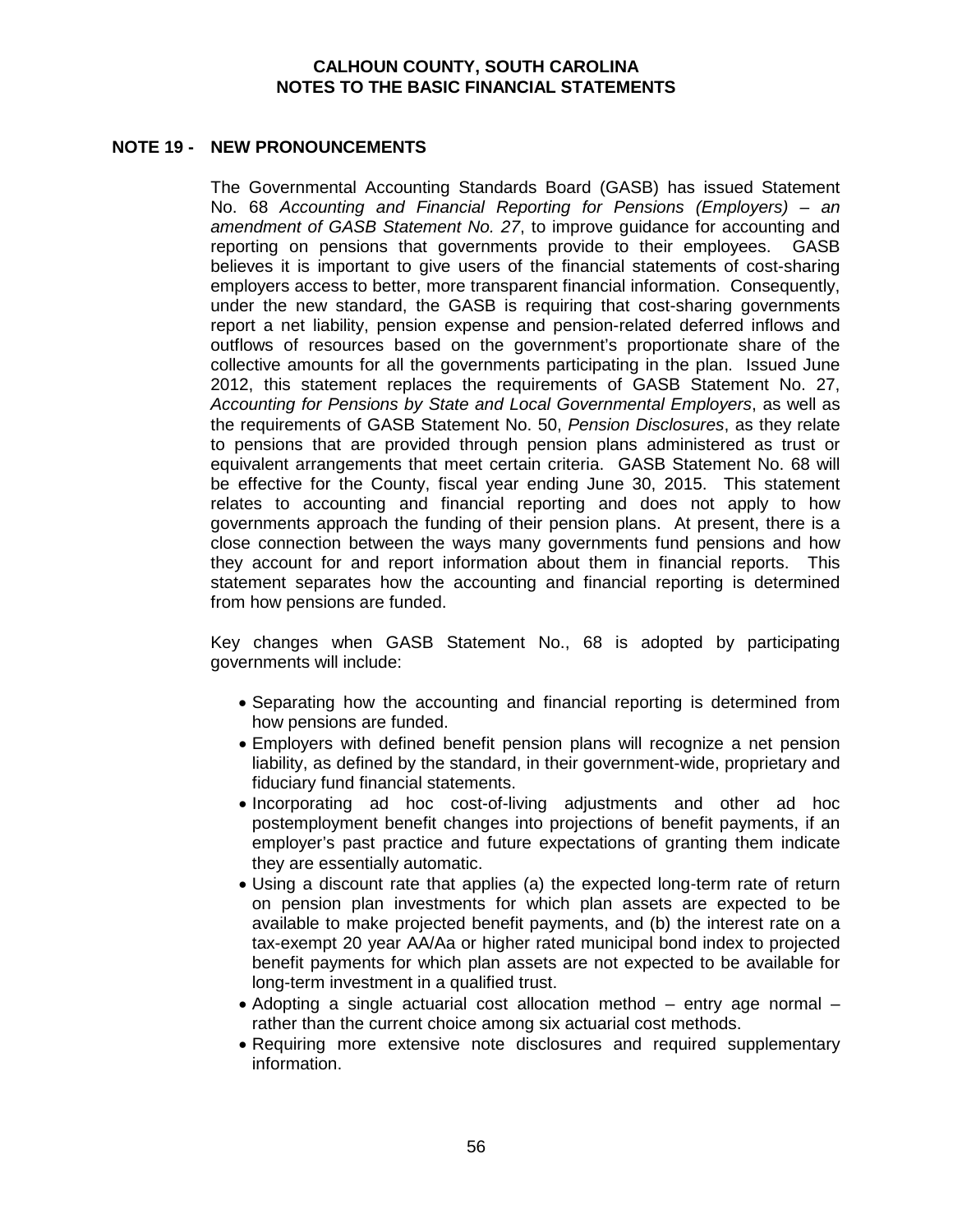#### **NOTE 19 - NEW PRONOUNCEMENTS**

The Governmental Accounting Standards Board (GASB) has issued Statement No. 68 *Accounting and Financial Reporting for Pensions (Employers) – an amendment of GASB Statement No. 27*, to improve guidance for accounting and reporting on pensions that governments provide to their employees. GASB believes it is important to give users of the financial statements of cost-sharing employers access to better, more transparent financial information. Consequently, under the new standard, the GASB is requiring that cost-sharing governments report a net liability, pension expense and pension-related deferred inflows and outflows of resources based on the government's proportionate share of the collective amounts for all the governments participating in the plan. Issued June 2012, this statement replaces the requirements of GASB Statement No. 27, *Accounting for Pensions by State and Local Governmental Employers*, as well as the requirements of GASB Statement No. 50, *Pension Disclosures*, as they relate to pensions that are provided through pension plans administered as trust or equivalent arrangements that meet certain criteria. GASB Statement No. 68 will be effective for the County, fiscal year ending June 30, 2015. This statement relates to accounting and financial reporting and does not apply to how governments approach the funding of their pension plans. At present, there is a close connection between the ways many governments fund pensions and how they account for and report information about them in financial reports. This statement separates how the accounting and financial reporting is determined from how pensions are funded.

Key changes when GASB Statement No., 68 is adopted by participating governments will include:

- Separating how the accounting and financial reporting is determined from how pensions are funded.
- Employers with defined benefit pension plans will recognize a net pension liability, as defined by the standard, in their government-wide, proprietary and fiduciary fund financial statements.
- Incorporating ad hoc cost-of-living adjustments and other ad hoc postemployment benefit changes into projections of benefit payments, if an employer's past practice and future expectations of granting them indicate they are essentially automatic.
- Using a discount rate that applies (a) the expected long-term rate of return on pension plan investments for which plan assets are expected to be available to make projected benefit payments, and (b) the interest rate on a tax-exempt 20 year AA/Aa or higher rated municipal bond index to projected benefit payments for which plan assets are not expected to be available for long-term investment in a qualified trust.
- Adopting a single actuarial cost allocation method entry age normal rather than the current choice among six actuarial cost methods.
- Requiring more extensive note disclosures and required supplementary information.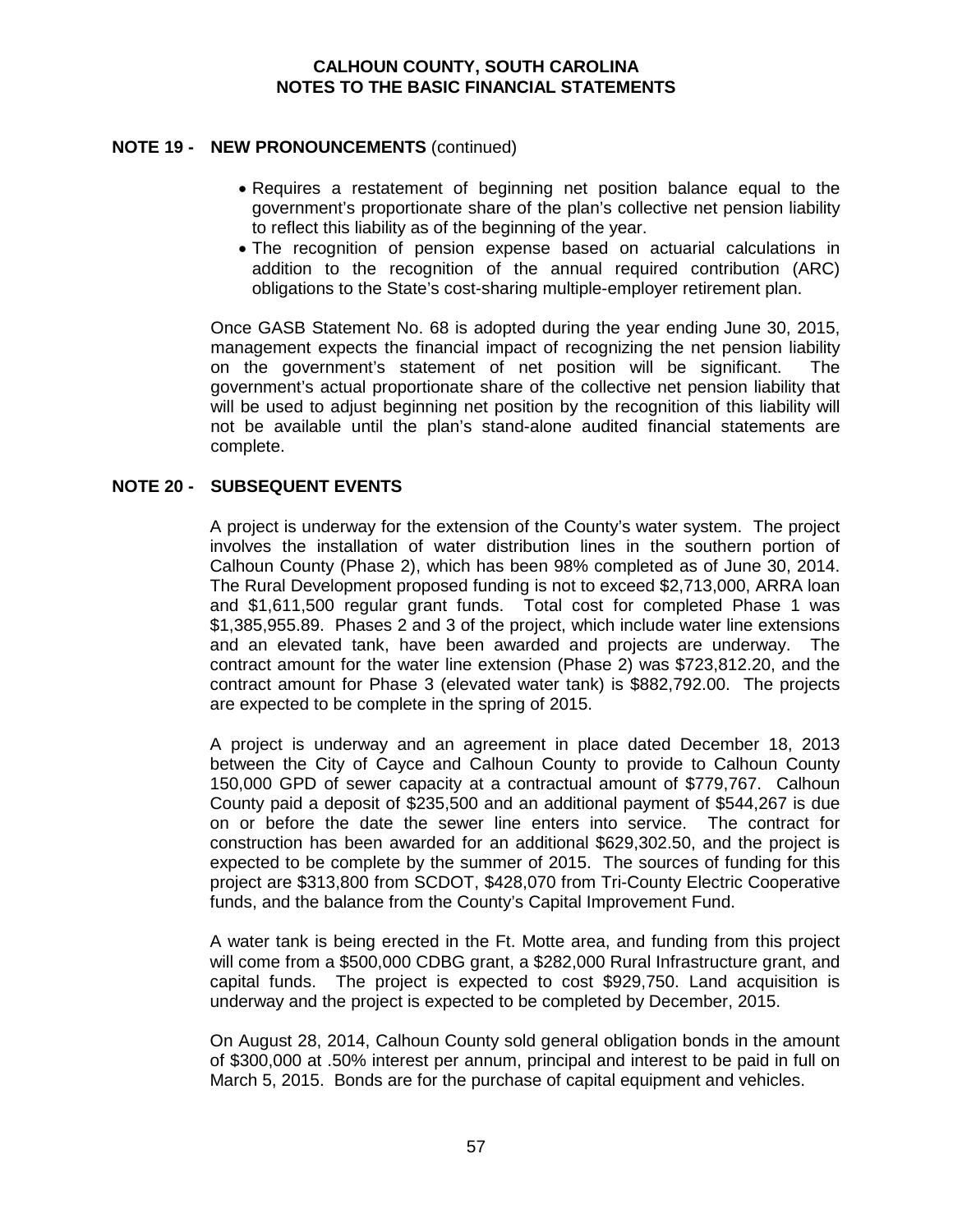#### **NOTE 19 - NEW PRONOUNCEMENTS** (continued)

- Requires a restatement of beginning net position balance equal to the government's proportionate share of the plan's collective net pension liability to reflect this liability as of the beginning of the year.
- The recognition of pension expense based on actuarial calculations in addition to the recognition of the annual required contribution (ARC) obligations to the State's cost-sharing multiple-employer retirement plan.

Once GASB Statement No. 68 is adopted during the year ending June 30, 2015, management expects the financial impact of recognizing the net pension liability on the government's statement of net position will be significant. The government's actual proportionate share of the collective net pension liability that will be used to adjust beginning net position by the recognition of this liability will not be available until the plan's stand-alone audited financial statements are complete.

#### **NOTE 20 - SUBSEQUENT EVENTS**

A project is underway for the extension of the County's water system. The project involves the installation of water distribution lines in the southern portion of Calhoun County (Phase 2), which has been 98% completed as of June 30, 2014. The Rural Development proposed funding is not to exceed \$2,713,000, ARRA loan and \$1,611,500 regular grant funds. Total cost for completed Phase 1 was \$1,385,955.89. Phases 2 and 3 of the project, which include water line extensions and an elevated tank, have been awarded and projects are underway. The contract amount for the water line extension (Phase 2) was \$723,812.20, and the contract amount for Phase 3 (elevated water tank) is \$882,792.00. The projects are expected to be complete in the spring of 2015.

A project is underway and an agreement in place dated December 18, 2013 between the City of Cayce and Calhoun County to provide to Calhoun County 150,000 GPD of sewer capacity at a contractual amount of \$779,767. Calhoun County paid a deposit of \$235,500 and an additional payment of \$544,267 is due on or before the date the sewer line enters into service. The contract for construction has been awarded for an additional \$629,302.50, and the project is expected to be complete by the summer of 2015. The sources of funding for this project are \$313,800 from SCDOT, \$428,070 from Tri-County Electric Cooperative funds, and the balance from the County's Capital Improvement Fund.

A water tank is being erected in the Ft. Motte area, and funding from this project will come from a \$500,000 CDBG grant, a \$282,000 Rural Infrastructure grant, and capital funds. The project is expected to cost \$929,750. Land acquisition is underway and the project is expected to be completed by December, 2015.

On August 28, 2014, Calhoun County sold general obligation bonds in the amount of \$300,000 at .50% interest per annum, principal and interest to be paid in full on March 5, 2015. Bonds are for the purchase of capital equipment and vehicles.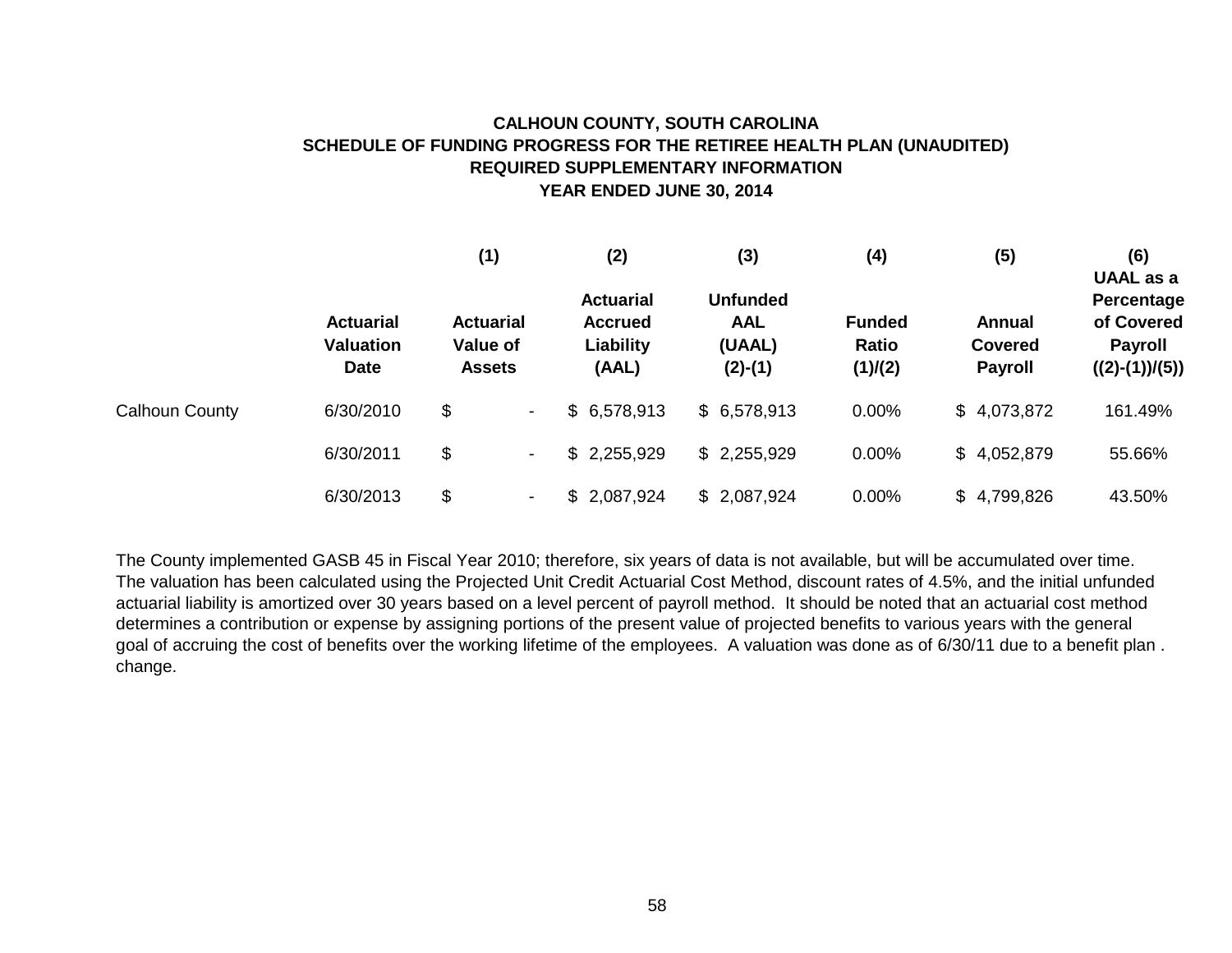# **CALHOUN COUNTY, SOUTH CAROLINA SCHEDULE OF FUNDING PROGRESS FOR THE RETIREE HEALTH PLAN (UNAUDITED) REQUIRED SUPPLEMENTARY INFORMATION YEAR ENDED JUNE 30, 2014**

|                       |                                                     | (1)                                           |                | (2)<br>(3)                                               |                                                      | (4)                               | (5)                                        | (6)<br><b>UAAL as a</b>                                        |  |
|-----------------------|-----------------------------------------------------|-----------------------------------------------|----------------|----------------------------------------------------------|------------------------------------------------------|-----------------------------------|--------------------------------------------|----------------------------------------------------------------|--|
|                       | <b>Actuarial</b><br><b>Valuation</b><br><b>Date</b> | <b>Actuarial</b><br>Value of<br><b>Assets</b> |                | <b>Actuarial</b><br><b>Accrued</b><br>Liability<br>(AAL) | <b>Unfunded</b><br><b>AAL</b><br>(UAAL)<br>$(2)-(1)$ | <b>Funded</b><br>Ratio<br>(1)/(2) | Annual<br><b>Covered</b><br><b>Payroll</b> | Percentage<br>of Covered<br><b>Payroll</b><br>$((2)-(1))/(5))$ |  |
| <b>Calhoun County</b> | 6/30/2010                                           | \$                                            | $\blacksquare$ | \$6,578,913                                              | \$6,578,913                                          | 0.00%                             | \$4,073,872                                | 161.49%                                                        |  |
|                       | 6/30/2011                                           | \$                                            | $\blacksquare$ | \$2,255,929                                              | \$2,255,929                                          | 0.00%                             | \$4,052,879                                | 55.66%                                                         |  |
|                       | 6/30/2013                                           | \$                                            | $\sim$         | \$2,087,924                                              | \$2,087,924                                          | 0.00%                             | \$4,799,826                                | 43.50%                                                         |  |

The County implemented GASB 45 in Fiscal Year 2010; therefore, six years of data is not available, but will be accumulated over time. The valuation has been calculated using the Projected Unit Credit Actuarial Cost Method, discount rates of 4.5%, and the initial unfunded actuarial liability is amortized over 30 years based on a level percent of payroll method. It should be noted that an actuarial cost method determines a contribution or expense by assigning portions of the present value of projected benefits to various years with the general goal of accruing the cost of benefits over the working lifetime of the employees. A valuation was done as of 6/30/11 due to a benefit plan . change.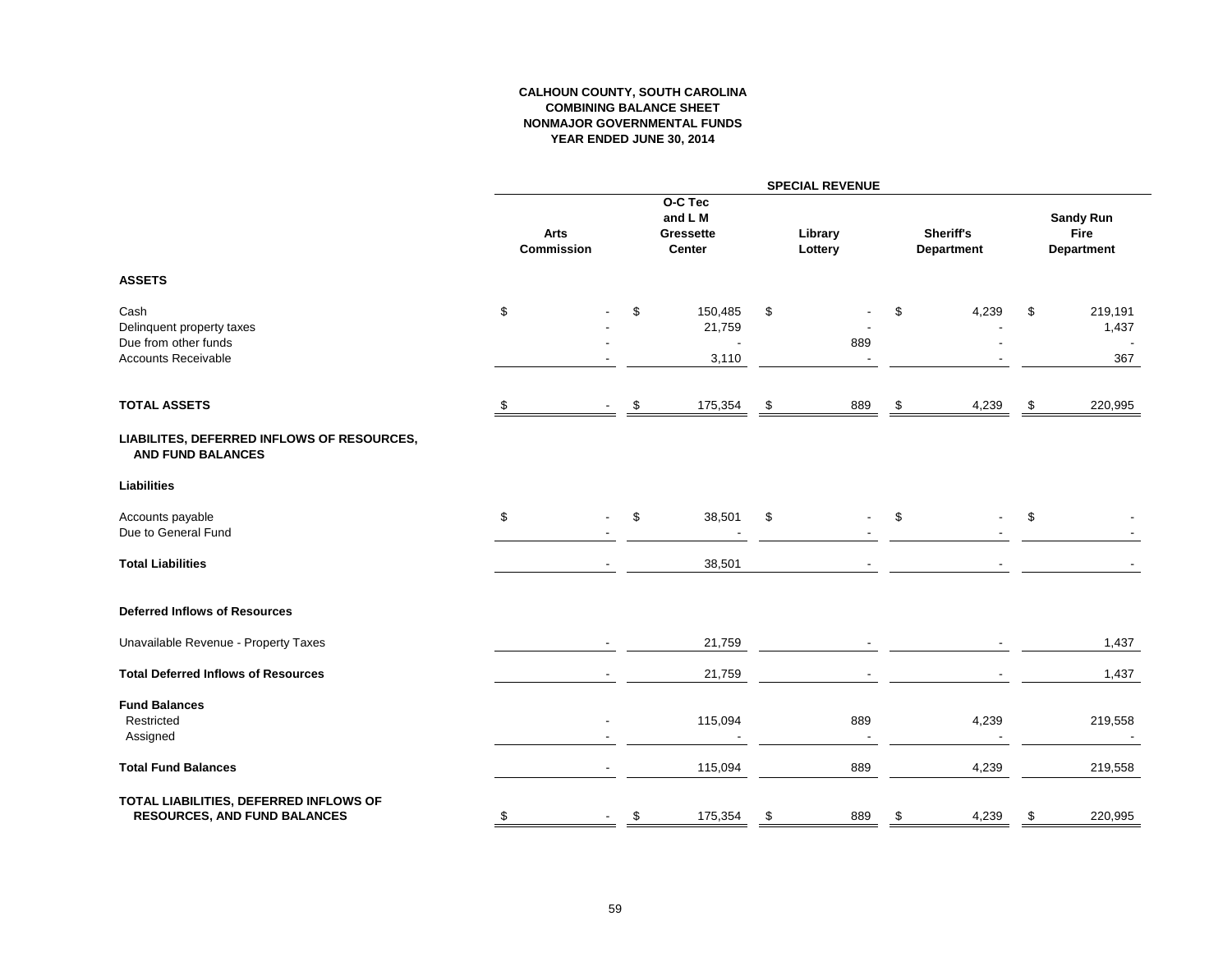#### **CALHOUN COUNTY, SOUTH CAROLINA COMBINING BALANCE SHEET NONMAJOR GOVERNMENTAL FUNDS YEAR ENDED JUNE 30, 2014**

|                                                                                         | <b>SPECIAL REVENUE</b> |                                  |                                                  |                            |                    |     |    |                                |                                                      |                         |
|-----------------------------------------------------------------------------------------|------------------------|----------------------------------|--------------------------------------------------|----------------------------|--------------------|-----|----|--------------------------------|------------------------------------------------------|-------------------------|
|                                                                                         |                        | <b>Arts</b><br><b>Commission</b> | O-C Tec<br>and L M<br>Gressette<br><b>Center</b> |                            | Library<br>Lottery |     |    | Sheriff's<br><b>Department</b> | <b>Sandy Run</b><br><b>Fire</b><br><b>Department</b> |                         |
| <b>ASSETS</b>                                                                           |                        |                                  |                                                  |                            |                    |     |    |                                |                                                      |                         |
| Cash<br>Delinquent property taxes<br>Due from other funds<br><b>Accounts Receivable</b> | \$                     |                                  | \$                                               | 150,485<br>21,759<br>3,110 | \$                 | 889 | \$ | 4,239                          | \$                                                   | 219,191<br>1,437<br>367 |
| <b>TOTAL ASSETS</b>                                                                     | \$.                    |                                  | \$                                               | 175,354                    | \$                 | 889 | \$ | 4,239                          | \$                                                   | 220,995                 |
| LIABILITES, DEFERRED INFLOWS OF RESOURCES,<br><b>AND FUND BALANCES</b>                  |                        |                                  |                                                  |                            |                    |     |    |                                |                                                      |                         |
| <b>Liabilities</b>                                                                      |                        |                                  |                                                  |                            |                    |     |    |                                |                                                      |                         |
| Accounts payable<br>Due to General Fund                                                 | \$                     | $\overline{a}$                   | \$                                               | 38,501                     | \$                 |     | \$ |                                | \$                                                   |                         |
| <b>Total Liabilities</b>                                                                |                        |                                  |                                                  | 38,501                     |                    |     |    |                                |                                                      |                         |
| <b>Deferred Inflows of Resources</b>                                                    |                        |                                  |                                                  |                            |                    |     |    |                                |                                                      |                         |
| Unavailable Revenue - Property Taxes                                                    |                        |                                  |                                                  | 21,759                     |                    |     |    |                                |                                                      | 1,437                   |
| <b>Total Deferred Inflows of Resources</b>                                              |                        |                                  |                                                  | 21,759                     |                    |     |    |                                |                                                      | 1,437                   |
| <b>Fund Balances</b><br>Restricted<br>Assigned                                          |                        |                                  |                                                  | 115,094                    |                    | 889 |    | 4,239                          |                                                      | 219,558                 |
| <b>Total Fund Balances</b>                                                              |                        |                                  |                                                  | 115,094                    |                    | 889 |    | 4,239                          |                                                      | 219,558                 |
| TOTAL LIABILITIES, DEFERRED INFLOWS OF<br><b>RESOURCES, AND FUND BALANCES</b>           | \$                     |                                  | \$                                               | 175,354                    | \$                 | 889 | \$ | 4,239                          | \$                                                   | 220,995                 |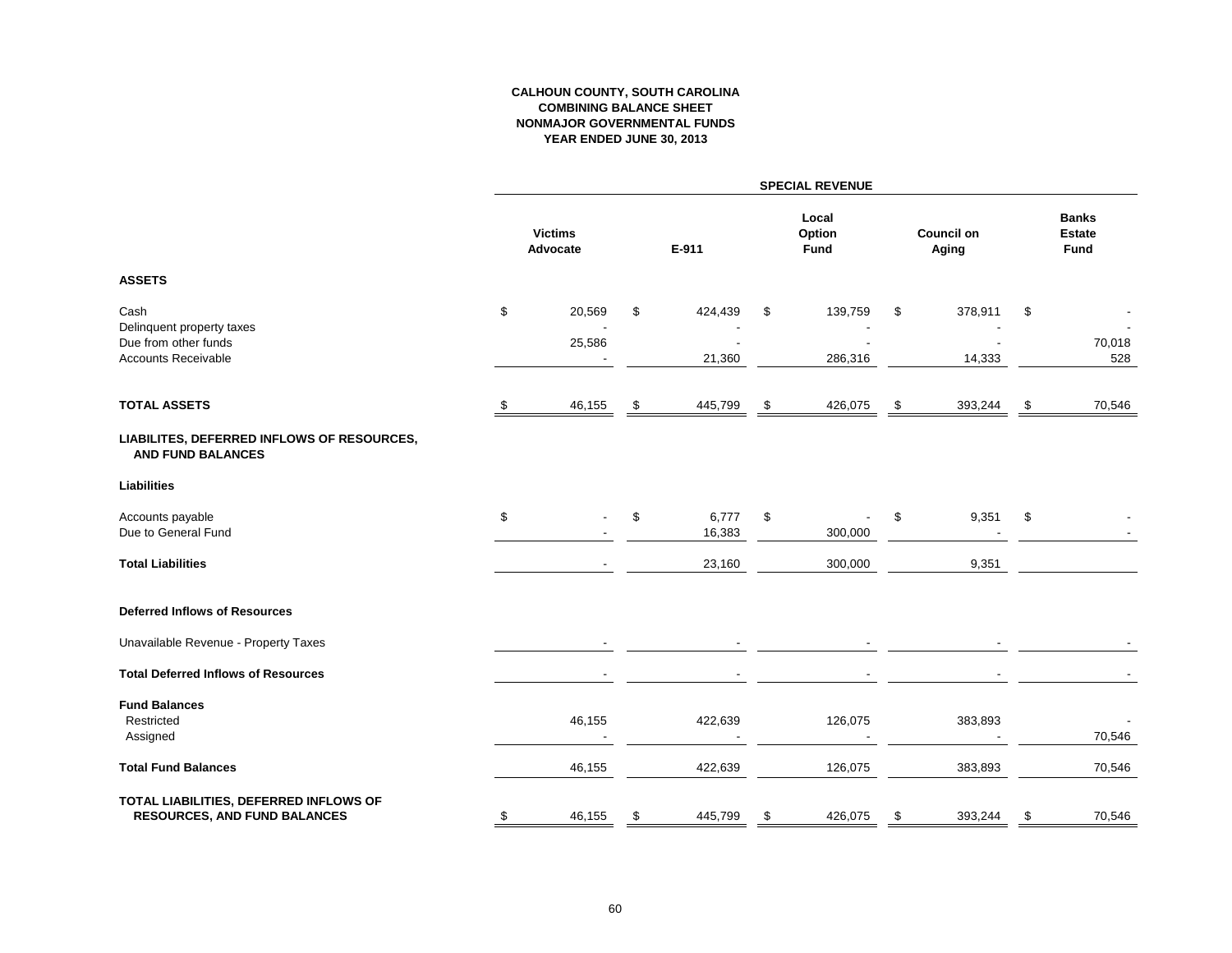#### **CALHOUN COUNTY, SOUTH CAROLINA COMBINING BALANCE SHEET YEAR ENDED JUNE 30, 2013 NONMAJOR GOVERNMENTAL FUNDS**

|                                                                               | <b>SPECIAL REVENUE</b>     |        |       |                 |                         |         |    |                            |    |                                              |
|-------------------------------------------------------------------------------|----------------------------|--------|-------|-----------------|-------------------------|---------|----|----------------------------|----|----------------------------------------------|
|                                                                               | <b>Victims</b><br>Advocate |        | E-911 |                 | Local<br>Option<br>Fund |         |    | <b>Council on</b><br>Aging |    | <b>Banks</b><br><b>Estate</b><br><b>Fund</b> |
| <b>ASSETS</b>                                                                 |                            |        |       |                 |                         |         |    |                            |    |                                              |
| Cash<br>Delinquent property taxes                                             | \$                         | 20,569 | \$    | 424,439         | \$                      | 139,759 | \$ | 378,911                    | \$ |                                              |
| Due from other funds<br><b>Accounts Receivable</b>                            |                            | 25,586 |       | 21,360          |                         | 286,316 |    | 14,333                     |    | 70,018<br>528                                |
| <b>TOTAL ASSETS</b>                                                           | \$                         | 46,155 | \$    | 445,799         | \$                      | 426,075 | \$ | 393,244                    | \$ | 70,546                                       |
| LIABILITES, DEFERRED INFLOWS OF RESOURCES,<br><b>AND FUND BALANCES</b>        |                            |        |       |                 |                         |         |    |                            |    |                                              |
| <b>Liabilities</b>                                                            |                            |        |       |                 |                         |         |    |                            |    |                                              |
| Accounts payable<br>Due to General Fund                                       | \$                         |        | \$    | 6,777<br>16,383 | \$                      | 300,000 | \$ | 9,351                      | \$ |                                              |
| <b>Total Liabilities</b>                                                      |                            |        |       | 23,160          |                         | 300,000 |    | 9,351                      |    |                                              |
| <b>Deferred Inflows of Resources</b>                                          |                            |        |       |                 |                         |         |    |                            |    |                                              |
| Unavailable Revenue - Property Taxes                                          |                            |        |       |                 |                         |         |    |                            |    |                                              |
| <b>Total Deferred Inflows of Resources</b>                                    |                            |        |       |                 |                         |         |    |                            |    |                                              |
| <b>Fund Balances</b><br>Restricted<br>Assigned                                |                            | 46,155 |       | 422,639         |                         | 126,075 |    | 383,893                    |    | 70,546                                       |
| <b>Total Fund Balances</b>                                                    |                            | 46,155 |       | 422,639         |                         | 126,075 |    | 383,893                    |    | 70,546                                       |
| TOTAL LIABILITIES, DEFERRED INFLOWS OF<br><b>RESOURCES, AND FUND BALANCES</b> | \$                         | 46,155 | \$    | 445,799         | \$                      | 426,075 | \$ | 393,244                    | \$ | 70,546                                       |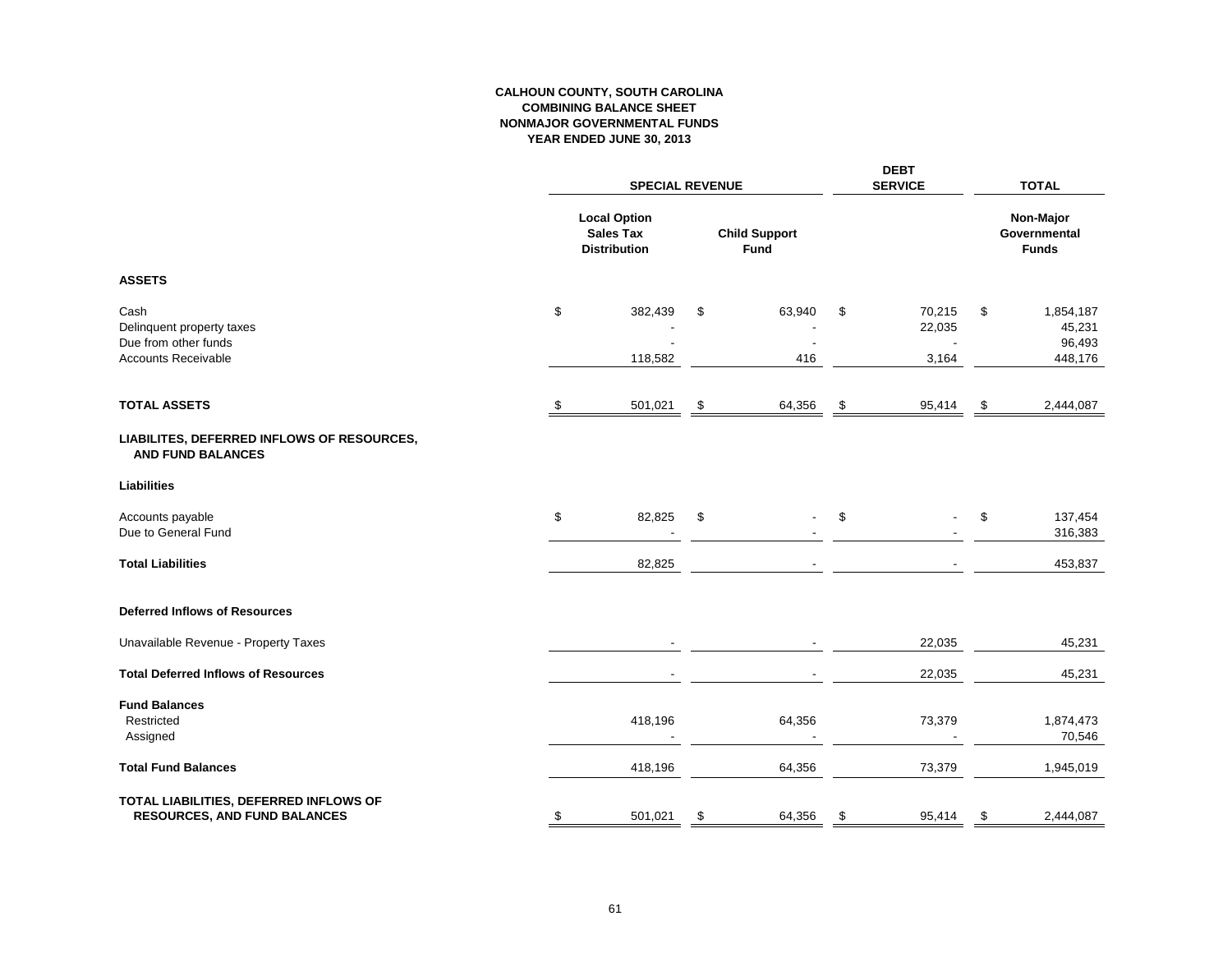#### **CALHOUN COUNTY, SOUTH CAROLINA COMBINING BALANCE SHEET NONMAJOR GOVERNMENTAL FUNDS YEAR ENDED JUNE 30, 2013**

|                                                                                         | <b>SPECIAL REVENUE</b>                                         |    | <b>DEBT</b><br><b>SERVICE</b>       |    |                           | <b>TOTAL</b> |                                           |  |
|-----------------------------------------------------------------------------------------|----------------------------------------------------------------|----|-------------------------------------|----|---------------------------|--------------|-------------------------------------------|--|
|                                                                                         | <b>Local Option</b><br><b>Sales Tax</b><br><b>Distribution</b> |    | <b>Child Support</b><br><b>Fund</b> |    |                           |              | Non-Major<br>Governmental<br><b>Funds</b> |  |
| <b>ASSETS</b>                                                                           |                                                                |    |                                     |    |                           |              |                                           |  |
| Cash<br>Delinquent property taxes<br>Due from other funds<br><b>Accounts Receivable</b> | \$<br>382,439<br>118,582                                       | \$ | 63,940<br>416                       | \$ | 70,215<br>22,035<br>3,164 | \$           | 1,854,187<br>45,231<br>96,493<br>448,176  |  |
| <b>TOTAL ASSETS</b>                                                                     | \$<br>501,021                                                  | \$ | 64,356                              | \$ | 95,414                    | \$           | 2,444,087                                 |  |
| LIABILITES, DEFERRED INFLOWS OF RESOURCES,<br><b>AND FUND BALANCES</b>                  |                                                                |    |                                     |    |                           |              |                                           |  |
| <b>Liabilities</b>                                                                      |                                                                |    |                                     |    |                           |              |                                           |  |
| Accounts payable<br>Due to General Fund                                                 | \$<br>82,825                                                   | \$ |                                     | \$ |                           | \$           | 137,454<br>316,383                        |  |
| <b>Total Liabilities</b>                                                                | 82,825                                                         |    |                                     |    |                           |              | 453,837                                   |  |
| <b>Deferred Inflows of Resources</b>                                                    |                                                                |    |                                     |    |                           |              |                                           |  |
| Unavailable Revenue - Property Taxes                                                    |                                                                |    |                                     |    | 22,035                    |              | 45,231                                    |  |
| <b>Total Deferred Inflows of Resources</b>                                              |                                                                |    |                                     |    | 22,035                    |              | 45,231                                    |  |
| <b>Fund Balances</b><br>Restricted<br>Assigned                                          | 418,196                                                        |    | 64,356                              |    | 73,379                    |              | 1,874,473<br>70,546                       |  |
| <b>Total Fund Balances</b>                                                              | 418,196                                                        |    | 64,356                              |    | 73,379                    |              | 1,945,019                                 |  |
| TOTAL LIABILITIES, DEFERRED INFLOWS OF<br><b>RESOURCES, AND FUND BALANCES</b>           | \$<br>501,021                                                  | \$ | 64,356                              | \$ | 95,414                    | \$           | 2,444,087                                 |  |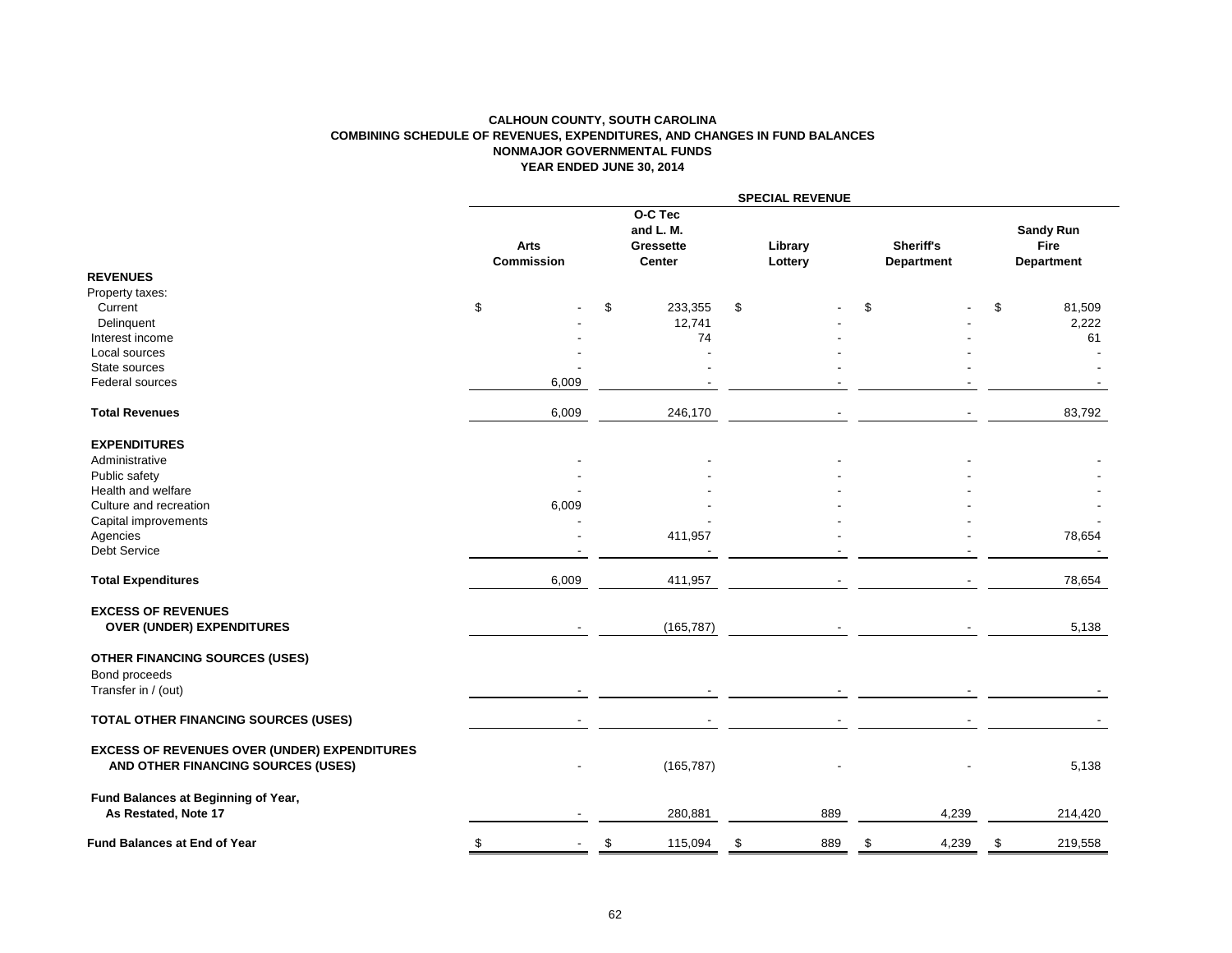#### **CALHOUN COUNTY, SOUTH CAROLINA COMBINING SCHEDULE OF REVENUES, EXPENDITURES, AND CHANGES IN FUND BALANCES YEAR ENDED JUNE 30, 2014 NONMAJOR GOVERNMENTAL FUNDS**

|                                                                                                                                     | <b>SPECIAL REVENUE</b>           |                                                    |                    |                                |                                               |  |  |  |  |
|-------------------------------------------------------------------------------------------------------------------------------------|----------------------------------|----------------------------------------------------|--------------------|--------------------------------|-----------------------------------------------|--|--|--|--|
|                                                                                                                                     | <b>Arts</b><br><b>Commission</b> | O-C Tec<br>and L. M.<br>Gressette<br><b>Center</b> | Library<br>Lottery | Sheriff's<br><b>Department</b> | <b>Sandy Run</b><br><b>Fire</b><br>Department |  |  |  |  |
| <b>REVENUES</b><br>Property taxes:<br>Current<br>Delinquent<br>Interest income<br>Local sources<br>State sources<br>Federal sources | \$<br>6,009                      | \$<br>233,355<br>12,741<br>74                      | \$                 | \$                             | \$<br>81,509<br>2,222<br>61                   |  |  |  |  |
| <b>Total Revenues</b>                                                                                                               | 6,009                            | 246,170                                            |                    |                                | 83,792                                        |  |  |  |  |
| <b>EXPENDITURES</b><br>Administrative<br>Public safety<br>Health and welfare<br>Culture and recreation<br>Capital improvements      | 6,009                            |                                                    |                    |                                |                                               |  |  |  |  |
| Agencies<br>Debt Service                                                                                                            |                                  | 411,957                                            |                    |                                | 78,654                                        |  |  |  |  |
| <b>Total Expenditures</b>                                                                                                           | 6,009                            | 411,957                                            |                    |                                | 78,654                                        |  |  |  |  |
| <b>EXCESS OF REVENUES</b><br><b>OVER (UNDER) EXPENDITURES</b>                                                                       |                                  | (165, 787)                                         |                    |                                | 5,138                                         |  |  |  |  |
| <b>OTHER FINANCING SOURCES (USES)</b><br>Bond proceeds<br>Transfer in / (out)                                                       |                                  |                                                    |                    |                                |                                               |  |  |  |  |
| TOTAL OTHER FINANCING SOURCES (USES)                                                                                                |                                  |                                                    |                    |                                |                                               |  |  |  |  |
| <b>EXCESS OF REVENUES OVER (UNDER) EXPENDITURES</b><br>AND OTHER FINANCING SOURCES (USES)                                           |                                  | (165, 787)                                         |                    |                                | 5,138                                         |  |  |  |  |
| Fund Balances at Beginning of Year,<br>As Restated, Note 17                                                                         |                                  | 280,881                                            | 889                | 4,239                          | 214,420                                       |  |  |  |  |
| <b>Fund Balances at End of Year</b>                                                                                                 | \$                               | \$<br>115,094                                      | \$<br>889          | \$<br>4,239                    | \$<br>219,558                                 |  |  |  |  |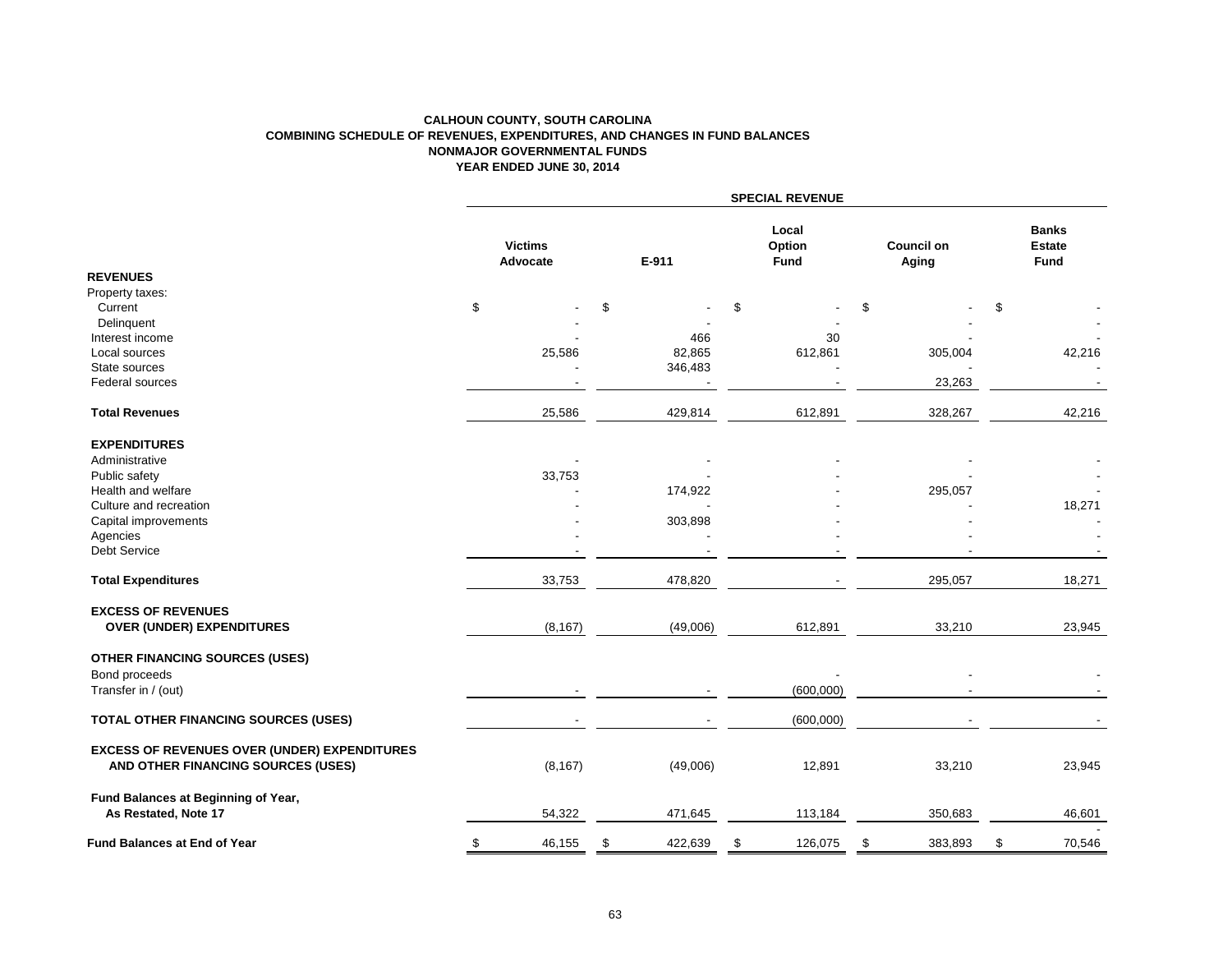#### **CALHOUN COUNTY, SOUTH CAROLINA COMBINING SCHEDULE OF REVENUES, EXPENDITURES, AND CHANGES IN FUND BALANCES NONMAJOR GOVERNMENTAL FUNDS YEAR ENDED JUNE 30, 2014**

|                                                               | <b>SPECIAL REVENUE</b> |                            |       |          |    |                                |    |                            |    |                                              |
|---------------------------------------------------------------|------------------------|----------------------------|-------|----------|----|--------------------------------|----|----------------------------|----|----------------------------------------------|
| <b>REVENUES</b>                                               |                        | <b>Victims</b><br>Advocate | E-911 |          |    | Local<br>Option<br><b>Fund</b> |    | <b>Council on</b><br>Aging |    | <b>Banks</b><br><b>Estate</b><br><b>Fund</b> |
| Property taxes:                                               |                        |                            |       |          |    |                                |    |                            |    |                                              |
| Current                                                       | $\,$                   |                            | \$    |          | \$ |                                | \$ |                            | \$ |                                              |
| Delinquent                                                    |                        |                            |       |          |    |                                |    |                            |    |                                              |
| Interest income                                               |                        |                            |       | 466      |    | 30                             |    |                            |    |                                              |
| Local sources                                                 |                        | 25,586                     |       | 82,865   |    | 612,861                        |    | 305,004                    |    | 42,216                                       |
| State sources                                                 |                        |                            |       | 346,483  |    |                                |    |                            |    |                                              |
| Federal sources                                               |                        |                            |       |          |    |                                |    | 23,263                     |    |                                              |
| <b>Total Revenues</b>                                         |                        | 25,586                     |       | 429,814  |    | 612,891                        |    | 328,267                    |    | 42,216                                       |
| <b>EXPENDITURES</b>                                           |                        |                            |       |          |    |                                |    |                            |    |                                              |
| Administrative                                                |                        |                            |       |          |    |                                |    |                            |    |                                              |
| Public safety                                                 |                        | 33,753                     |       |          |    |                                |    |                            |    |                                              |
| Health and welfare                                            |                        |                            |       | 174,922  |    |                                |    | 295,057                    |    |                                              |
| Culture and recreation                                        |                        |                            |       |          |    |                                |    |                            |    | 18,271                                       |
| Capital improvements                                          |                        |                            |       | 303,898  |    |                                |    |                            |    |                                              |
| Agencies                                                      |                        |                            |       |          |    |                                |    |                            |    |                                              |
| <b>Debt Service</b>                                           |                        |                            |       |          |    |                                |    |                            |    |                                              |
| <b>Total Expenditures</b>                                     |                        | 33,753                     |       | 478,820  |    |                                |    | 295,057                    |    | 18,271                                       |
| <b>EXCESS OF REVENUES</b><br><b>OVER (UNDER) EXPENDITURES</b> |                        | (8, 167)                   |       | (49,006) |    | 612,891                        |    | 33,210                     |    | 23,945                                       |
| <b>OTHER FINANCING SOURCES (USES)</b>                         |                        |                            |       |          |    |                                |    |                            |    |                                              |
| Bond proceeds                                                 |                        |                            |       |          |    |                                |    |                            |    |                                              |
| Transfer in / (out)                                           |                        |                            |       |          |    | (600,000)                      |    |                            |    |                                              |
| TOTAL OTHER FINANCING SOURCES (USES)                          |                        |                            |       |          |    | (600,000)                      |    |                            |    |                                              |
| <b>EXCESS OF REVENUES OVER (UNDER) EXPENDITURES</b>           |                        |                            |       |          |    |                                |    |                            |    |                                              |
| AND OTHER FINANCING SOURCES (USES)                            |                        | (8, 167)                   |       | (49,006) |    | 12,891                         |    | 33,210                     |    | 23,945                                       |
| Fund Balances at Beginning of Year,                           |                        |                            |       |          |    |                                |    |                            |    |                                              |
| As Restated, Note 17                                          |                        | 54,322                     |       | 471,645  |    | 113,184                        |    | 350,683                    |    | 46,601                                       |
| <b>Fund Balances at End of Year</b>                           | \$                     | 46,155                     | \$    | 422,639  | \$ | 126,075                        | \$ | 383,893                    | \$ | 70,546                                       |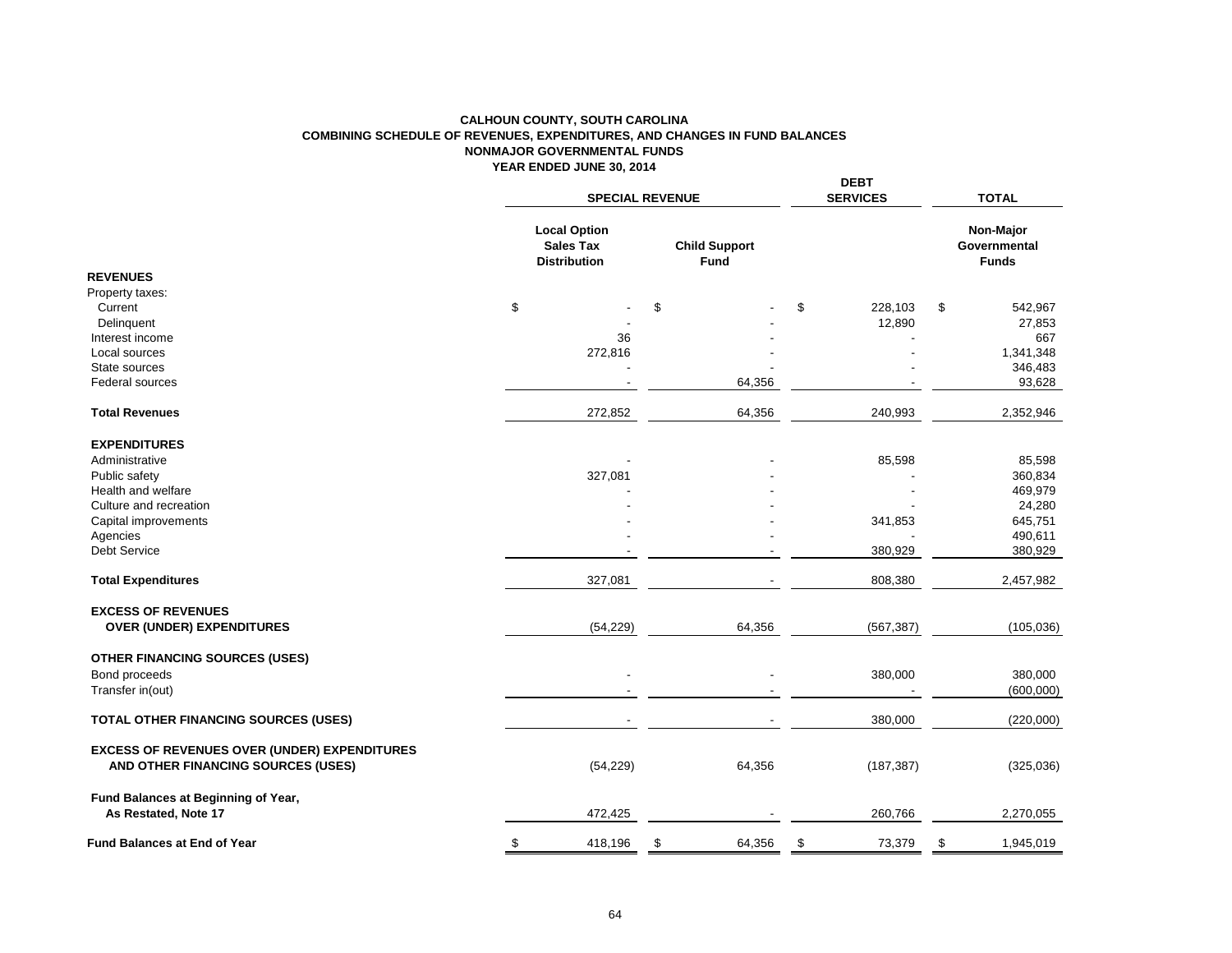#### **CALHOUN COUNTY, SOUTH CAROLINA COMBINING SCHEDULE OF REVENUES, EXPENDITURES, AND CHANGES IN FUND BALANCES NONMAJOR GOVERNMENTAL FUNDS YEAR ENDED JUNE 30, 2014**

|                                                     | <b>SPECIAL REVENUE</b> |                                                                |                                     |        |    | <b>DEBT</b><br><b>SERVICES</b> | <b>TOTAL</b> |                                           |
|-----------------------------------------------------|------------------------|----------------------------------------------------------------|-------------------------------------|--------|----|--------------------------------|--------------|-------------------------------------------|
|                                                     |                        | <b>Local Option</b><br><b>Sales Tax</b><br><b>Distribution</b> | <b>Child Support</b><br><b>Fund</b> |        |    |                                |              | Non-Major<br>Governmental<br><b>Funds</b> |
| <b>REVENUES</b>                                     |                        |                                                                |                                     |        |    |                                |              |                                           |
| Property taxes:                                     |                        |                                                                |                                     |        |    |                                |              |                                           |
| Current                                             | \$                     |                                                                | \$                                  |        | \$ | 228,103                        | \$           | 542,967                                   |
| Delinquent                                          |                        |                                                                |                                     |        |    | 12,890                         |              | 27,853                                    |
| Interest income                                     |                        | 36                                                             |                                     |        |    |                                |              | 667                                       |
| Local sources                                       |                        | 272,816                                                        |                                     |        |    |                                |              | 1,341,348                                 |
| State sources                                       |                        |                                                                |                                     |        |    |                                |              | 346,483                                   |
| Federal sources                                     |                        |                                                                |                                     | 64,356 |    |                                |              | 93,628                                    |
| <b>Total Revenues</b>                               |                        | 272,852                                                        |                                     | 64,356 |    | 240,993                        |              | 2,352,946                                 |
| <b>EXPENDITURES</b>                                 |                        |                                                                |                                     |        |    |                                |              |                                           |
| Administrative                                      |                        |                                                                |                                     |        |    | 85,598                         |              | 85,598                                    |
| Public safety                                       |                        | 327,081                                                        |                                     |        |    |                                |              | 360,834                                   |
| Health and welfare                                  |                        |                                                                |                                     |        |    |                                |              | 469,979                                   |
| Culture and recreation                              |                        |                                                                |                                     |        |    |                                |              | 24,280                                    |
| Capital improvements                                |                        |                                                                |                                     |        |    | 341,853                        |              | 645,751                                   |
| Agencies                                            |                        |                                                                |                                     |        |    |                                |              | 490,611                                   |
| <b>Debt Service</b>                                 |                        |                                                                |                                     |        |    | 380,929                        |              | 380,929                                   |
| <b>Total Expenditures</b>                           |                        | 327,081                                                        |                                     |        |    | 808,380                        |              | 2,457,982                                 |
| <b>EXCESS OF REVENUES</b>                           |                        |                                                                |                                     |        |    |                                |              |                                           |
| <b>OVER (UNDER) EXPENDITURES</b>                    |                        | (54, 229)                                                      |                                     | 64,356 |    | (567, 387)                     |              | (105, 036)                                |
| <b>OTHER FINANCING SOURCES (USES)</b>               |                        |                                                                |                                     |        |    |                                |              |                                           |
| Bond proceeds                                       |                        |                                                                |                                     |        |    | 380,000                        |              | 380,000                                   |
| Transfer in(out)                                    |                        |                                                                |                                     |        |    |                                |              | (600,000)                                 |
| TOTAL OTHER FINANCING SOURCES (USES)                |                        |                                                                |                                     |        |    | 380,000                        |              | (220,000)                                 |
|                                                     |                        |                                                                |                                     |        |    |                                |              |                                           |
| <b>EXCESS OF REVENUES OVER (UNDER) EXPENDITURES</b> |                        |                                                                |                                     |        |    |                                |              |                                           |
| AND OTHER FINANCING SOURCES (USES)                  |                        | (54, 229)                                                      |                                     | 64,356 |    | (187, 387)                     |              | (325,036)                                 |
| Fund Balances at Beginning of Year,                 |                        |                                                                |                                     |        |    |                                |              |                                           |
| As Restated, Note 17                                |                        | 472,425                                                        |                                     |        |    | 260,766                        |              | 2,270,055                                 |
| <b>Fund Balances at End of Year</b>                 | \$                     | 418,196                                                        | \$                                  | 64,356 | \$ | 73,379                         | \$           | 1,945,019                                 |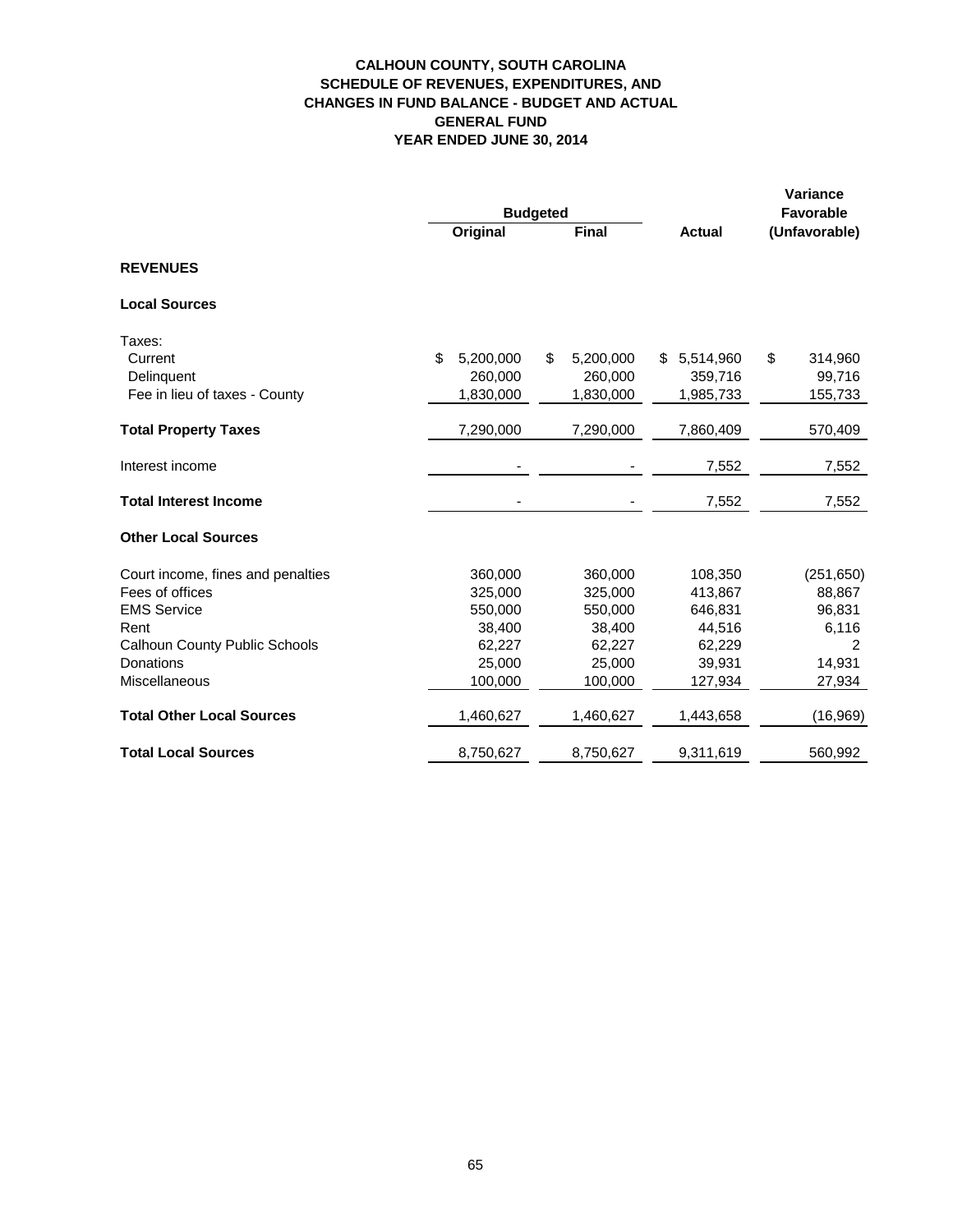#### **YEAR ENDED JUNE 30, 2014 CALHOUN COUNTY, SOUTH CAROLINA GENERAL FUND CHANGES IN FUND BALANCE - BUDGET AND ACTUAL SCHEDULE OF REVENUES, EXPENDITURES, AND**

|                                      |                                             |                 |                 | Variance<br><b>Favorable</b> |  |  |
|--------------------------------------|---------------------------------------------|-----------------|-----------------|------------------------------|--|--|
|                                      | <b>Budgeted</b><br>Original<br><b>Final</b> |                 | <b>Actual</b>   | (Unfavorable)                |  |  |
| <b>REVENUES</b>                      |                                             |                 |                 |                              |  |  |
| <b>Local Sources</b>                 |                                             |                 |                 |                              |  |  |
| Taxes:                               |                                             |                 |                 |                              |  |  |
| Current                              | \$<br>5,200,000                             | \$<br>5,200,000 | 5,514,960<br>\$ | \$<br>314,960                |  |  |
| Delinquent                           | 260,000                                     | 260,000         | 359,716         | 99,716                       |  |  |
| Fee in lieu of taxes - County        | 1,830,000                                   | 1,830,000       | 1,985,733       | 155,733                      |  |  |
| <b>Total Property Taxes</b>          | 7,290,000                                   | 7,290,000       | 7,860,409       | 570,409                      |  |  |
| Interest income                      |                                             |                 | 7,552           | 7,552                        |  |  |
| <b>Total Interest Income</b>         |                                             |                 | 7,552           | 7,552                        |  |  |
| <b>Other Local Sources</b>           |                                             |                 |                 |                              |  |  |
| Court income, fines and penalties    | 360,000                                     | 360,000         | 108,350         | (251, 650)                   |  |  |
| Fees of offices                      | 325,000                                     | 325,000         | 413,867         | 88,867                       |  |  |
| <b>EMS Service</b>                   | 550.000                                     | 550,000         | 646.831         | 96,831                       |  |  |
| Rent                                 | 38,400                                      | 38,400          | 44,516          | 6,116                        |  |  |
| <b>Calhoun County Public Schools</b> | 62,227                                      | 62,227          | 62,229          | 2                            |  |  |
| <b>Donations</b>                     | 25,000                                      | 25,000          | 39,931          | 14,931                       |  |  |
| Miscellaneous                        | 100,000                                     | 100,000         | 127,934         | 27,934                       |  |  |
| <b>Total Other Local Sources</b>     | 1,460,627                                   | 1,460,627       | 1,443,658       | (16,969)                     |  |  |
| <b>Total Local Sources</b>           | 8,750,627                                   | 8,750,627       | 9,311,619       | 560,992                      |  |  |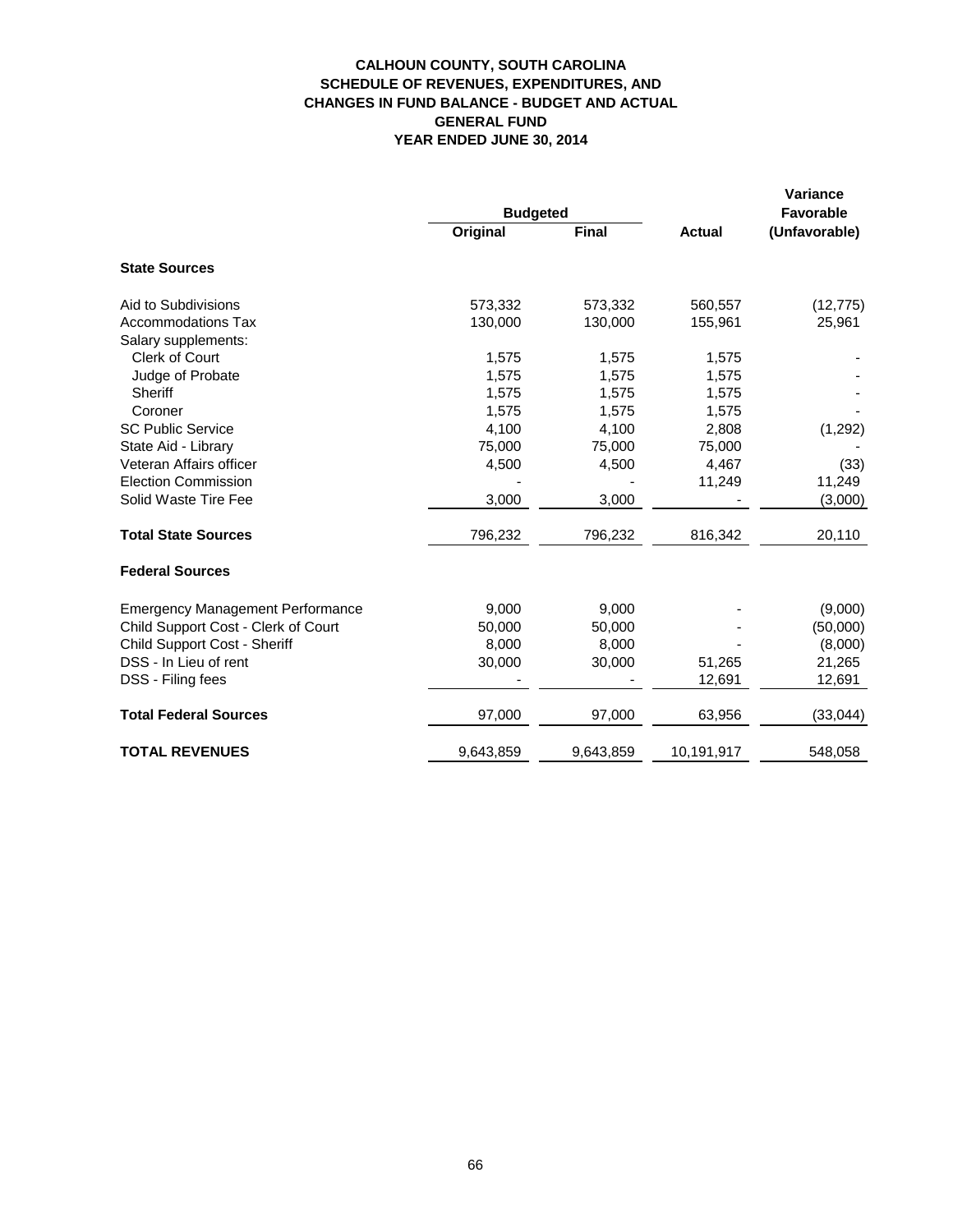#### **YEAR ENDED JUNE 30, 2014 CALHOUN COUNTY, SOUTH CAROLINA GENERAL FUND CHANGES IN FUND BALANCE - BUDGET AND ACTUAL SCHEDULE OF REVENUES, EXPENDITURES, AND**

|                                         | <b>Budgeted</b> |              |               | Variance<br><b>Favorable</b> |  |  |
|-----------------------------------------|-----------------|--------------|---------------|------------------------------|--|--|
|                                         | Original        | <b>Final</b> | <b>Actual</b> | (Unfavorable)                |  |  |
| <b>State Sources</b>                    |                 |              |               |                              |  |  |
| Aid to Subdivisions                     | 573,332         | 573,332      | 560,557       | (12, 775)                    |  |  |
| <b>Accommodations Tax</b>               | 130,000         | 130,000      | 155,961       | 25,961                       |  |  |
| Salary supplements:                     |                 |              |               |                              |  |  |
| <b>Clerk of Court</b>                   | 1,575           | 1,575        | 1,575         |                              |  |  |
| Judge of Probate                        | 1,575           | 1,575        | 1,575         |                              |  |  |
| Sheriff                                 | 1,575           | 1,575        | 1,575         |                              |  |  |
| Coroner                                 | 1,575           | 1,575        | 1,575         |                              |  |  |
| <b>SC Public Service</b>                | 4,100           | 4,100        | 2,808         | (1,292)                      |  |  |
| State Aid - Library                     | 75,000          | 75,000       | 75,000        |                              |  |  |
| Veteran Affairs officer                 | 4,500           | 4,500        | 4,467         | (33)                         |  |  |
| <b>Election Commission</b>              |                 |              | 11,249        | 11,249                       |  |  |
| Solid Waste Tire Fee                    | 3,000           | 3,000        |               | (3,000)                      |  |  |
| <b>Total State Sources</b>              | 796,232         | 796,232      | 816,342       | 20,110                       |  |  |
| <b>Federal Sources</b>                  |                 |              |               |                              |  |  |
| <b>Emergency Management Performance</b> | 9,000           | 9,000        |               | (9,000)                      |  |  |
| Child Support Cost - Clerk of Court     | 50,000          | 50,000       |               | (50,000)                     |  |  |
| Child Support Cost - Sheriff            | 8,000           | 8,000        |               | (8,000)                      |  |  |
| DSS - In Lieu of rent                   | 30,000          | 30,000       | 51,265        | 21,265                       |  |  |
| DSS - Filing fees                       |                 |              | 12,691        | 12,691                       |  |  |
| <b>Total Federal Sources</b>            | 97,000          | 97,000       | 63,956        | (33, 044)                    |  |  |
| <b>TOTAL REVENUES</b>                   | 9,643,859       | 9,643,859    | 10,191,917    | 548,058                      |  |  |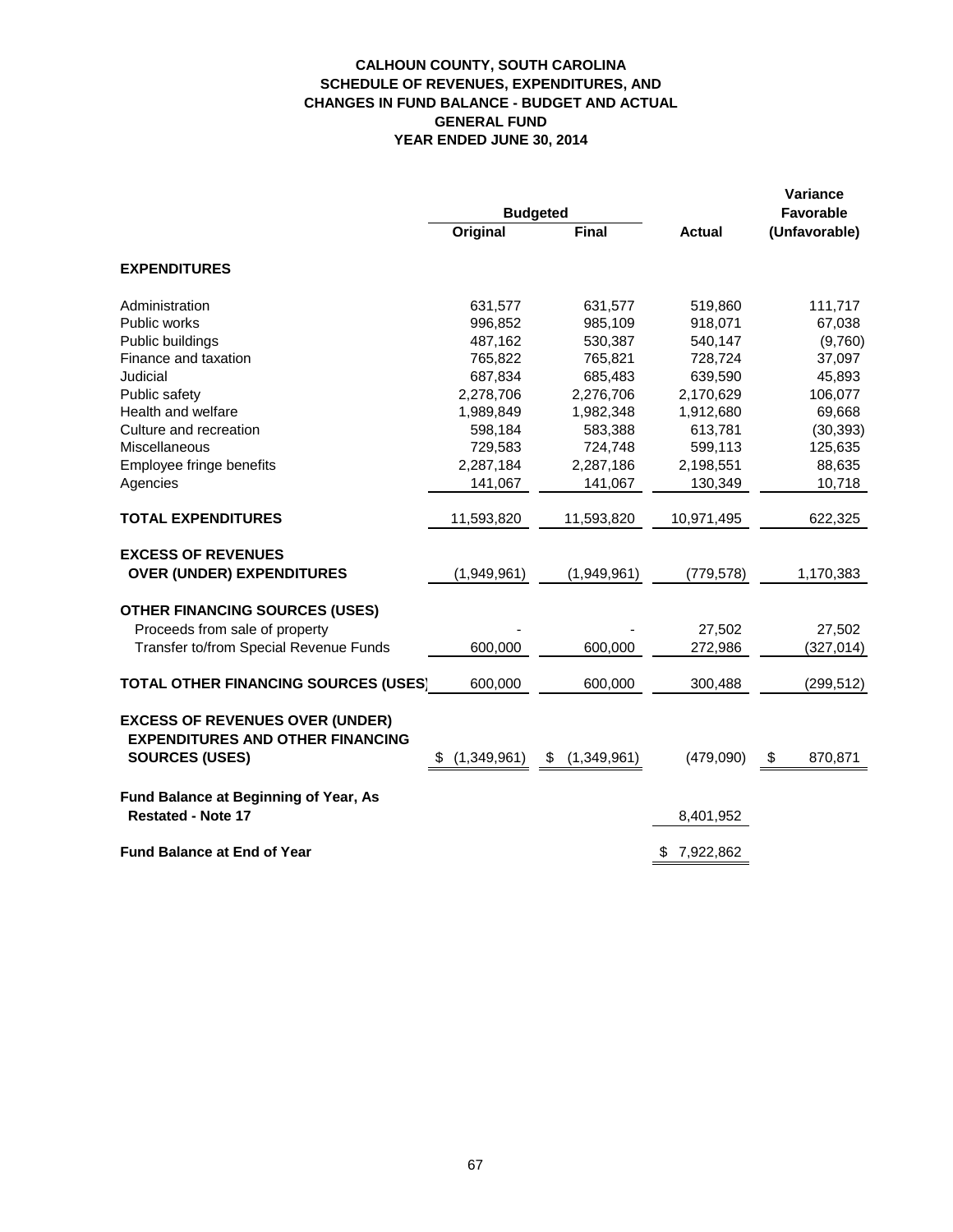#### **YEAR ENDED JUNE 30, 2014 CALHOUN COUNTY, SOUTH CAROLINA GENERAL FUND CHANGES IN FUND BALANCE - BUDGET AND ACTUAL SCHEDULE OF REVENUES, EXPENDITURES, AND**

|                                                                                   |                   | <b>Budgeted</b>   |                 | Variance<br><b>Favorable</b> |
|-----------------------------------------------------------------------------------|-------------------|-------------------|-----------------|------------------------------|
|                                                                                   | Original          | <b>Final</b>      | <b>Actual</b>   | (Unfavorable)                |
| <b>EXPENDITURES</b>                                                               |                   |                   |                 |                              |
| Administration                                                                    | 631,577           | 631,577           | 519,860         | 111,717                      |
| Public works                                                                      | 996,852           | 985,109           | 918,071         | 67,038                       |
| Public buildings                                                                  | 487,162           | 530,387           | 540,147         | (9,760)                      |
| Finance and taxation                                                              | 765,822           | 765,821           | 728,724         | 37,097                       |
| Judicial                                                                          | 687,834           | 685,483           | 639,590         | 45,893                       |
| Public safety                                                                     | 2,278,706         | 2,276,706         | 2,170,629       | 106,077                      |
| Health and welfare                                                                | 1,989,849         | 1,982,348         | 1,912,680       | 69,668                       |
| Culture and recreation                                                            | 598,184           | 583,388           | 613,781         | (30, 393)                    |
| Miscellaneous                                                                     | 729,583           | 724,748           | 599,113         | 125,635                      |
| Employee fringe benefits                                                          | 2,287,184         | 2,287,186         | 2,198,551       | 88,635                       |
| Agencies                                                                          | 141,067           | 141,067           | 130,349         | 10,718                       |
| <b>TOTAL EXPENDITURES</b>                                                         | 11,593,820        | 11,593,820        | 10,971,495      | 622,325                      |
| <b>EXCESS OF REVENUES</b>                                                         |                   |                   |                 |                              |
| <b>OVER (UNDER) EXPENDITURES</b>                                                  | (1,949,961)       | (1,949,961)       | (779, 578)      | 1,170,383                    |
| <b>OTHER FINANCING SOURCES (USES)</b>                                             |                   |                   |                 |                              |
| Proceeds from sale of property                                                    |                   |                   | 27,502          | 27,502                       |
| Transfer to/from Special Revenue Funds                                            | 600,000           | 600,000           | 272,986         | (327, 014)                   |
|                                                                                   |                   |                   |                 |                              |
| <b>TOTAL OTHER FINANCING SOURCES (USES)</b>                                       | 600,000           | 600,000           | 300,488         | (299, 512)                   |
| <b>EXCESS OF REVENUES OVER (UNDER)</b><br><b>EXPENDITURES AND OTHER FINANCING</b> |                   |                   |                 |                              |
| <b>SOURCES (USES)</b>                                                             | (1,349,961)<br>S. | (1,349,961)<br>\$ | (479,090)       | \$<br>870,871                |
| <b>Fund Balance at Beginning of Year, As</b>                                      |                   |                   |                 |                              |
| <b>Restated - Note 17</b>                                                         |                   |                   | 8,401,952       |                              |
| <b>Fund Balance at End of Year</b>                                                |                   |                   | 7,922,862<br>\$ |                              |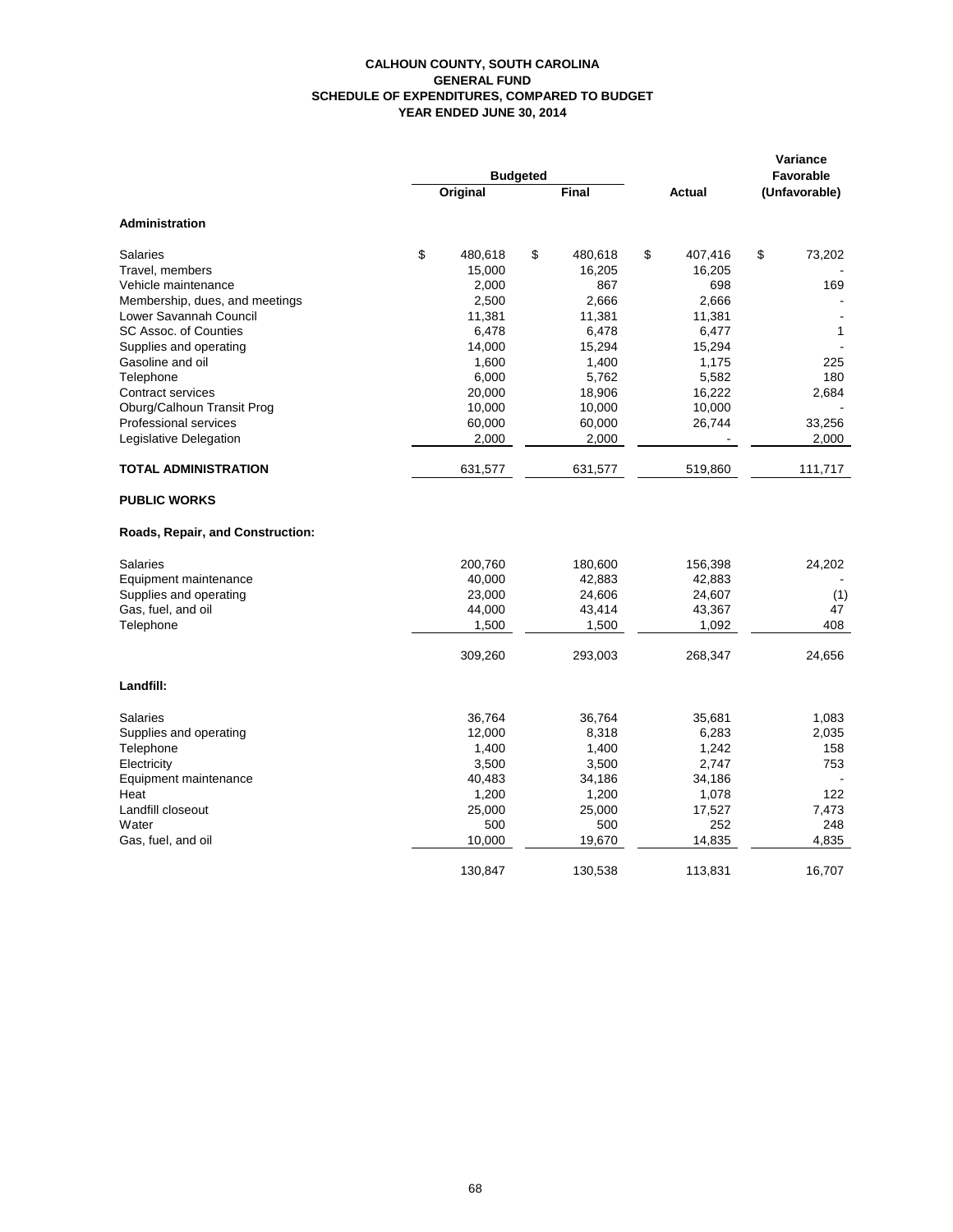#### **CALHOUN COUNTY, SOUTH CAROLINA GENERAL FUND SCHEDULE OF EXPENDITURES, COMPARED TO BUDGET YEAR ENDED JUNE 30, 2014**

|                                  | <b>Budgeted</b> |          |    |              |               | Variance<br>Favorable |    |               |
|----------------------------------|-----------------|----------|----|--------------|---------------|-----------------------|----|---------------|
|                                  |                 | Original |    | <b>Final</b> | <b>Actual</b> |                       |    | (Unfavorable) |
| Administration                   |                 |          |    |              |               |                       |    |               |
| <b>Salaries</b>                  | \$              | 480,618  | \$ | 480,618      | \$            | 407,416               | \$ | 73,202        |
| Travel, members                  |                 | 15,000   |    | 16,205       |               | 16,205                |    |               |
| Vehicle maintenance              |                 | 2,000    |    | 867          |               | 698                   |    | 169           |
| Membership, dues, and meetings   |                 | 2,500    |    | 2,666        |               | 2,666                 |    |               |
| Lower Savannah Council           |                 | 11,381   |    | 11,381       |               | 11,381                |    |               |
| SC Assoc. of Counties            |                 | 6,478    |    | 6,478        |               | 6,477                 |    | 1             |
| Supplies and operating           |                 | 14,000   |    | 15,294       |               | 15,294                |    |               |
| Gasoline and oil                 |                 | 1,600    |    | 1,400        |               | 1,175                 |    | 225           |
| Telephone                        |                 | 6,000    |    | 5,762        |               | 5,582                 |    | 180           |
| <b>Contract services</b>         |                 | 20,000   |    | 18,906       |               | 16,222                |    | 2,684         |
| Oburg/Calhoun Transit Prog       |                 | 10,000   |    | 10,000       |               | 10,000                |    |               |
| Professional services            |                 | 60,000   |    | 60,000       |               | 26,744                |    | 33,256        |
| Legislative Delegation           |                 | 2,000    |    | 2,000        |               |                       |    | 2,000         |
| <b>TOTAL ADMINISTRATION</b>      |                 | 631,577  |    | 631,577      |               | 519,860               |    | 111,717       |
| <b>PUBLIC WORKS</b>              |                 |          |    |              |               |                       |    |               |
| Roads, Repair, and Construction: |                 |          |    |              |               |                       |    |               |
| <b>Salaries</b>                  |                 | 200,760  |    | 180,600      |               | 156,398               |    | 24,202        |
| Equipment maintenance            |                 | 40,000   |    | 42,883       |               | 42,883                |    |               |
| Supplies and operating           |                 | 23,000   |    | 24,606       |               | 24,607                |    | (1)           |
| Gas, fuel, and oil               |                 | 44,000   |    | 43,414       |               | 43,367                |    | 47            |
| Telephone                        |                 | 1,500    |    | 1,500        |               | 1,092                 |    | 408           |
|                                  |                 | 309,260  |    | 293,003      |               | 268,347               |    | 24,656        |
| Landfill:                        |                 |          |    |              |               |                       |    |               |
| Salaries                         |                 | 36,764   |    | 36,764       |               | 35,681                |    | 1,083         |
| Supplies and operating           |                 | 12,000   |    | 8,318        |               | 6,283                 |    | 2,035         |
| Telephone                        |                 | 1,400    |    | 1,400        |               | 1,242                 |    | 158           |
| Electricity                      |                 | 3,500    |    | 3,500        |               | 2,747                 |    | 753           |
| Equipment maintenance            |                 | 40,483   |    | 34,186       |               | 34,186                |    |               |
| Heat                             |                 | 1,200    |    | 1,200        |               | 1,078                 |    | 122           |
| Landfill closeout                |                 | 25,000   |    | 25,000       |               | 17,527                |    | 7,473         |
| Water                            |                 | 500      |    | 500          |               | 252                   |    | 248           |
| Gas, fuel, and oil               |                 | 10,000   |    | 19,670       |               | 14,835                |    | 4,835         |
|                                  |                 | 130,847  |    | 130,538      |               | 113,831               |    | 16,707        |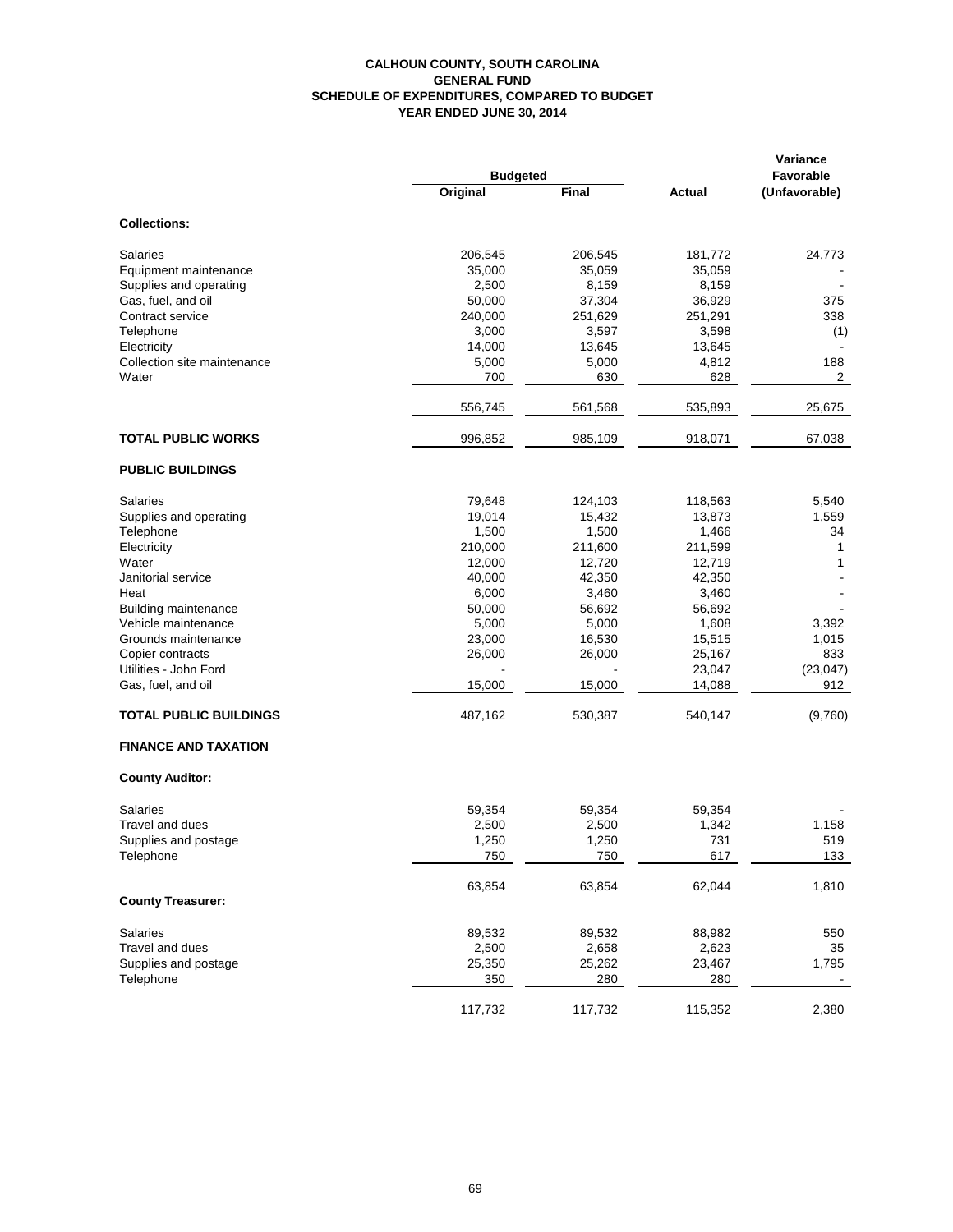|                               | <b>Budgeted</b> |         |         | Variance<br>Favorable |
|-------------------------------|-----------------|---------|---------|-----------------------|
|                               | Original        | Final   | Actual  | (Unfavorable)         |
| <b>Collections:</b>           |                 |         |         |                       |
| <b>Salaries</b>               | 206,545         | 206,545 | 181,772 | 24,773                |
| Equipment maintenance         | 35,000          | 35,059  | 35,059  |                       |
| Supplies and operating        | 2,500           | 8,159   | 8,159   |                       |
| Gas, fuel, and oil            | 50,000          | 37,304  | 36,929  | 375                   |
| Contract service              | 240,000         | 251,629 | 251,291 | 338                   |
| Telephone                     | 3,000           | 3,597   | 3,598   | (1)                   |
| Electricity                   | 14,000          | 13,645  | 13,645  |                       |
| Collection site maintenance   | 5,000           | 5,000   | 4,812   | 188                   |
| Water                         | 700             | 630     | 628     | $\overline{2}$        |
|                               | 556,745         | 561,568 | 535,893 | 25,675                |
| <b>TOTAL PUBLIC WORKS</b>     | 996,852         | 985,109 | 918,071 | 67,038                |
| <b>PUBLIC BUILDINGS</b>       |                 |         |         |                       |
| <b>Salaries</b>               | 79,648          | 124,103 | 118,563 | 5,540                 |
| Supplies and operating        | 19,014          | 15,432  | 13,873  | 1,559                 |
| Telephone                     | 1,500           | 1,500   | 1,466   | 34                    |
| Electricity                   | 210,000         | 211,600 | 211,599 | 1                     |
| Water                         | 12,000          | 12,720  | 12,719  | 1                     |
| Janitorial service            | 40,000          | 42,350  | 42,350  |                       |
| Heat                          | 6,000           | 3,460   | 3,460   |                       |
| <b>Building maintenance</b>   | 50,000          | 56,692  | 56,692  |                       |
| Vehicle maintenance           | 5,000           | 5,000   | 1,608   | 3,392                 |
| Grounds maintenance           | 23,000          | 16,530  | 15,515  | 1,015                 |
| Copier contracts              | 26,000          | 26,000  | 25,167  | 833                   |
| Utilities - John Ford         |                 |         | 23,047  | (23, 047)             |
| Gas, fuel, and oil            | 15,000          | 15,000  | 14,088  | 912                   |
| <b>TOTAL PUBLIC BUILDINGS</b> | 487,162         | 530,387 | 540,147 | (9,760)               |
| <b>FINANCE AND TAXATION</b>   |                 |         |         |                       |
| <b>County Auditor:</b>        |                 |         |         |                       |
| <b>Salaries</b>               | 59,354          | 59,354  | 59,354  |                       |
| Travel and dues               | 2,500           | 2,500   | 1,342   | 1,158                 |
| Supplies and postage          | 1,250           | 1,250   | 731     | 519                   |
| Telephone                     | 750             | 750     | 617     | 133                   |
|                               | 63,854          | 63,854  | 62,044  | 1,810                 |
| <b>County Treasurer:</b>      |                 |         |         |                       |
| <b>Salaries</b>               | 89,532          | 89,532  | 88,982  | 550                   |
| Travel and dues               | 2,500           | 2,658   | 2,623   | 35                    |
| Supplies and postage          | 25,350          | 25,262  | 23,467  | 1,795                 |
| Telephone                     | 350             | 280     | 280     |                       |
|                               | 117,732         | 117,732 | 115,352 | 2,380                 |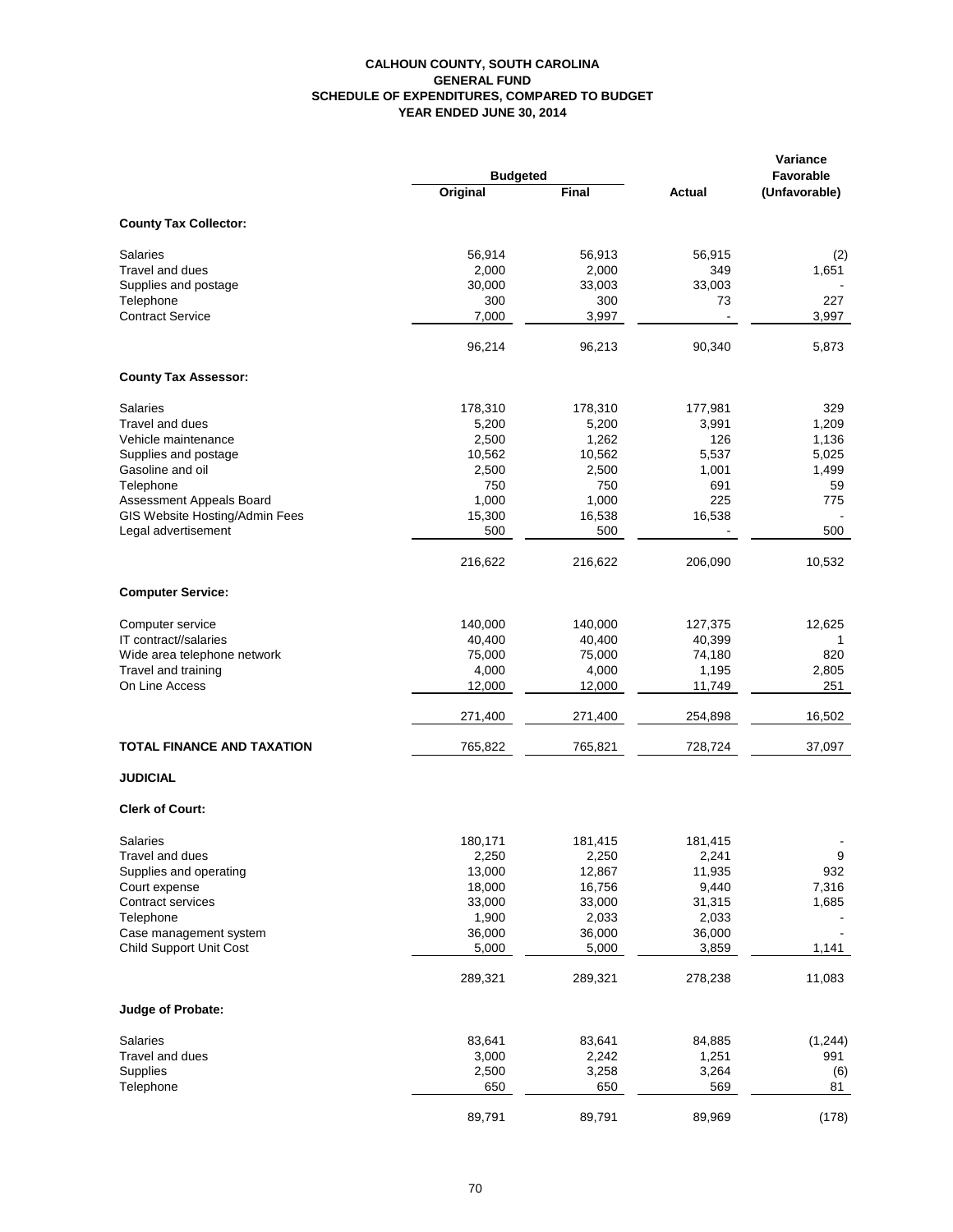|                                                       | <b>Budgeted</b> |               |               | Variance<br>Favorable |
|-------------------------------------------------------|-----------------|---------------|---------------|-----------------------|
|                                                       | Original        | <b>Final</b>  | <b>Actual</b> | (Unfavorable)         |
| <b>County Tax Collector:</b>                          |                 |               |               |                       |
| <b>Salaries</b>                                       | 56,914          | 56,913        | 56,915        | (2)                   |
| Travel and dues                                       | 2,000           | 2,000         | 349           | 1,651                 |
| Supplies and postage                                  | 30,000          | 33,003        | 33,003        |                       |
| Telephone                                             | 300             | 300           | 73            | 227                   |
| <b>Contract Service</b>                               | 7,000           | 3,997         |               | 3,997                 |
|                                                       | 96,214          | 96,213        | 90,340        | 5,873                 |
| <b>County Tax Assessor:</b>                           |                 |               |               |                       |
| <b>Salaries</b>                                       | 178,310         | 178,310       | 177,981       | 329                   |
| Travel and dues                                       | 5,200           | 5,200         | 3,991         | 1,209                 |
| Vehicle maintenance                                   | 2,500           | 1,262         | 126           | 1,136                 |
| Supplies and postage                                  | 10,562          | 10,562        | 5,537         | 5,025                 |
| Gasoline and oil                                      | 2,500           | 2,500         | 1,001         | 1,499                 |
| Telephone                                             | 750             | 750           | 691           | 59                    |
|                                                       |                 |               | 225           |                       |
| Assessment Appeals Board                              | 1,000           | 1,000         |               | 775                   |
| GIS Website Hosting/Admin Fees<br>Legal advertisement | 15,300<br>500   | 16,538<br>500 | 16,538        | 500                   |
|                                                       | 216,622         | 216,622       | 206,090       | 10,532                |
| <b>Computer Service:</b>                              |                 |               |               |                       |
|                                                       |                 |               |               |                       |
| Computer service                                      | 140,000         | 140,000       | 127,375       | 12,625                |
| IT contract//salaries                                 | 40,400          | 40,400        | 40,399        | 1                     |
| Wide area telephone network                           | 75,000          | 75,000        | 74,180        | 820                   |
| Travel and training                                   | 4,000           | 4,000         | 1,195         | 2,805                 |
| On Line Access                                        | 12,000          | 12,000        | 11,749        | 251                   |
|                                                       | 271,400         | 271,400       | 254,898       | 16,502                |
| TOTAL FINANCE AND TAXATION                            | 765,822         | 765,821       | 728,724       | 37,097                |
| <b>JUDICIAL</b>                                       |                 |               |               |                       |
| <b>Clerk of Court:</b>                                |                 |               |               |                       |
| <b>Salaries</b>                                       | 180,171         | 181,415       | 181,415       |                       |
| Travel and dues                                       | 2,250           | 2,250         | 2,241         | 9                     |
| Supplies and operating                                | 13,000          | 12,867        | 11,935        | 932                   |
| Court expense                                         | 18,000          | 16,756        | 9,440         | 7,316                 |
| Contract services                                     | 33,000          | 33,000        | 31,315        | 1,685                 |
| Telephone                                             | 1,900           | 2,033         | 2,033         |                       |
| Case management system                                | 36,000          | 36,000        | 36,000        |                       |
| <b>Child Support Unit Cost</b>                        | 5,000           | 5,000         | 3,859         | 1,141                 |
|                                                       | 289,321         | 289,321       | 278,238       | 11,083                |
| Judge of Probate:                                     |                 |               |               |                       |
| <b>Salaries</b>                                       | 83,641          | 83,641        | 84,885        | (1, 244)              |
| Travel and dues                                       | 3,000           | 2,242         | 1,251         | 991                   |
| <b>Supplies</b>                                       | 2,500           | 3,258         | 3,264         | (6)                   |
| Telephone                                             | 650             | 650           | 569           | 81                    |
|                                                       | 89,791          | 89,791        | 89,969        | (178)                 |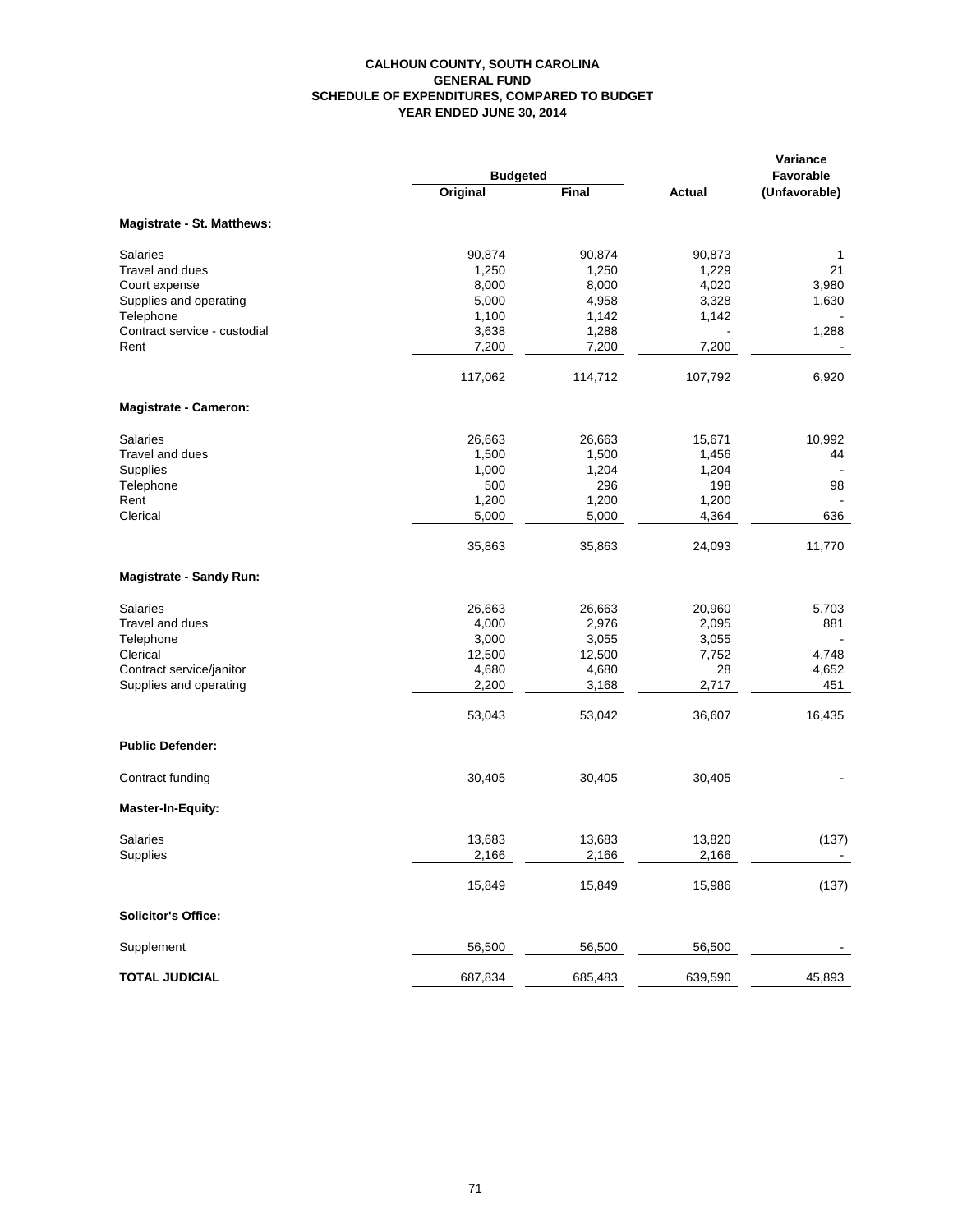|                                   | <b>Budgeted</b> |         |         | Variance<br>Favorable |  |
|-----------------------------------|-----------------|---------|---------|-----------------------|--|
|                                   | Original        | Final   | Actual  | (Unfavorable)         |  |
| <b>Magistrate - St. Matthews:</b> |                 |         |         |                       |  |
| <b>Salaries</b>                   | 90,874          | 90,874  | 90,873  | $\mathbf{1}$          |  |
| Travel and dues                   | 1,250           | 1,250   | 1,229   | 21                    |  |
| Court expense                     | 8,000           | 8,000   | 4,020   | 3,980                 |  |
| Supplies and operating            | 5,000           | 4,958   | 3,328   | 1,630                 |  |
| Telephone                         | 1,100           | 1,142   | 1,142   |                       |  |
| Contract service - custodial      | 3,638           | 1,288   |         | 1,288                 |  |
| Rent                              | 7,200           | 7,200   | 7,200   |                       |  |
|                                   | 117,062         | 114,712 | 107,792 | 6,920                 |  |
| <b>Magistrate - Cameron:</b>      |                 |         |         |                       |  |
| <b>Salaries</b>                   | 26,663          | 26,663  | 15,671  | 10,992                |  |
| Travel and dues                   | 1,500           | 1,500   | 1,456   | 44                    |  |
| Supplies                          | 1,000           | 1,204   | 1,204   |                       |  |
| Telephone                         | 500             | 296     | 198     | 98                    |  |
| Rent                              | 1,200           | 1,200   | 1,200   |                       |  |
| Clerical                          | 5,000           | 5,000   | 4,364   | 636                   |  |
|                                   | 35,863          | 35,863  | 24,093  | 11,770                |  |
| <b>Magistrate - Sandy Run:</b>    |                 |         |         |                       |  |
| Salaries                          | 26,663          | 26,663  | 20,960  | 5,703                 |  |
| Travel and dues                   | 4,000           | 2,976   | 2,095   | 881                   |  |
| Telephone                         | 3,000           | 3,055   | 3,055   |                       |  |
| Clerical                          | 12,500          | 12,500  | 7,752   | 4,748                 |  |
| Contract service/janitor          | 4,680           | 4,680   | 28      | 4,652                 |  |
| Supplies and operating            | 2,200           | 3,168   | 2,717   | 451                   |  |
|                                   | 53,043          | 53,042  | 36,607  | 16,435                |  |
| <b>Public Defender:</b>           |                 |         |         |                       |  |
| Contract funding                  | 30,405          | 30,405  | 30,405  |                       |  |
| <b>Master-In-Equity:</b>          |                 |         |         |                       |  |
| <b>Salaries</b>                   | 13,683          | 13,683  | 13,820  | (137)                 |  |
| Supplies                          | 2,166           | 2,166   | 2,166   | ٠                     |  |
|                                   | 15,849          | 15,849  | 15,986  | (137)                 |  |
| <b>Solicitor's Office:</b>        |                 |         |         |                       |  |
| Supplement                        | 56,500          | 56,500  | 56,500  |                       |  |
| <b>TOTAL JUDICIAL</b>             | 687,834         | 685,483 | 639,590 | 45,893                |  |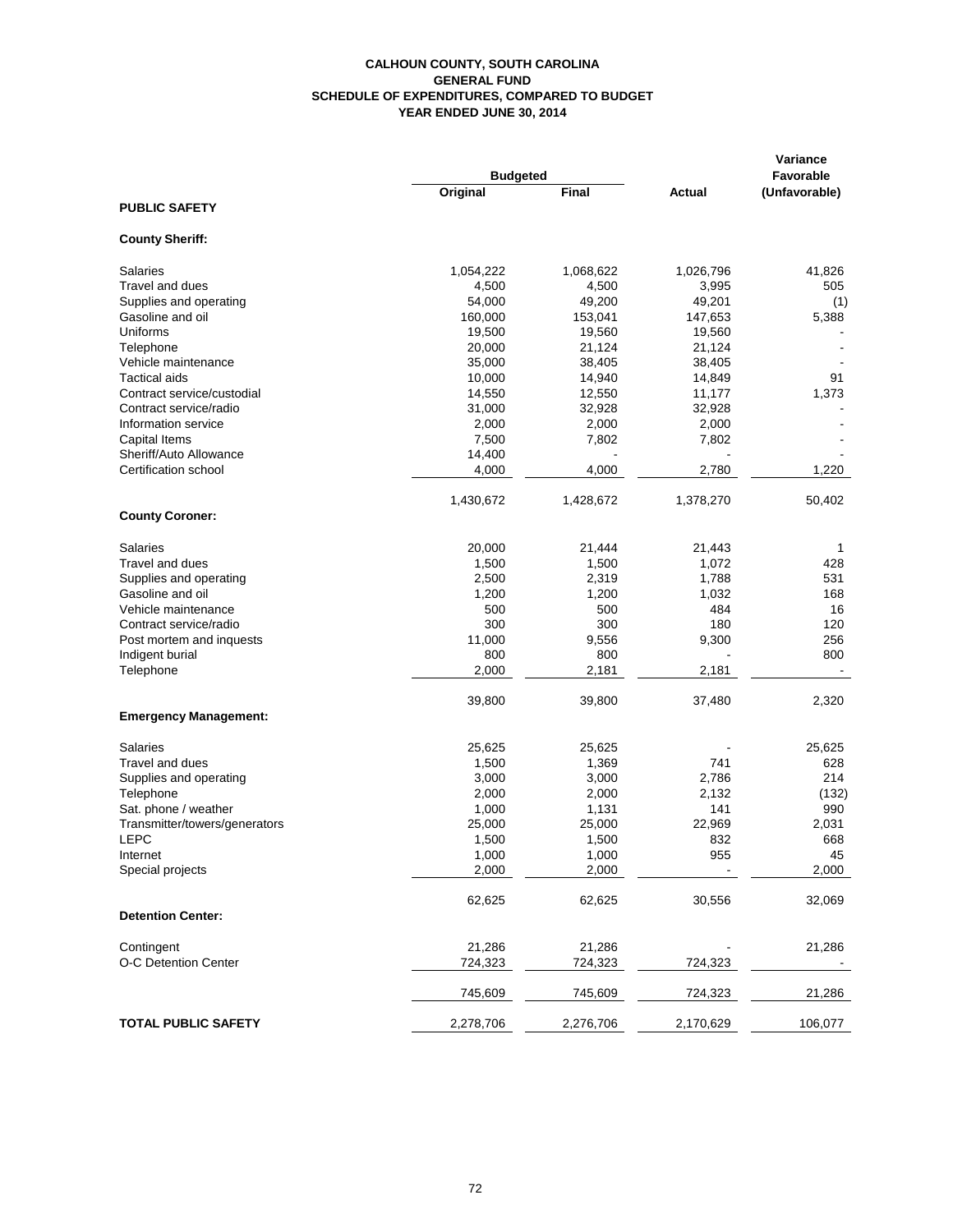|                                                | <b>Budgeted</b>   |                   |           | Variance<br>Favorable |
|------------------------------------------------|-------------------|-------------------|-----------|-----------------------|
|                                                | Original          | Final             | Actual    | (Unfavorable)         |
| <b>PUBLIC SAFETY</b>                           |                   |                   |           |                       |
| <b>County Sheriff:</b>                         |                   |                   |           |                       |
| <b>Salaries</b>                                | 1,054,222         | 1,068,622         | 1,026,796 | 41,826                |
| Travel and dues                                | 4,500             | 4,500             | 3,995     | 505                   |
| Supplies and operating                         | 54,000            | 49,200            | 49,201    | (1)                   |
| Gasoline and oil                               | 160,000           | 153,041           | 147,653   | 5,388                 |
| Uniforms                                       | 19,500            | 19,560            | 19,560    |                       |
| Telephone                                      | 20,000            | 21,124            | 21,124    |                       |
| Vehicle maintenance                            | 35,000            | 38,405            | 38,405    |                       |
| Tactical aids                                  | 10,000            | 14,940            | 14,849    | 91                    |
| Contract service/custodial                     | 14,550            | 12,550            | 11,177    | 1,373                 |
| Contract service/radio                         | 31,000            | 32,928            | 32,928    |                       |
| Information service                            | 2,000             | 2,000             | 2,000     |                       |
| Capital Items                                  | 7,500             | 7,802             | 7,802     |                       |
| Sheriff/Auto Allowance<br>Certification school | 14,400<br>4,000   | 4,000             | 2,780     | 1,220                 |
|                                                | 1,430,672         | 1,428,672         | 1,378,270 | 50,402                |
| <b>County Coroner:</b>                         |                   |                   |           |                       |
| <b>Salaries</b>                                | 20,000            | 21,444            | 21,443    | 1                     |
| Travel and dues                                | 1,500             | 1,500             | 1,072     | 428                   |
| Supplies and operating                         | 2,500             | 2,319             | 1,788     | 531                   |
| Gasoline and oil                               | 1,200             | 1,200             | 1,032     | 168                   |
| Vehicle maintenance                            | 500               | 500               | 484       | 16                    |
| Contract service/radio                         | 300               | 300               | 180       | 120                   |
| Post mortem and inquests                       | 11,000            | 9,556             | 9,300     | 256                   |
| Indigent burial                                | 800               | 800               |           | 800                   |
| Telephone                                      | 2,000             | 2,181             | 2,181     | $\blacksquare$        |
|                                                | 39,800            | 39,800            | 37,480    | 2,320                 |
| <b>Emergency Management:</b>                   |                   |                   |           |                       |
| <b>Salaries</b>                                | 25,625            | 25,625            |           | 25,625                |
| Travel and dues                                | 1,500             | 1,369             | 741       | 628                   |
| Supplies and operating                         | 3,000             | 3,000             | 2,786     | 214                   |
| Telephone                                      | 2,000             | 2,000             | 2,132     | (132)                 |
| Sat. phone / weather                           | 1,000             | 1,131             | 141       | 990                   |
| Transmitter/towers/generators                  | 25,000            | 25,000            | 22,969    | 2,031                 |
| LEPC                                           | 1,500             | 1,500             | 832       | 668                   |
| Internet                                       | 1,000             | 1,000             | 955       | 45                    |
| Special projects                               | 2,000             | 2,000             |           | 2,000                 |
| <b>Detention Center:</b>                       | 62,625            | 62,625            | 30,556    | 32,069                |
|                                                |                   |                   |           |                       |
| Contingent<br>O-C Detention Center             | 21,286<br>724,323 | 21,286<br>724,323 | 724,323   | 21,286                |
|                                                | 745,609           | 745,609           | 724,323   | 21,286                |
| <b>TOTAL PUBLIC SAFETY</b>                     | 2,278,706         | 2,276,706         | 2,170,629 | 106,077               |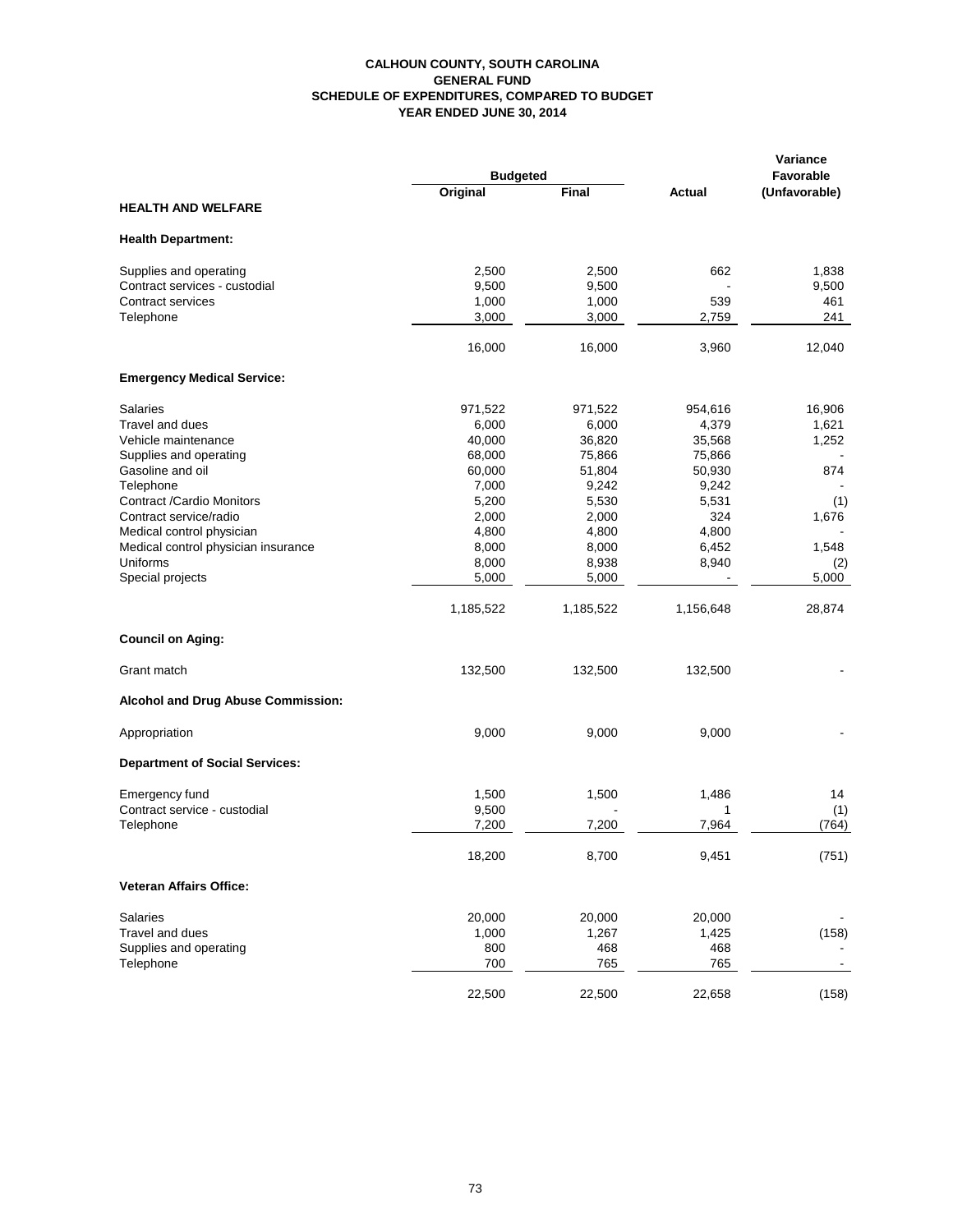|                                       | <b>Budgeted</b> |           |               | Variance<br>Favorable |  |
|---------------------------------------|-----------------|-----------|---------------|-----------------------|--|
| <b>HEALTH AND WELFARE</b>             | Original        | Final     | <b>Actual</b> | (Unfavorable)         |  |
|                                       |                 |           |               |                       |  |
| <b>Health Department:</b>             |                 |           |               |                       |  |
| Supplies and operating                | 2,500           | 2,500     | 662           | 1,838                 |  |
| Contract services - custodial         | 9,500           | 9,500     |               | 9,500                 |  |
| <b>Contract services</b>              | 1,000           | 1,000     | 539           | 461                   |  |
| Telephone                             | 3,000           | 3,000     | 2,759         | 241                   |  |
|                                       | 16,000          | 16,000    | 3,960         | 12,040                |  |
| <b>Emergency Medical Service:</b>     |                 |           |               |                       |  |
| <b>Salaries</b>                       | 971,522         | 971,522   | 954,616       | 16,906                |  |
| Travel and dues                       | 6,000           | 6,000     | 4,379         | 1,621                 |  |
| Vehicle maintenance                   | 40,000          | 36,820    | 35,568        | 1,252                 |  |
| Supplies and operating                | 68,000          | 75,866    | 75,866        |                       |  |
| Gasoline and oil                      | 60,000          | 51,804    | 50,930        | 874                   |  |
| Telephone                             | 7,000           | 9,242     | 9,242         |                       |  |
| <b>Contract /Cardio Monitors</b>      | 5,200           | 5,530     | 5,531         | (1)                   |  |
| Contract service/radio                | 2,000           | 2,000     | 324           | 1,676                 |  |
| Medical control physician             | 4,800           | 4,800     | 4,800         |                       |  |
| Medical control physician insurance   | 8,000           | 8,000     | 6,452         | 1,548                 |  |
| Uniforms                              | 8,000           | 8,938     | 8,940         | (2)                   |  |
| Special projects                      | 5,000           | 5,000     |               | 5,000                 |  |
|                                       | 1,185,522       | 1,185,522 | 1,156,648     | 28,874                |  |
| <b>Council on Aging:</b>              |                 |           |               |                       |  |
| Grant match                           | 132,500         | 132,500   | 132,500       |                       |  |
| Alcohol and Drug Abuse Commission:    |                 |           |               |                       |  |
| Appropriation                         | 9,000           | 9,000     | 9,000         |                       |  |
| <b>Department of Social Services:</b> |                 |           |               |                       |  |
| Emergency fund                        | 1,500           | 1,500     | 1,486         | 14                    |  |
| Contract service - custodial          | 9,500           |           | 1             | (1)                   |  |
| Telephone                             | 7,200           | 7,200     | 7,964         | (764)                 |  |
|                                       | 18,200          | 8,700     | 9,451         | (751)                 |  |
| <b>Veteran Affairs Office:</b>        |                 |           |               |                       |  |
| <b>Salaries</b>                       | 20,000          | 20,000    | 20,000        |                       |  |
| Travel and dues                       | 1,000           | 1,267     | 1,425         | (158)                 |  |
| Supplies and operating                | 800             | 468       | 468           |                       |  |
| Telephone                             | 700             | 765       | 765           |                       |  |
|                                       | 22,500          | 22,500    | 22,658        | (158)                 |  |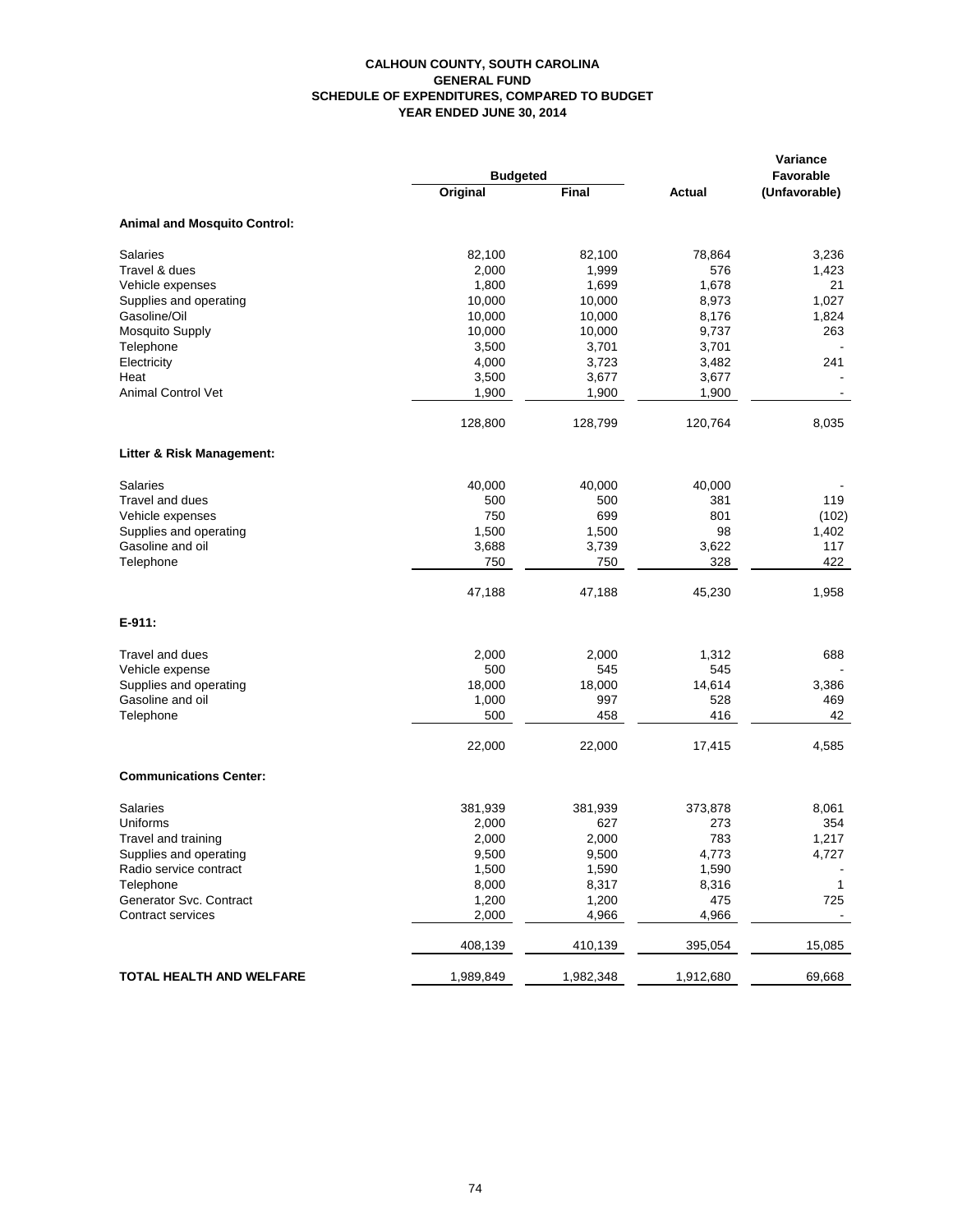|                                     | <b>Budgeted</b> |           |           | Variance<br>Favorable |  |  |
|-------------------------------------|-----------------|-----------|-----------|-----------------------|--|--|
|                                     | Original        | Final     | Actual    | (Unfavorable)         |  |  |
| <b>Animal and Mosquito Control:</b> |                 |           |           |                       |  |  |
| <b>Salaries</b>                     | 82,100          | 82,100    | 78,864    | 3,236                 |  |  |
| Travel & dues                       | 2,000           | 1,999     | 576       | 1,423                 |  |  |
| Vehicle expenses                    | 1,800           | 1,699     | 1,678     | 21                    |  |  |
| Supplies and operating              | 10,000          | 10,000    | 8,973     | 1,027                 |  |  |
| Gasoline/Oil                        | 10,000          | 10,000    | 8,176     | 1,824                 |  |  |
| <b>Mosquito Supply</b>              | 10,000          | 10,000    | 9,737     | 263                   |  |  |
| Telephone                           | 3,500           | 3,701     | 3,701     |                       |  |  |
| Electricity                         | 4,000           | 3,723     | 3,482     | 241                   |  |  |
| Heat                                | 3,500           | 3,677     | 3,677     |                       |  |  |
| <b>Animal Control Vet</b>           | 1,900           | 1,900     | 1,900     |                       |  |  |
|                                     | 128,800         | 128,799   | 120,764   | 8,035                 |  |  |
| Litter & Risk Management:           |                 |           |           |                       |  |  |
| <b>Salaries</b>                     | 40,000          | 40,000    | 40,000    |                       |  |  |
| Travel and dues                     | 500             | 500       | 381       | 119                   |  |  |
| Vehicle expenses                    | 750             | 699       | 801       | (102)                 |  |  |
| Supplies and operating              | 1,500           | 1,500     | 98        | 1,402                 |  |  |
| Gasoline and oil                    | 3,688           | 3,739     | 3,622     | 117                   |  |  |
| Telephone                           | 750             | 750       | 328       | 422                   |  |  |
|                                     | 47,188          | 47,188    | 45,230    | 1,958                 |  |  |
| E-911:                              |                 |           |           |                       |  |  |
| Travel and dues                     | 2,000           | 2,000     | 1,312     | 688                   |  |  |
| Vehicle expense                     | 500             | 545       | 545       |                       |  |  |
| Supplies and operating              | 18,000          | 18,000    | 14,614    | 3,386                 |  |  |
| Gasoline and oil                    | 1,000           | 997       | 528       | 469                   |  |  |
| Telephone                           | 500             | 458       | 416       | 42                    |  |  |
|                                     | 22,000          | 22,000    | 17,415    | 4,585                 |  |  |
| <b>Communications Center:</b>       |                 |           |           |                       |  |  |
| <b>Salaries</b>                     | 381,939         | 381,939   | 373,878   | 8,061                 |  |  |
| Uniforms                            | 2,000           | 627       | 273       | 354                   |  |  |
| Travel and training                 | 2,000           | 2,000     | 783       | 1,217                 |  |  |
| Supplies and operating              | 9,500           | 9,500     | 4,773     | 4,727                 |  |  |
| Radio service contract              | 1,500           | 1,590     | 1,590     |                       |  |  |
| Telephone                           | 8,000           | 8,317     | 8,316     | 1                     |  |  |
| Generator Svc. Contract             | 1,200           | 1,200     | 475       | 725                   |  |  |
| Contract services                   | 2,000           | 4,966     | 4,966     |                       |  |  |
|                                     | 408,139         | 410,139   | 395,054   | 15,085                |  |  |
| TOTAL HEALTH AND WELFARE            | 1,989,849       | 1,982,348 | 1,912,680 | 69,668                |  |  |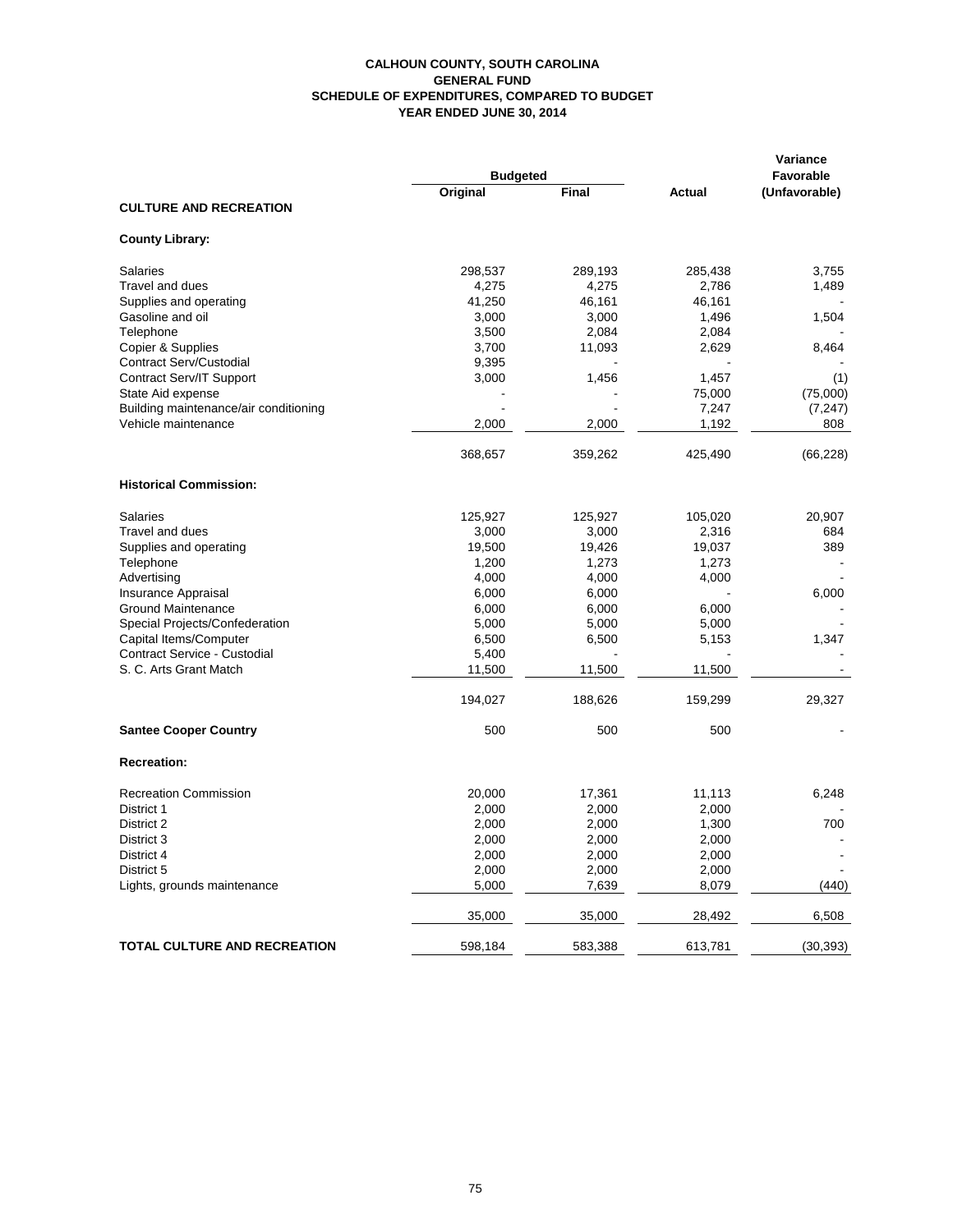|                                       | <b>Budgeted</b> |              |               | Variance<br>Favorable |  |
|---------------------------------------|-----------------|--------------|---------------|-----------------------|--|
|                                       | Original        | <b>Final</b> | <b>Actual</b> | (Unfavorable)         |  |
| <b>CULTURE AND RECREATION</b>         |                 |              |               |                       |  |
| <b>County Library:</b>                |                 |              |               |                       |  |
| <b>Salaries</b>                       | 298,537         | 289,193      | 285,438       | 3,755                 |  |
| Travel and dues                       | 4,275           | 4,275        | 2,786         | 1,489                 |  |
| Supplies and operating                | 41,250          | 46,161       | 46,161        |                       |  |
| Gasoline and oil                      | 3,000           | 3,000        | 1,496         | 1,504                 |  |
| Telephone                             | 3,500           | 2,084        | 2,084         |                       |  |
| Copier & Supplies                     | 3,700           | 11,093       | 2,629         | 8,464                 |  |
| <b>Contract Serv/Custodial</b>        | 9,395           |              |               |                       |  |
| <b>Contract Serv/IT Support</b>       | 3,000           | 1,456        | 1,457         | (1)                   |  |
| State Aid expense                     |                 |              | 75,000        | (75,000)              |  |
| Building maintenance/air conditioning |                 |              | 7,247         | (7, 247)              |  |
| Vehicle maintenance                   | 2,000           | 2,000        | 1,192         | 808                   |  |
|                                       | 368,657         | 359,262      | 425,490       | (66, 228)             |  |
| <b>Historical Commission:</b>         |                 |              |               |                       |  |
| <b>Salaries</b>                       | 125,927         | 125,927      | 105,020       | 20,907                |  |
| Travel and dues                       | 3,000           | 3,000        | 2,316         | 684                   |  |
| Supplies and operating                | 19,500          | 19,426       | 19,037        | 389                   |  |
| Telephone                             | 1,200           | 1,273        | 1,273         |                       |  |
| Advertising                           | 4,000           | 4,000        | 4,000         |                       |  |
| <b>Insurance Appraisal</b>            | 6,000           | 6,000        |               | 6,000                 |  |
| <b>Ground Maintenance</b>             | 6,000           | 6,000        | 6,000         |                       |  |
| Special Projects/Confederation        | 5,000           | 5,000        | 5,000         |                       |  |
| Capital Items/Computer                | 6,500           | 6,500        | 5,153         | 1,347                 |  |
| <b>Contract Service - Custodial</b>   | 5,400           |              |               |                       |  |
| S. C. Arts Grant Match                | 11,500          | 11,500       | 11,500        |                       |  |
|                                       | 194,027         | 188,626      | 159,299       | 29,327                |  |
| <b>Santee Cooper Country</b>          | 500             | 500          | 500           |                       |  |
| <b>Recreation:</b>                    |                 |              |               |                       |  |
| <b>Recreation Commission</b>          | 20,000          | 17,361       | 11,113        | 6,248                 |  |
| District 1                            | 2,000           | 2,000        | 2,000         |                       |  |
| District 2                            | 2,000           | 2,000        | 1,300         | 700                   |  |
| District 3                            | 2,000           | 2,000        | 2,000         |                       |  |
| District 4                            | 2,000           | 2,000        | 2,000         |                       |  |
| District 5                            | 2,000           | 2,000        | 2,000         |                       |  |
| Lights, grounds maintenance           | 5,000           | 7,639        | 8,079         | (440)                 |  |
|                                       | 35,000          | 35,000       | 28,492        | 6,508                 |  |
| TOTAL CULTURE AND RECREATION          | 598,184         | 583,388      | 613,781       | (30, 393)             |  |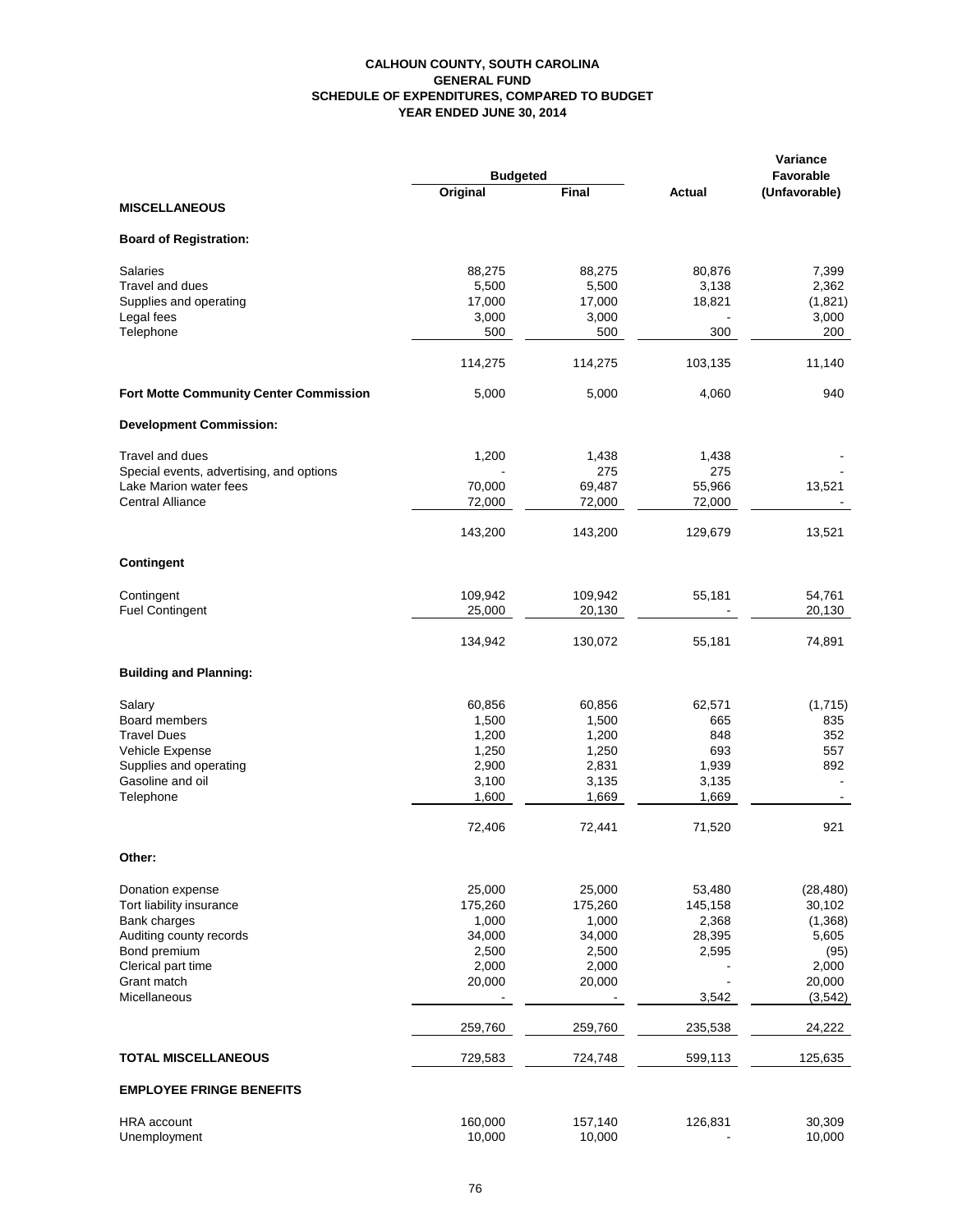|                                               | <b>Budgeted</b> |         |         | Variance<br>Favorable |  |
|-----------------------------------------------|-----------------|---------|---------|-----------------------|--|
| <b>MISCELLANEOUS</b>                          | Original        | Final   | Actual  | (Unfavorable)         |  |
| <b>Board of Registration:</b>                 |                 |         |         |                       |  |
| <b>Salaries</b>                               | 88,275          | 88,275  | 80,876  | 7,399                 |  |
| Travel and dues                               | 5,500           | 5,500   | 3,138   | 2,362                 |  |
| Supplies and operating                        | 17,000          | 17,000  | 18,821  | (1,821)               |  |
| Legal fees                                    | 3,000           | 3,000   |         | 3,000                 |  |
| Telephone                                     | 500             | 500     | 300     | 200                   |  |
|                                               | 114,275         | 114,275 | 103,135 | 11,140                |  |
| <b>Fort Motte Community Center Commission</b> | 5,000           | 5,000   | 4,060   | 940                   |  |
| <b>Development Commission:</b>                |                 |         |         |                       |  |
| Travel and dues                               | 1,200           | 1,438   | 1,438   |                       |  |
| Special events, advertising, and options      |                 | 275     | 275     |                       |  |
| Lake Marion water fees                        | 70,000          | 69,487  | 55,966  | 13,521                |  |
| <b>Central Alliance</b>                       | 72,000          | 72,000  | 72,000  |                       |  |
|                                               | 143,200         | 143,200 | 129,679 | 13,521                |  |
| Contingent                                    |                 |         |         |                       |  |
| Contingent                                    | 109,942         | 109,942 | 55,181  | 54,761                |  |
| <b>Fuel Contingent</b>                        | 25,000          | 20,130  |         | 20,130                |  |
|                                               | 134,942         | 130,072 | 55,181  | 74,891                |  |
| <b>Building and Planning:</b>                 |                 |         |         |                       |  |
| Salary                                        | 60,856          | 60,856  | 62,571  | (1,715)               |  |
| Board members                                 | 1,500           | 1,500   | 665     | 835                   |  |
| <b>Travel Dues</b>                            | 1,200           | 1,200   | 848     | 352                   |  |
| Vehicle Expense                               | 1,250           | 1,250   | 693     | 557                   |  |
| Supplies and operating                        | 2,900           | 2,831   | 1,939   | 892                   |  |
| Gasoline and oil                              | 3,100           | 3,135   | 3,135   |                       |  |
| Telephone                                     | 1,600           | 1,669   | 1,669   |                       |  |
|                                               | 72,406          | 72,441  | 71,520  | 921                   |  |
| Other:                                        |                 |         |         |                       |  |
| Donation expense                              | 25,000          | 25,000  | 53,480  | (28, 480)             |  |
| Tort liability insurance                      | 175,260         | 175,260 | 145,158 | 30,102                |  |
| Bank charges                                  | 1,000           | 1,000   | 2,368   | (1,368)               |  |
| Auditing county records                       | 34,000          | 34,000  | 28,395  | 5,605                 |  |
| Bond premium                                  | 2,500           | 2,500   | 2,595   | (95)                  |  |
| Clerical part time                            | 2,000           | 2,000   |         | 2,000                 |  |
| Grant match                                   | 20,000          | 20,000  |         | 20,000                |  |
| Micellaneous                                  |                 |         | 3,542   | (3, 542)              |  |
|                                               | 259,760         | 259,760 | 235,538 | 24,222                |  |
| <b>TOTAL MISCELLANEOUS</b>                    | 729,583         | 724,748 | 599,113 | 125,635               |  |
| <b>EMPLOYEE FRINGE BENEFITS</b>               |                 |         |         |                       |  |
| HRA account                                   | 160,000         | 157,140 | 126,831 | 30,309                |  |
| Unemployment                                  | 10,000          | 10,000  |         | 10,000                |  |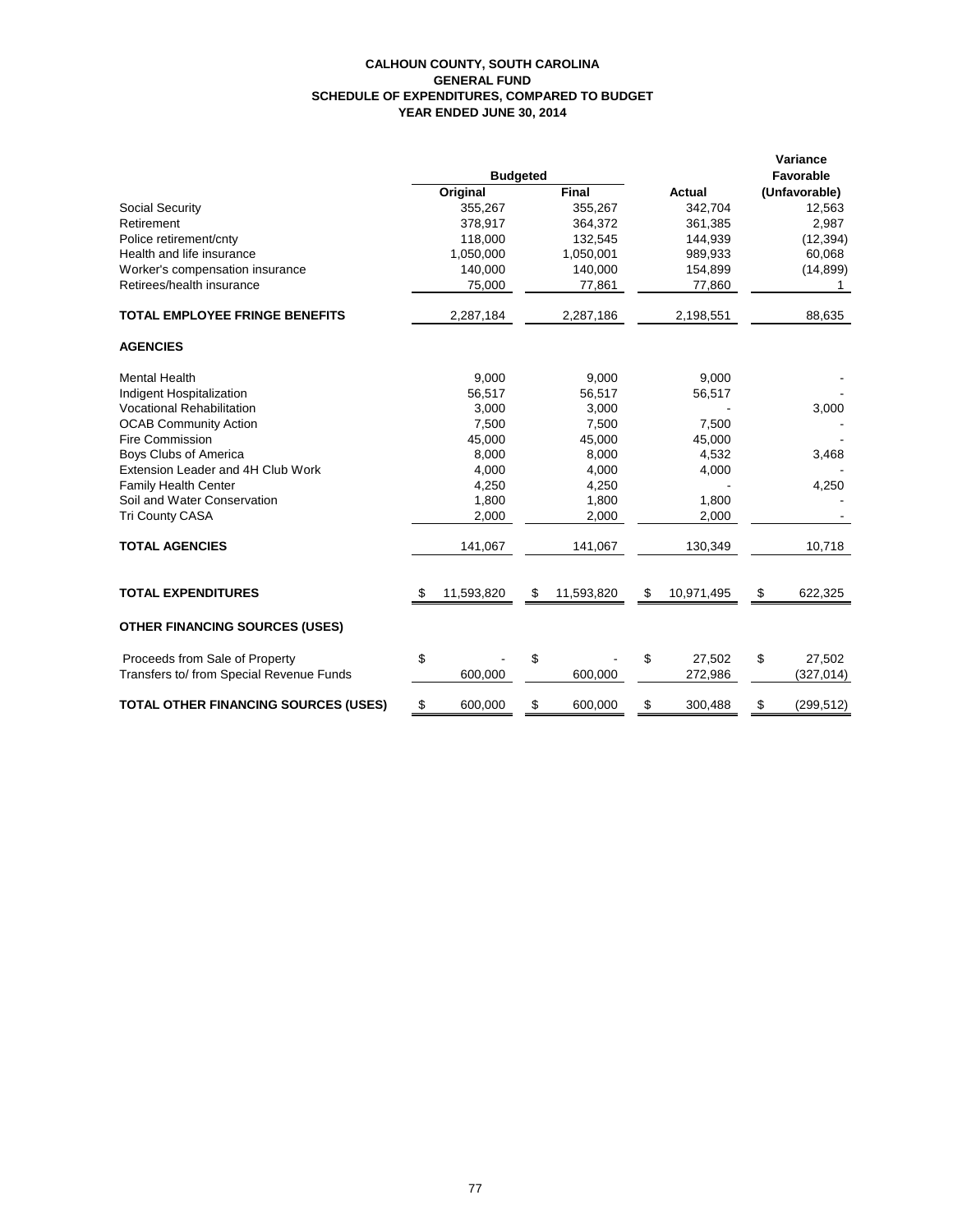|                                          |    | <b>Budgeted</b> |         |              |                  | Variance<br>Favorable |               |  |
|------------------------------------------|----|-----------------|---------|--------------|------------------|-----------------------|---------------|--|
|                                          |    | Original        |         | <b>Final</b> | <b>Actual</b>    |                       | (Unfavorable) |  |
| Social Security                          |    | 355,267         | 355.267 |              | 342.704          |                       | 12,563        |  |
| Retirement                               |    | 378,917         |         | 364,372      | 361,385          |                       | 2,987         |  |
| Police retirement/cnty                   |    | 118,000         |         | 132,545      | 144,939          |                       | (12, 394)     |  |
| Health and life insurance                |    | 1,050,000       |         | 1,050,001    | 989,933          |                       | 60,068        |  |
| Worker's compensation insurance          |    | 140,000         |         | 140.000      | 154,899          |                       | (14, 899)     |  |
| Retirees/health insurance                |    | 75,000          |         | 77,861       | 77,860           |                       | 1             |  |
| <b>TOTAL EMPLOYEE FRINGE BENEFITS</b>    |    | 2,287,184       |         | 2,287,186    | 2,198,551        |                       | 88,635        |  |
| <b>AGENCIES</b>                          |    |                 |         |              |                  |                       |               |  |
| <b>Mental Health</b>                     |    | 9,000           |         | 9,000        | 9,000            |                       |               |  |
| Indigent Hospitalization                 |    | 56,517          |         | 56,517       | 56,517           |                       |               |  |
| <b>Vocational Rehabilitation</b>         |    | 3,000           |         | 3,000        |                  |                       | 3,000         |  |
| <b>OCAB Community Action</b>             |    | 7,500           |         | 7,500        | 7,500            |                       |               |  |
| <b>Fire Commission</b>                   |    | 45,000          |         | 45,000       | 45,000           |                       |               |  |
| Boys Clubs of America                    |    | 8,000           |         | 8,000        | 4,532            |                       | 3,468         |  |
| Extension Leader and 4H Club Work        |    | 4,000           |         | 4,000        | 4,000            |                       |               |  |
| <b>Family Health Center</b>              |    | 4,250           |         | 4,250        |                  |                       | 4,250         |  |
| Soil and Water Conservation              |    | 1,800           |         | 1,800        | 1,800            |                       |               |  |
| <b>Tri County CASA</b>                   |    | 2,000           |         | 2,000        | 2,000            |                       |               |  |
| <b>TOTAL AGENCIES</b>                    |    | 141,067         |         | 141,067      | 130,349          |                       | 10,718        |  |
| <b>TOTAL EXPENDITURES</b>                | S  | 11,593,820      | \$      | 11,593,820   | \$<br>10,971,495 | \$                    | 622,325       |  |
| <b>OTHER FINANCING SOURCES (USES)</b>    |    |                 |         |              |                  |                       |               |  |
| Proceeds from Sale of Property           | \$ |                 | \$      |              | \$<br>27,502     | \$                    | 27,502        |  |
| Transfers to/ from Special Revenue Funds |    | 600,000         |         | 600,000      | 272,986          |                       | (327, 014)    |  |
| TOTAL OTHER FINANCING SOURCES (USES)     | \$ | 600,000         | \$      | 600,000      | \$<br>300,488    | \$                    | (299, 512)    |  |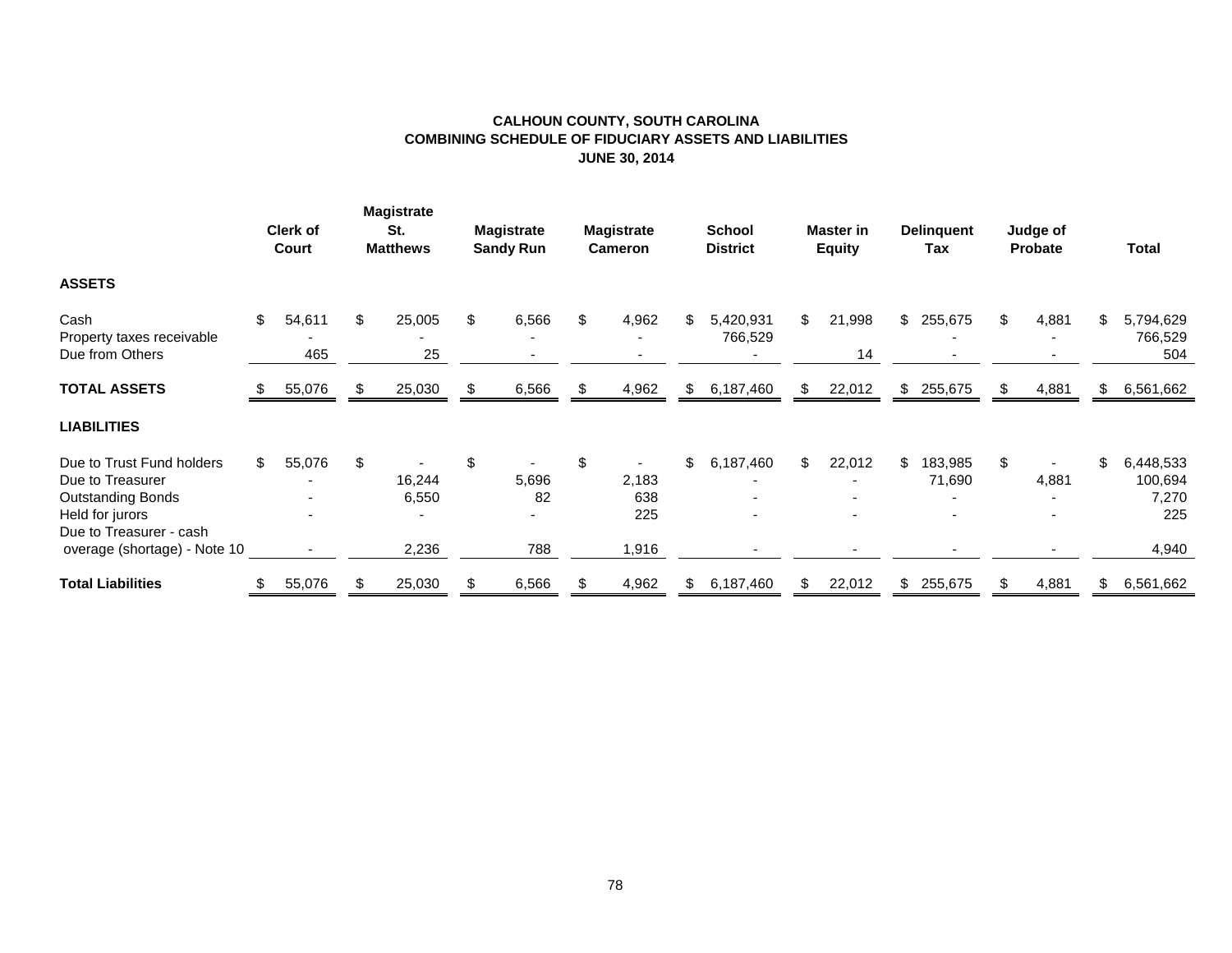### **CALHOUN COUNTY, SOUTH CAROLINA COMBINING SCHEDULE OF FIDUCIARY ASSETS AND LIABILITIES JUNE 30, 2014**

|                                                                                                                                                         | <b>Clerk of</b><br>Court | <b>Magistrate</b><br>St.<br><b>Matthews</b> | <b>Magistrate</b><br><b>Sandy Run</b> | <b>Magistrate</b><br>Cameron       | <b>School</b><br><b>Master in</b><br><b>District</b><br><b>Equity</b> |    |              | <b>Delinquent</b><br>Tax |                   | Judge of<br><b>Probate</b> |                                   | Total                                               |
|---------------------------------------------------------------------------------------------------------------------------------------------------------|--------------------------|---------------------------------------------|---------------------------------------|------------------------------------|-----------------------------------------------------------------------|----|--------------|--------------------------|-------------------|----------------------------|-----------------------------------|-----------------------------------------------------|
| <b>ASSETS</b>                                                                                                                                           |                          |                                             |                                       |                                    |                                                                       |    |              |                          |                   |                            |                                   |                                                     |
| Cash<br>Property taxes receivable<br>Due from Others                                                                                                    | \$<br>54,611<br>465      | \$<br>25,005<br>25                          | \$<br>6,566                           | \$<br>4,962                        | \$<br>5,420,931<br>766,529                                            | \$ | 21,998<br>14 | \$                       | 255,675           | \$.                        | 4,881                             | \$<br>5,794,629<br>766,529<br>504                   |
| <b>TOTAL ASSETS</b>                                                                                                                                     | 55,076                   | 25,030                                      | 6,566                                 | 4,962                              | \$<br>6,187,460                                                       | \$ | 22,012       | \$                       | 255,675           |                            | 4,881                             | \$<br>6,561,662                                     |
| <b>LIABILITIES</b>                                                                                                                                      |                          |                                             |                                       |                                    |                                                                       |    |              |                          |                   |                            |                                   |                                                     |
| Due to Trust Fund holders<br>Due to Treasurer<br><b>Outstanding Bonds</b><br>Held for jurors<br>Due to Treasurer - cash<br>overage (shortage) - Note 10 | \$<br>55,076             | \$<br>16,244<br>6,550<br>2,236              | \$<br>5,696<br>82<br>788              | \$<br>2,183<br>638<br>225<br>1,916 | \$<br>6,187,460                                                       | \$ | 22,012       | \$                       | 183,985<br>71,690 | \$                         | $\overline{\phantom{a}}$<br>4,881 | \$<br>6,448,533<br>100,694<br>7,270<br>225<br>4,940 |
| <b>Total Liabilities</b>                                                                                                                                | \$<br>55,076             | 25,030                                      | 6,566                                 | 4,962                              | \$<br>6,187,460                                                       |    | 22,012       | \$                       | 255,675           |                            | 4,881                             | \$<br>6,561,662                                     |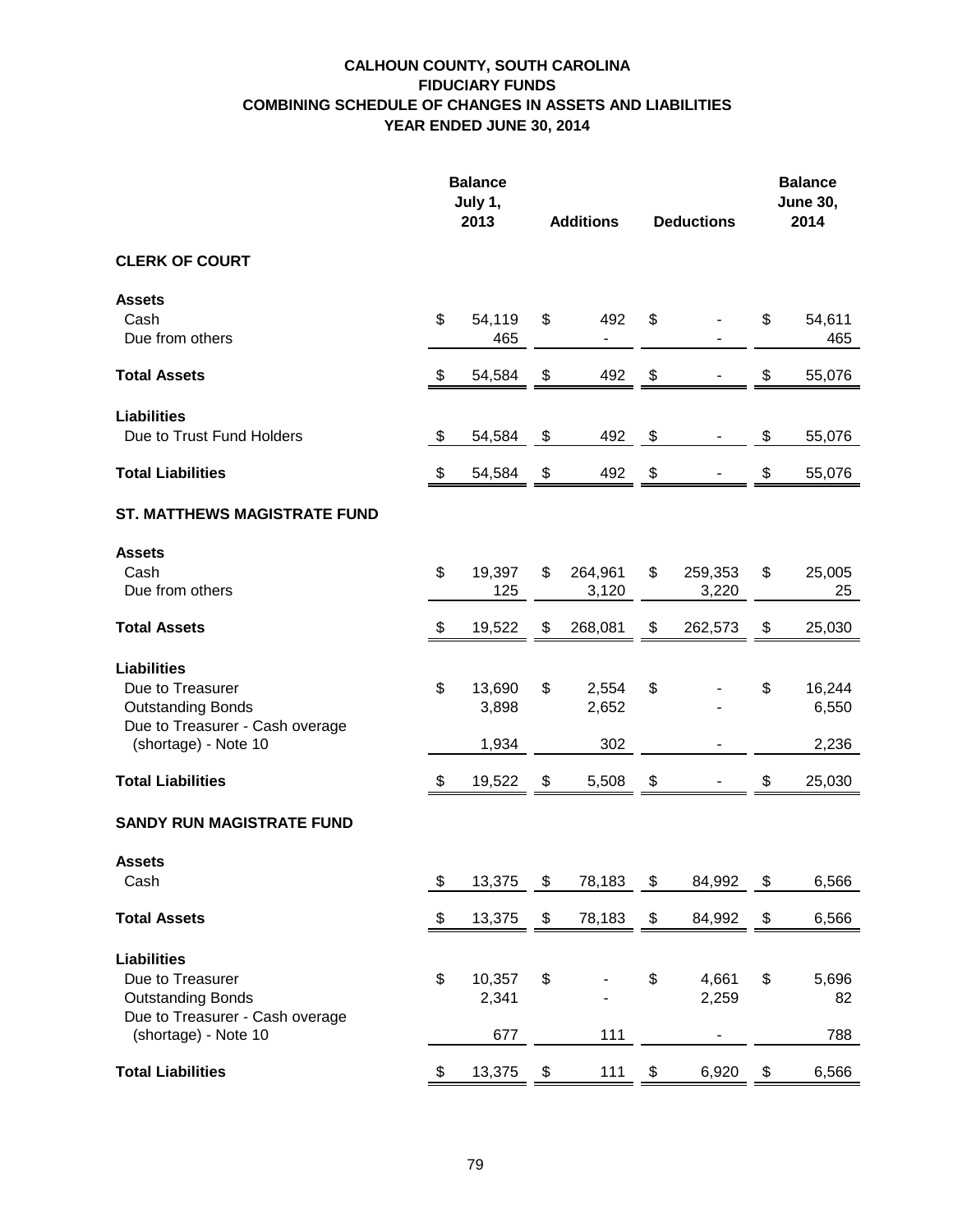# **YEAR ENDED JUNE 30, 2014 CALHOUN COUNTY, SOUTH CAROLINA FIDUCIARY FUNDS COMBINING SCHEDULE OF CHANGES IN ASSETS AND LIABILITIES**

|                                              | <b>Balance</b><br>July 1,<br>2013 | <b>Additions</b>       | <b>Deductions</b>      | <b>Balance</b><br><b>June 30,</b><br>2014 |
|----------------------------------------------|-----------------------------------|------------------------|------------------------|-------------------------------------------|
| <b>CLERK OF COURT</b>                        |                                   |                        |                        |                                           |
| <b>Assets</b>                                |                                   |                        |                        |                                           |
| Cash<br>Due from others                      | \$<br>54,119<br>465               | \$<br>492              | \$                     | \$<br>54,611<br>465                       |
| <b>Total Assets</b>                          | \$<br>54,584                      | \$<br>492              | \$                     | \$<br>55,076                              |
| <b>Liabilities</b>                           |                                   |                        |                        |                                           |
| Due to Trust Fund Holders                    | \$<br>54,584                      | \$<br>492              | \$                     | \$<br>55,076                              |
| <b>Total Liabilities</b>                     | \$<br>54,584                      | \$<br>492              | \$                     | \$<br>55,076                              |
| <b>ST. MATTHEWS MAGISTRATE FUND</b>          |                                   |                        |                        |                                           |
| <b>Assets</b>                                |                                   |                        |                        |                                           |
| Cash<br>Due from others                      | \$<br>19,397<br>125               | \$<br>264,961<br>3,120 | \$<br>259,353<br>3,220 | \$<br>25,005<br>25                        |
| <b>Total Assets</b>                          | \$<br>19,522                      | \$<br>268,081          | \$<br>262,573          | \$<br>25,030                              |
| <b>Liabilities</b>                           |                                   |                        |                        |                                           |
| Due to Treasurer<br><b>Outstanding Bonds</b> | \$<br>13,690<br>3,898             | \$<br>2,554<br>2,652   | \$                     | \$<br>16,244<br>6,550                     |
| Due to Treasurer - Cash overage              |                                   |                        |                        |                                           |
| (shortage) - Note 10                         | 1,934                             | 302                    |                        | 2,236                                     |
| <b>Total Liabilities</b>                     | \$<br>19,522                      | \$<br>5,508            | \$                     | \$<br>25,030                              |
| <b>SANDY RUN MAGISTRATE FUND</b>             |                                   |                        |                        |                                           |
| <b>Assets</b>                                |                                   |                        |                        |                                           |
| Cash                                         | \$<br>13,375                      | \$<br>78,183           | \$<br>84,992           | \$<br>6,566                               |
| <b>Total Assets</b>                          | \$<br>13,375                      | \$<br>78,183           | \$<br>84,992           | \$<br>6,566                               |
| <b>Liabilities</b>                           |                                   |                        |                        |                                           |
| Due to Treasurer<br><b>Outstanding Bonds</b> | \$<br>10,357<br>2,341             | \$                     | \$<br>4,661<br>2,259   | \$<br>5,696<br>82                         |
| Due to Treasurer - Cash overage              |                                   |                        |                        |                                           |
| (shortage) - Note 10                         | 677                               | 111                    |                        | 788                                       |
| <b>Total Liabilities</b>                     | \$<br>13,375                      | \$<br>111              | \$<br>6,920            | \$<br>6,566                               |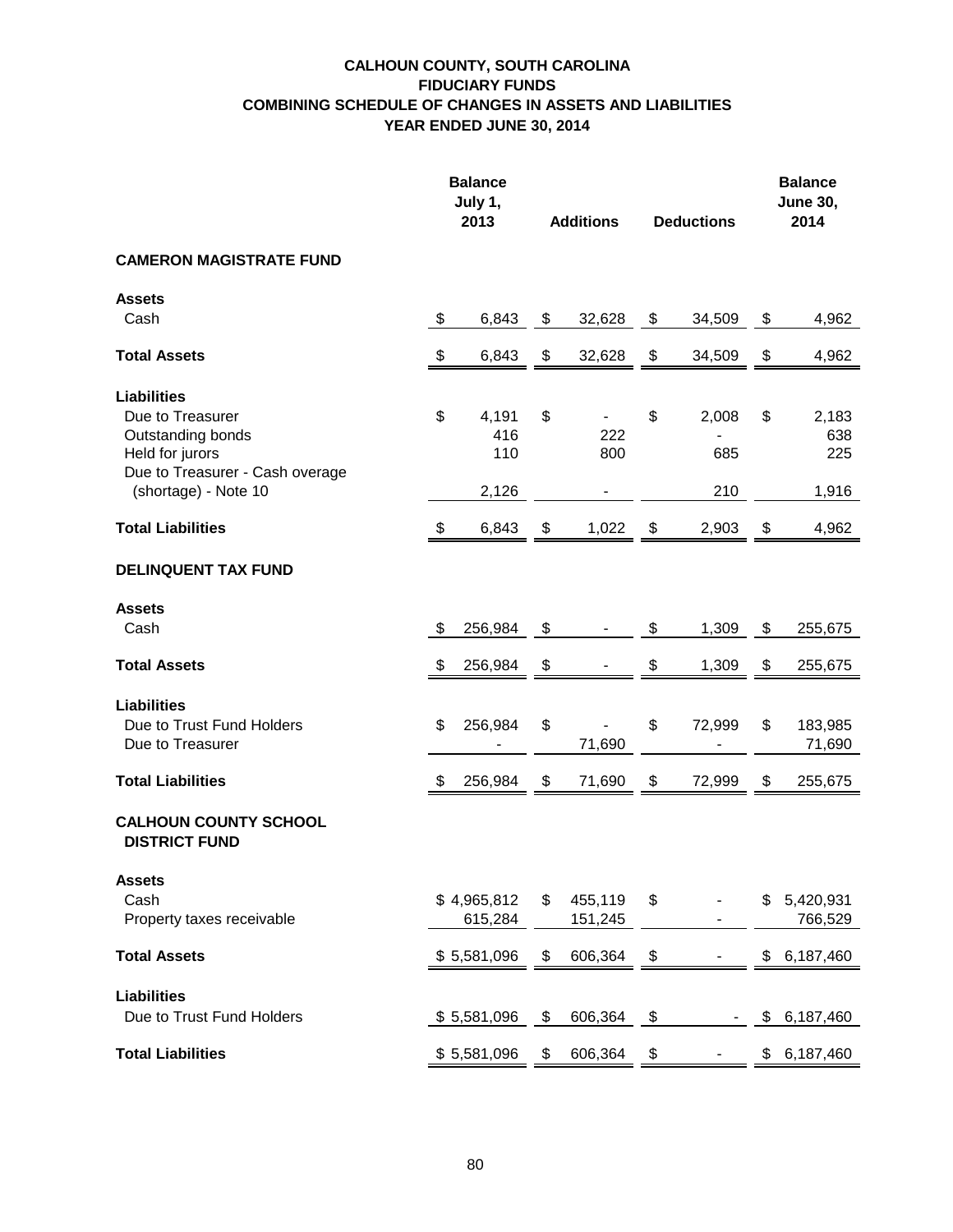# **YEAR ENDED JUNE 30, 2014 CALHOUN COUNTY, SOUTH CAROLINA FIDUCIARY FUNDS COMBINING SCHEDULE OF CHANGES IN ASSETS AND LIABILITIES**

|                                                                                                                                           |                         | <b>Balance</b><br>July 1,<br>2013 |    | <b>Additions</b>                                                           |                           | <b>Deductions</b>                  | <b>Balance</b><br><b>June 30,</b><br>2014 |                              |  |
|-------------------------------------------------------------------------------------------------------------------------------------------|-------------------------|-----------------------------------|----|----------------------------------------------------------------------------|---------------------------|------------------------------------|-------------------------------------------|------------------------------|--|
| <b>CAMERON MAGISTRATE FUND</b>                                                                                                            |                         |                                   |    |                                                                            |                           |                                    |                                           |                              |  |
| <b>Assets</b><br>Cash                                                                                                                     | $\sqrt[6]{\frac{1}{2}}$ | 6,843                             | \$ | 32,628                                                                     | $\boldsymbol{\mathsf{S}}$ | 34,509                             | \$                                        | 4,962                        |  |
| <b>Total Assets</b>                                                                                                                       | \$                      | 6,843                             | \$ | 32,628                                                                     | \$                        | 34,509                             | \$                                        | 4,962                        |  |
| <b>Liabilities</b><br>Due to Treasurer<br>Outstanding bonds<br>Held for jurors<br>Due to Treasurer - Cash overage<br>(shortage) - Note 10 | \$                      | 4,191<br>416<br>110<br>2,126      | \$ | $\qquad \qquad \blacksquare$<br>222<br>800<br>$\qquad \qquad \blacksquare$ | \$                        | 2,008<br>685<br>210                | \$                                        | 2,183<br>638<br>225<br>1,916 |  |
| <b>Total Liabilities</b>                                                                                                                  | \$                      | 6,843                             | \$ | 1,022                                                                      | \$                        | 2,903                              | \$                                        | 4,962                        |  |
| <b>DELINQUENT TAX FUND</b>                                                                                                                |                         |                                   |    |                                                                            |                           |                                    |                                           |                              |  |
| <b>Assets</b><br>Cash                                                                                                                     | \$                      | 256,984                           | \$ |                                                                            | \$                        | 1,309                              | \$                                        | 255,675                      |  |
| <b>Total Assets</b>                                                                                                                       | \$                      | 256,984                           | \$ |                                                                            | \$                        | 1,309                              | \$                                        | 255,675                      |  |
| <b>Liabilities</b><br>Due to Trust Fund Holders<br>Due to Treasurer                                                                       | \$                      | 256,984                           | \$ | 71,690                                                                     | \$                        | 72,999<br>$\overline{\phantom{0}}$ | \$                                        | 183,985<br>71,690            |  |
| <b>Total Liabilities</b>                                                                                                                  | \$                      | 256,984                           | \$ | 71,690                                                                     | \$                        | 72,999                             | \$                                        | 255,675                      |  |
| <b>CALHOUN COUNTY SCHOOL</b><br><b>DISTRICT FUND</b>                                                                                      |                         |                                   |    |                                                                            |                           |                                    |                                           |                              |  |
| <b>Assets</b><br>Cash<br>Property taxes receivable                                                                                        |                         | \$4,965,812<br>615,284            | \$ | 455,119<br>151,245                                                         | \$                        |                                    | S                                         | 5,420,931<br>766,529         |  |
| <b>Total Assets</b>                                                                                                                       |                         | \$5,581,096                       | \$ | 606,364                                                                    | \$                        |                                    |                                           | \$6,187,460                  |  |
| <b>Liabilities</b><br>Due to Trust Fund Holders                                                                                           |                         | \$5,581,096                       | \$ | 606,364                                                                    | \$                        |                                    |                                           | \$6,187,460                  |  |
| <b>Total Liabilities</b>                                                                                                                  |                         | \$5,581,096                       | \$ | 606,364                                                                    | \$                        |                                    | \$                                        | 6,187,460                    |  |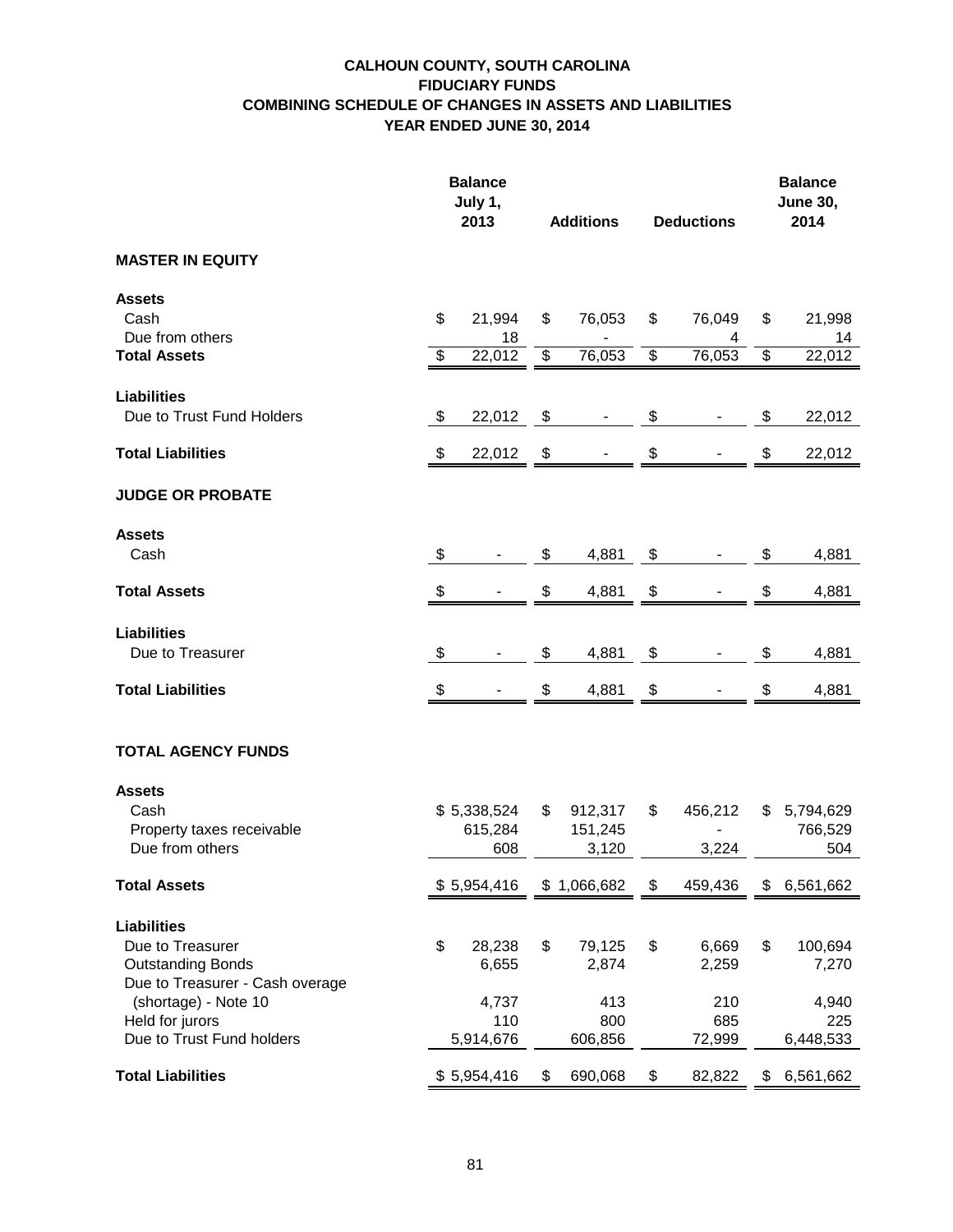# **YEAR ENDED JUNE 30, 2014 CALHOUN COUNTY, SOUTH CAROLINA FIDUCIARY FUNDS COMBINING SCHEDULE OF CHANGES IN ASSETS AND LIABILITIES**

|                                              | <b>Balance</b><br>July 1,<br><b>Additions</b><br>2013 |                 | <b>Deductions</b>     |                         | <b>Balance</b><br><b>June 30,</b><br>2014 |                          |                  |
|----------------------------------------------|-------------------------------------------------------|-----------------|-----------------------|-------------------------|-------------------------------------------|--------------------------|------------------|
| <b>MASTER IN EQUITY</b>                      |                                                       |                 |                       |                         |                                           |                          |                  |
| <b>Assets</b>                                |                                                       |                 |                       |                         |                                           |                          |                  |
| Cash                                         | \$                                                    | 21,994          | \$<br>76,053          | \$                      | 76,049                                    | \$                       | 21,998           |
| Due from others<br><b>Total Assets</b>       | \$                                                    | 18<br>22,012    | \$<br>76,053          | $\overline{\mathbb{S}}$ | 76,053                                    | $\overline{\mathcal{S}}$ | 14<br>22,012     |
| <b>Liabilities</b>                           |                                                       |                 |                       |                         |                                           |                          |                  |
| Due to Trust Fund Holders                    | \$                                                    | 22,012          | \$                    | \$                      |                                           | \$                       | 22,012           |
| <b>Total Liabilities</b>                     | \$                                                    | 22,012          | \$                    | \$                      |                                           | \$                       | 22,012           |
| <b>JUDGE OR PROBATE</b>                      |                                                       |                 |                       |                         |                                           |                          |                  |
| <b>Assets</b>                                |                                                       |                 |                       |                         |                                           |                          |                  |
| Cash                                         | $\boldsymbol{\mathsf{S}}$                             |                 | \$<br>4,881           | \$                      |                                           | \$                       | 4,881            |
| <b>Total Assets</b>                          | \$                                                    |                 | \$<br>4,881           | \$                      |                                           | \$                       | 4,881            |
| <b>Liabilities</b>                           |                                                       |                 |                       |                         |                                           |                          |                  |
| Due to Treasurer                             | \$                                                    |                 | \$<br>4,881           | \$                      |                                           | \$                       | 4,881            |
| <b>Total Liabilities</b>                     | \$                                                    |                 | \$<br>4,881           | \$                      |                                           | \$                       | 4,881            |
| <b>TOTAL AGENCY FUNDS</b>                    |                                                       |                 |                       |                         |                                           |                          |                  |
| <b>Assets</b>                                |                                                       |                 |                       |                         |                                           |                          |                  |
| Cash                                         |                                                       | \$5,338,524     | \$<br>912,317         | \$                      | 456,212                                   | \$                       | 5,794,629        |
| Property taxes receivable<br>Due from others |                                                       | 615,284<br>608  | 151,245<br>3,120      |                         | 3,224                                     |                          | 766,529<br>504   |
| <b>Total Assets</b>                          |                                                       | \$5,954,416     | \$1,066,682           | \$                      | 459,436                                   | \$                       | 6,561,662        |
|                                              |                                                       |                 |                       |                         |                                           |                          |                  |
| <b>Liabilities</b>                           |                                                       |                 |                       |                         |                                           |                          |                  |
| Due to Treasurer<br><b>Outstanding Bonds</b> | \$                                                    | 28,238<br>6,655 | \$<br>79,125<br>2,874 | \$                      | 6,669<br>2,259                            | \$                       | 100,694<br>7,270 |
| Due to Treasurer - Cash overage              |                                                       |                 |                       |                         |                                           |                          |                  |
| (shortage) - Note 10<br>Held for jurors      |                                                       | 4,737<br>110    | 413<br>800            |                         | 210<br>685                                |                          | 4,940<br>225     |
| Due to Trust Fund holders                    |                                                       | 5,914,676       | 606,856               |                         | 72,999                                    |                          | 6,448,533        |
| <b>Total Liabilities</b>                     |                                                       | \$5,954,416     | \$<br>690,068         | \$                      | 82,822                                    | \$                       | 6,561,662        |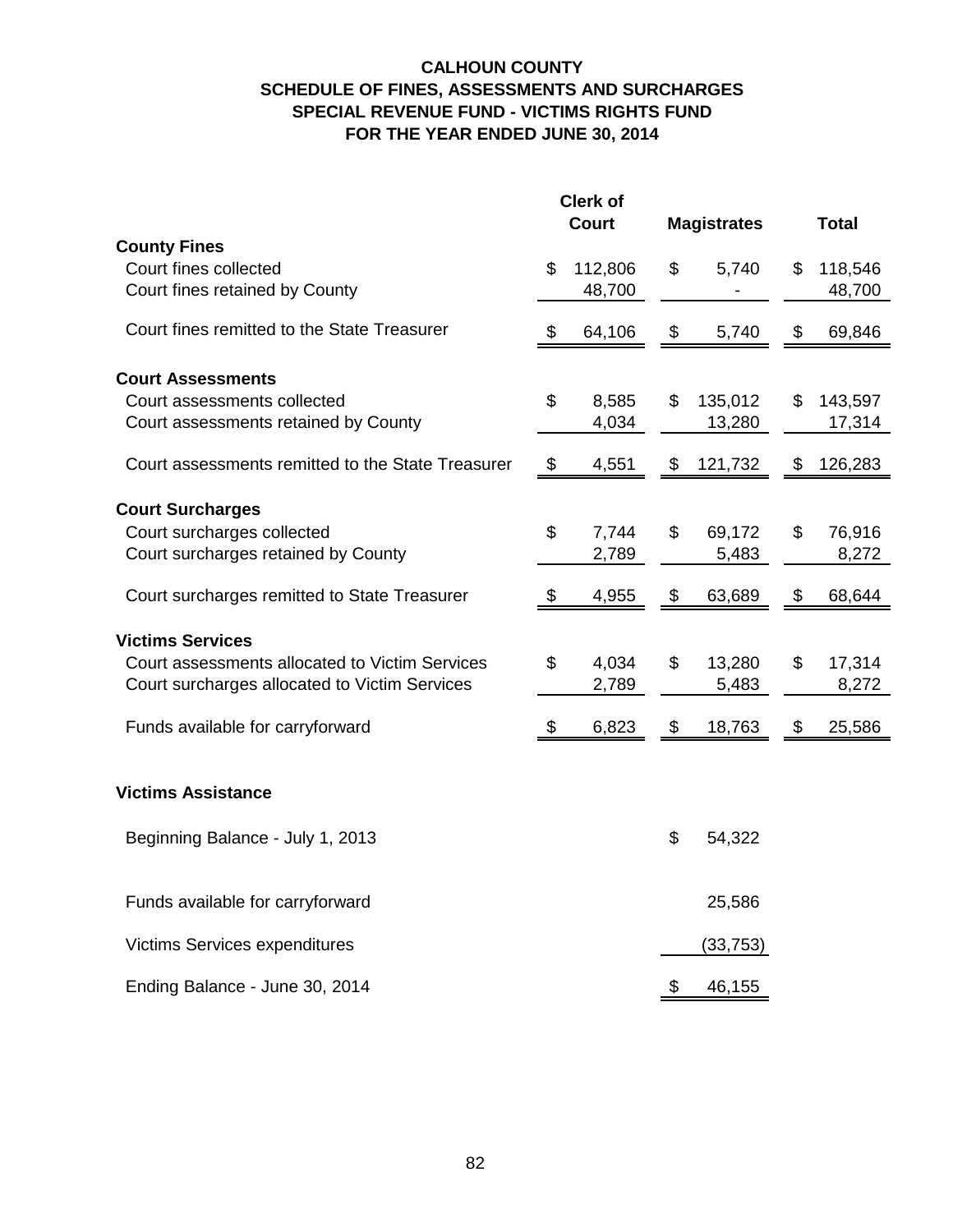# **CALHOUN COUNTY SCHEDULE OF FINES, ASSESSMENTS AND SURCHARGES FOR THE YEAR ENDED JUNE 30, 2014 SPECIAL REVENUE FUND - VICTIMS RIGHTS FUND**

|                                                   |                       | <b>Clerk of</b> |                    |               |
|---------------------------------------------------|-----------------------|-----------------|--------------------|---------------|
|                                                   |                       | <b>Court</b>    | <b>Magistrates</b> | <b>Total</b>  |
| <b>County Fines</b>                               |                       |                 |                    |               |
| Court fines collected                             | \$                    | 112,806         | \$<br>5,740        | \$<br>118,546 |
| Court fines retained by County                    |                       | 48,700          |                    | 48,700        |
| Court fines remitted to the State Treasurer       | $\boldsymbol{\theta}$ | 64,106          | \$<br>5,740        | \$<br>69,846  |
| <b>Court Assessments</b>                          |                       |                 |                    |               |
| Court assessments collected                       | \$                    | 8,585           | \$<br>135,012      | \$<br>143,597 |
| Court assessments retained by County              |                       | 4,034           | 13,280             | 17,314        |
|                                                   |                       |                 |                    |               |
| Court assessments remitted to the State Treasurer | $\boldsymbol{\theta}$ | 4,551           | \$<br>121,732      | \$<br>126,283 |
| <b>Court Surcharges</b>                           |                       |                 |                    |               |
| Court surcharges collected                        | \$                    | 7,744           | \$<br>69,172       | \$<br>76,916  |
| Court surcharges retained by County               |                       | 2,789           | 5,483              | 8,272         |
|                                                   |                       |                 |                    |               |
| Court surcharges remitted to State Treasurer      | \$                    | 4,955           | \$<br>63,689       | \$<br>68,644  |
| <b>Victims Services</b>                           |                       |                 |                    |               |
| Court assessments allocated to Victim Services    | \$                    | 4,034           | \$<br>13,280       | \$<br>17,314  |
| Court surcharges allocated to Victim Services     |                       | 2,789           | 5,483              | 8,272         |
|                                                   |                       |                 |                    |               |
| Funds available for carryforward                  | \$                    | 6,823           | \$<br>18,763       | \$<br>25,586  |
| <b>Victims Assistance</b>                         |                       |                 |                    |               |
| Beginning Balance - July 1, 2013                  |                       |                 | \$<br>54,322       |               |
| Funds available for carryforward                  |                       |                 | 25,586             |               |
| Victims Services expenditures                     |                       |                 | (33, 753)          |               |
| Ending Balance - June 30, 2014                    |                       |                 | \$<br>46,155       |               |
|                                                   |                       |                 |                    |               |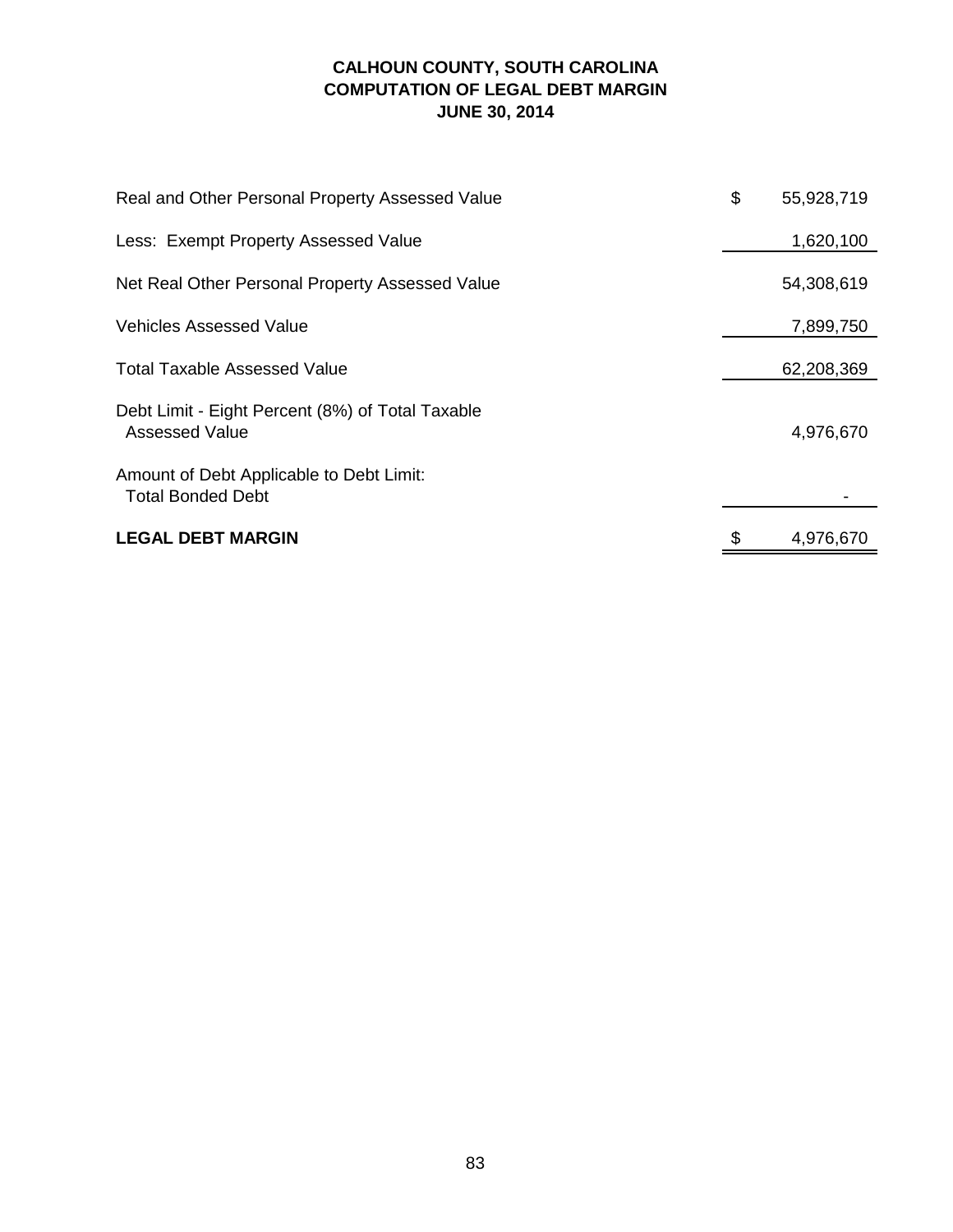# **CALHOUN COUNTY, SOUTH CAROLINA COMPUTATION OF LEGAL DEBT MARGIN JUNE 30, 2014**

| Real and Other Personal Property Assessed Value                           | \$<br>55,928,719 |
|---------------------------------------------------------------------------|------------------|
| Less: Exempt Property Assessed Value                                      | 1,620,100        |
| Net Real Other Personal Property Assessed Value                           | 54,308,619       |
| <b>Vehicles Assessed Value</b>                                            | 7,899,750        |
| <b>Total Taxable Assessed Value</b>                                       | 62,208,369       |
| Debt Limit - Eight Percent (8%) of Total Taxable<br><b>Assessed Value</b> | 4,976,670        |
| Amount of Debt Applicable to Debt Limit:<br><b>Total Bonded Debt</b>      |                  |
| <b>LEGAL DEBT MARGIN</b>                                                  | 4,976,670        |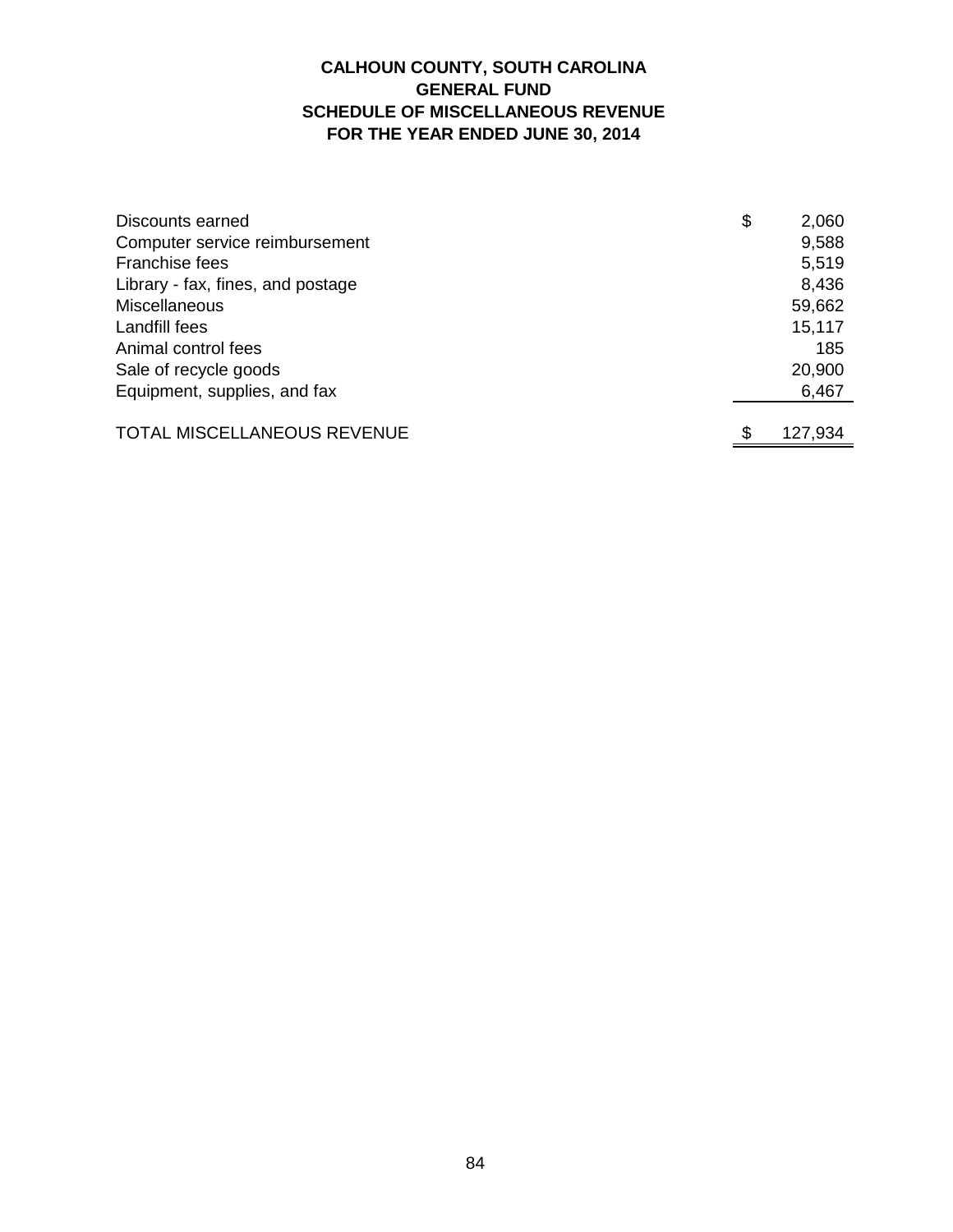# **CALHOUN COUNTY, SOUTH CAROLINA GENERAL FUND SCHEDULE OF MISCELLANEOUS REVENUE FOR THE YEAR ENDED JUNE 30, 2014**

| Discounts earned                  | \$<br>2,060   |
|-----------------------------------|---------------|
| Computer service reimbursement    | 9,588         |
| Franchise fees                    | 5,519         |
| Library - fax, fines, and postage | 8,436         |
| <b>Miscellaneous</b>              | 59,662        |
| Landfill fees                     | 15,117        |
| Animal control fees               | 185           |
| Sale of recycle goods             | 20,900        |
| Equipment, supplies, and fax      | 6,467         |
|                                   |               |
| TOTAL MISCELLANEOUS REVENUE       | \$<br>127,934 |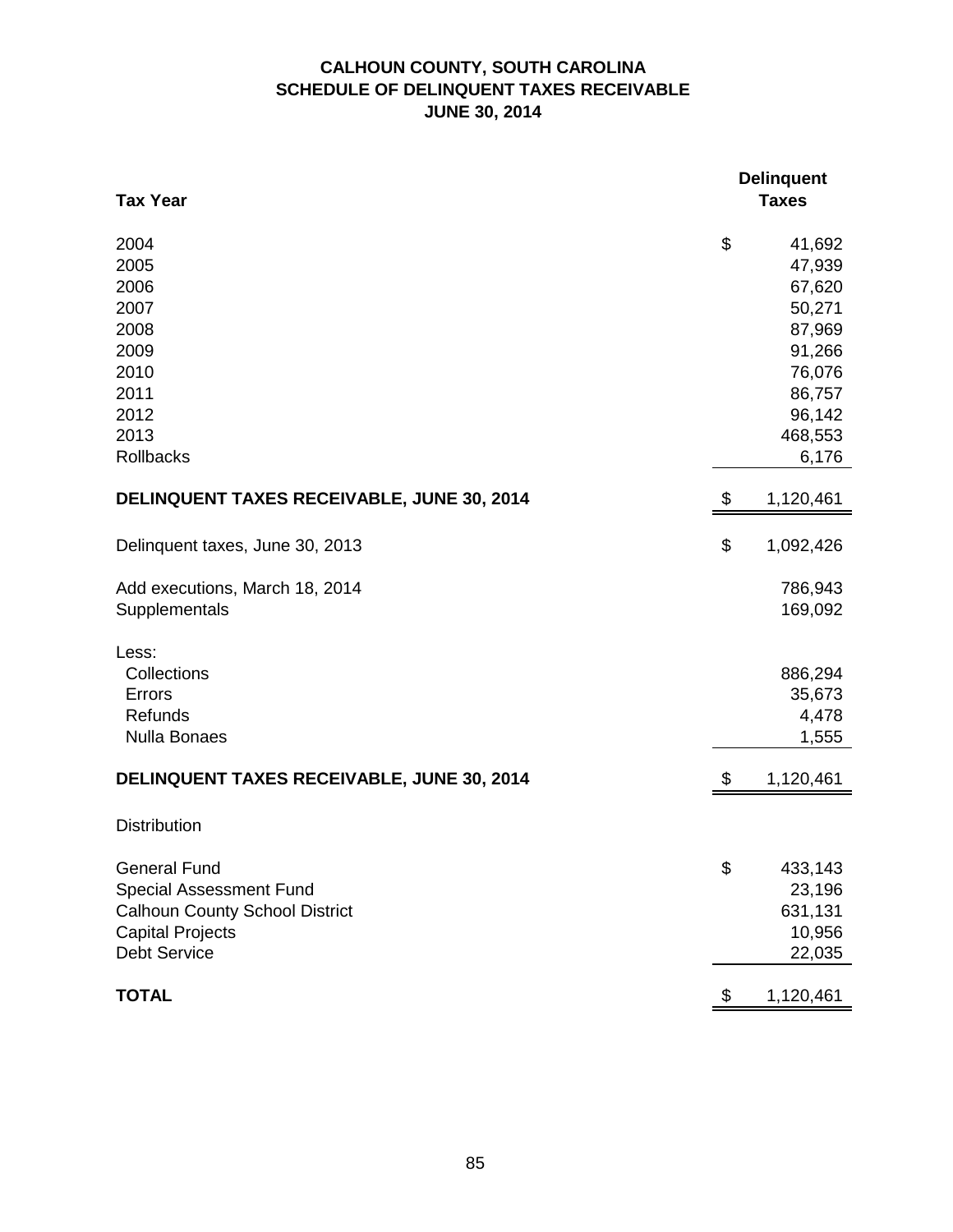# **CALHOUN COUNTY, SOUTH CAROLINA SCHEDULE OF DELINQUENT TAXES RECEIVABLE JUNE 30, 2014**

| <b>Tax Year</b>                                                                                                                                  | <b>Delinquent</b><br><b>Taxes</b>                                                                                |
|--------------------------------------------------------------------------------------------------------------------------------------------------|------------------------------------------------------------------------------------------------------------------|
| 2004<br>2005<br>2006<br>2007<br>2008<br>2009<br>2010<br>2011<br>2012<br>2013<br><b>Rollbacks</b>                                                 | \$<br>41,692<br>47,939<br>67,620<br>50,271<br>87,969<br>91,266<br>76,076<br>86,757<br>96,142<br>468,553<br>6,176 |
| <b>DELINQUENT TAXES RECEIVABLE, JUNE 30, 2014</b>                                                                                                | \$<br>1,120,461                                                                                                  |
| Delinquent taxes, June 30, 2013                                                                                                                  | \$<br>1,092,426                                                                                                  |
| Add executions, March 18, 2014<br>Supplementals                                                                                                  | 786,943<br>169,092                                                                                               |
| Less:<br>Collections<br>Errors<br>Refunds<br><b>Nulla Bonaes</b>                                                                                 | 886,294<br>35,673<br>4,478<br>1,555                                                                              |
| <b>DELINQUENT TAXES RECEIVABLE, JUNE 30, 2014</b>                                                                                                | \$<br>1,120,461                                                                                                  |
| Distribution                                                                                                                                     |                                                                                                                  |
| <b>General Fund</b><br><b>Special Assessment Fund</b><br><b>Calhoun County School District</b><br><b>Capital Projects</b><br><b>Debt Service</b> | \$<br>433,143<br>23,196<br>631,131<br>10,956<br>22,035                                                           |
| <b>TOTAL</b>                                                                                                                                     | \$<br>1,120,461                                                                                                  |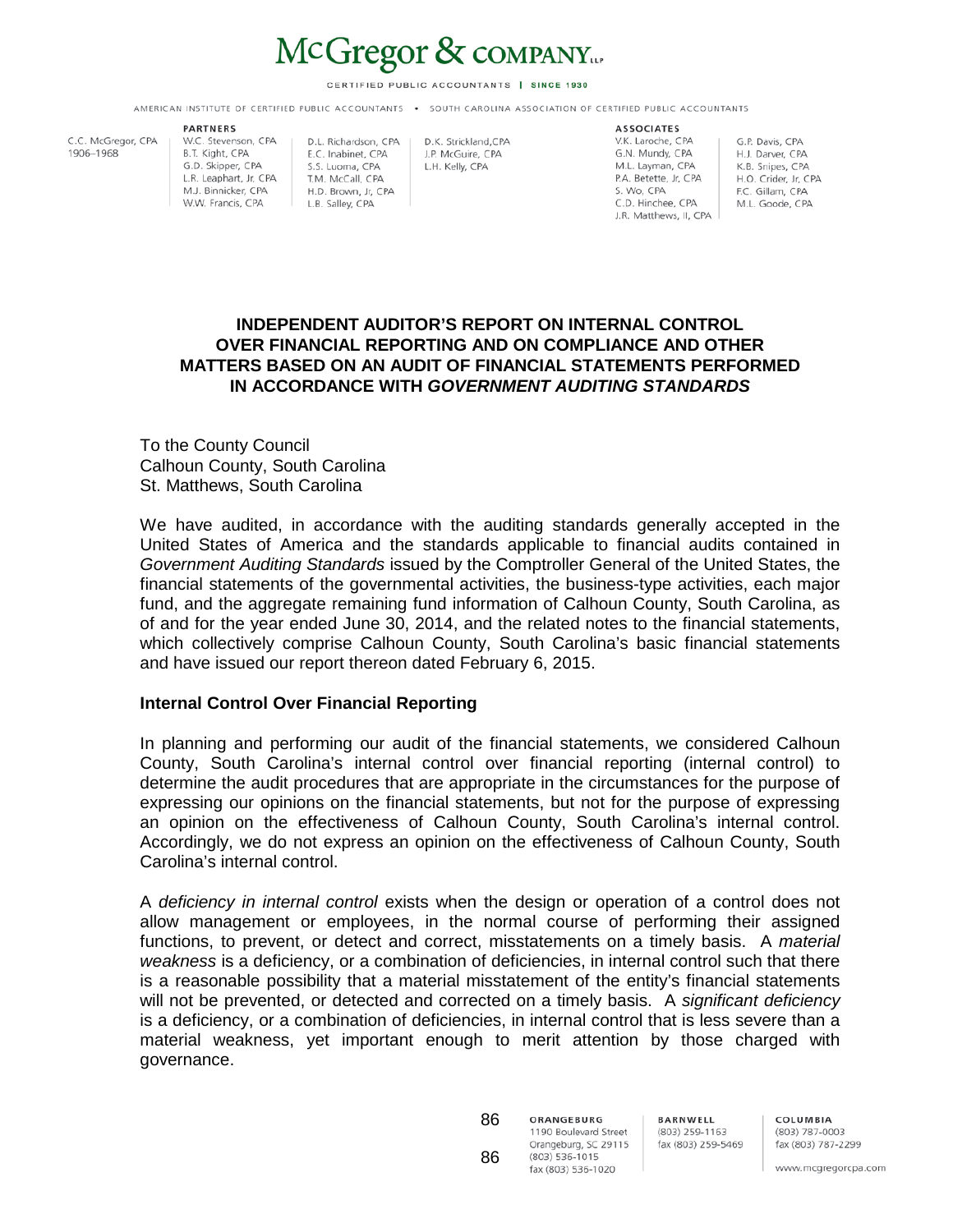# McGregor & COMPANY...

CERTIFIED PUBLIC ACCOUNTANTS | SINCE 1930

AMERICAN INSTITUTE OF CERTIFIED PUBLIC ACCOUNTANTS . SOUTH CAROLINA ASSOCIATION OF CERTIFIED PUBLIC ACCOUNTANTS

#### **PARTNERS**

C.C. McGregor, CPA. 1906-1968

W.C. Stevenson, CPA B.T. Kight, CPA G.D. Skipper, CPA L.R. Leaphart, Jr, CPA M.J. Binnicker, CPA W.W. Francis, CPA

D.L. Richardson, CPA | E.C. Inabinet, CPA S.S. Luoma, CPA T.M. McCall, CPA H.D. Brown, Jr, CPA L.B. Salley, CPA

D.K. Strickland.CPA J.P. McGuire, CPA L.H. Kelly, CPA

**ASSOCIATES** 

V.K. Laroche, CPA G.N. Mundy. CPA M.L. Layman, CPA P.A. Betette, Jr, CPA S. Wo. CPA C.D. Hinchee, CPA J.R. Matthews, II, CPA

G.P. Davis, CPA H.J. Darver, CPA K.B. Snipes, CPA H.O. Crider, Jr. CPA F.C. Gillam, CPA M.L. Goode, CPA

# **INDEPENDENT AUDITOR'S REPORT ON INTERNAL CONTROL OVER FINANCIAL REPORTING AND ON COMPLIANCE AND OTHER MATTERS BASED ON AN AUDIT OF FINANCIAL STATEMENTS PERFORMED IN ACCORDANCE WITH** *GOVERNMENT AUDITING STANDARDS*

To the County Council Calhoun County, South Carolina St. Matthews, South Carolina

We have audited, in accordance with the auditing standards generally accepted in the United States of America and the standards applicable to financial audits contained in *Government Auditing Standards* issued by the Comptroller General of the United States, the financial statements of the governmental activities, the business-type activities, each major fund, and the aggregate remaining fund information of Calhoun County, South Carolina, as of and for the year ended June 30, 2014, and the related notes to the financial statements, which collectively comprise Calhoun County, South Carolina's basic financial statements and have issued our report thereon dated February 6, 2015.

### **Internal Control Over Financial Reporting**

In planning and performing our audit of the financial statements, we considered Calhoun County, South Carolina's internal control over financial reporting (internal control) to determine the audit procedures that are appropriate in the circumstances for the purpose of expressing our opinions on the financial statements, but not for the purpose of expressing an opinion on the effectiveness of Calhoun County, South Carolina's internal control. Accordingly, we do not express an opinion on the effectiveness of Calhoun County, South Carolina's internal control.

A *deficiency in internal control* exists when the design or operation of a control does not allow management or employees, in the normal course of performing their assigned functions, to prevent, or detect and correct, misstatements on a timely basis. A *material weakness* is a deficiency, or a combination of deficiencies, in internal control such that there is a reasonable possibility that a material misstatement of the entity's financial statements will not be prevented, or detected and corrected on a timely basis. A *significant deficiency* is a deficiency, or a combination of deficiencies, in internal control that is less severe than a material weakness, yet important enough to merit attention by those charged with governance.

86

ORANGEBURG 1190 Boulevard Street Orangeburg, SC 29115  $(803)$  536-1015 fax (803) 536-1020

BARNWELL  $(803)$  259-1163 fax (803) 259-5469 COLUMBIA (803) 787-0003 fax (803) 787-2299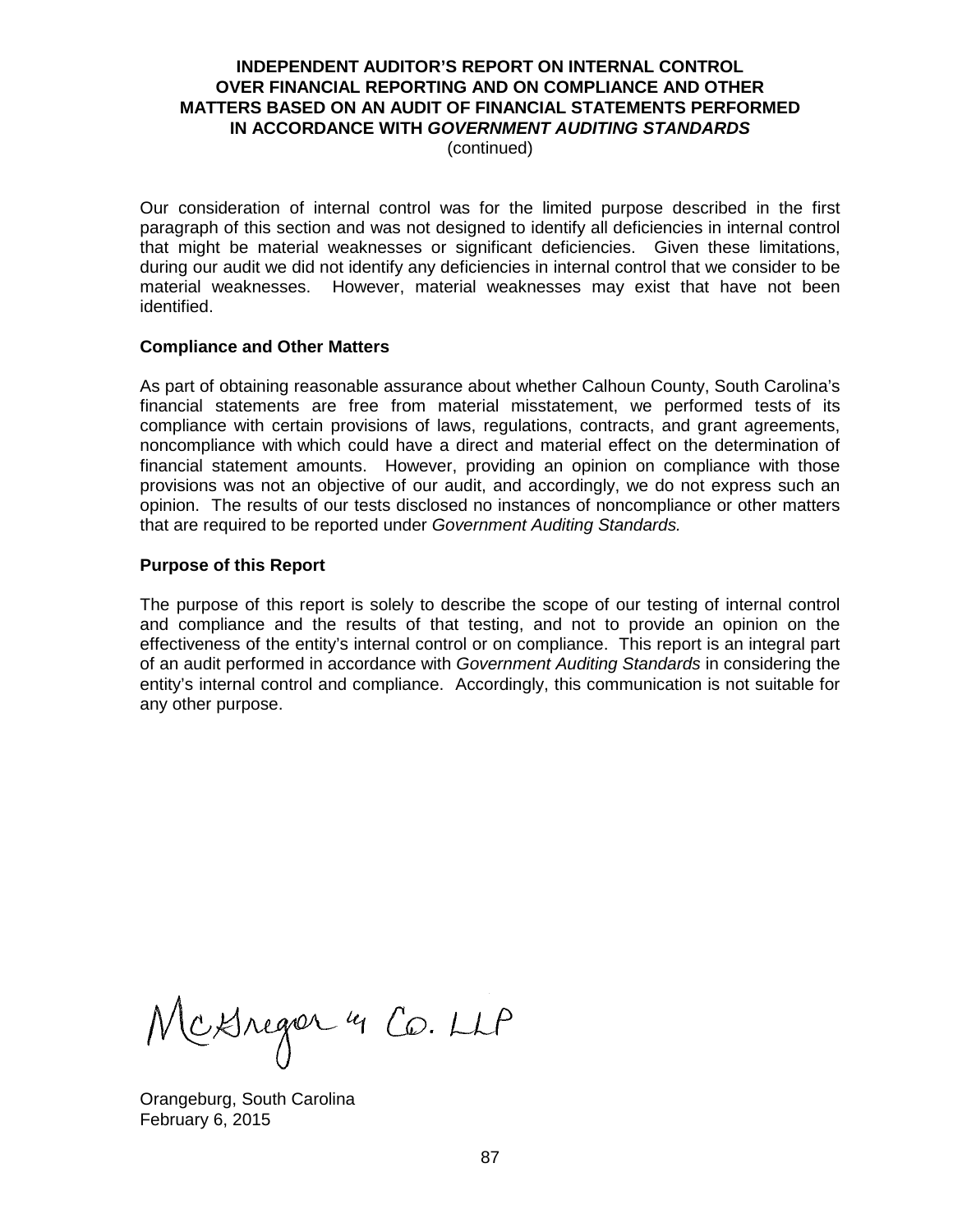# **INDEPENDENT AUDITOR'S REPORT ON INTERNAL CONTROL OVER FINANCIAL REPORTING AND ON COMPLIANCE AND OTHER MATTERS BASED ON AN AUDIT OF FINANCIAL STATEMENTS PERFORMED IN ACCORDANCE WITH** *GOVERNMENT AUDITING STANDARDS*

(continued)

Our consideration of internal control was for the limited purpose described in the first paragraph of this section and was not designed to identify all deficiencies in internal control that might be material weaknesses or significant deficiencies. Given these limitations, during our audit we did not identify any deficiencies in internal control that we consider to be material weaknesses. However, material weaknesses may exist that have not been identified.

### **Compliance and Other Matters**

As part of obtaining reasonable assurance about whether Calhoun County, South Carolina's financial statements are free from material misstatement, we performed tests of its compliance with certain provisions of laws, regulations, contracts, and grant agreements, noncompliance with which could have a direct and material effect on the determination of financial statement amounts. However, providing an opinion on compliance with those provisions was not an objective of our audit, and accordingly, we do not express such an opinion. The results of our tests disclosed no instances of noncompliance or other matters that are required to be reported under *Government Auditing Standards.*

### **Purpose of this Report**

The purpose of this report is solely to describe the scope of our testing of internal control and compliance and the results of that testing, and not to provide an opinion on the effectiveness of the entity's internal control or on compliance. This report is an integral part of an audit performed in accordance with *Government Auditing Standards* in considering the entity's internal control and compliance. Accordingly, this communication is not suitable for any other purpose.

MCHregor 4 Co. LLP

Orangeburg, South Carolina February 6, 2015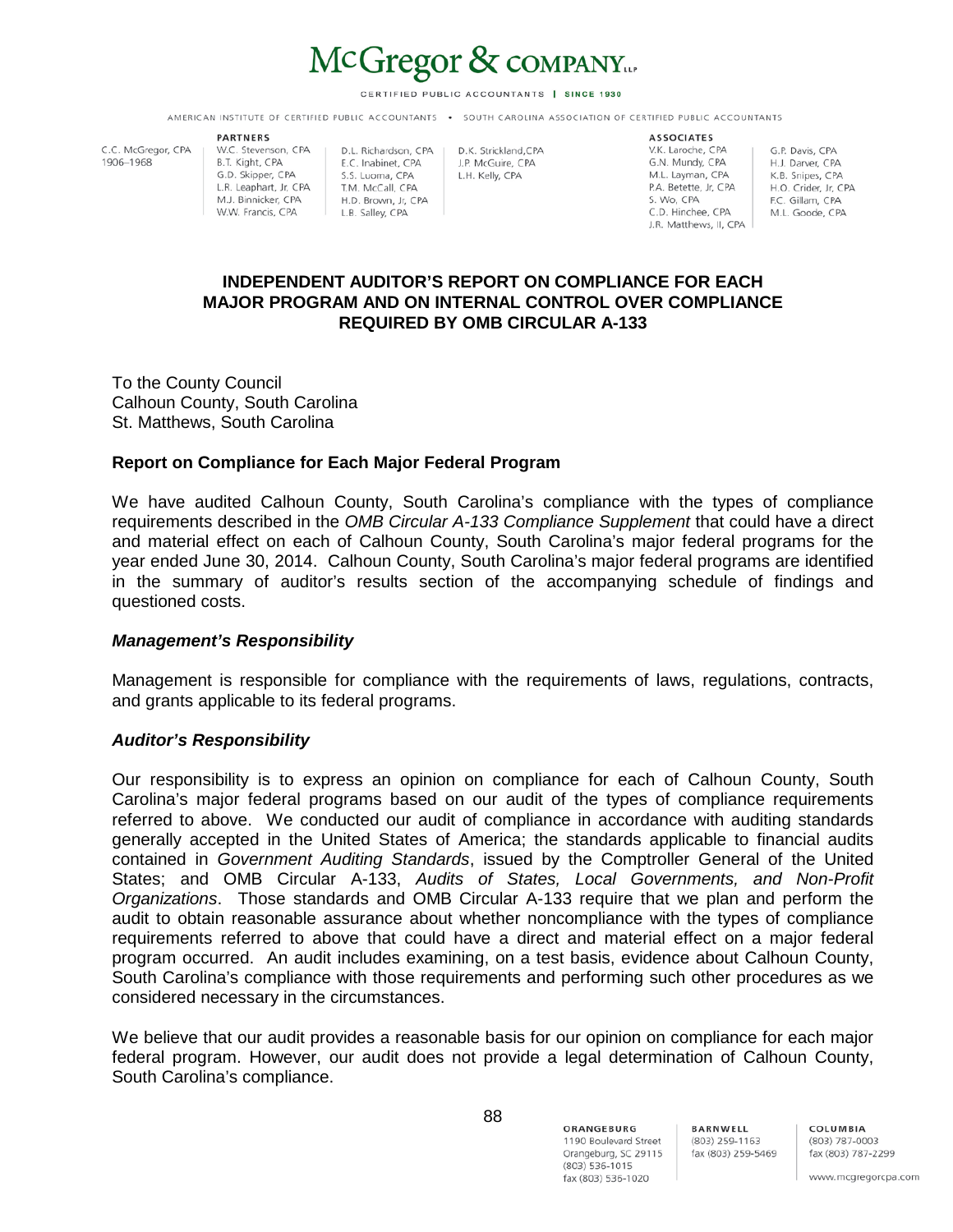

CERTIFIED PUBLIC ACCOUNTANTS | SINCE 1930

AMERICAN INSTITUTE OF CERTIFIED PUBLIC ACCOUNTANTS . SOUTH CAROLINA ASSOCIATION OF CERTIFIED PUBLIC ACCOUNTANTS

**PARTNERS** 

C.C. McGregor, CPA 1906-1968

W.C. Stevenson, CPA B.T. Kight, CPA G.D. Skipper, CPA L.R. Leaphart, Jr. CPA M.J. Binnicker, CPA W.W. Francis, CPA

D.L. Richardson, CPA | E.C. Inabinet, CPA S.S. Luoma, CPA T.M. McCall, CPA H.D. Brown, Jr, CPA<br>L.B. Salley, CPA

D.K. Strickland.CPA **LP McGuire, CPA** L.H. Kelly, CPA

**ASSOCIATES** V.K. Laroche, CPA G.N. Mundy, CPA M.L. Layman, CPA P.A. Betette, Jr. CPA S. Wo. CPA C.D. Hinchee, CPA J.R. Matthews, II, CPA

G.P. Davis, CPA H.J. Darver, CPA K.B. Snipes, CPA H.O. Crider, Jr. CPA F.C. Gillam, CPA M.L. Goode, CPA

# **INDEPENDENT AUDITOR'S REPORT ON COMPLIANCE FOR EACH MAJOR PROGRAM AND ON INTERNAL CONTROL OVER COMPLIANCE REQUIRED BY OMB CIRCULAR A-133**

To the County Council Calhoun County, South Carolina St. Matthews, South Carolina

### **Report on Compliance for Each Major Federal Program**

We have audited Calhoun County, South Carolina's compliance with the types of compliance requirements described in the *OMB Circular A-133 Compliance Supplement* that could have a direct and material effect on each of Calhoun County, South Carolina's major federal programs for the year ended June 30, 2014. Calhoun County, South Carolina's major federal programs are identified in the summary of auditor's results section of the accompanying schedule of findings and questioned costs.

### *Management's Responsibility*

Management is responsible for compliance with the requirements of laws, regulations, contracts, and grants applicable to its federal programs.

### *Auditor's Responsibility*

Our responsibility is to express an opinion on compliance for each of Calhoun County, South Carolina's major federal programs based on our audit of the types of compliance requirements referred to above. We conducted our audit of compliance in accordance with auditing standards generally accepted in the United States of America; the standards applicable to financial audits contained in *Government Auditing Standards*, issued by the Comptroller General of the United States; and OMB Circular A-133, *Audits of States, Local Governments, and Non-Profit Organizations*. Those standards and OMB Circular A-133 require that we plan and perform the audit to obtain reasonable assurance about whether noncompliance with the types of compliance requirements referred to above that could have a direct and material effect on a major federal program occurred. An audit includes examining, on a test basis, evidence about Calhoun County, South Carolina's compliance with those requirements and performing such other procedures as we considered necessary in the circumstances.

We believe that our audit provides a reasonable basis for our opinion on compliance for each major federal program. However, our audit does not provide a legal determination of Calhoun County, South Carolina's compliance.

88

ORANGERURG 1190 Boulevard Street Orangeburg, SC 29115  $(803)$  536-1015 fax (803) 536-1020

**RARNWELL**  $(803)$  259-1163 fax (803) 259-5469 COLUMBIA (803) 787-0003 fax (803) 787-2299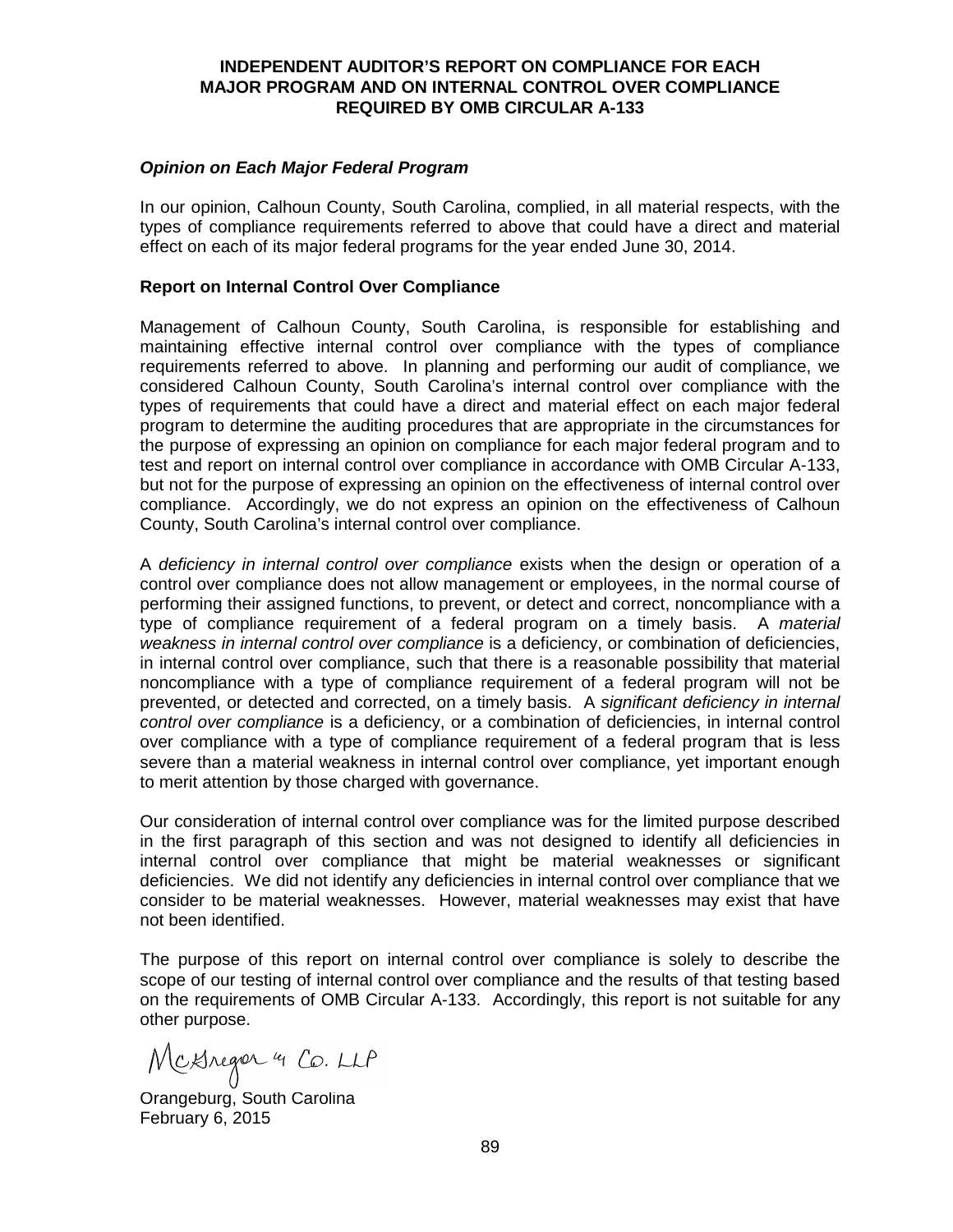### **INDEPENDENT AUDITOR'S REPORT ON COMPLIANCE FOR EACH MAJOR PROGRAM AND ON INTERNAL CONTROL OVER COMPLIANCE REQUIRED BY OMB CIRCULAR A-133**

### *Opinion on Each Major Federal Program*

In our opinion, Calhoun County, South Carolina, complied, in all material respects, with the types of compliance requirements referred to above that could have a direct and material effect on each of its major federal programs for the year ended June 30, 2014.

### **Report on Internal Control Over Compliance**

Management of Calhoun County, South Carolina, is responsible for establishing and maintaining effective internal control over compliance with the types of compliance requirements referred to above. In planning and performing our audit of compliance, we considered Calhoun County, South Carolina's internal control over compliance with the types of requirements that could have a direct and material effect on each major federal program to determine the auditing procedures that are appropriate in the circumstances for the purpose of expressing an opinion on compliance for each major federal program and to test and report on internal control over compliance in accordance with OMB Circular A-133, but not for the purpose of expressing an opinion on the effectiveness of internal control over compliance. Accordingly, we do not express an opinion on the effectiveness of Calhoun County, South Carolina's internal control over compliance.

A *deficiency in internal control over compliance* exists when the design or operation of a control over compliance does not allow management or employees, in the normal course of performing their assigned functions, to prevent, or detect and correct, noncompliance with a type of compliance requirement of a federal program on a timely basis. A *material weakness in internal control over compliance* is a deficiency, or combination of deficiencies, in internal control over compliance, such that there is a reasonable possibility that material noncompliance with a type of compliance requirement of a federal program will not be prevented, or detected and corrected, on a timely basis. A *significant deficiency in internal control over compliance* is a deficiency, or a combination of deficiencies, in internal control over compliance with a type of compliance requirement of a federal program that is less severe than a material weakness in internal control over compliance, yet important enough to merit attention by those charged with governance.

Our consideration of internal control over compliance was for the limited purpose described in the first paragraph of this section and was not designed to identify all deficiencies in internal control over compliance that might be material weaknesses or significant deficiencies. We did not identify any deficiencies in internal control over compliance that we consider to be material weaknesses. However, material weaknesses may exist that have not been identified.

The purpose of this report on internal control over compliance is solely to describe the scope of our testing of internal control over compliance and the results of that testing based on the requirements of OMB Circular A-133. Accordingly, this report is not suitable for any other purpose.

MCgregor 4 Co. LLP

Orangeburg, South Carolina February 6, 2015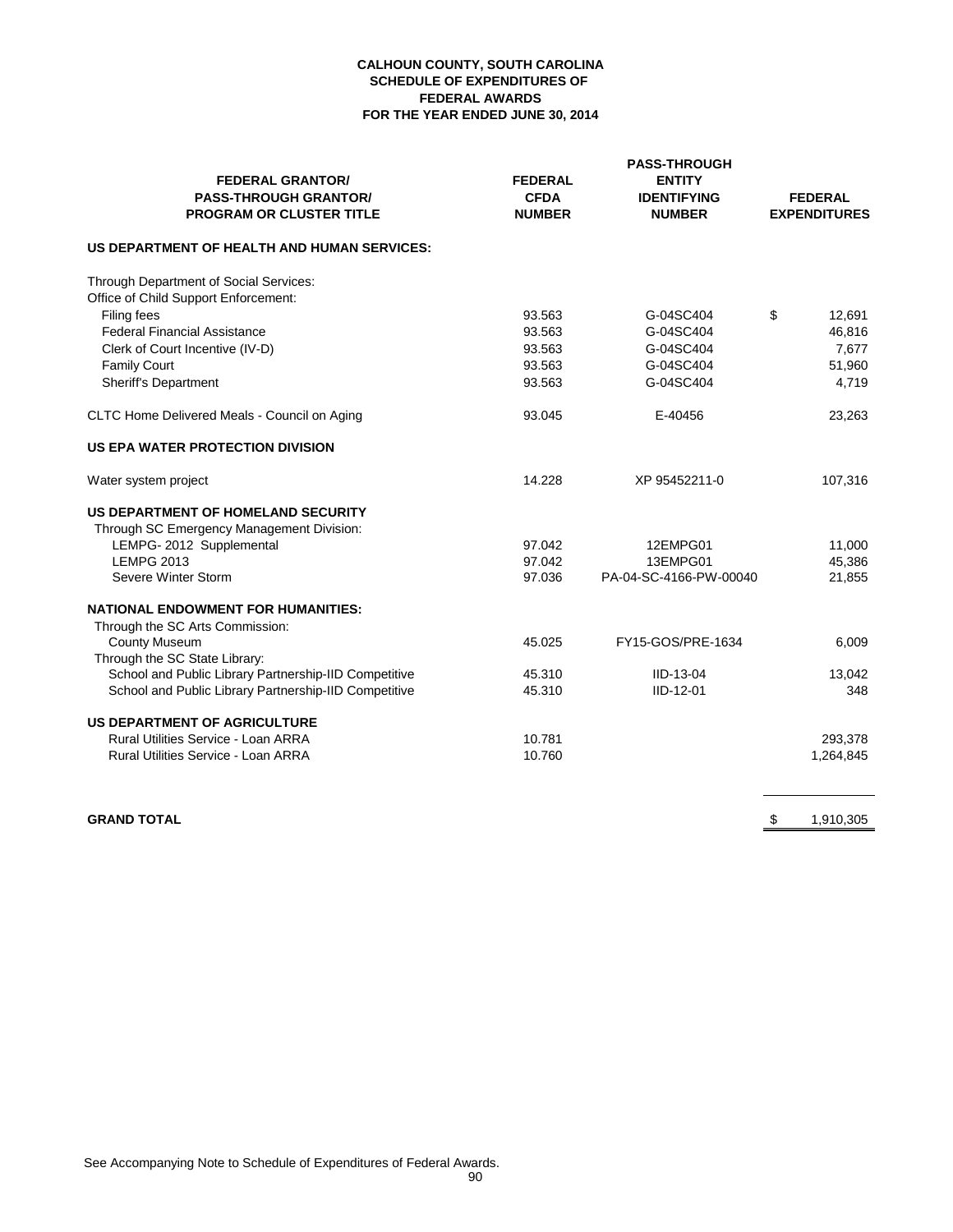### **CALHOUN COUNTY, SOUTH CAROLINA SCHEDULE OF EXPENDITURES OF FEDERAL AWARDS FOR THE YEAR ENDED JUNE 30, 2014**

| <b>FEDERAL GRANTOR/</b><br><b>PASS-THROUGH GRANTOR/</b><br><b>PROGRAM OR CLUSTER TITLE</b> | <b>FEDERAL</b><br><b>CFDA</b><br><b>NUMBER</b> | <b>PASS-THROUGH</b><br><b>ENTITY</b><br><b>IDENTIFYING</b><br><b>NUMBER</b> | <b>FEDERAL</b><br><b>EXPENDITURES</b> |     |
|--------------------------------------------------------------------------------------------|------------------------------------------------|-----------------------------------------------------------------------------|---------------------------------------|-----|
| US DEPARTMENT OF HEALTH AND HUMAN SERVICES:                                                |                                                |                                                                             |                                       |     |
| Through Department of Social Services:                                                     |                                                |                                                                             |                                       |     |
| Office of Child Support Enforcement:                                                       |                                                |                                                                             |                                       |     |
| Filing fees                                                                                | 93.563                                         | G-04SC404                                                                   | \$<br>12,691                          |     |
| <b>Federal Financial Assistance</b>                                                        | 93.563                                         | G-04SC404                                                                   | 46,816                                |     |
| Clerk of Court Incentive (IV-D)                                                            | 93.563                                         | G-04SC404                                                                   | 7,677                                 |     |
| <b>Family Court</b>                                                                        | 93.563                                         | G-04SC404                                                                   | 51,960                                |     |
| Sheriff's Department                                                                       | 93.563                                         | G-04SC404                                                                   | 4,719                                 |     |
| CLTC Home Delivered Meals - Council on Aging                                               | 93.045                                         | E-40456                                                                     | 23,263                                |     |
| US EPA WATER PROTECTION DIVISION                                                           |                                                |                                                                             |                                       |     |
| Water system project                                                                       | 14.228                                         | XP 95452211-0                                                               | 107,316                               |     |
| US DEPARTMENT OF HOMELAND SECURITY                                                         |                                                |                                                                             |                                       |     |
| Through SC Emergency Management Division:                                                  |                                                |                                                                             |                                       |     |
| LEMPG-2012 Supplemental                                                                    | 97.042                                         | 12EMPG01                                                                    | 11,000                                |     |
| <b>LEMPG 2013</b>                                                                          | 97.042                                         | 13EMPG01                                                                    | 45,386                                |     |
| Severe Winter Storm                                                                        | 97.036                                         | PA-04-SC-4166-PW-00040                                                      | 21,855                                |     |
| <b>NATIONAL ENDOWMENT FOR HUMANITIES:</b>                                                  |                                                |                                                                             |                                       |     |
| Through the SC Arts Commission:                                                            |                                                |                                                                             |                                       |     |
| <b>County Museum</b>                                                                       | 45.025                                         | FY15-GOS/PRE-1634                                                           | 6,009                                 |     |
| Through the SC State Library:                                                              |                                                |                                                                             |                                       |     |
| School and Public Library Partnership-IID Competitive                                      | 45.310                                         | IID-13-04                                                                   | 13,042                                |     |
| School and Public Library Partnership-IID Competitive                                      | 45.310                                         | <b>IID-12-01</b>                                                            |                                       | 348 |
| US DEPARTMENT OF AGRICULTURE                                                               |                                                |                                                                             |                                       |     |
| Rural Utilities Service - Loan ARRA                                                        | 10.781                                         |                                                                             | 293,378                               |     |
| Rural Utilities Service - Loan ARRA                                                        | 10.760                                         |                                                                             | 1,264,845                             |     |
| <b>GRAND TOTAL</b>                                                                         |                                                |                                                                             | \$<br>1,910,305                       |     |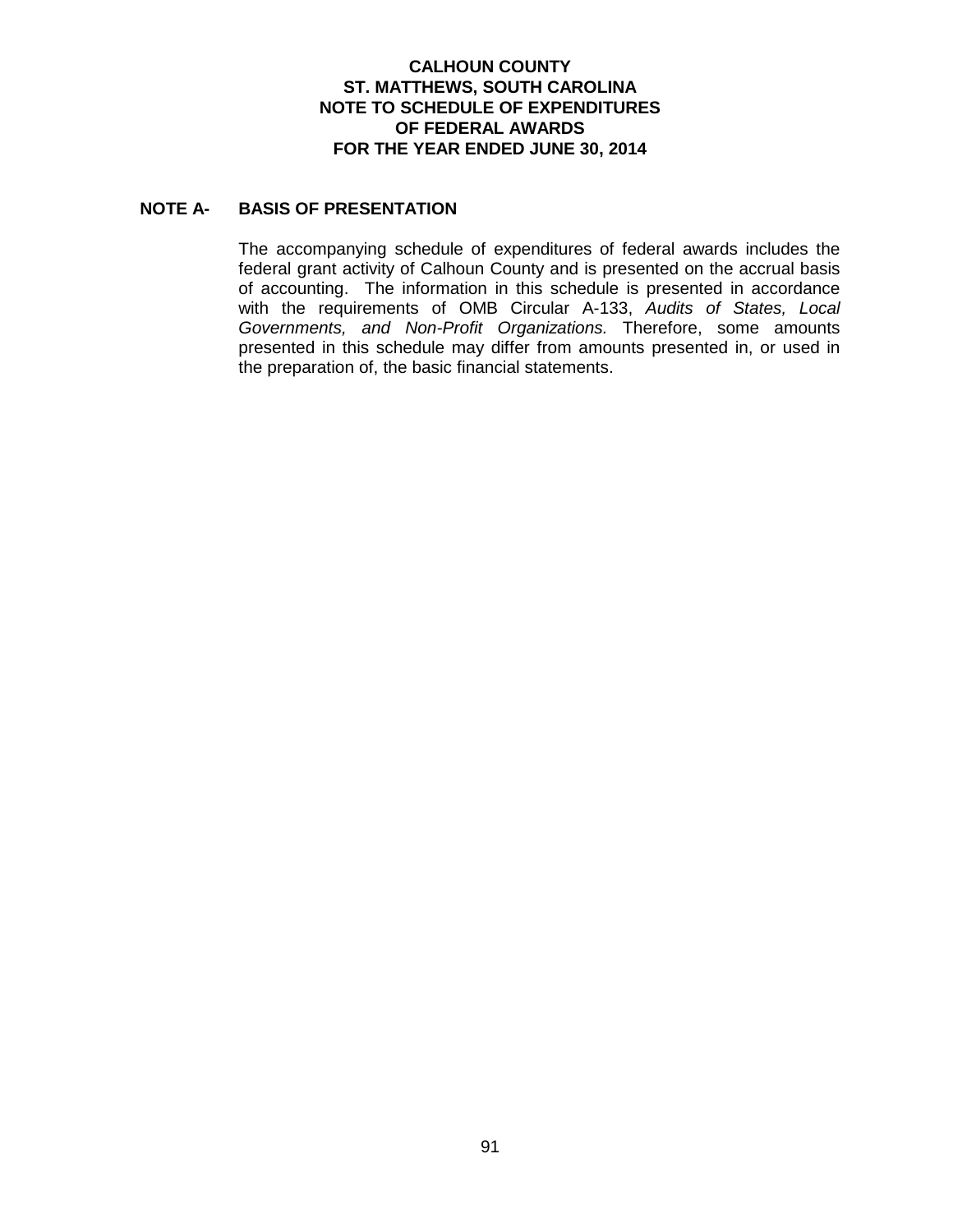# **CALHOUN COUNTY ST. MATTHEWS, SOUTH CAROLINA NOTE TO SCHEDULE OF EXPENDITURES OF FEDERAL AWARDS FOR THE YEAR ENDED JUNE 30, 2014**

## **NOTE A- BASIS OF PRESENTATION**

The accompanying schedule of expenditures of federal awards includes the federal grant activity of Calhoun County and is presented on the accrual basis of accounting. The information in this schedule is presented in accordance with the requirements of OMB Circular A-133, *Audits of States, Local Governments, and Non-Profit Organizations.* Therefore, some amounts presented in this schedule may differ from amounts presented in, or used in the preparation of, the basic financial statements.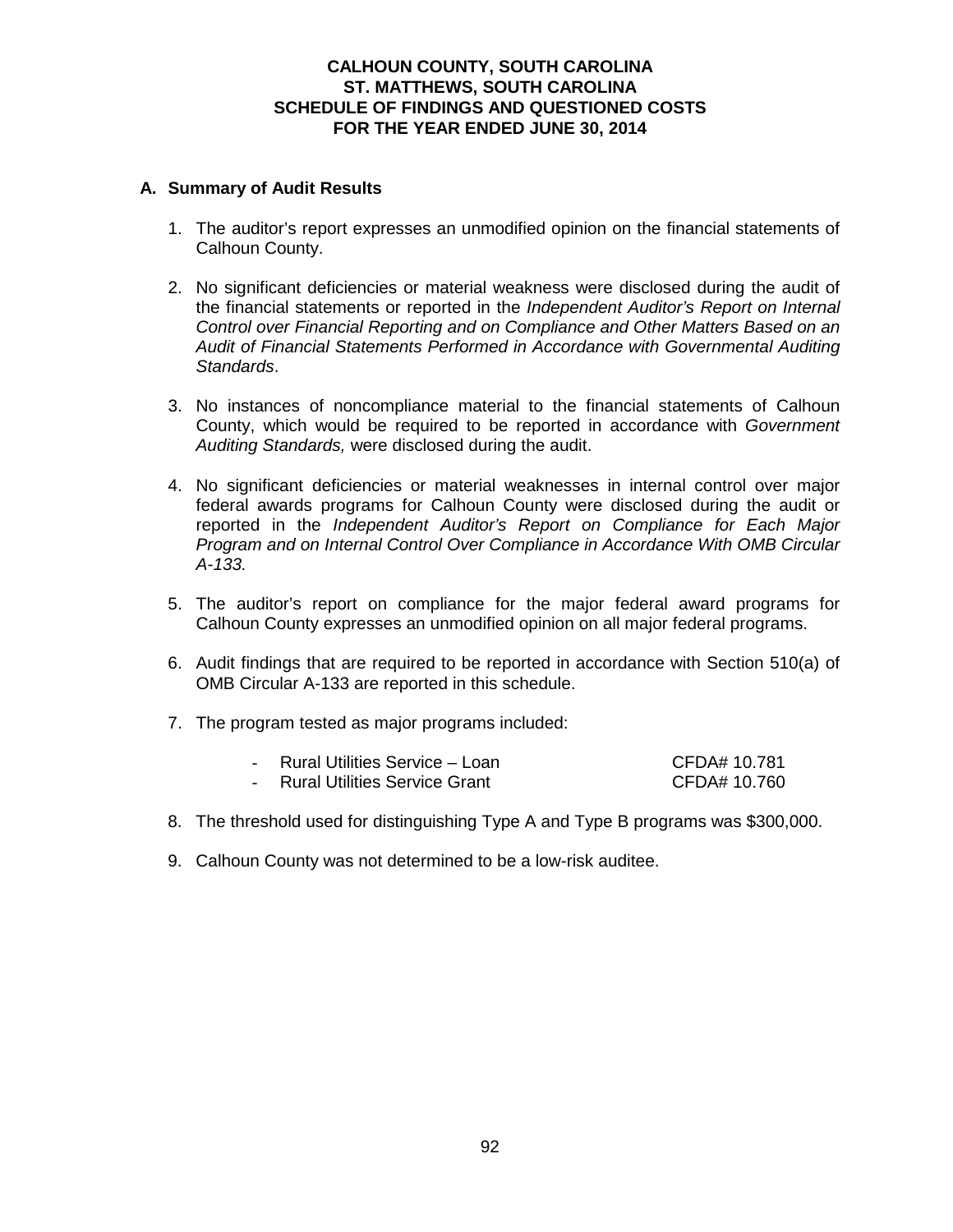# **CALHOUN COUNTY, SOUTH CAROLINA ST. MATTHEWS, SOUTH CAROLINA SCHEDULE OF FINDINGS AND QUESTIONED COSTS FOR THE YEAR ENDED JUNE 30, 2014**

### **A. Summary of Audit Results**

- 1. The auditor's report expresses an unmodified opinion on the financial statements of Calhoun County.
- 2. No significant deficiencies or material weakness were disclosed during the audit of the financial statements or reported in the *Independent Auditor's Report on Internal Control over Financial Reporting and on Compliance and Other Matters Based on an Audit of Financial Statements Performed in Accordance with Governmental Auditing Standards*.
- 3. No instances of noncompliance material to the financial statements of Calhoun County, which would be required to be reported in accordance with *Government Auditing Standards,* were disclosed during the audit.
- 4. No significant deficiencies or material weaknesses in internal control over major federal awards programs for Calhoun County were disclosed during the audit or reported in the *Independent Auditor's Report on Compliance for Each Major Program and on Internal Control Over Compliance in Accordance With OMB Circular A-133.*
- 5. The auditor's report on compliance for the major federal award programs for Calhoun County expresses an unmodified opinion on all major federal programs.
- 6. Audit findings that are required to be reported in accordance with Section 510(a) of OMB Circular A-133 are reported in this schedule.
- 7. The program tested as major programs included:

| Rural Utilities Service – Loan       | CFDA# 10.781 |
|--------------------------------------|--------------|
| <b>Rural Utilities Service Grant</b> | CFDA# 10.760 |

- 8. The threshold used for distinguishing Type A and Type B programs was \$300,000.
- 9. Calhoun County was not determined to be a low-risk auditee.